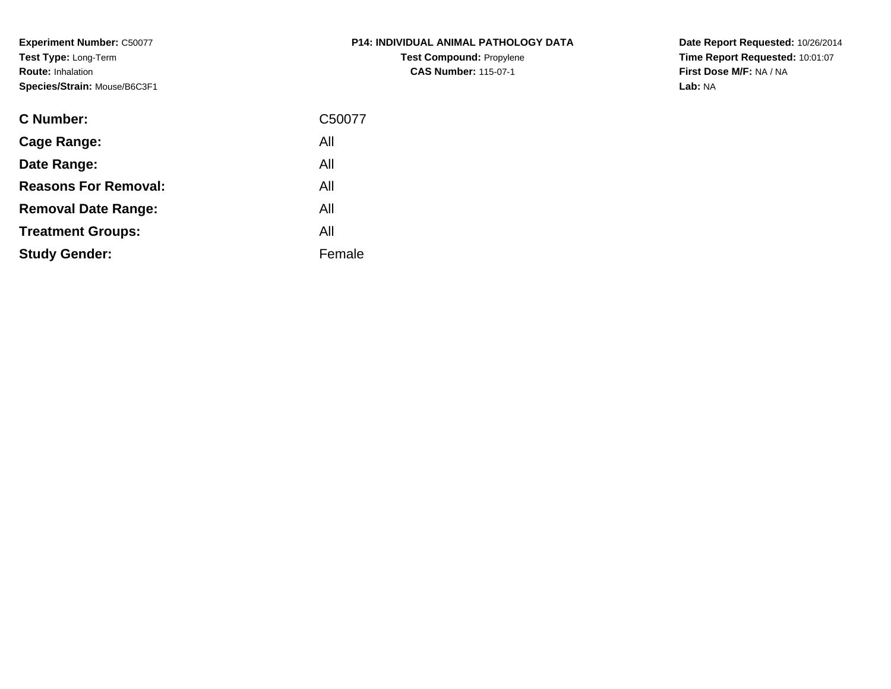**Experiment Number:** C50077**Test Type:** Long-Term**Route:** Inhalation**Species/Strain:** Mouse/B6C3F1

| <b>P14: INDIVIDUAL ANIMAL PATHOLOGY DATA</b> |
|----------------------------------------------|
| <b>Test Compound: Propylene</b>              |
| <b>CAS Number: 115-07-1</b>                  |

| <b>C</b> Number:            | C50077 |
|-----------------------------|--------|
| Cage Range:                 | All    |
| Date Range:                 | All    |
| <b>Reasons For Removal:</b> | All    |
| <b>Removal Date Range:</b>  | All    |
| <b>Treatment Groups:</b>    | All    |
| <b>Study Gender:</b>        | Female |
|                             |        |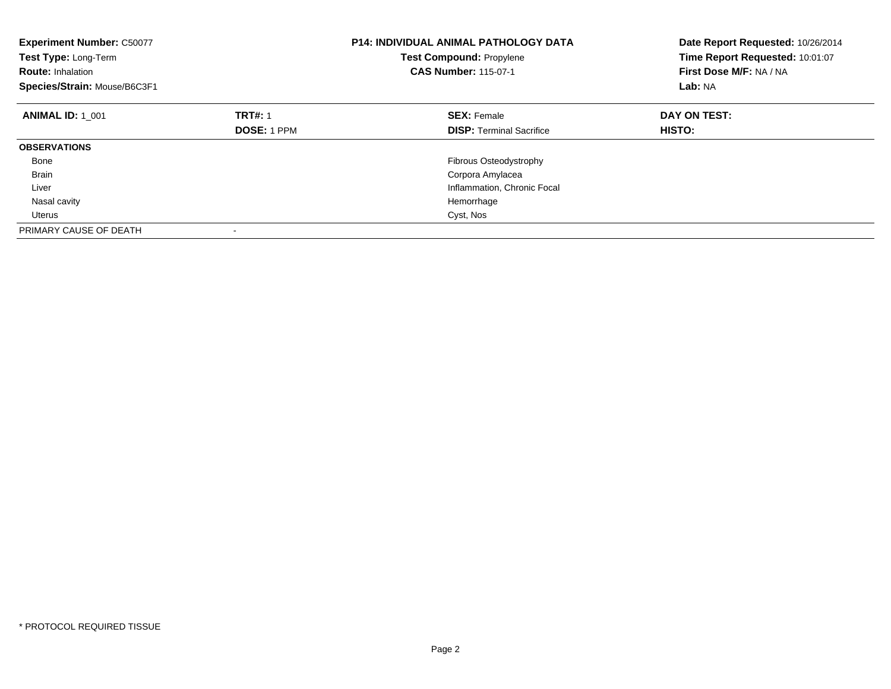| <b>Experiment Number: C50077</b><br>Test Type: Long-Term<br><b>Route: Inhalation</b><br>Species/Strain: Mouse/B6C3F1 |                    | <b>P14: INDIVIDUAL ANIMAL PATHOLOGY DATA</b><br><b>Test Compound: Propylene</b><br><b>CAS Number: 115-07-1</b> | Date Report Requested: 10/26/2014<br>Time Report Requested: 10:01:07<br>First Dose M/F: NA / NA<br>Lab: NA |
|----------------------------------------------------------------------------------------------------------------------|--------------------|----------------------------------------------------------------------------------------------------------------|------------------------------------------------------------------------------------------------------------|
| <b>ANIMAL ID: 1 001</b>                                                                                              | <b>TRT#: 1</b>     | <b>SEX: Female</b>                                                                                             | DAY ON TEST:                                                                                               |
|                                                                                                                      | <b>DOSE: 1 PPM</b> | <b>DISP:</b> Terminal Sacrifice                                                                                | HISTO:                                                                                                     |
| <b>OBSERVATIONS</b>                                                                                                  |                    |                                                                                                                |                                                                                                            |
| Bone                                                                                                                 |                    | Fibrous Osteodystrophy                                                                                         |                                                                                                            |
| <b>Brain</b>                                                                                                         |                    | Corpora Amylacea                                                                                               |                                                                                                            |
| Liver                                                                                                                |                    | Inflammation, Chronic Focal                                                                                    |                                                                                                            |
| Nasal cavity                                                                                                         |                    | Hemorrhage                                                                                                     |                                                                                                            |
| Uterus                                                                                                               |                    | Cyst, Nos                                                                                                      |                                                                                                            |
| PRIMARY CAUSE OF DEATH                                                                                               |                    |                                                                                                                |                                                                                                            |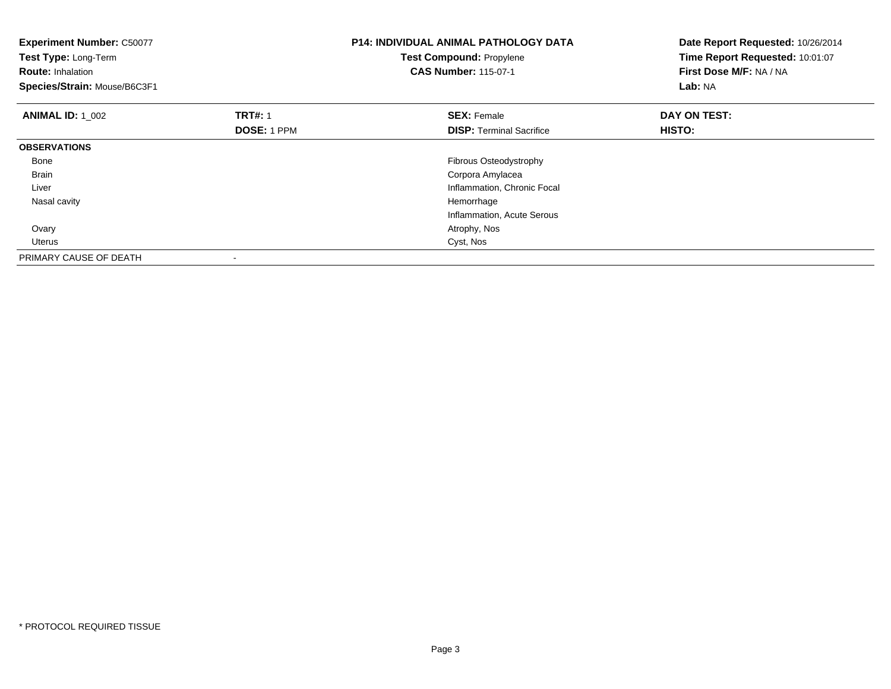| <b>Experiment Number: C50077</b><br>Test Type: Long-Term<br><b>Route: Inhalation</b><br>Species/Strain: Mouse/B6C3F1 |                                      | <b>P14: INDIVIDUAL ANIMAL PATHOLOGY DATA</b><br><b>Test Compound: Propylene</b><br><b>CAS Number: 115-07-1</b> | Date Report Requested: 10/26/2014<br>Time Report Requested: 10:01:07<br>First Dose M/F: NA / NA<br>Lab: NA |
|----------------------------------------------------------------------------------------------------------------------|--------------------------------------|----------------------------------------------------------------------------------------------------------------|------------------------------------------------------------------------------------------------------------|
| <b>ANIMAL ID: 1 002</b>                                                                                              | <b>TRT#: 1</b><br><b>DOSE: 1 PPM</b> | <b>SEX: Female</b><br><b>DISP:</b> Terminal Sacrifice                                                          | DAY ON TEST:<br><b>HISTO:</b>                                                                              |
| <b>OBSERVATIONS</b>                                                                                                  |                                      |                                                                                                                |                                                                                                            |
| Bone                                                                                                                 |                                      | Fibrous Osteodystrophy                                                                                         |                                                                                                            |
| <b>Brain</b>                                                                                                         |                                      | Corpora Amylacea                                                                                               |                                                                                                            |
| Liver                                                                                                                |                                      | Inflammation, Chronic Focal                                                                                    |                                                                                                            |
| Nasal cavity                                                                                                         |                                      | Hemorrhage                                                                                                     |                                                                                                            |
|                                                                                                                      |                                      | Inflammation, Acute Serous                                                                                     |                                                                                                            |
| Ovary                                                                                                                |                                      | Atrophy, Nos                                                                                                   |                                                                                                            |
| Uterus                                                                                                               |                                      | Cyst, Nos                                                                                                      |                                                                                                            |
| PRIMARY CAUSE OF DEATH                                                                                               |                                      |                                                                                                                |                                                                                                            |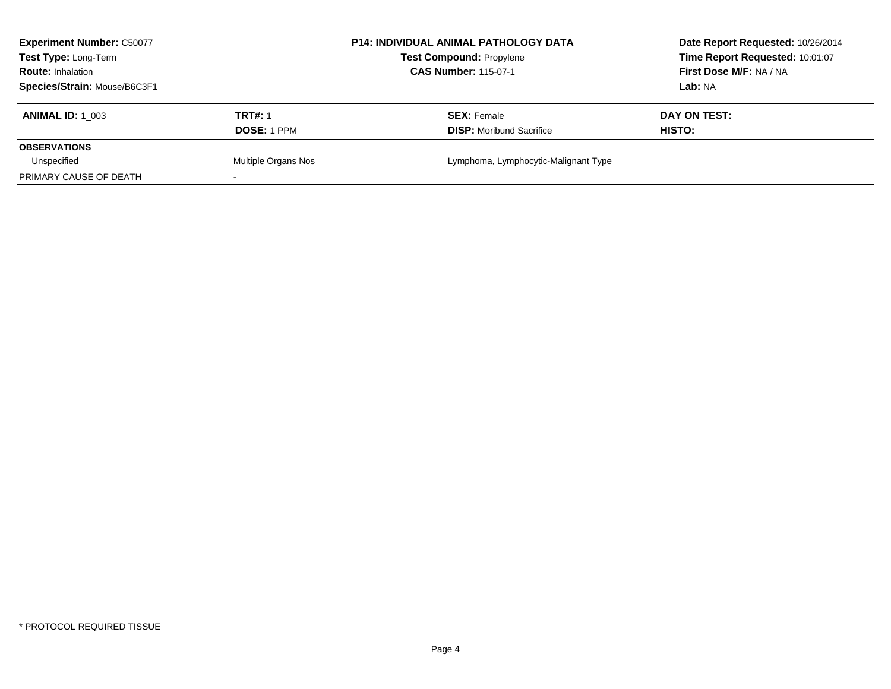| <b>Experiment Number: C50077</b><br>Test Type: Long-Term<br><b>Route: Inhalation</b> |                     | <b>P14: INDIVIDUAL ANIMAL PATHOLOGY DATA</b><br><b>Test Compound: Propylene</b><br><b>CAS Number: 115-07-1</b> | Date Report Requested: 10/26/2014<br>Time Report Requested: 10:01:07<br>First Dose M/F: NA / NA |
|--------------------------------------------------------------------------------------|---------------------|----------------------------------------------------------------------------------------------------------------|-------------------------------------------------------------------------------------------------|
| Species/Strain: Mouse/B6C3F1                                                         |                     |                                                                                                                | Lab: NA                                                                                         |
| <b>ANIMAL ID: 1 003</b>                                                              | <b>TRT#: 1</b>      | <b>SEX: Female</b>                                                                                             | DAY ON TEST:                                                                                    |
|                                                                                      | <b>DOSE: 1 PPM</b>  | <b>DISP:</b> Moribund Sacrifice                                                                                | <b>HISTO:</b>                                                                                   |
| <b>OBSERVATIONS</b>                                                                  |                     |                                                                                                                |                                                                                                 |
| Unspecified                                                                          | Multiple Organs Nos | Lymphoma, Lymphocytic-Malignant Type                                                                           |                                                                                                 |
| PRIMARY CAUSE OF DEATH                                                               |                     |                                                                                                                |                                                                                                 |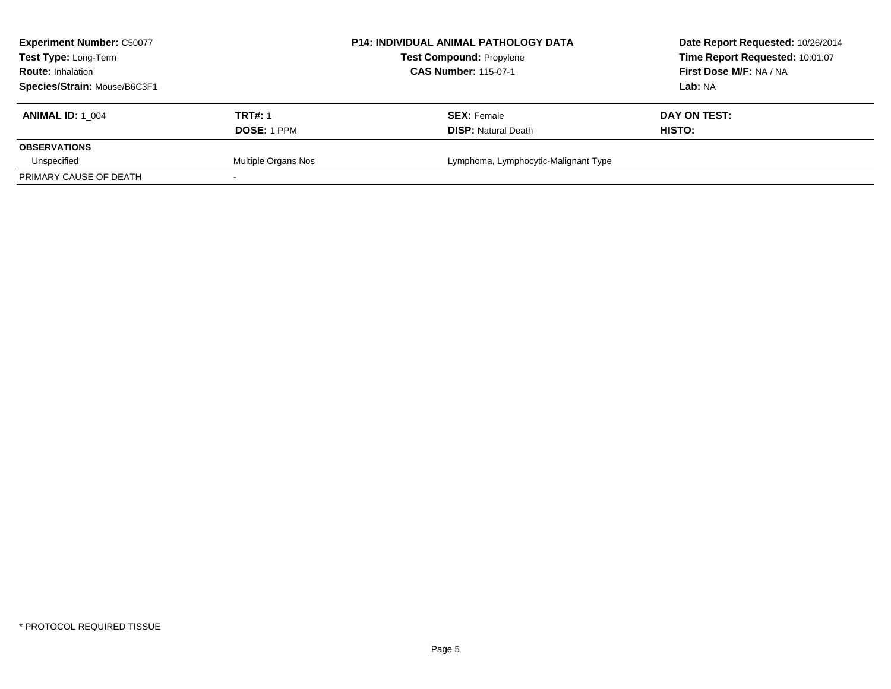| <b>Experiment Number: C50077</b><br>Test Type: Long-Term<br><b>Route: Inhalation</b> |                     | <b>P14: INDIVIDUAL ANIMAL PATHOLOGY DATA</b><br><b>Test Compound: Propylene</b><br><b>CAS Number: 115-07-1</b> | Date Report Requested: 10/26/2014<br>Time Report Requested: 10:01:07<br>First Dose M/F: NA / NA |
|--------------------------------------------------------------------------------------|---------------------|----------------------------------------------------------------------------------------------------------------|-------------------------------------------------------------------------------------------------|
| Species/Strain: Mouse/B6C3F1                                                         |                     |                                                                                                                | Lab: NA                                                                                         |
| <b>ANIMAL ID: 1 004</b>                                                              | <b>TRT#: 1</b>      | <b>SEX: Female</b>                                                                                             | DAY ON TEST:                                                                                    |
|                                                                                      | <b>DOSE: 1 PPM</b>  | <b>DISP:</b> Natural Death                                                                                     | <b>HISTO:</b>                                                                                   |
| <b>OBSERVATIONS</b>                                                                  |                     |                                                                                                                |                                                                                                 |
| Unspecified                                                                          | Multiple Organs Nos | Lymphoma, Lymphocytic-Malignant Type                                                                           |                                                                                                 |
| PRIMARY CAUSE OF DEATH                                                               |                     |                                                                                                                |                                                                                                 |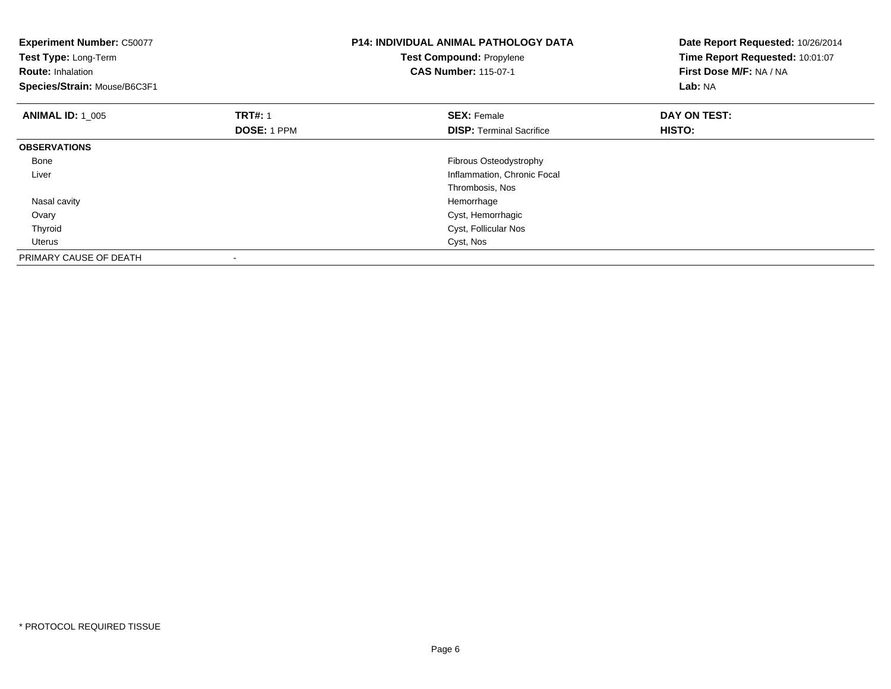| <b>Experiment Number: C50077</b><br>Test Type: Long-Term<br><b>Route: Inhalation</b><br>Species/Strain: Mouse/B6C3F1 |                                      | P14: INDIVIDUAL ANIMAL PATHOLOGY DATA<br><b>Test Compound: Propylene</b><br><b>CAS Number: 115-07-1</b> | Date Report Requested: 10/26/2014<br>Time Report Requested: 10:01:07<br>First Dose M/F: NA / NA<br><b>Lab: NA</b> |
|----------------------------------------------------------------------------------------------------------------------|--------------------------------------|---------------------------------------------------------------------------------------------------------|-------------------------------------------------------------------------------------------------------------------|
| <b>ANIMAL ID: 1 005</b>                                                                                              | <b>TRT#: 1</b><br><b>DOSE: 1 PPM</b> | <b>SEX: Female</b><br><b>DISP:</b> Terminal Sacrifice                                                   | DAY ON TEST:<br>HISTO:                                                                                            |
| <b>OBSERVATIONS</b>                                                                                                  |                                      |                                                                                                         |                                                                                                                   |
| Bone                                                                                                                 |                                      | Fibrous Osteodystrophy                                                                                  |                                                                                                                   |
| Liver                                                                                                                |                                      | Inflammation, Chronic Focal                                                                             |                                                                                                                   |
|                                                                                                                      |                                      | Thrombosis, Nos                                                                                         |                                                                                                                   |
| Nasal cavity                                                                                                         |                                      | Hemorrhage                                                                                              |                                                                                                                   |
| Ovary                                                                                                                |                                      | Cyst, Hemorrhagic                                                                                       |                                                                                                                   |
| Thyroid                                                                                                              |                                      | Cyst, Follicular Nos                                                                                    |                                                                                                                   |
| <b>Uterus</b>                                                                                                        |                                      | Cyst, Nos                                                                                               |                                                                                                                   |
| PRIMARY CAUSE OF DEATH                                                                                               |                                      |                                                                                                         |                                                                                                                   |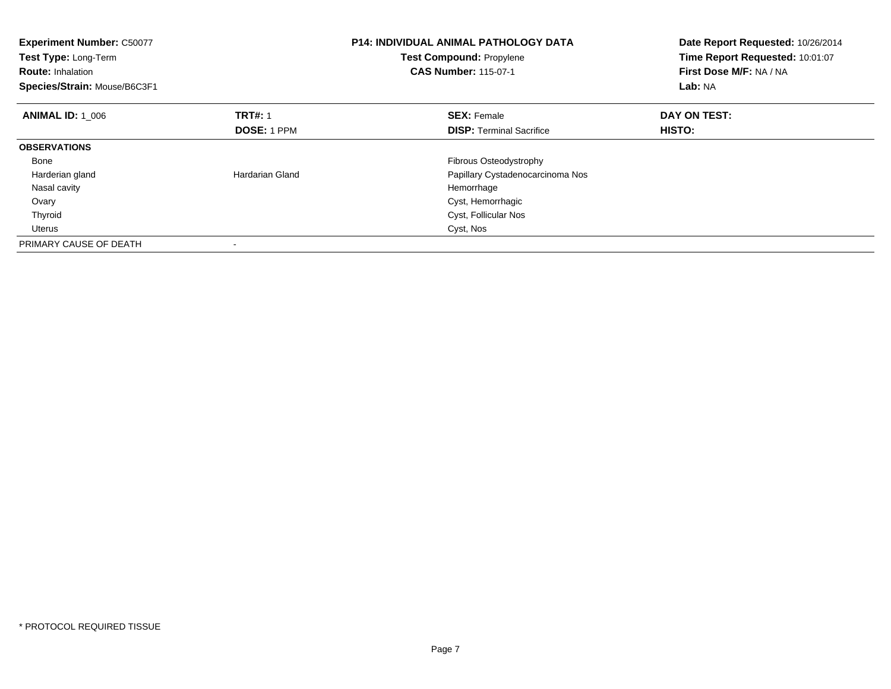| <b>Experiment Number: C50077</b><br>Test Type: Long-Term<br><b>Route: Inhalation</b><br>Species/Strain: Mouse/B6C3F1 |                    | <b>P14: INDIVIDUAL ANIMAL PATHOLOGY DATA</b><br><b>Test Compound: Propylene</b><br><b>CAS Number: 115-07-1</b> | Date Report Requested: 10/26/2014<br>Time Report Requested: 10:01:07<br>First Dose M/F: NA / NA<br>Lab: NA |
|----------------------------------------------------------------------------------------------------------------------|--------------------|----------------------------------------------------------------------------------------------------------------|------------------------------------------------------------------------------------------------------------|
| <b>ANIMAL ID: 1 006</b>                                                                                              | <b>TRT#: 1</b>     | <b>SEX: Female</b>                                                                                             | DAY ON TEST:                                                                                               |
|                                                                                                                      | <b>DOSE: 1 PPM</b> | <b>DISP:</b> Terminal Sacrifice                                                                                | <b>HISTO:</b>                                                                                              |
| <b>OBSERVATIONS</b>                                                                                                  |                    |                                                                                                                |                                                                                                            |
| Bone                                                                                                                 |                    | Fibrous Osteodystrophy                                                                                         |                                                                                                            |
| Harderian gland                                                                                                      | Hardarian Gland    | Papillary Cystadenocarcinoma Nos                                                                               |                                                                                                            |
| Nasal cavity                                                                                                         |                    | Hemorrhage                                                                                                     |                                                                                                            |
| Ovary                                                                                                                |                    | Cyst, Hemorrhagic                                                                                              |                                                                                                            |
| Thyroid                                                                                                              |                    | Cyst, Follicular Nos                                                                                           |                                                                                                            |
| Uterus                                                                                                               |                    | Cyst, Nos                                                                                                      |                                                                                                            |
| PRIMARY CAUSE OF DEATH                                                                                               |                    |                                                                                                                |                                                                                                            |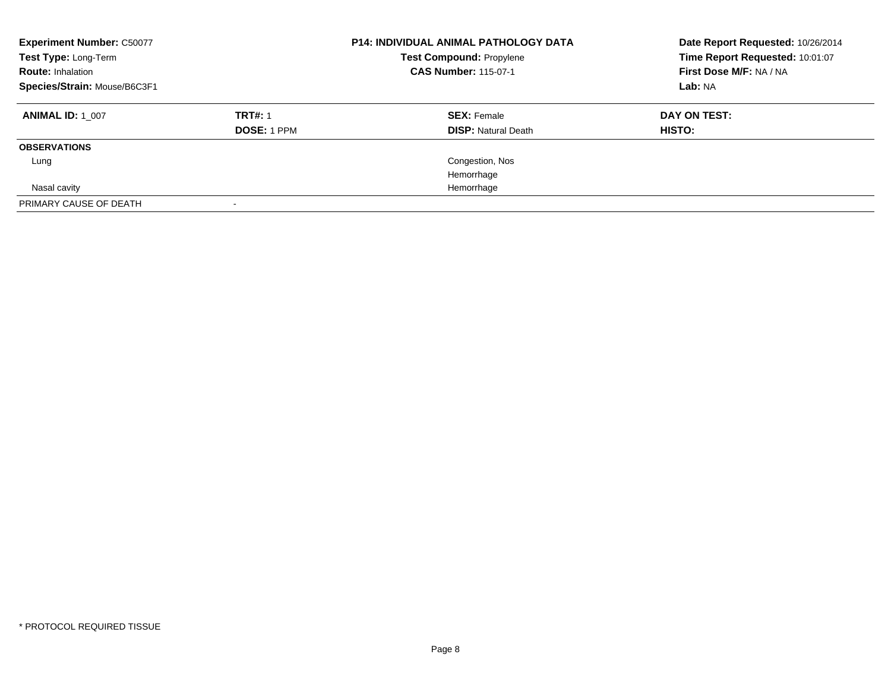| <b>Experiment Number: C50077</b><br>Test Type: Long-Term<br><b>Route: Inhalation</b><br>Species/Strain: Mouse/B6C3F1 |                                      | <b>P14: INDIVIDUAL ANIMAL PATHOLOGY DATA</b><br><b>Test Compound: Propylene</b><br><b>CAS Number: 115-07-1</b> | Date Report Requested: 10/26/2014<br>Time Report Requested: 10:01:07<br>First Dose M/F: NA / NA<br>Lab: NA |
|----------------------------------------------------------------------------------------------------------------------|--------------------------------------|----------------------------------------------------------------------------------------------------------------|------------------------------------------------------------------------------------------------------------|
| <b>ANIMAL ID: 1 007</b>                                                                                              | <b>TRT#: 1</b><br><b>DOSE: 1 PPM</b> | <b>SEX: Female</b><br><b>DISP: Natural Death</b>                                                               | DAY ON TEST:<br>HISTO:                                                                                     |
| <b>OBSERVATIONS</b>                                                                                                  |                                      |                                                                                                                |                                                                                                            |
| Lung                                                                                                                 |                                      | Congestion, Nos                                                                                                |                                                                                                            |
|                                                                                                                      |                                      | Hemorrhage                                                                                                     |                                                                                                            |
| Nasal cavity                                                                                                         |                                      | Hemorrhage                                                                                                     |                                                                                                            |
| PRIMARY CAUSE OF DEATH                                                                                               |                                      |                                                                                                                |                                                                                                            |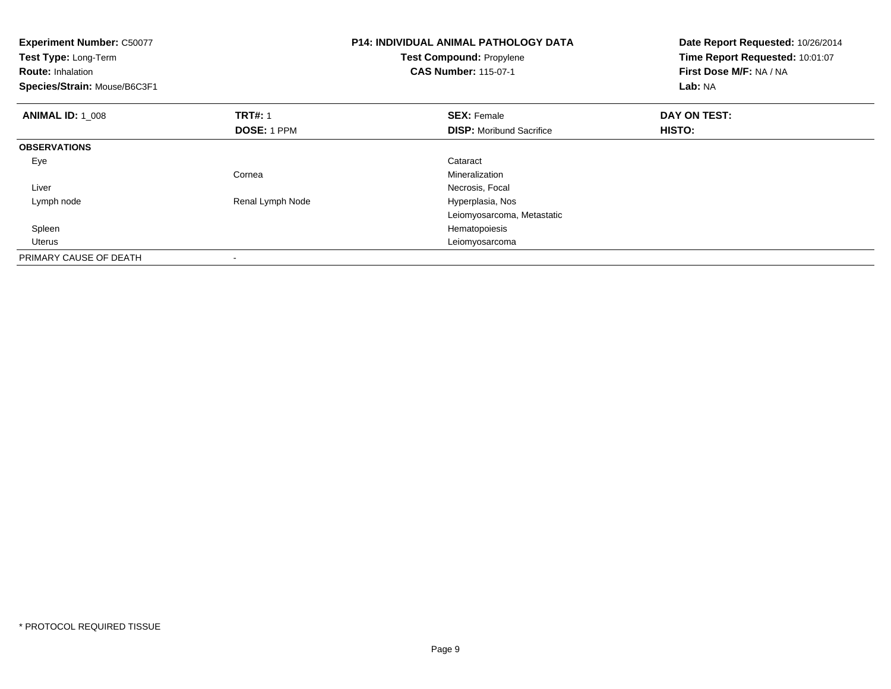| <b>Experiment Number: C50077</b><br>Test Type: Long-Term<br><b>Route: Inhalation</b><br>Species/Strain: Mouse/B6C3F1 |                  | <b>P14: INDIVIDUAL ANIMAL PATHOLOGY DATA</b><br>Test Compound: Propylene<br><b>CAS Number: 115-07-1</b> | Date Report Requested: 10/26/2014<br>Time Report Requested: 10:01:07<br>First Dose M/F: NA / NA<br>Lab: NA |
|----------------------------------------------------------------------------------------------------------------------|------------------|---------------------------------------------------------------------------------------------------------|------------------------------------------------------------------------------------------------------------|
| <b>ANIMAL ID: 1_008</b>                                                                                              | <b>TRT#: 1</b>   | <b>SEX: Female</b>                                                                                      | DAY ON TEST:                                                                                               |
|                                                                                                                      | DOSE: 1 PPM      | <b>DISP:</b> Moribund Sacrifice                                                                         | HISTO:                                                                                                     |
| <b>OBSERVATIONS</b>                                                                                                  |                  |                                                                                                         |                                                                                                            |
| Eye                                                                                                                  |                  | Cataract                                                                                                |                                                                                                            |
|                                                                                                                      | Cornea           | Mineralization                                                                                          |                                                                                                            |
| Liver                                                                                                                |                  | Necrosis, Focal                                                                                         |                                                                                                            |
| Lymph node                                                                                                           | Renal Lymph Node | Hyperplasia, Nos                                                                                        |                                                                                                            |
|                                                                                                                      |                  | Leiomyosarcoma, Metastatic                                                                              |                                                                                                            |
| Spleen                                                                                                               |                  | Hematopoiesis                                                                                           |                                                                                                            |
| <b>Uterus</b>                                                                                                        |                  | Leiomyosarcoma                                                                                          |                                                                                                            |
| PRIMARY CAUSE OF DEATH                                                                                               | $\,$             |                                                                                                         |                                                                                                            |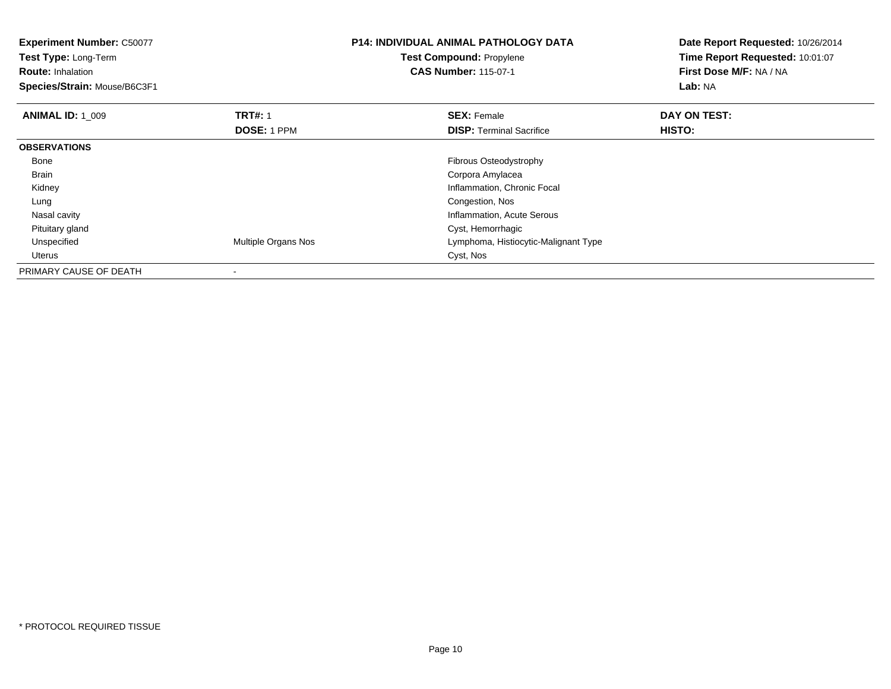| <b>Experiment Number: C50077</b> |                     | <b>P14: INDIVIDUAL ANIMAL PATHOLOGY DATA</b> | Date Report Requested: 10/26/2014 |
|----------------------------------|---------------------|----------------------------------------------|-----------------------------------|
| Test Type: Long-Term             |                     | <b>Test Compound: Propylene</b>              | Time Report Requested: 10:01:07   |
| <b>Route: Inhalation</b>         |                     | <b>CAS Number: 115-07-1</b>                  | First Dose M/F: NA / NA           |
| Species/Strain: Mouse/B6C3F1     |                     |                                              | Lab: NA                           |
| <b>ANIMAL ID: 1 009</b>          | <b>TRT#: 1</b>      | <b>SEX: Female</b>                           | DAY ON TEST:                      |
|                                  | <b>DOSE: 1 PPM</b>  | <b>DISP:</b> Terminal Sacrifice              | <b>HISTO:</b>                     |
| <b>OBSERVATIONS</b>              |                     |                                              |                                   |
| Bone                             |                     | <b>Fibrous Osteodystrophy</b>                |                                   |
| Brain                            |                     | Corpora Amylacea                             |                                   |
| Kidney                           |                     | Inflammation, Chronic Focal                  |                                   |
| Lung                             |                     | Congestion, Nos                              |                                   |
| Nasal cavity                     |                     | Inflammation, Acute Serous                   |                                   |
| Pituitary gland                  |                     | Cyst, Hemorrhagic                            |                                   |
| Unspecified                      | Multiple Organs Nos | Lymphoma, Histiocytic-Malignant Type         |                                   |
| Uterus                           |                     | Cyst, Nos                                    |                                   |
| PRIMARY CAUSE OF DEATH           |                     |                                              |                                   |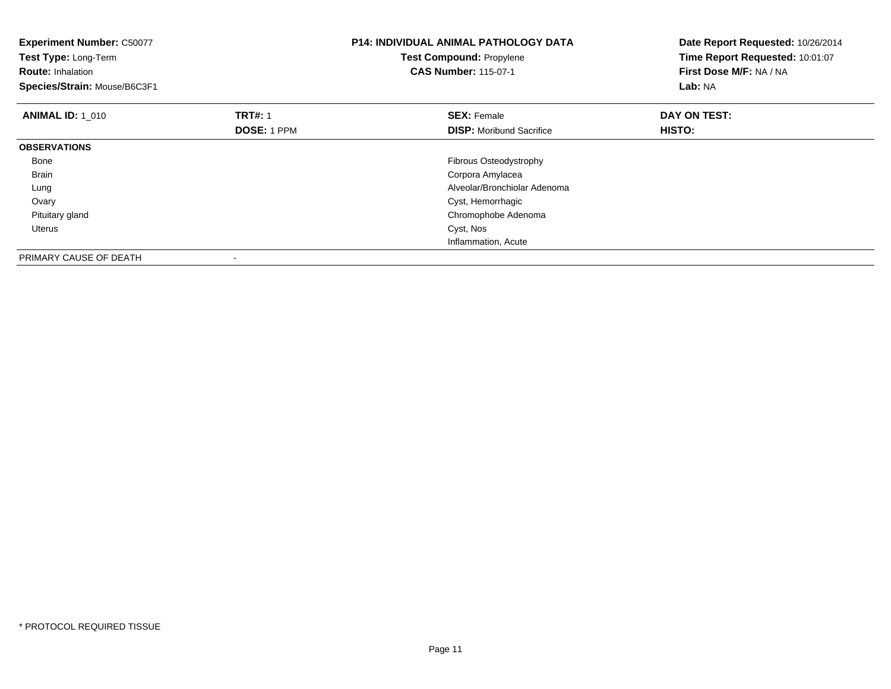| <b>Experiment Number: C50077</b><br>Test Type: Long-Term<br><b>Route: Inhalation</b><br>Species/Strain: Mouse/B6C3F1 |                    | <b>P14: INDIVIDUAL ANIMAL PATHOLOGY DATA</b><br><b>Test Compound: Propylene</b><br><b>CAS Number: 115-07-1</b> | Date Report Requested: 10/26/2014<br>Time Report Requested: 10:01:07<br>First Dose M/F: NA / NA<br>Lab: NA |
|----------------------------------------------------------------------------------------------------------------------|--------------------|----------------------------------------------------------------------------------------------------------------|------------------------------------------------------------------------------------------------------------|
| <b>ANIMAL ID: 1 010</b>                                                                                              | <b>TRT#: 1</b>     | <b>SEX: Female</b>                                                                                             | DAY ON TEST:                                                                                               |
|                                                                                                                      | <b>DOSE: 1 PPM</b> | <b>DISP:</b> Moribund Sacrifice                                                                                | HISTO:                                                                                                     |
| <b>OBSERVATIONS</b>                                                                                                  |                    |                                                                                                                |                                                                                                            |
| Bone                                                                                                                 |                    | Fibrous Osteodystrophy                                                                                         |                                                                                                            |
| Brain                                                                                                                |                    | Corpora Amylacea                                                                                               |                                                                                                            |
| Lung                                                                                                                 |                    | Alveolar/Bronchiolar Adenoma                                                                                   |                                                                                                            |
| Ovary                                                                                                                |                    | Cyst, Hemorrhagic                                                                                              |                                                                                                            |
| Pituitary gland                                                                                                      |                    | Chromophobe Adenoma                                                                                            |                                                                                                            |
| Uterus                                                                                                               |                    | Cyst, Nos                                                                                                      |                                                                                                            |
|                                                                                                                      |                    | Inflammation, Acute                                                                                            |                                                                                                            |
| PRIMARY CAUSE OF DEATH                                                                                               |                    |                                                                                                                |                                                                                                            |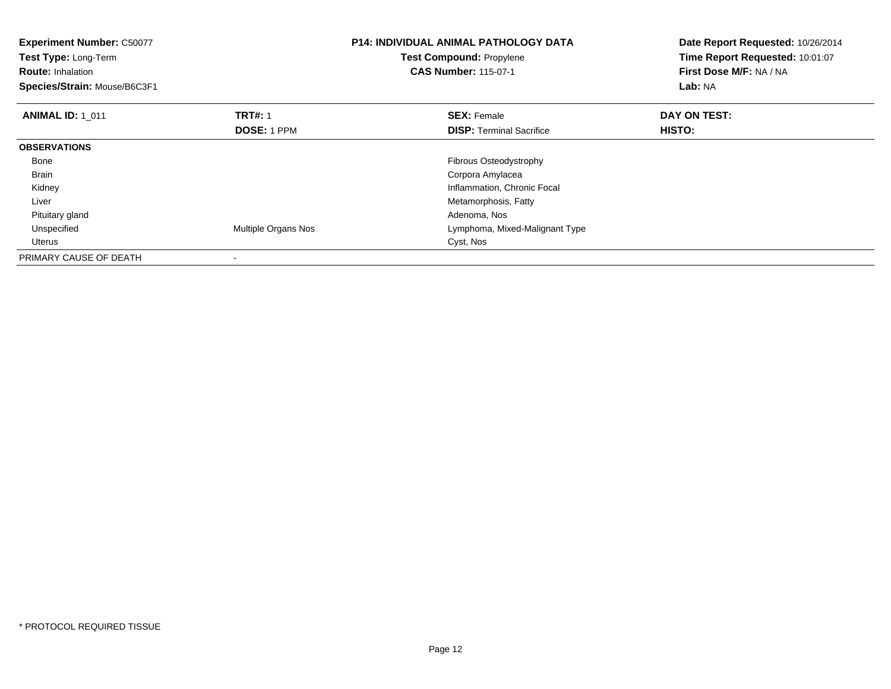| <b>Experiment Number: C50077</b><br>Test Type: Long-Term<br><b>Route: Inhalation</b><br>Species/Strain: Mouse/B6C3F1 |                            | <b>P14: INDIVIDUAL ANIMAL PATHOLOGY DATA</b><br>Test Compound: Propylene<br><b>CAS Number: 115-07-1</b> | Date Report Requested: 10/26/2014<br>Time Report Requested: 10:01:07<br>First Dose M/F: NA / NA<br>Lab: NA |
|----------------------------------------------------------------------------------------------------------------------|----------------------------|---------------------------------------------------------------------------------------------------------|------------------------------------------------------------------------------------------------------------|
| <b>ANIMAL ID: 1 011</b>                                                                                              | <b>TRT#: 1</b>             | <b>SEX: Female</b>                                                                                      | DAY ON TEST:                                                                                               |
|                                                                                                                      | <b>DOSE: 1 PPM</b>         | <b>DISP:</b> Terminal Sacrifice                                                                         | HISTO:                                                                                                     |
| <b>OBSERVATIONS</b>                                                                                                  |                            |                                                                                                         |                                                                                                            |
| Bone                                                                                                                 |                            | Fibrous Osteodystrophy                                                                                  |                                                                                                            |
| <b>Brain</b>                                                                                                         |                            | Corpora Amylacea                                                                                        |                                                                                                            |
| Kidney                                                                                                               |                            | Inflammation, Chronic Focal                                                                             |                                                                                                            |
| Liver                                                                                                                |                            | Metamorphosis, Fatty                                                                                    |                                                                                                            |
| Pituitary gland                                                                                                      |                            | Adenoma, Nos                                                                                            |                                                                                                            |
| Unspecified                                                                                                          | <b>Multiple Organs Nos</b> | Lymphoma, Mixed-Malignant Type                                                                          |                                                                                                            |
| Uterus                                                                                                               |                            | Cyst, Nos                                                                                               |                                                                                                            |
| PRIMARY CAUSE OF DEATH                                                                                               |                            |                                                                                                         |                                                                                                            |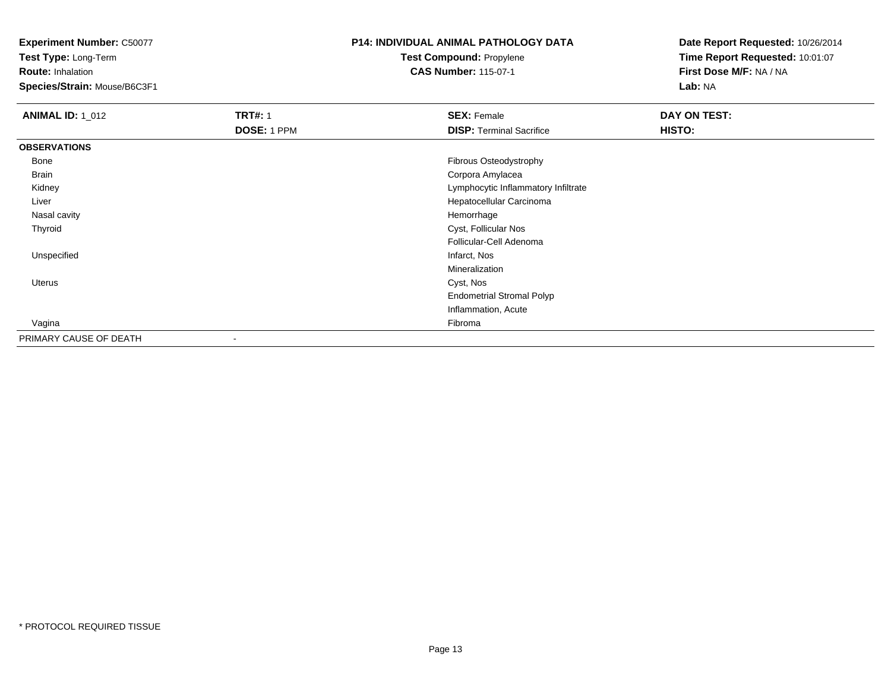**Experiment Number:** C50077

**Test Type:** Long-Term

**Route:** Inhalation

**Species/Strain:** Mouse/B6C3F1

## **P14: INDIVIDUAL ANIMAL PATHOLOGY DATATest Compound:** Propylene

**CAS Number:** 115-07-1

| <b>ANIMAL ID: 1_012</b> | <b>TRT#: 1</b> | <b>SEX: Female</b>                  | DAY ON TEST: |
|-------------------------|----------------|-------------------------------------|--------------|
|                         | DOSE: 1 PPM    | <b>DISP: Terminal Sacrifice</b>     | HISTO:       |
| <b>OBSERVATIONS</b>     |                |                                     |              |
| Bone                    |                | Fibrous Osteodystrophy              |              |
| Brain                   |                | Corpora Amylacea                    |              |
| Kidney                  |                | Lymphocytic Inflammatory Infiltrate |              |
| Liver                   |                | Hepatocellular Carcinoma            |              |
| Nasal cavity            |                | Hemorrhage                          |              |
| Thyroid                 |                | Cyst, Follicular Nos                |              |
|                         |                | Follicular-Cell Adenoma             |              |
| Unspecified             |                | Infarct, Nos                        |              |
|                         |                | Mineralization                      |              |
| Uterus                  |                | Cyst, Nos                           |              |
|                         |                | <b>Endometrial Stromal Polyp</b>    |              |
|                         |                | Inflammation, Acute                 |              |
| Vagina                  |                | Fibroma                             |              |
| PRIMARY CAUSE OF DEATH  |                |                                     |              |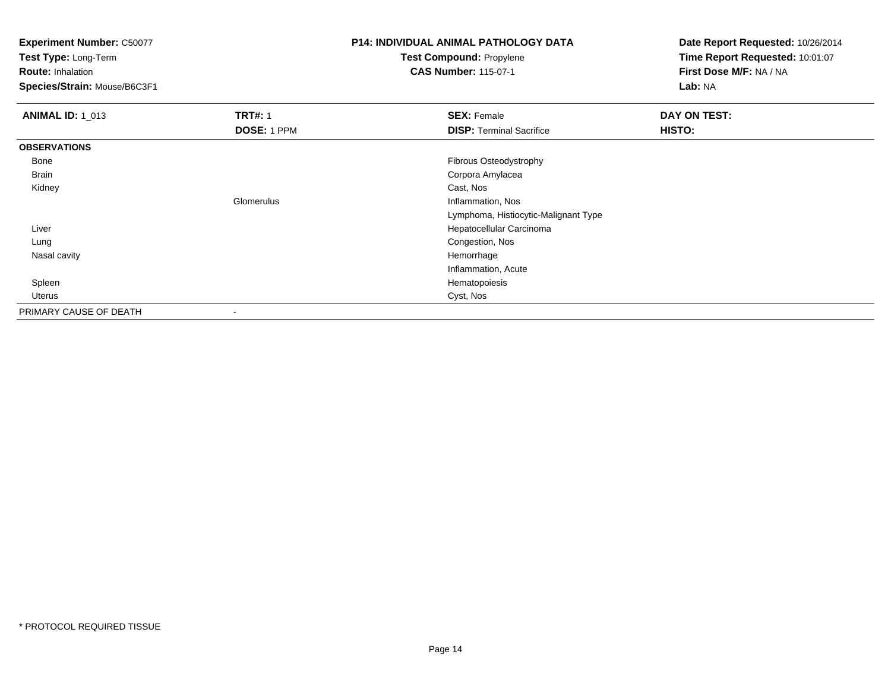**Experiment Number:** C50077

**Test Type:** Long-Term

**Route:** Inhalation

**Species/Strain:** Mouse/B6C3F1

## **P14: INDIVIDUAL ANIMAL PATHOLOGY DATATest Compound:** Propylene

**CAS Number:** 115-07-1

| <b>ANIMAL ID: 1_013</b> | <b>TRT#: 1</b>           | <b>SEX: Female</b>                   | DAY ON TEST: |  |
|-------------------------|--------------------------|--------------------------------------|--------------|--|
|                         | DOSE: 1 PPM              | <b>DISP: Terminal Sacrifice</b>      | HISTO:       |  |
| <b>OBSERVATIONS</b>     |                          |                                      |              |  |
| Bone                    |                          | Fibrous Osteodystrophy               |              |  |
| Brain                   |                          | Corpora Amylacea                     |              |  |
| Kidney                  |                          | Cast, Nos                            |              |  |
|                         | Glomerulus               | Inflammation, Nos                    |              |  |
|                         |                          | Lymphoma, Histiocytic-Malignant Type |              |  |
| Liver                   |                          | Hepatocellular Carcinoma             |              |  |
| Lung                    |                          | Congestion, Nos                      |              |  |
| Nasal cavity            |                          | Hemorrhage                           |              |  |
|                         |                          | Inflammation, Acute                  |              |  |
| Spleen                  |                          | Hematopoiesis                        |              |  |
| Uterus                  |                          | Cyst, Nos                            |              |  |
| PRIMARY CAUSE OF DEATH  | $\overline{\phantom{a}}$ |                                      |              |  |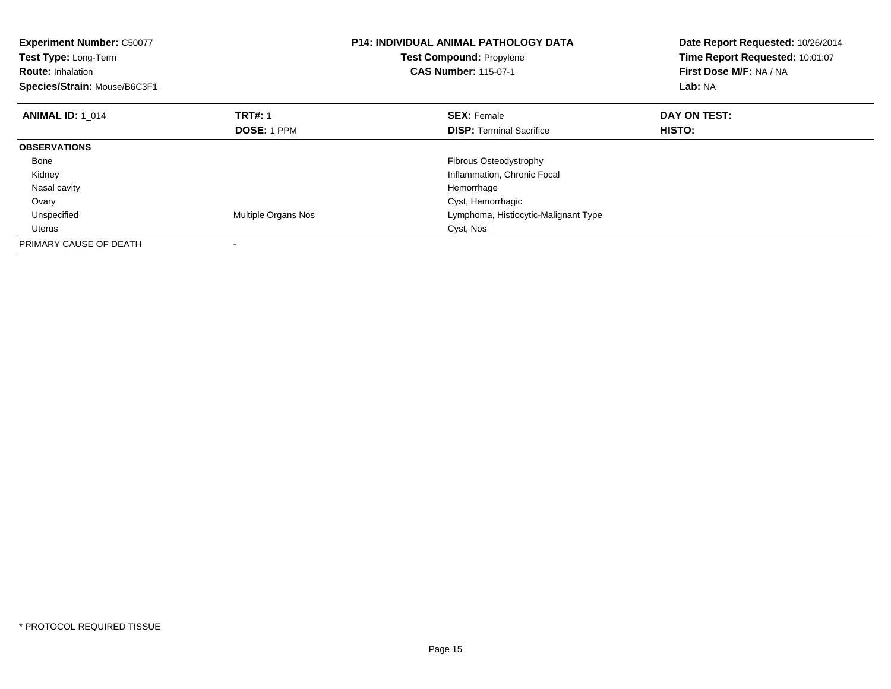| <b>Experiment Number: C50077</b><br>Test Type: Long-Term<br><b>Route: Inhalation</b><br>Species/Strain: Mouse/B6C3F1 |                     | <b>P14: INDIVIDUAL ANIMAL PATHOLOGY DATA</b><br>Test Compound: Propylene<br><b>CAS Number: 115-07-1</b> | Date Report Requested: 10/26/2014<br>Time Report Requested: 10:01:07<br>First Dose M/F: NA / NA<br>Lab: NA |
|----------------------------------------------------------------------------------------------------------------------|---------------------|---------------------------------------------------------------------------------------------------------|------------------------------------------------------------------------------------------------------------|
| <b>ANIMAL ID: 1 014</b>                                                                                              | <b>TRT#: 1</b>      | <b>SEX: Female</b>                                                                                      | DAY ON TEST:                                                                                               |
|                                                                                                                      | <b>DOSE: 1 PPM</b>  | <b>DISP:</b> Terminal Sacrifice                                                                         | HISTO:                                                                                                     |
| <b>OBSERVATIONS</b>                                                                                                  |                     |                                                                                                         |                                                                                                            |
| Bone                                                                                                                 |                     | Fibrous Osteodystrophy                                                                                  |                                                                                                            |
| Kidney                                                                                                               |                     | Inflammation, Chronic Focal                                                                             |                                                                                                            |
| Nasal cavity                                                                                                         |                     | Hemorrhage                                                                                              |                                                                                                            |
| Ovary                                                                                                                |                     | Cyst, Hemorrhagic                                                                                       |                                                                                                            |
| Unspecified                                                                                                          | Multiple Organs Nos | Lymphoma, Histiocytic-Malignant Type                                                                    |                                                                                                            |
| <b>Uterus</b>                                                                                                        |                     | Cyst, Nos                                                                                               |                                                                                                            |
| PRIMARY CAUSE OF DEATH                                                                                               |                     |                                                                                                         |                                                                                                            |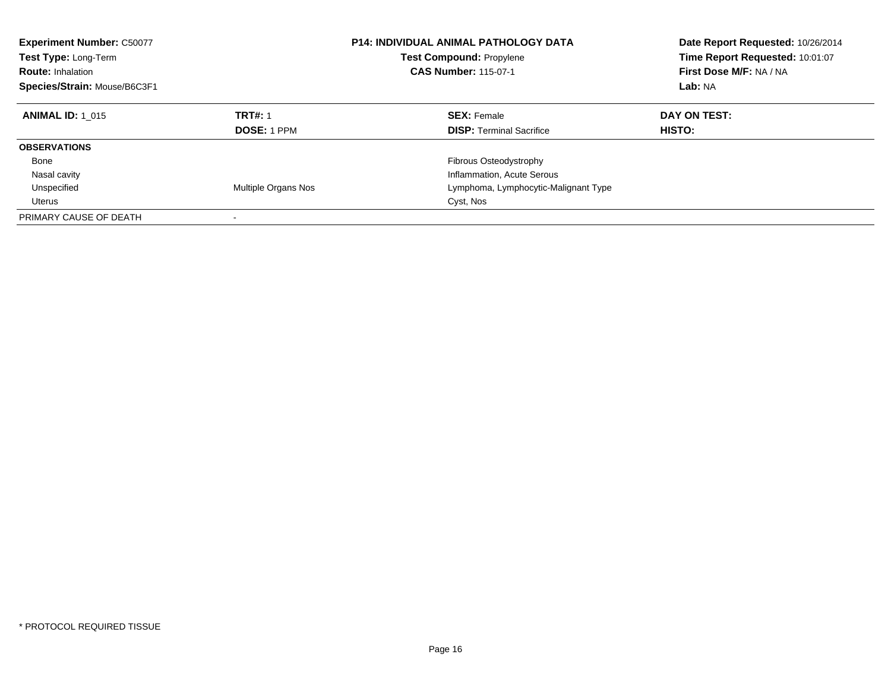| <b>Experiment Number: C50077</b><br><b>Test Type: Long-Term</b><br><b>Route: Inhalation</b><br>Species/Strain: Mouse/B6C3F1 |                               | <b>P14: INDIVIDUAL ANIMAL PATHOLOGY DATA</b><br><b>Test Compound: Propylene</b><br><b>CAS Number: 115-07-1</b> | Date Report Requested: 10/26/2014<br>Time Report Requested: 10:01:07<br>First Dose M/F: NA / NA<br>Lab: NA |
|-----------------------------------------------------------------------------------------------------------------------------|-------------------------------|----------------------------------------------------------------------------------------------------------------|------------------------------------------------------------------------------------------------------------|
| <b>ANIMAL ID: 1 015</b>                                                                                                     | <b>TRT#: 1</b><br>DOSE: 1 PPM | <b>SEX: Female</b><br><b>DISP:</b> Terminal Sacrifice                                                          | DAY ON TEST:<br><b>HISTO:</b>                                                                              |
| <b>OBSERVATIONS</b>                                                                                                         |                               |                                                                                                                |                                                                                                            |
| Bone                                                                                                                        |                               | Fibrous Osteodystrophy                                                                                         |                                                                                                            |
| Nasal cavity                                                                                                                |                               | Inflammation, Acute Serous                                                                                     |                                                                                                            |
| Unspecified                                                                                                                 | Multiple Organs Nos           | Lymphoma, Lymphocytic-Malignant Type                                                                           |                                                                                                            |
| Uterus                                                                                                                      |                               | Cyst, Nos                                                                                                      |                                                                                                            |
| PRIMARY CAUSE OF DEATH                                                                                                      | -                             |                                                                                                                |                                                                                                            |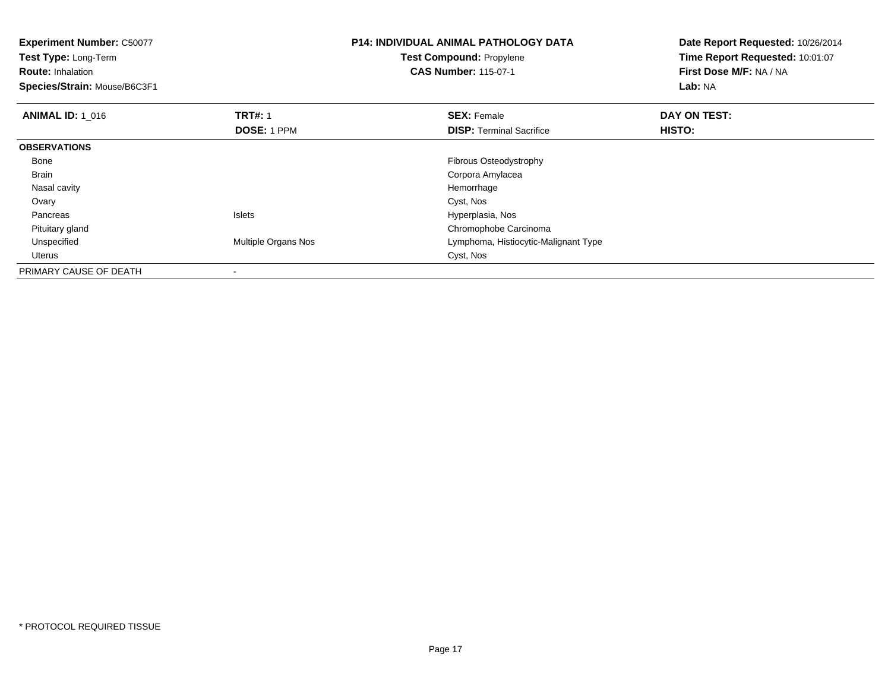**Experiment Number:** C50077**Test Type:** Long-Term**Route:** Inhalation **Species/Strain:** Mouse/B6C3F1**P14: INDIVIDUAL ANIMAL PATHOLOGY DATATest Compound:** Propylene**CAS Number:** 115-07-1**Date Report Requested:** 10/26/2014**Time Report Requested:** 10:01:07**First Dose M/F:** NA / NA**Lab:** NA**ANIMAL ID: 1\_016 6 DAY ON TEST:** 1 **SEX:** Female **SEX: Female DAY ON TEST: DOSE:** 1 PPM**DISP:** Terminal Sacrifice **HISTO: OBSERVATIONS** Bone Fibrous Osteodystrophy Brain Corpora Amylacea Nasal cavityy the control of the control of the control of the control of the control of the control of the control of the control of the control of the control of the control of the control of the control of the control of the contro Ovaryy and the control of the control of the control of the control of the control of the control of the control of the control of the control of the control of the control of the control of the control of the control of the co PancreasIslets **Hyperplasia**, Nos Pituitary glandChromophobe Carcinoma<br>Multiple Organs Nos **Exercía Express Control Control Cymphoma**, Histiocytic-Ma UnspecifiedLymphoma, Histiocytic-Malignant Type<br>Cyst, Nos Uteruss Cyst, Nos PRIMARY CAUSE OF DEATH-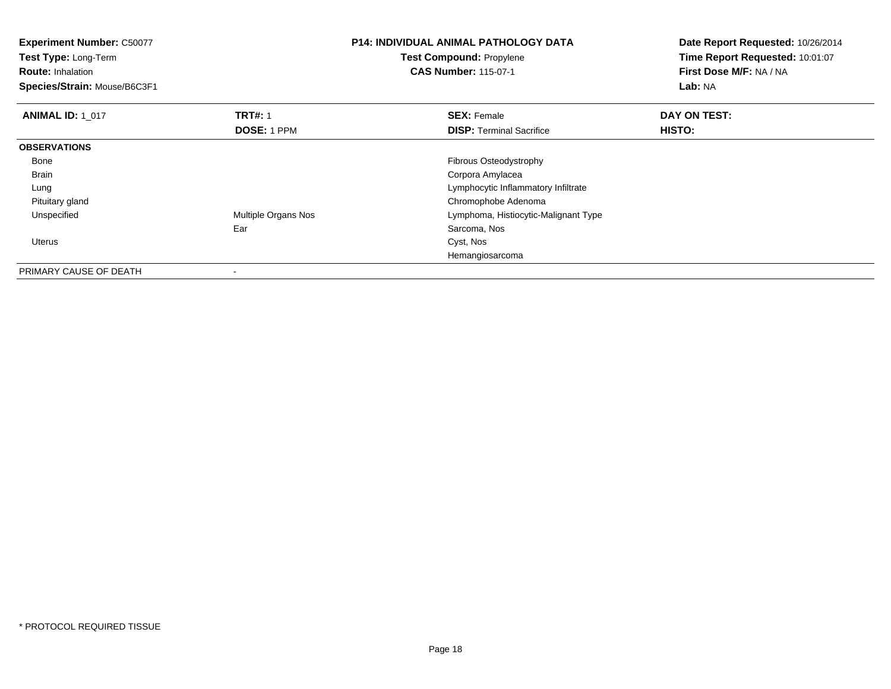**Experiment Number:** C50077**Test Type:** Long-Term**Route:** Inhalation **Species/Strain:** Mouse/B6C3F1**P14: INDIVIDUAL ANIMAL PATHOLOGY DATATest Compound:** Propylene**CAS Number:** 115-07-1**Date Report Requested:** 10/26/2014**Time Report Requested:** 10:01:07**First Dose M/F:** NA / NA**Lab:** NA**ANIMAL ID: 1\_017 TRT#:** 1 **SEX:** Female **DAY ON TEST: DOSE:** 1 PPM**DISP:** Terminal Sacrifice **HISTO: OBSERVATIONS** Bone Fibrous Osteodystrophy Brain Corpora Amylacea Lung Lymphocytic Inflammatory Infiltrate Pituitary glandChromophobe Adenoma<br>Multiple Organs Nos **Exercía Express Chromophoma**, Histiocytic-M UnspecifiedLymphoma, Histiocytic-Malignant Type Ear Sarcoma, Nos Uteruss the contract of the contract of the contract of the contract of the contract of the contract of the contract of the contract of the contract of the contract of the contract of the contract of the contract of the contract Hemangiosarcoma

PRIMARY CAUSE OF DEATH-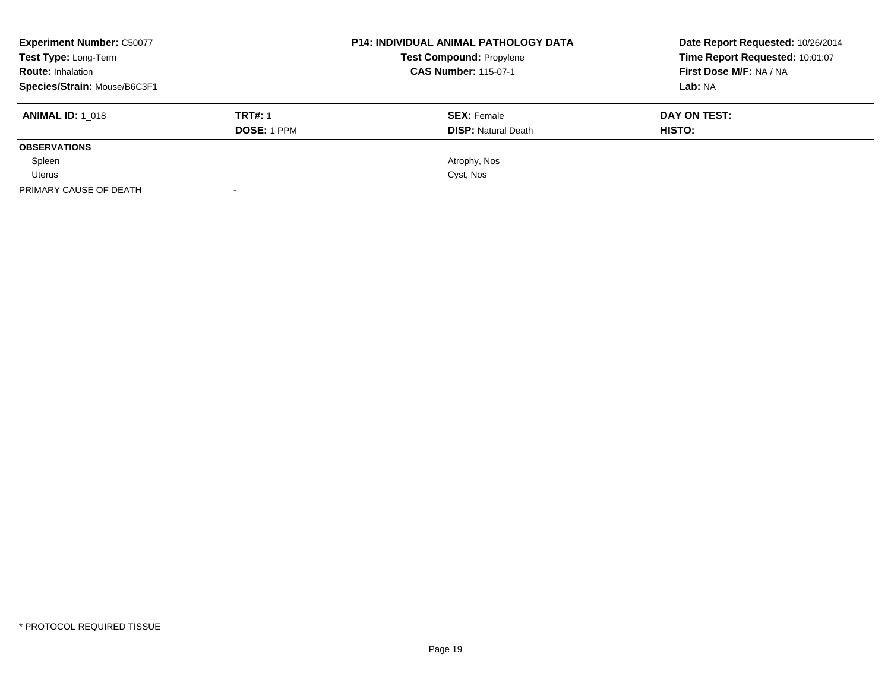| <b>Experiment Number: C50077</b> |                    | <b>P14: INDIVIDUAL ANIMAL PATHOLOGY DATA</b> | Date Report Requested: 10/26/2014 |
|----------------------------------|--------------------|----------------------------------------------|-----------------------------------|
| <b>Test Type: Long-Term</b>      |                    | <b>Test Compound: Propylene</b>              | Time Report Requested: 10:01:07   |
| <b>Route: Inhalation</b>         |                    | <b>CAS Number: 115-07-1</b>                  | First Dose M/F: NA / NA           |
| Species/Strain: Mouse/B6C3F1     |                    |                                              | Lab: NA                           |
| <b>ANIMAL ID: 1 018</b>          | <b>TRT#: 1</b>     | <b>SEX: Female</b>                           | DAY ON TEST:                      |
|                                  | <b>DOSE: 1 PPM</b> | <b>DISP:</b> Natural Death                   | HISTO:                            |
| <b>OBSERVATIONS</b>              |                    |                                              |                                   |
| Spleen                           |                    | Atrophy, Nos                                 |                                   |
| Uterus                           |                    | Cyst, Nos                                    |                                   |
| PRIMARY CAUSE OF DEATH           |                    |                                              |                                   |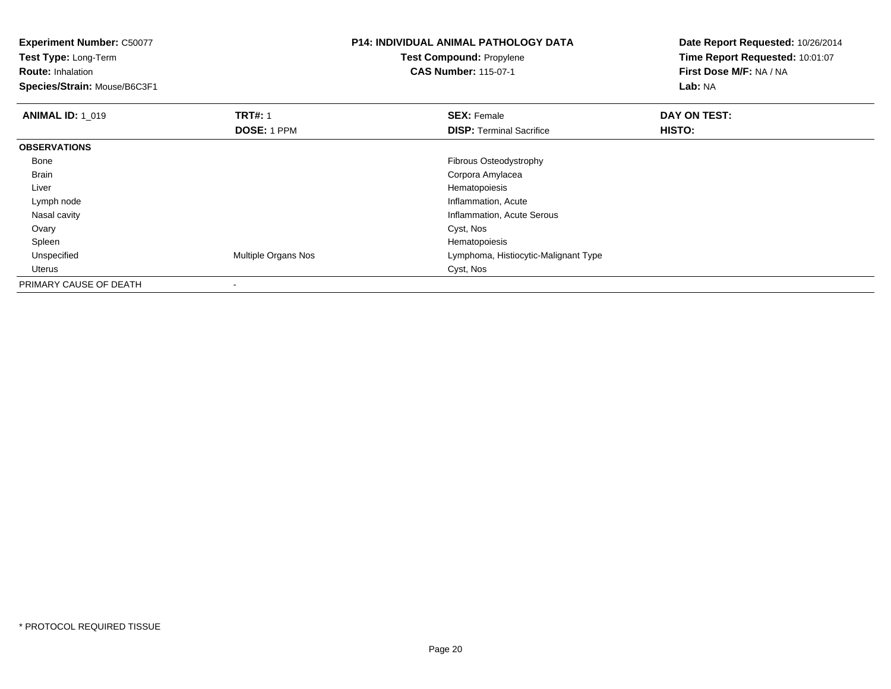**Experiment Number:** C50077**Test Type:** Long-Term**Route:** Inhalation **Species/Strain:** Mouse/B6C3F1**P14: INDIVIDUAL ANIMAL PATHOLOGY DATATest Compound:** Propylene**CAS Number:** 115-07-1**Date Report Requested:** 10/26/2014**Time Report Requested:** 10:01:07**First Dose M/F:** NA / NA**Lab:** NA**ANIMAL ID: 1\_019 TRT#:** 1 **SEX:** Female **DAY ON TEST: DOSE:** 1 PPM**DISP:** Terminal Sacrifice **HISTO: OBSERVATIONS** Bone Fibrous Osteodystrophy Brain Corpora Amylacea Liver Hematopoiesise contraction and the contraction of the contraction of the contraction of the contraction, Acute Lymph node Nasal cavity Inflammation, Acute Serous Ovaryy and the control of the control of the control of the control of the control of the control of the control of the control of the control of the control of the control of the control of the control of the control of the co Spleenn and the state of the state of the state of the state of the state of the state of the state of the state of the state of the state of the state of the state of the state of the state of the state of the state of the stat Unspecified Multiple Organs Nos Lymphoma, Histiocytic-Malignant Type Uteruss Cyst, Nos PRIMARY CAUSE OF DEATH-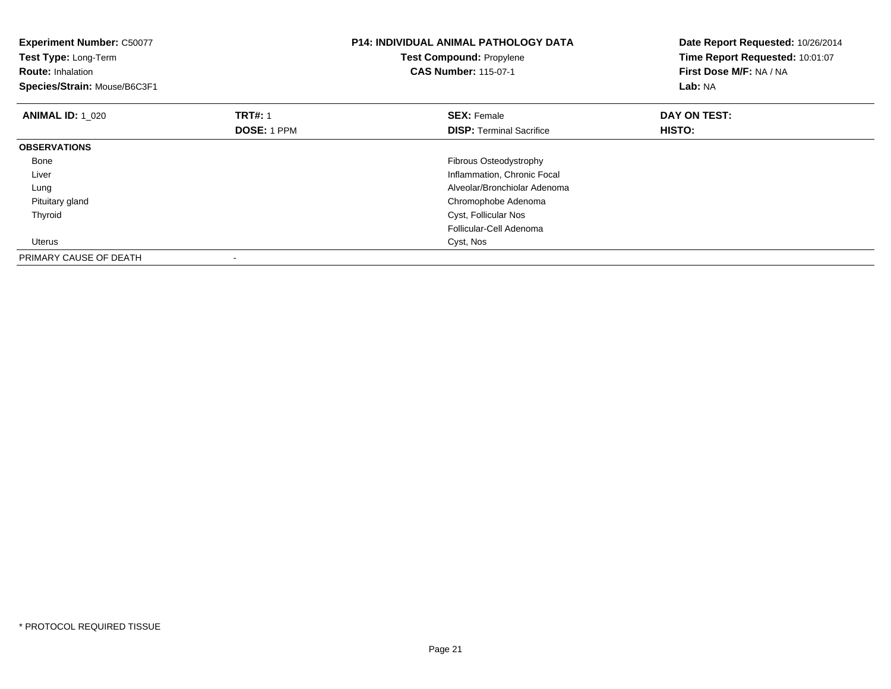| <b>Experiment Number: C50077</b><br>Test Type: Long-Term<br><b>Route: Inhalation</b><br>Species/Strain: Mouse/B6C3F1 |                                      | <b>P14: INDIVIDUAL ANIMAL PATHOLOGY DATA</b><br><b>Test Compound: Propylene</b><br><b>CAS Number: 115-07-1</b> | Date Report Requested: 10/26/2014<br>Time Report Requested: 10:01:07<br>First Dose M/F: NA / NA<br><b>Lab: NA</b> |
|----------------------------------------------------------------------------------------------------------------------|--------------------------------------|----------------------------------------------------------------------------------------------------------------|-------------------------------------------------------------------------------------------------------------------|
| <b>ANIMAL ID: 1 020</b>                                                                                              | <b>TRT#: 1</b><br><b>DOSE: 1 PPM</b> | <b>SEX: Female</b><br><b>DISP:</b> Terminal Sacrifice                                                          | DAY ON TEST:<br>HISTO:                                                                                            |
| <b>OBSERVATIONS</b>                                                                                                  |                                      |                                                                                                                |                                                                                                                   |
| Bone                                                                                                                 |                                      | Fibrous Osteodystrophy                                                                                         |                                                                                                                   |
| Liver                                                                                                                |                                      | Inflammation, Chronic Focal                                                                                    |                                                                                                                   |
| Lung                                                                                                                 |                                      | Alveolar/Bronchiolar Adenoma                                                                                   |                                                                                                                   |
| Pituitary gland                                                                                                      |                                      | Chromophobe Adenoma                                                                                            |                                                                                                                   |
| Thyroid                                                                                                              |                                      | Cyst, Follicular Nos                                                                                           |                                                                                                                   |
|                                                                                                                      |                                      | Follicular-Cell Adenoma                                                                                        |                                                                                                                   |
| <b>Uterus</b>                                                                                                        |                                      | Cyst, Nos                                                                                                      |                                                                                                                   |
| PRIMARY CAUSE OF DEATH                                                                                               |                                      |                                                                                                                |                                                                                                                   |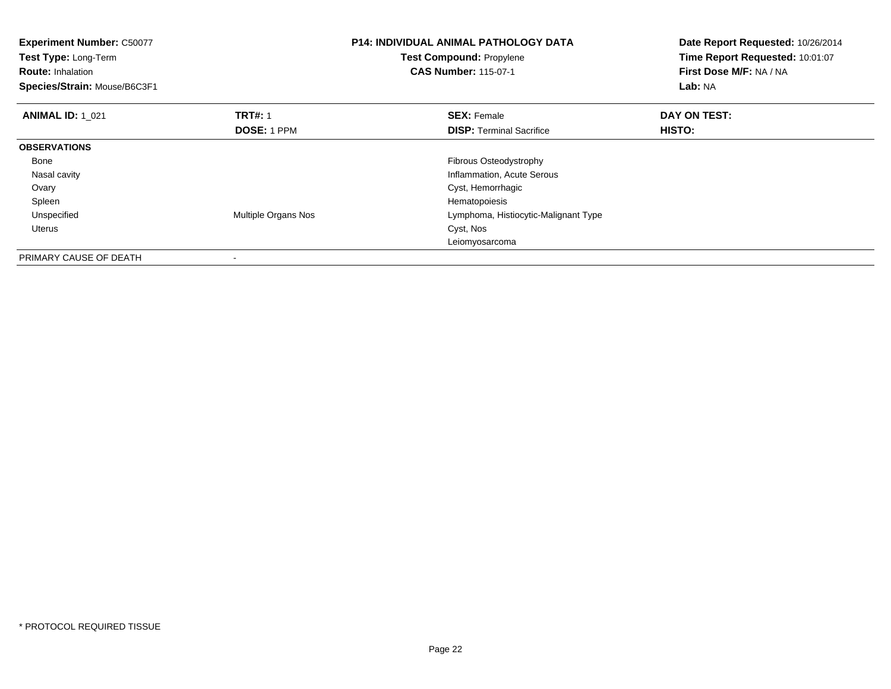| <b>Experiment Number: C50077</b><br>Test Type: Long-Term<br><b>Route: Inhalation</b><br>Species/Strain: Mouse/B6C3F1 |                     | <b>P14: INDIVIDUAL ANIMAL PATHOLOGY DATA</b><br><b>Test Compound: Propylene</b><br><b>CAS Number: 115-07-1</b> | Date Report Requested: 10/26/2014<br>Time Report Requested: 10:01:07<br>First Dose M/F: NA / NA<br>Lab: NA |
|----------------------------------------------------------------------------------------------------------------------|---------------------|----------------------------------------------------------------------------------------------------------------|------------------------------------------------------------------------------------------------------------|
| <b>ANIMAL ID: 1 021</b>                                                                                              | <b>TRT#: 1</b>      | <b>SEX: Female</b>                                                                                             | DAY ON TEST:                                                                                               |
|                                                                                                                      | <b>DOSE: 1 PPM</b>  | <b>DISP:</b> Terminal Sacrifice                                                                                | HISTO:                                                                                                     |
| <b>OBSERVATIONS</b>                                                                                                  |                     |                                                                                                                |                                                                                                            |
| Bone                                                                                                                 |                     | Fibrous Osteodystrophy                                                                                         |                                                                                                            |
| Nasal cavity                                                                                                         |                     | Inflammation, Acute Serous                                                                                     |                                                                                                            |
| Ovary                                                                                                                |                     | Cyst, Hemorrhagic                                                                                              |                                                                                                            |
| Spleen                                                                                                               |                     | Hematopoiesis                                                                                                  |                                                                                                            |
| Unspecified                                                                                                          | Multiple Organs Nos | Lymphoma, Histiocytic-Malignant Type                                                                           |                                                                                                            |
| Uterus                                                                                                               |                     | Cyst, Nos                                                                                                      |                                                                                                            |
|                                                                                                                      |                     | Leiomyosarcoma                                                                                                 |                                                                                                            |
| PRIMARY CAUSE OF DEATH                                                                                               |                     |                                                                                                                |                                                                                                            |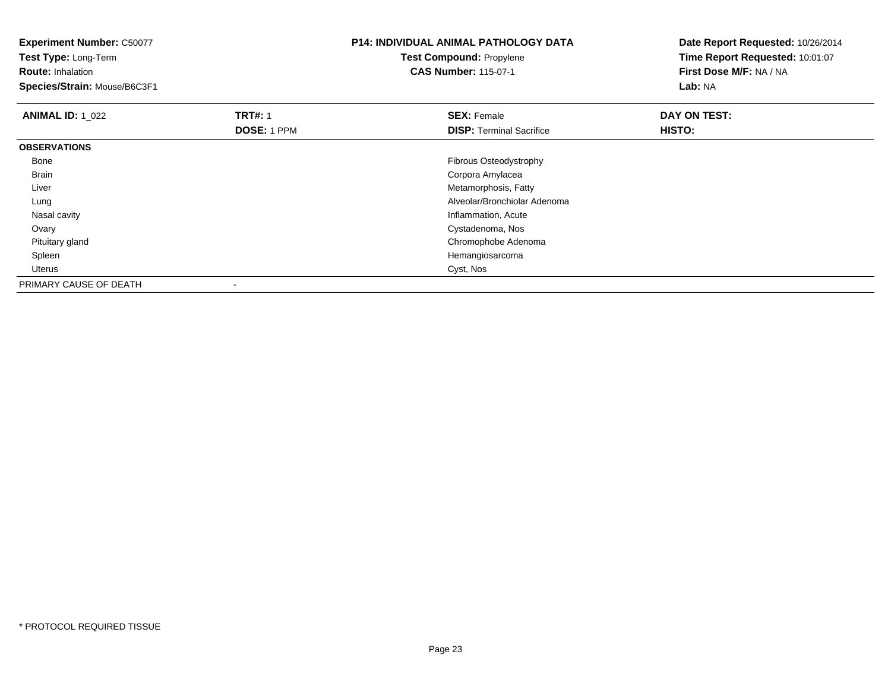**Experiment Number:** C50077**Test Type:** Long-Term**Route:** Inhalation **Species/Strain:** Mouse/B6C3F1**P14: INDIVIDUAL ANIMAL PATHOLOGY DATATest Compound:** Propylene**CAS Number:** 115-07-1**Date Report Requested:** 10/26/2014**Time Report Requested:** 10:01:07**First Dose M/F:** NA / NA**Lab:** NA**ANIMAL ID: 1\_022 TRT#:** 1 **SEX:** Female **DAY ON TEST: DOSE:** 1 PPM**DISP:** Terminal Sacrifice **HISTO: OBSERVATIONS** Bone Fibrous Osteodystrophy Brain Corpora Amylacea Liver Metamorphosis, Fatty Alveolar/Bronchiolar Adenoma Lung Nasal cavity Inflammation, Acute Cystadenoma, Nos **Ovary**  Pituitary gland Chromophobe Adenoma Spleen Hemangiosarcoma Uteruss Cyst, Nos PRIMARY CAUSE OF DEATH-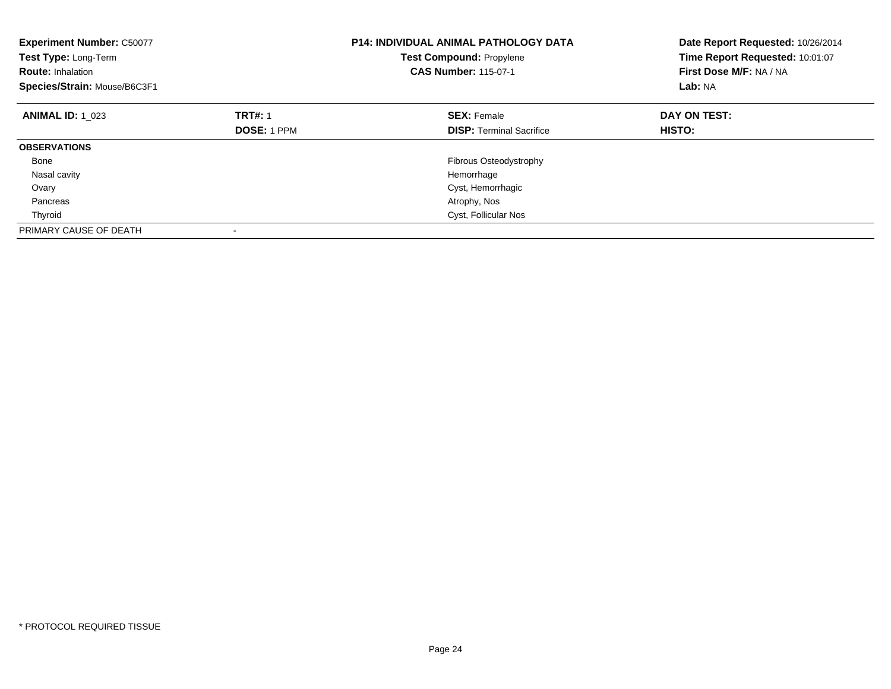| <b>Experiment Number: C50077</b><br>Test Type: Long-Term<br><b>Route: Inhalation</b><br>Species/Strain: Mouse/B6C3F1 |                    | <b>P14: INDIVIDUAL ANIMAL PATHOLOGY DATA</b><br><b>Test Compound: Propylene</b><br><b>CAS Number: 115-07-1</b> | Date Report Requested: 10/26/2014<br>Time Report Requested: 10:01:07<br>First Dose M/F: NA / NA<br>Lab: NA |
|----------------------------------------------------------------------------------------------------------------------|--------------------|----------------------------------------------------------------------------------------------------------------|------------------------------------------------------------------------------------------------------------|
| <b>ANIMAL ID: 1 023</b>                                                                                              | <b>TRT#: 1</b>     | <b>SEX: Female</b>                                                                                             | DAY ON TEST:                                                                                               |
|                                                                                                                      | <b>DOSE: 1 PPM</b> | <b>DISP:</b> Terminal Sacrifice                                                                                | HISTO:                                                                                                     |
| <b>OBSERVATIONS</b>                                                                                                  |                    |                                                                                                                |                                                                                                            |
| Bone                                                                                                                 |                    | Fibrous Osteodystrophy                                                                                         |                                                                                                            |
| Nasal cavity                                                                                                         |                    | Hemorrhage                                                                                                     |                                                                                                            |
| Ovary                                                                                                                |                    | Cyst, Hemorrhagic                                                                                              |                                                                                                            |
| Pancreas                                                                                                             |                    | Atrophy, Nos                                                                                                   |                                                                                                            |
| Thyroid                                                                                                              |                    | Cyst, Follicular Nos                                                                                           |                                                                                                            |
| PRIMARY CAUSE OF DEATH                                                                                               |                    |                                                                                                                |                                                                                                            |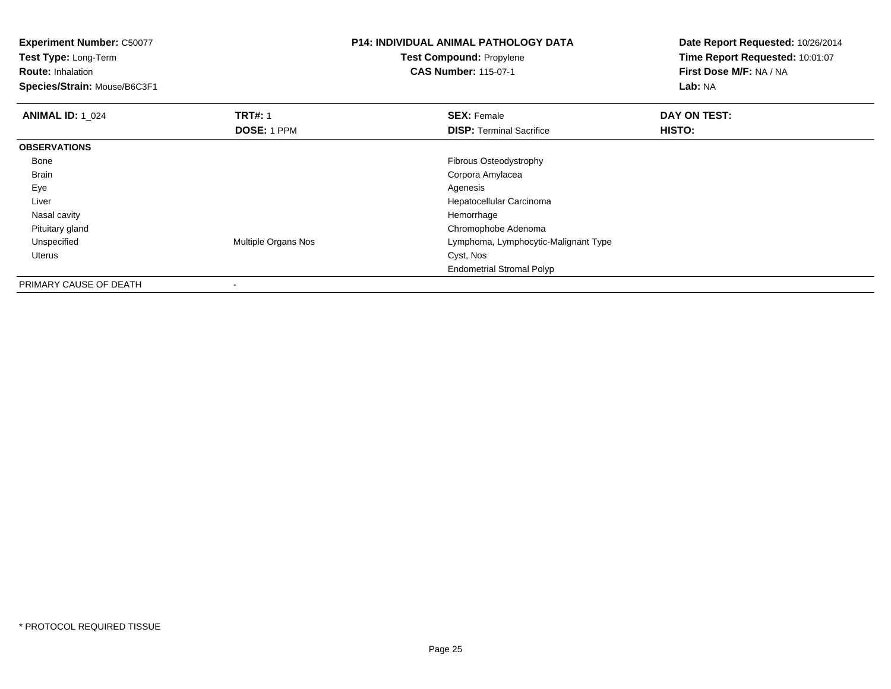**Experiment Number:** C50077**Test Type:** Long-Term**Route:** Inhalation **Species/Strain:** Mouse/B6C3F1**P14: INDIVIDUAL ANIMAL PATHOLOGY DATATest Compound:** Propylene**CAS Number:** 115-07-1**Date Report Requested:** 10/26/2014**Time Report Requested:** 10:01:07**First Dose M/F:** NA / NA**Lab:** NA**ANIMAL ID: 1\_024 TRT#:** 1 **SEX:** Female **DAY ON TEST: DOSE:** 1 PPM**DISP:** Terminal Sacrifice **HISTO: OBSERVATIONS** Bone Fibrous Osteodystrophy Brain Corpora Amylacea Eyee and the contract of the contract of the contract of the contract of the contract of the contract of the contract of the contract of the contract of the contract of the contract of the contract of the contract of the cont Liver Hepatocellular Carcinoma Nasal cavityy the control of the control of the control of the control of the control of the control of the control of the control of the control of the control of the control of the control of the control of the control of the contro d<sub>d</sub> Chromophobe Adenoma Pituitary gland UnspecifiedMultiple Organs Nos **Lymphoma, Lymphocytic-Malignant Type**<br>Cyst, Nos Uteruss the contract of the contract of the contract of the contract of the contract of the contract of the contract of the contract of the contract of the contract of the contract of the contract of the contract of the contract Endometrial Stromal Polyp

PRIMARY CAUSE OF DEATH-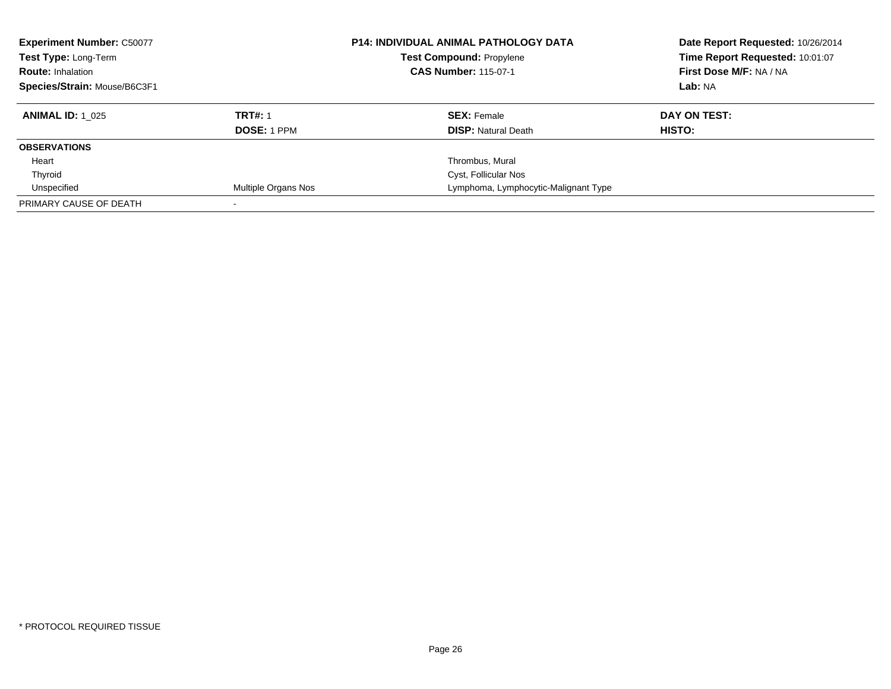| <b>Experiment Number: C50077</b><br>Test Type: Long-Term<br><b>Route: Inhalation</b><br>Species/Strain: Mouse/B6C3F1 |                     | <b>P14: INDIVIDUAL ANIMAL PATHOLOGY DATA</b><br><b>Test Compound: Propylene</b><br><b>CAS Number: 115-07-1</b> | Date Report Requested: 10/26/2014<br>Time Report Requested: 10:01:07<br>First Dose M/F: NA / NA<br>Lab: NA |
|----------------------------------------------------------------------------------------------------------------------|---------------------|----------------------------------------------------------------------------------------------------------------|------------------------------------------------------------------------------------------------------------|
| <b>ANIMAL ID: 1 025</b>                                                                                              | <b>TRT#: 1</b>      | <b>SEX: Female</b>                                                                                             | DAY ON TEST:                                                                                               |
|                                                                                                                      | <b>DOSE: 1 PPM</b>  | <b>DISP: Natural Death</b>                                                                                     | HISTO:                                                                                                     |
| <b>OBSERVATIONS</b>                                                                                                  |                     |                                                                                                                |                                                                                                            |
| Heart                                                                                                                |                     | Thrombus, Mural                                                                                                |                                                                                                            |
| Thyroid                                                                                                              |                     | <b>Cyst, Follicular Nos</b>                                                                                    |                                                                                                            |
| Unspecified                                                                                                          | Multiple Organs Nos | Lymphoma, Lymphocytic-Malignant Type                                                                           |                                                                                                            |
| PRIMARY CAUSE OF DEATH                                                                                               |                     |                                                                                                                |                                                                                                            |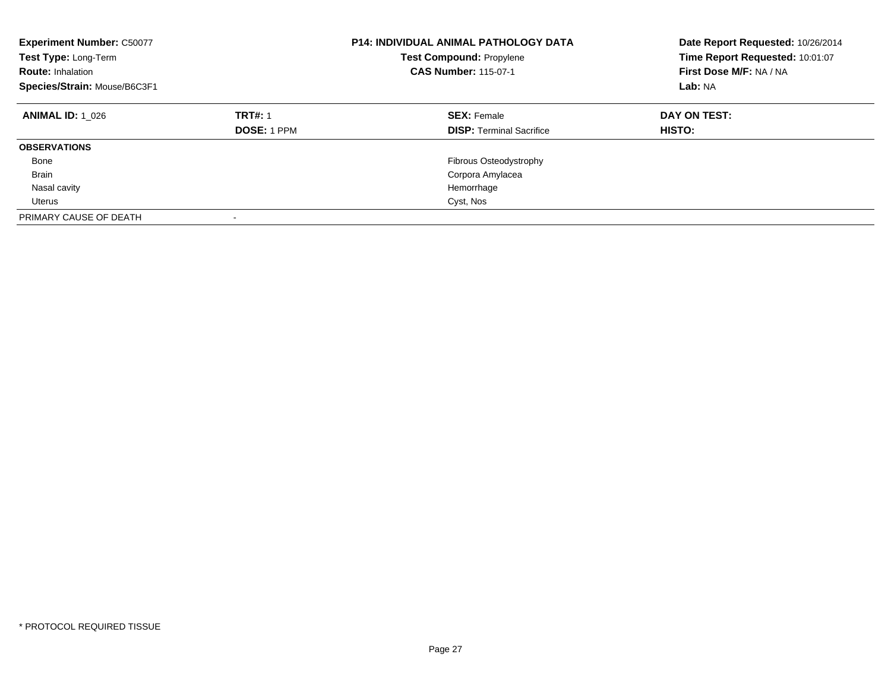| <b>Experiment Number: C50077</b><br>Test Type: Long-Term<br><b>Route: Inhalation</b><br>Species/Strain: Mouse/B6C3F1 |                                      | P14: INDIVIDUAL ANIMAL PATHOLOGY DATA<br><b>Test Compound: Propylene</b><br><b>CAS Number: 115-07-1</b> | Date Report Requested: 10/26/2014<br>Time Report Requested: 10:01:07<br>First Dose M/F: NA / NA<br>Lab: NA |
|----------------------------------------------------------------------------------------------------------------------|--------------------------------------|---------------------------------------------------------------------------------------------------------|------------------------------------------------------------------------------------------------------------|
| <b>ANIMAL ID: 1 026</b>                                                                                              | <b>TRT#: 1</b><br><b>DOSE: 1 PPM</b> | <b>SEX: Female</b><br><b>DISP: Terminal Sacrifice</b>                                                   | DAY ON TEST:<br>HISTO:                                                                                     |
| <b>OBSERVATIONS</b>                                                                                                  |                                      |                                                                                                         |                                                                                                            |
| Bone                                                                                                                 |                                      | Fibrous Osteodystrophy                                                                                  |                                                                                                            |
| <b>Brain</b>                                                                                                         |                                      | Corpora Amylacea                                                                                        |                                                                                                            |
| Nasal cavity                                                                                                         |                                      | Hemorrhage                                                                                              |                                                                                                            |
| Uterus                                                                                                               |                                      | Cyst, Nos                                                                                               |                                                                                                            |
| PRIMARY CAUSE OF DEATH                                                                                               | -                                    |                                                                                                         |                                                                                                            |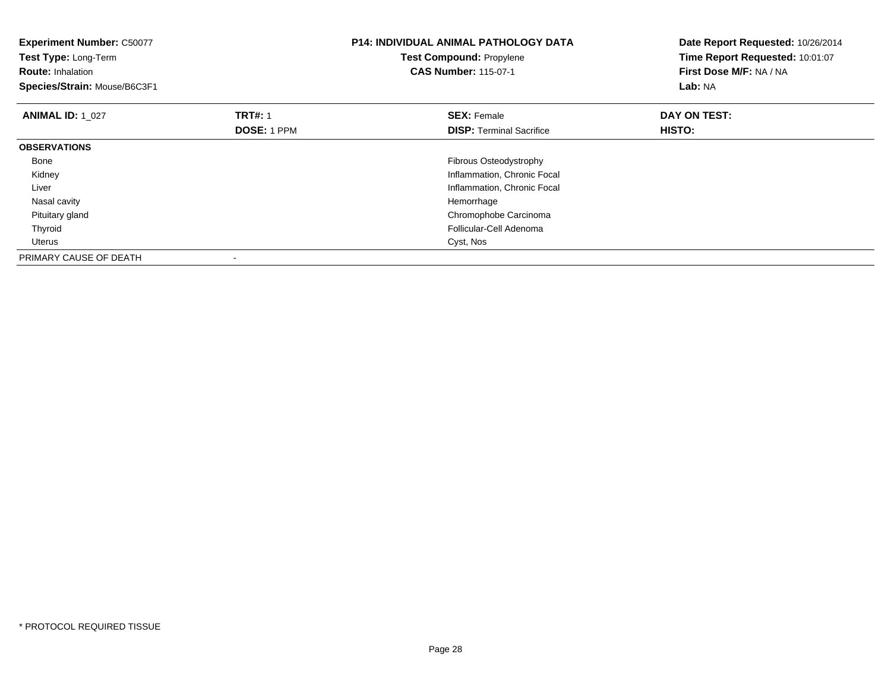| <b>Experiment Number: C50077</b><br>Test Type: Long-Term<br><b>Route: Inhalation</b><br>Species/Strain: Mouse/B6C3F1 |                               | <b>P14: INDIVIDUAL ANIMAL PATHOLOGY DATA</b><br><b>Test Compound: Propylene</b><br><b>CAS Number: 115-07-1</b> | Date Report Requested: 10/26/2014<br>Time Report Requested: 10:01:07<br>First Dose M/F: NA / NA<br>Lab: NA |
|----------------------------------------------------------------------------------------------------------------------|-------------------------------|----------------------------------------------------------------------------------------------------------------|------------------------------------------------------------------------------------------------------------|
| <b>ANIMAL ID: 1 027</b>                                                                                              | <b>TRT#: 1</b><br>DOSE: 1 PPM | <b>SEX: Female</b><br><b>DISP:</b> Terminal Sacrifice                                                          | DAY ON TEST:<br>HISTO:                                                                                     |
| <b>OBSERVATIONS</b>                                                                                                  |                               |                                                                                                                |                                                                                                            |
| Bone                                                                                                                 |                               | Fibrous Osteodystrophy                                                                                         |                                                                                                            |
| Kidney                                                                                                               |                               | Inflammation, Chronic Focal                                                                                    |                                                                                                            |
| Liver                                                                                                                |                               | Inflammation, Chronic Focal                                                                                    |                                                                                                            |
| Nasal cavity                                                                                                         |                               | Hemorrhage                                                                                                     |                                                                                                            |
| Pituitary gland                                                                                                      |                               | Chromophobe Carcinoma                                                                                          |                                                                                                            |
| Thyroid                                                                                                              |                               | Follicular-Cell Adenoma                                                                                        |                                                                                                            |
| Uterus                                                                                                               |                               | Cyst, Nos                                                                                                      |                                                                                                            |
| PRIMARY CAUSE OF DEATH                                                                                               |                               |                                                                                                                |                                                                                                            |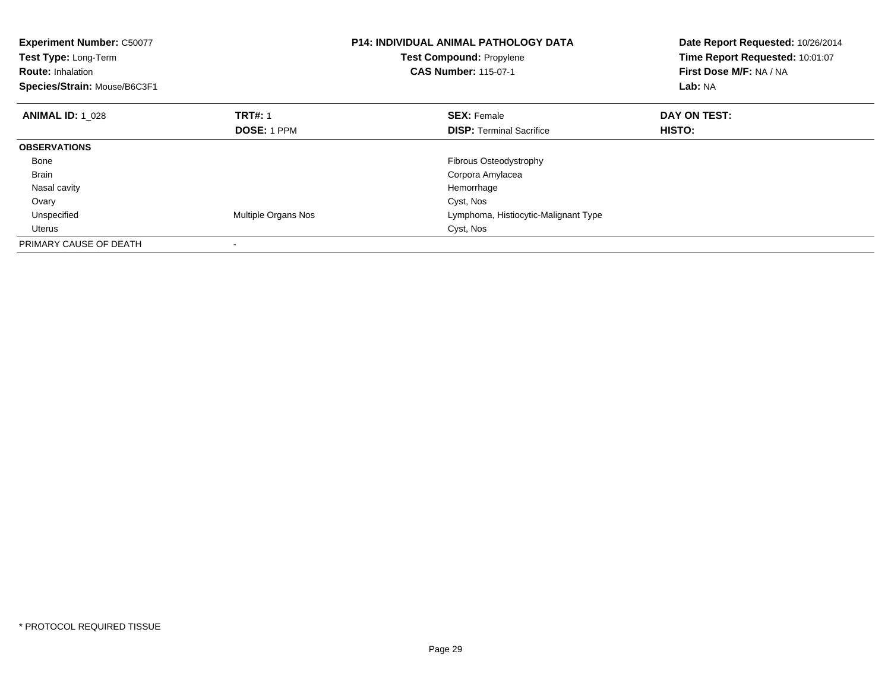| <b>Experiment Number: C50077</b><br>Test Type: Long-Term<br><b>Route: Inhalation</b><br>Species/Strain: Mouse/B6C3F1 |                     | <b>P14: INDIVIDUAL ANIMAL PATHOLOGY DATA</b><br>Test Compound: Propylene<br><b>CAS Number: 115-07-1</b> | Date Report Requested: 10/26/2014<br>Time Report Requested: 10:01:07<br>First Dose M/F: NA / NA<br>Lab: NA |
|----------------------------------------------------------------------------------------------------------------------|---------------------|---------------------------------------------------------------------------------------------------------|------------------------------------------------------------------------------------------------------------|
| <b>ANIMAL ID: 1 028</b>                                                                                              | <b>TRT#: 1</b>      | <b>SEX: Female</b>                                                                                      | DAY ON TEST:                                                                                               |
|                                                                                                                      | <b>DOSE: 1 PPM</b>  | <b>DISP:</b> Terminal Sacrifice                                                                         | HISTO:                                                                                                     |
| <b>OBSERVATIONS</b>                                                                                                  |                     |                                                                                                         |                                                                                                            |
| Bone                                                                                                                 |                     | Fibrous Osteodystrophy                                                                                  |                                                                                                            |
| <b>Brain</b>                                                                                                         |                     | Corpora Amylacea                                                                                        |                                                                                                            |
| Nasal cavity                                                                                                         |                     | Hemorrhage                                                                                              |                                                                                                            |
| Ovary                                                                                                                |                     | Cyst, Nos                                                                                               |                                                                                                            |
| Unspecified                                                                                                          | Multiple Organs Nos | Lymphoma, Histiocytic-Malignant Type                                                                    |                                                                                                            |
| Uterus                                                                                                               |                     | Cyst, Nos                                                                                               |                                                                                                            |
| PRIMARY CAUSE OF DEATH                                                                                               |                     |                                                                                                         |                                                                                                            |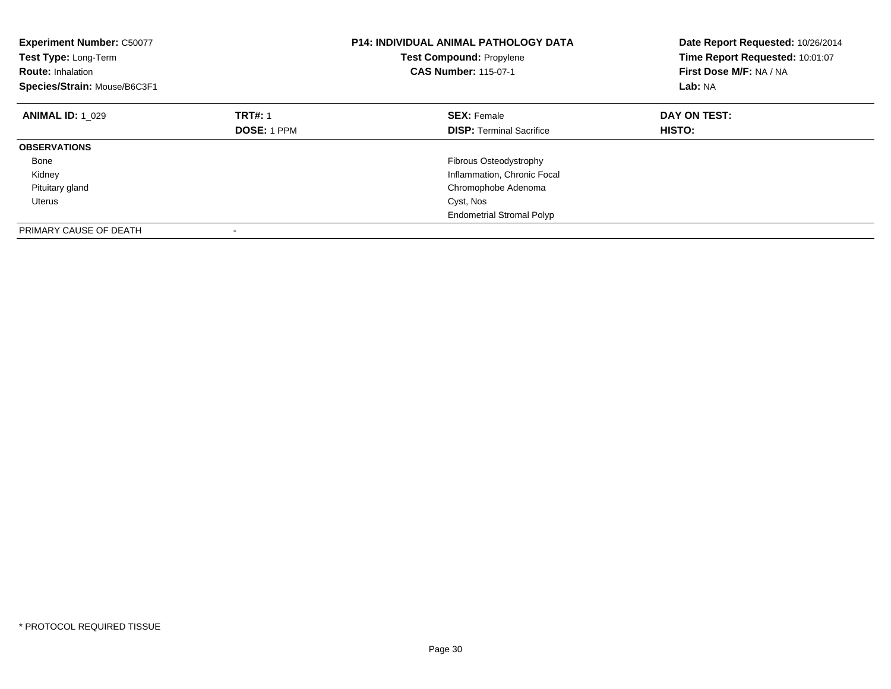| <b>Experiment Number: C50077</b><br>Test Type: Long-Term<br><b>Route: Inhalation</b><br>Species/Strain: Mouse/B6C3F1 |                    | <b>P14: INDIVIDUAL ANIMAL PATHOLOGY DATA</b><br><b>Test Compound: Propylene</b><br><b>CAS Number: 115-07-1</b> | Date Report Requested: 10/26/2014<br>Time Report Requested: 10:01:07<br>First Dose M/F: NA / NA<br>Lab: NA |
|----------------------------------------------------------------------------------------------------------------------|--------------------|----------------------------------------------------------------------------------------------------------------|------------------------------------------------------------------------------------------------------------|
| <b>ANIMAL ID: 1 029</b>                                                                                              | <b>TRT#: 1</b>     | <b>SEX: Female</b>                                                                                             | DAY ON TEST:                                                                                               |
|                                                                                                                      | <b>DOSE: 1 PPM</b> | <b>DISP:</b> Terminal Sacrifice                                                                                | HISTO:                                                                                                     |
| <b>OBSERVATIONS</b>                                                                                                  |                    |                                                                                                                |                                                                                                            |
| Bone                                                                                                                 |                    | Fibrous Osteodystrophy                                                                                         |                                                                                                            |
| Kidney                                                                                                               |                    | Inflammation, Chronic Focal                                                                                    |                                                                                                            |
| Pituitary gland                                                                                                      |                    | Chromophobe Adenoma                                                                                            |                                                                                                            |
| Uterus                                                                                                               |                    | Cyst, Nos                                                                                                      |                                                                                                            |
|                                                                                                                      |                    | <b>Endometrial Stromal Polyp</b>                                                                               |                                                                                                            |
| PRIMARY CAUSE OF DEATH                                                                                               |                    |                                                                                                                |                                                                                                            |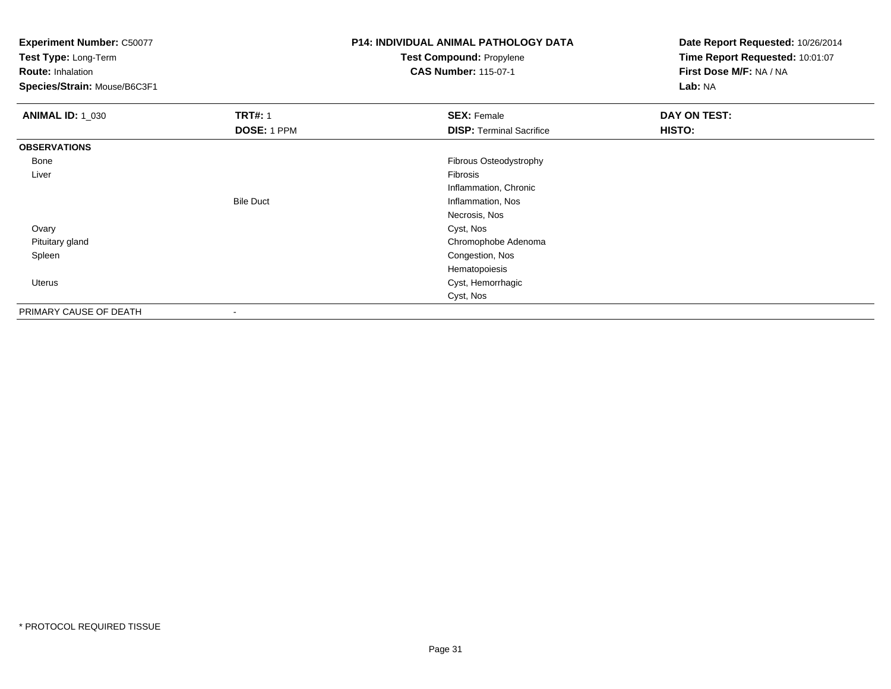**Experiment Number:** C50077

**Test Type:** Long-Term

**Route:** Inhalation

**Species/Strain:** Mouse/B6C3F1

## **P14: INDIVIDUAL ANIMAL PATHOLOGY DATATest Compound:** Propylene

**CAS Number:** 115-07-1

| <b>ANIMAL ID: 1_030</b> | <b>TRT#: 1</b>           | <b>SEX: Female</b>              | DAY ON TEST: |
|-------------------------|--------------------------|---------------------------------|--------------|
|                         | DOSE: 1 PPM              | <b>DISP: Terminal Sacrifice</b> | HISTO:       |
| <b>OBSERVATIONS</b>     |                          |                                 |              |
| Bone                    |                          | Fibrous Osteodystrophy          |              |
| Liver                   |                          | Fibrosis                        |              |
|                         |                          | Inflammation, Chronic           |              |
|                         | <b>Bile Duct</b>         | Inflammation, Nos               |              |
|                         |                          | Necrosis, Nos                   |              |
| Ovary                   |                          | Cyst, Nos                       |              |
| Pituitary gland         |                          | Chromophobe Adenoma             |              |
| Spleen                  |                          | Congestion, Nos                 |              |
|                         |                          | Hematopoiesis                   |              |
| Uterus                  |                          | Cyst, Hemorrhagic               |              |
|                         |                          | Cyst, Nos                       |              |
| PRIMARY CAUSE OF DEATH  | $\overline{\phantom{a}}$ |                                 |              |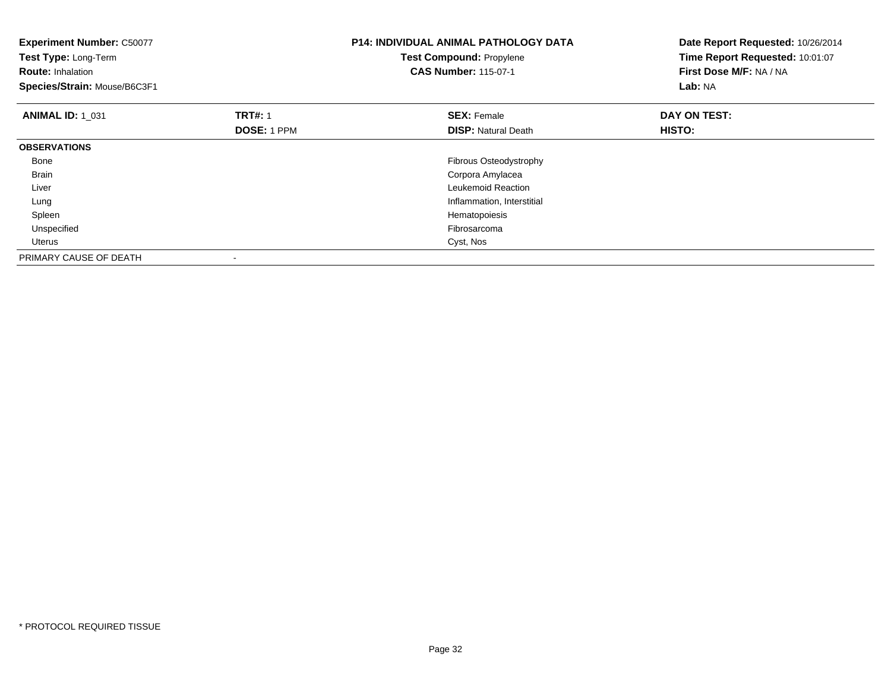| <b>Experiment Number: C50077</b><br>Test Type: Long-Term<br><b>Route: Inhalation</b><br>Species/Strain: Mouse/B6C3F1 |                    | <b>P14: INDIVIDUAL ANIMAL PATHOLOGY DATA</b><br>Test Compound: Propylene<br><b>CAS Number: 115-07-1</b> | Date Report Requested: 10/26/2014<br>Time Report Requested: 10:01:07<br>First Dose M/F: NA / NA<br>Lab: NA |
|----------------------------------------------------------------------------------------------------------------------|--------------------|---------------------------------------------------------------------------------------------------------|------------------------------------------------------------------------------------------------------------|
| <b>ANIMAL ID: 1 031</b>                                                                                              | <b>TRT#: 1</b>     | <b>SEX: Female</b>                                                                                      | DAY ON TEST:                                                                                               |
|                                                                                                                      | <b>DOSE: 1 PPM</b> | <b>DISP:</b> Natural Death                                                                              | HISTO:                                                                                                     |
| <b>OBSERVATIONS</b>                                                                                                  |                    |                                                                                                         |                                                                                                            |
| Bone                                                                                                                 |                    | Fibrous Osteodystrophy                                                                                  |                                                                                                            |
| <b>Brain</b>                                                                                                         |                    | Corpora Amylacea                                                                                        |                                                                                                            |
| Liver                                                                                                                |                    | Leukemoid Reaction                                                                                      |                                                                                                            |
| Lung                                                                                                                 |                    | Inflammation, Interstitial                                                                              |                                                                                                            |
| Spleen                                                                                                               |                    | Hematopoiesis                                                                                           |                                                                                                            |
| Unspecified                                                                                                          |                    | Fibrosarcoma                                                                                            |                                                                                                            |
| Uterus                                                                                                               |                    | Cyst, Nos                                                                                               |                                                                                                            |
| PRIMARY CAUSE OF DEATH                                                                                               |                    |                                                                                                         |                                                                                                            |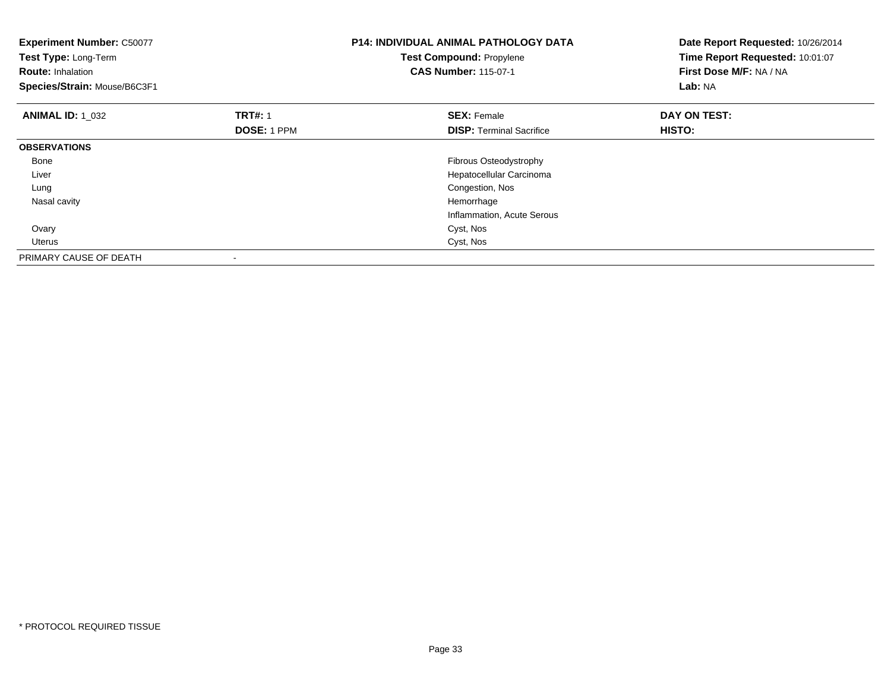| <b>Experiment Number: C50077</b><br>Test Type: Long-Term<br><b>Route: Inhalation</b><br>Species/Strain: Mouse/B6C3F1 |                                      | <b>P14: INDIVIDUAL ANIMAL PATHOLOGY DATA</b><br><b>Test Compound: Propylene</b><br><b>CAS Number: 115-07-1</b> | Date Report Requested: 10/26/2014<br>Time Report Requested: 10:01:07<br>First Dose M/F: NA / NA<br>Lab: NA |
|----------------------------------------------------------------------------------------------------------------------|--------------------------------------|----------------------------------------------------------------------------------------------------------------|------------------------------------------------------------------------------------------------------------|
| <b>ANIMAL ID: 1 032</b>                                                                                              | <b>TRT#: 1</b><br><b>DOSE: 1 PPM</b> | <b>SEX: Female</b><br><b>DISP:</b> Terminal Sacrifice                                                          | DAY ON TEST:<br>HISTO:                                                                                     |
| <b>OBSERVATIONS</b>                                                                                                  |                                      |                                                                                                                |                                                                                                            |
| Bone                                                                                                                 |                                      | Fibrous Osteodystrophy                                                                                         |                                                                                                            |
| Liver                                                                                                                |                                      | Hepatocellular Carcinoma                                                                                       |                                                                                                            |
| Lung                                                                                                                 |                                      | Congestion, Nos                                                                                                |                                                                                                            |
| Nasal cavity                                                                                                         |                                      | Hemorrhage                                                                                                     |                                                                                                            |
|                                                                                                                      |                                      | Inflammation, Acute Serous                                                                                     |                                                                                                            |
| Ovary                                                                                                                |                                      | Cyst, Nos                                                                                                      |                                                                                                            |
| <b>Uterus</b>                                                                                                        |                                      | Cyst, Nos                                                                                                      |                                                                                                            |
| PRIMARY CAUSE OF DEATH                                                                                               |                                      |                                                                                                                |                                                                                                            |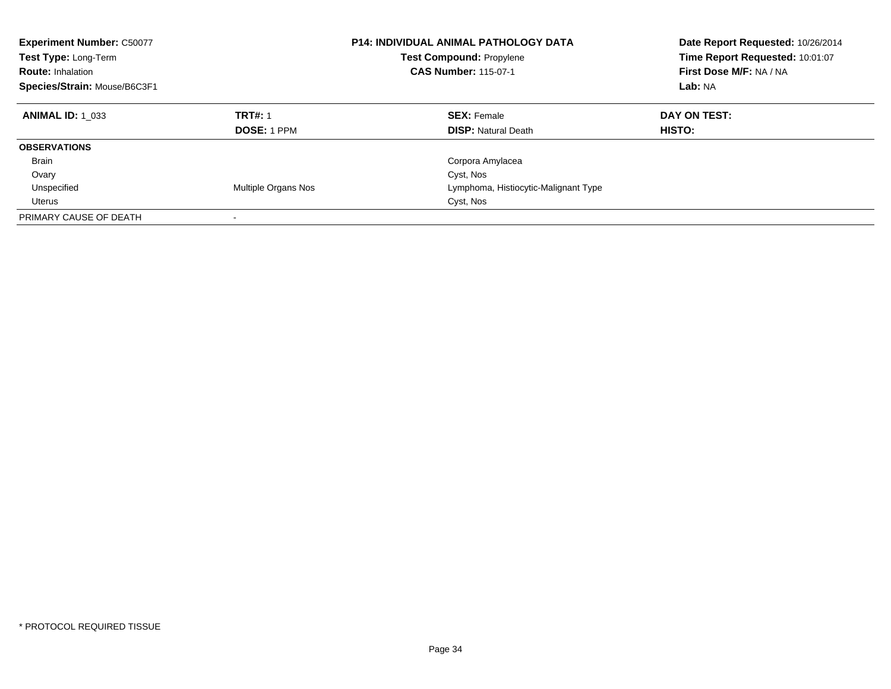| <b>Experiment Number: C50077</b><br>Test Type: Long-Term<br><b>Route: Inhalation</b><br>Species/Strain: Mouse/B6C3F1 |                                      | <b>P14: INDIVIDUAL ANIMAL PATHOLOGY DATA</b><br><b>Test Compound: Propylene</b><br><b>CAS Number: 115-07-1</b> | Date Report Requested: 10/26/2014<br>Time Report Requested: 10:01:07<br>First Dose M/F: NA / NA<br>Lab: NA |
|----------------------------------------------------------------------------------------------------------------------|--------------------------------------|----------------------------------------------------------------------------------------------------------------|------------------------------------------------------------------------------------------------------------|
| <b>ANIMAL ID: 1 033</b>                                                                                              | <b>TRT#: 1</b><br><b>DOSE: 1 PPM</b> | <b>SEX: Female</b><br><b>DISP:</b> Natural Death                                                               | DAY ON TEST:<br><b>HISTO:</b>                                                                              |
| <b>OBSERVATIONS</b>                                                                                                  |                                      |                                                                                                                |                                                                                                            |
| <b>Brain</b>                                                                                                         |                                      | Corpora Amylacea                                                                                               |                                                                                                            |
| Ovary                                                                                                                |                                      | Cyst, Nos                                                                                                      |                                                                                                            |
| Unspecified                                                                                                          | Multiple Organs Nos                  | Lymphoma, Histiocytic-Malignant Type                                                                           |                                                                                                            |
| Uterus                                                                                                               |                                      | Cyst, Nos                                                                                                      |                                                                                                            |
| PRIMARY CAUSE OF DEATH                                                                                               |                                      |                                                                                                                |                                                                                                            |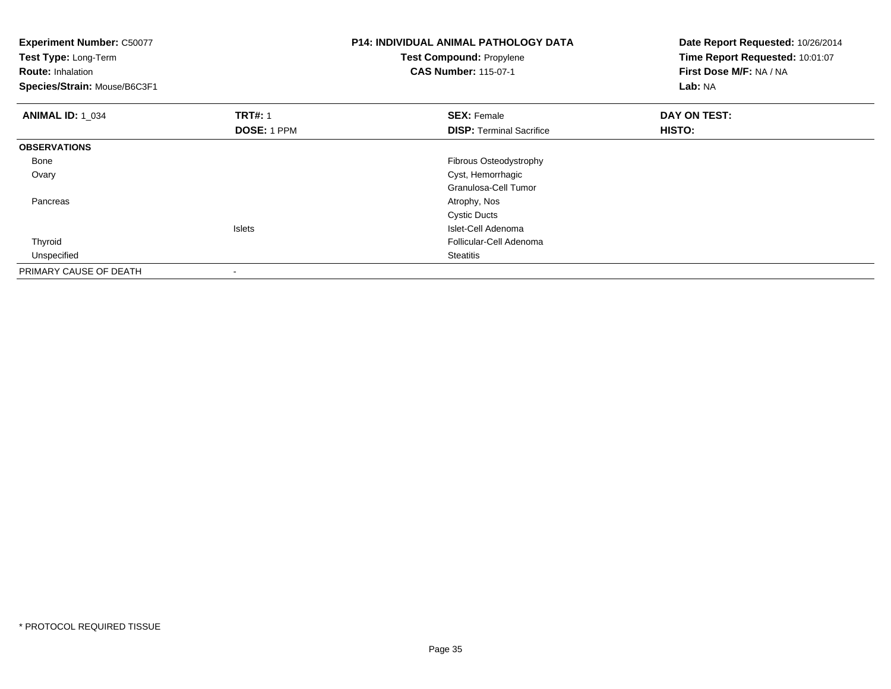| <b>Experiment Number: C50077</b><br>Test Type: Long-Term<br><b>Route: Inhalation</b><br>Species/Strain: Mouse/B6C3F1 |                    | <b>P14: INDIVIDUAL ANIMAL PATHOLOGY DATA</b><br><b>Test Compound: Propylene</b><br><b>CAS Number: 115-07-1</b> | Date Report Requested: 10/26/2014<br>Time Report Requested: 10:01:07<br>First Dose M/F: NA / NA<br>Lab: NA |
|----------------------------------------------------------------------------------------------------------------------|--------------------|----------------------------------------------------------------------------------------------------------------|------------------------------------------------------------------------------------------------------------|
| <b>ANIMAL ID: 1 034</b>                                                                                              | <b>TRT#: 1</b>     | <b>SEX: Female</b>                                                                                             | DAY ON TEST:                                                                                               |
|                                                                                                                      | <b>DOSE: 1 PPM</b> | <b>DISP: Terminal Sacrifice</b>                                                                                | HISTO:                                                                                                     |
| <b>OBSERVATIONS</b>                                                                                                  |                    |                                                                                                                |                                                                                                            |
| Bone                                                                                                                 |                    | Fibrous Osteodystrophy                                                                                         |                                                                                                            |
| Ovary                                                                                                                |                    | Cyst, Hemorrhagic                                                                                              |                                                                                                            |
|                                                                                                                      |                    | Granulosa-Cell Tumor                                                                                           |                                                                                                            |
| Pancreas                                                                                                             |                    | Atrophy, Nos                                                                                                   |                                                                                                            |
|                                                                                                                      |                    | <b>Cystic Ducts</b>                                                                                            |                                                                                                            |
|                                                                                                                      | Islets             | Islet-Cell Adenoma                                                                                             |                                                                                                            |
| Thyroid                                                                                                              |                    | Follicular-Cell Adenoma                                                                                        |                                                                                                            |
| Unspecified                                                                                                          |                    | <b>Steatitis</b>                                                                                               |                                                                                                            |
| PRIMARY CAUSE OF DEATH                                                                                               |                    |                                                                                                                |                                                                                                            |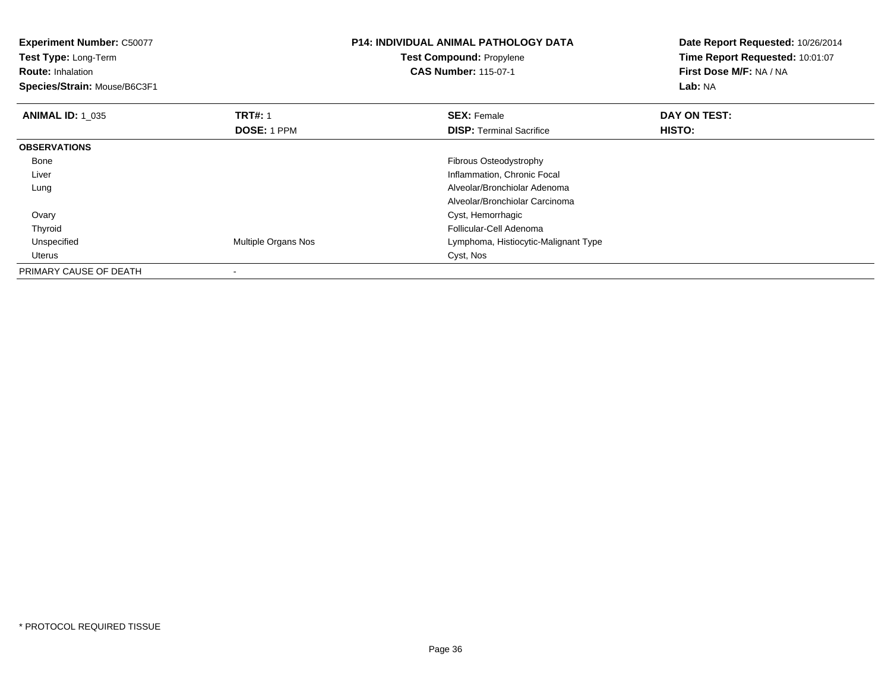| <b>Experiment Number: C50077</b><br>Test Type: Long-Term<br><b>Route: Inhalation</b><br>Species/Strain: Mouse/B6C3F1 |                               | <b>P14: INDIVIDUAL ANIMAL PATHOLOGY DATA</b><br><b>Test Compound: Propylene</b><br><b>CAS Number: 115-07-1</b> | Date Report Requested: 10/26/2014<br>Time Report Requested: 10:01:07<br>First Dose M/F: NA / NA<br><b>Lab: NA</b> |
|----------------------------------------------------------------------------------------------------------------------|-------------------------------|----------------------------------------------------------------------------------------------------------------|-------------------------------------------------------------------------------------------------------------------|
| <b>ANIMAL ID: 1 035</b>                                                                                              | <b>TRT#: 1</b><br>DOSE: 1 PPM | <b>SEX: Female</b><br><b>DISP:</b> Terminal Sacrifice                                                          | DAY ON TEST:<br>HISTO:                                                                                            |
| <b>OBSERVATIONS</b>                                                                                                  |                               |                                                                                                                |                                                                                                                   |
| Bone                                                                                                                 |                               | Fibrous Osteodystrophy                                                                                         |                                                                                                                   |
| Liver                                                                                                                |                               | Inflammation, Chronic Focal                                                                                    |                                                                                                                   |
| Lung                                                                                                                 |                               | Alveolar/Bronchiolar Adenoma                                                                                   |                                                                                                                   |
|                                                                                                                      |                               | Alveolar/Bronchiolar Carcinoma                                                                                 |                                                                                                                   |
| Ovary                                                                                                                |                               | Cyst, Hemorrhagic                                                                                              |                                                                                                                   |
| Thyroid                                                                                                              |                               | Follicular-Cell Adenoma                                                                                        |                                                                                                                   |
| Unspecified                                                                                                          | Multiple Organs Nos           | Lymphoma, Histiocytic-Malignant Type                                                                           |                                                                                                                   |
| Uterus                                                                                                               |                               | Cyst, Nos                                                                                                      |                                                                                                                   |
| PRIMARY CAUSE OF DEATH                                                                                               |                               |                                                                                                                |                                                                                                                   |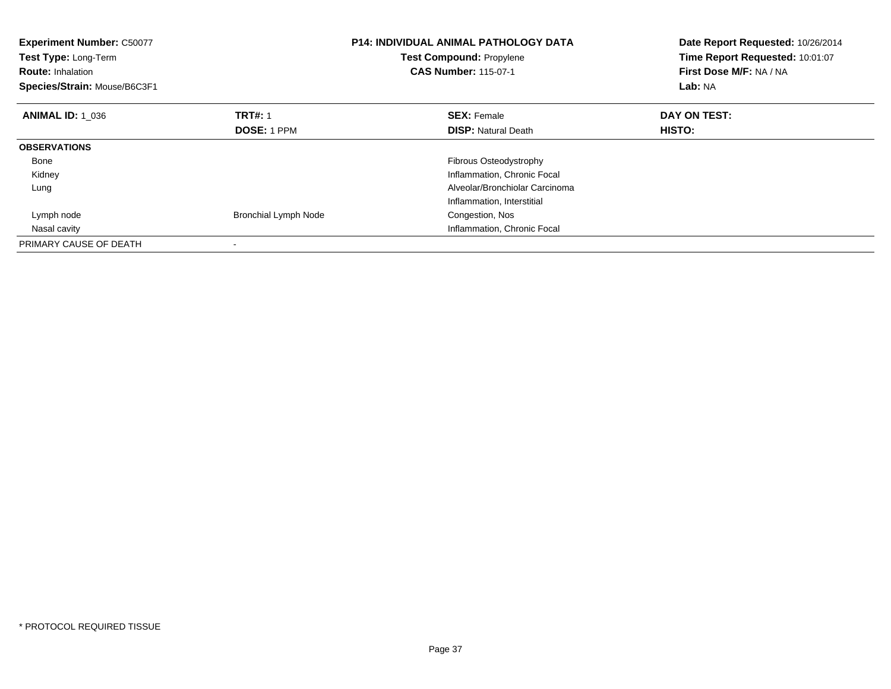| <b>Experiment Number: C50077</b><br>Test Type: Long-Term<br><b>Route: Inhalation</b><br>Species/Strain: Mouse/B6C3F1 |                             | <b>P14: INDIVIDUAL ANIMAL PATHOLOGY DATA</b><br>Test Compound: Propylene<br><b>CAS Number: 115-07-1</b> | Date Report Requested: 10/26/2014<br>Time Report Requested: 10:01:07<br>First Dose M/F: NA / NA<br>Lab: NA |
|----------------------------------------------------------------------------------------------------------------------|-----------------------------|---------------------------------------------------------------------------------------------------------|------------------------------------------------------------------------------------------------------------|
| <b>ANIMAL ID: 1 036</b>                                                                                              | <b>TRT#: 1</b>              | <b>SEX: Female</b>                                                                                      | DAY ON TEST:                                                                                               |
|                                                                                                                      | <b>DOSE: 1 PPM</b>          | <b>DISP:</b> Natural Death                                                                              | <b>HISTO:</b>                                                                                              |
| <b>OBSERVATIONS</b>                                                                                                  |                             |                                                                                                         |                                                                                                            |
| Bone                                                                                                                 |                             | Fibrous Osteodystrophy                                                                                  |                                                                                                            |
| Kidney                                                                                                               |                             | Inflammation, Chronic Focal                                                                             |                                                                                                            |
| Lung                                                                                                                 |                             | Alveolar/Bronchiolar Carcinoma                                                                          |                                                                                                            |
|                                                                                                                      |                             | Inflammation, Interstitial                                                                              |                                                                                                            |
| Lymph node                                                                                                           | <b>Bronchial Lymph Node</b> | Congestion, Nos                                                                                         |                                                                                                            |
| Nasal cavity                                                                                                         |                             | Inflammation, Chronic Focal                                                                             |                                                                                                            |
| PRIMARY CAUSE OF DEATH                                                                                               |                             |                                                                                                         |                                                                                                            |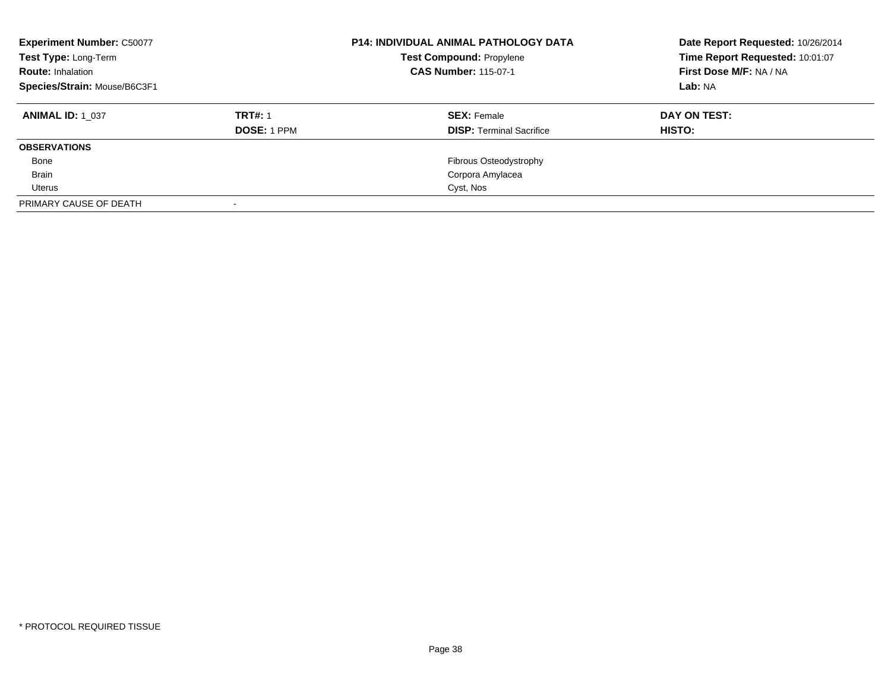| <b>Experiment Number: C50077</b><br>Test Type: Long-Term<br><b>Route: Inhalation</b><br>Species/Strain: Mouse/B6C3F1 |                    | <b>P14: INDIVIDUAL ANIMAL PATHOLOGY DATA</b><br><b>Test Compound: Propylene</b><br><b>CAS Number: 115-07-1</b> | Date Report Requested: 10/26/2014<br>Time Report Requested: 10:01:07<br>First Dose M/F: NA / NA<br>Lab: NA |
|----------------------------------------------------------------------------------------------------------------------|--------------------|----------------------------------------------------------------------------------------------------------------|------------------------------------------------------------------------------------------------------------|
| <b>ANIMAL ID: 1 037</b>                                                                                              | <b>TRT#: 1</b>     | <b>SEX: Female</b>                                                                                             | DAY ON TEST:                                                                                               |
|                                                                                                                      | <b>DOSE: 1 PPM</b> | <b>DISP: Terminal Sacrifice</b>                                                                                | HISTO:                                                                                                     |
| <b>OBSERVATIONS</b>                                                                                                  |                    |                                                                                                                |                                                                                                            |
| Bone                                                                                                                 |                    | Fibrous Osteodystrophy                                                                                         |                                                                                                            |
| <b>Brain</b>                                                                                                         |                    | Corpora Amylacea                                                                                               |                                                                                                            |
| Uterus                                                                                                               |                    | Cyst, Nos                                                                                                      |                                                                                                            |
| PRIMARY CAUSE OF DEATH                                                                                               |                    |                                                                                                                |                                                                                                            |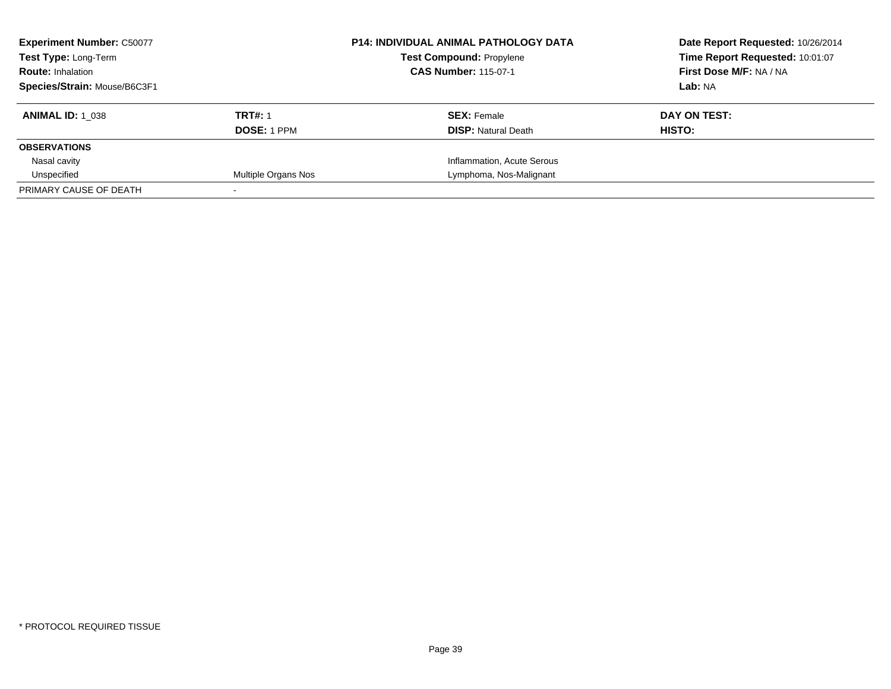| <b>Experiment Number: C50077</b><br><b>Test Type: Long-Term</b><br><b>Route: Inhalation</b> |                     | <b>P14: INDIVIDUAL ANIMAL PATHOLOGY DATA</b><br><b>Test Compound: Propylene</b><br><b>CAS Number: 115-07-1</b> | Date Report Requested: 10/26/2014<br>Time Report Requested: 10:01:07<br>First Dose M/F: NA / NA |
|---------------------------------------------------------------------------------------------|---------------------|----------------------------------------------------------------------------------------------------------------|-------------------------------------------------------------------------------------------------|
| Species/Strain: Mouse/B6C3F1                                                                |                     |                                                                                                                | Lab: NA                                                                                         |
| <b>ANIMAL ID: 1 038</b>                                                                     | <b>TRT#: 1</b>      | <b>SEX:</b> Female                                                                                             | DAY ON TEST:                                                                                    |
|                                                                                             | <b>DOSE: 1 PPM</b>  | <b>DISP:</b> Natural Death                                                                                     | HISTO:                                                                                          |
| <b>OBSERVATIONS</b>                                                                         |                     |                                                                                                                |                                                                                                 |
| Nasal cavity                                                                                |                     | Inflammation, Acute Serous                                                                                     |                                                                                                 |
| Unspecified                                                                                 | Multiple Organs Nos | Lymphoma, Nos-Malignant                                                                                        |                                                                                                 |
| PRIMARY CAUSE OF DEATH                                                                      |                     |                                                                                                                |                                                                                                 |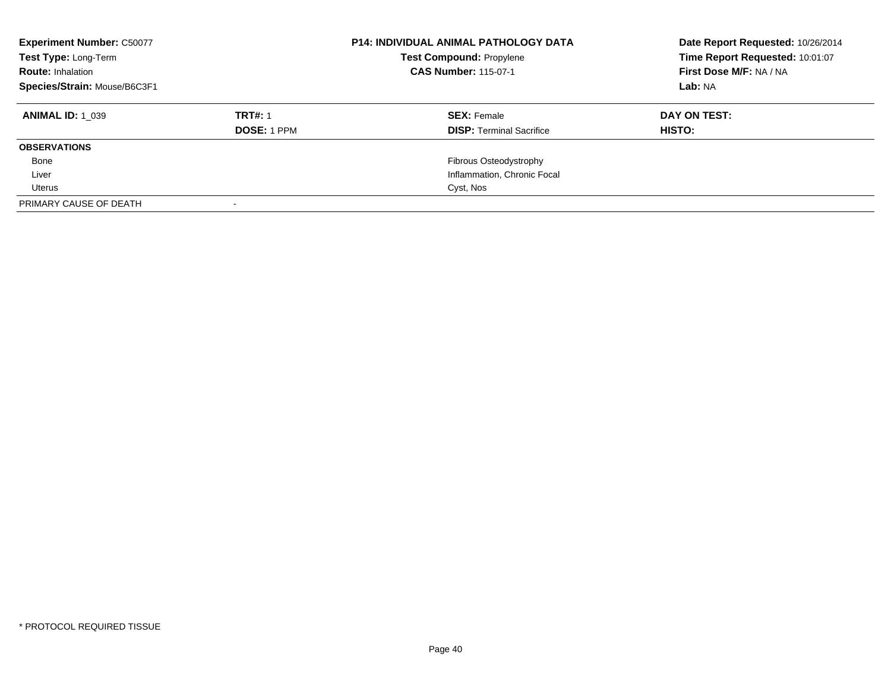| <b>Experiment Number: C50077</b><br>Test Type: Long-Term<br><b>Route: Inhalation</b><br>Species/Strain: Mouse/B6C3F1 |                    | <b>P14: INDIVIDUAL ANIMAL PATHOLOGY DATA</b><br><b>Test Compound: Propylene</b><br><b>CAS Number: 115-07-1</b> | Date Report Requested: 10/26/2014<br>Time Report Requested: 10:01:07<br>First Dose M/F: NA / NA<br>Lab: NA |
|----------------------------------------------------------------------------------------------------------------------|--------------------|----------------------------------------------------------------------------------------------------------------|------------------------------------------------------------------------------------------------------------|
| <b>ANIMAL ID: 1 039</b>                                                                                              | <b>TRT#: 1</b>     | <b>SEX:</b> Female                                                                                             | DAY ON TEST:                                                                                               |
|                                                                                                                      | <b>DOSE: 1 PPM</b> | <b>DISP: Terminal Sacrifice</b>                                                                                | <b>HISTO:</b>                                                                                              |
| <b>OBSERVATIONS</b>                                                                                                  |                    |                                                                                                                |                                                                                                            |
| Bone                                                                                                                 |                    | Fibrous Osteodystrophy                                                                                         |                                                                                                            |
| Liver                                                                                                                |                    | Inflammation, Chronic Focal                                                                                    |                                                                                                            |
| Uterus                                                                                                               |                    | Cyst, Nos                                                                                                      |                                                                                                            |
| PRIMARY CAUSE OF DEATH                                                                                               |                    |                                                                                                                |                                                                                                            |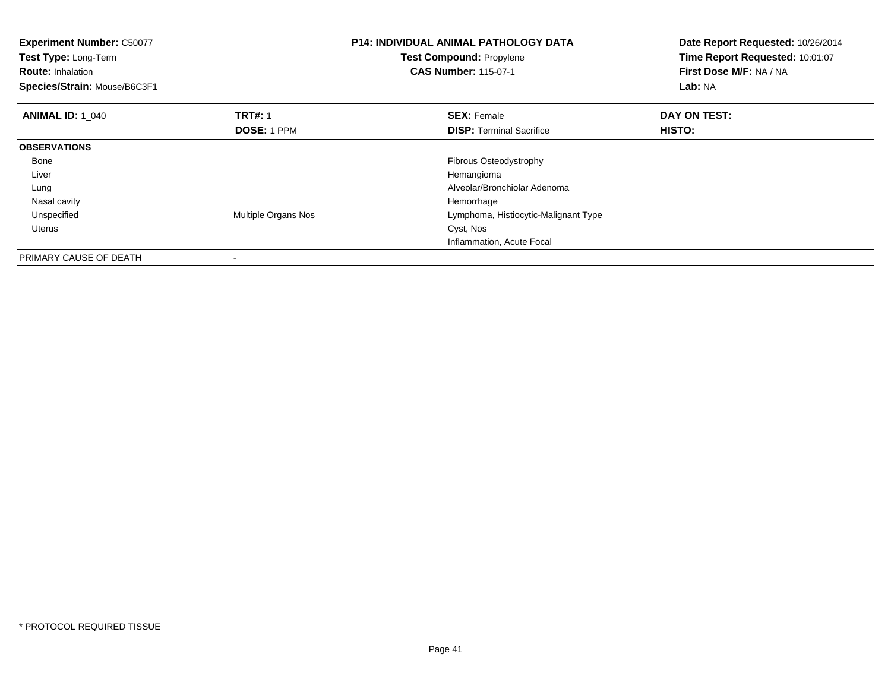| <b>Experiment Number: C50077</b><br>Test Type: Long-Term<br><b>Route: Inhalation</b><br>Species/Strain: Mouse/B6C3F1 |                     | <b>P14: INDIVIDUAL ANIMAL PATHOLOGY DATA</b><br><b>Test Compound: Propylene</b><br><b>CAS Number: 115-07-1</b> | Date Report Requested: 10/26/2014<br>Time Report Requested: 10:01:07<br>First Dose M/F: NA / NA<br>Lab: NA |
|----------------------------------------------------------------------------------------------------------------------|---------------------|----------------------------------------------------------------------------------------------------------------|------------------------------------------------------------------------------------------------------------|
| <b>ANIMAL ID: 1 040</b>                                                                                              | <b>TRT#: 1</b>      | <b>SEX: Female</b>                                                                                             | DAY ON TEST:                                                                                               |
|                                                                                                                      | <b>DOSE: 1 PPM</b>  | <b>DISP:</b> Terminal Sacrifice                                                                                | HISTO:                                                                                                     |
| <b>OBSERVATIONS</b>                                                                                                  |                     |                                                                                                                |                                                                                                            |
| Bone                                                                                                                 |                     | Fibrous Osteodystrophy                                                                                         |                                                                                                            |
| Liver                                                                                                                |                     | Hemangioma                                                                                                     |                                                                                                            |
| Lung                                                                                                                 |                     | Alveolar/Bronchiolar Adenoma                                                                                   |                                                                                                            |
| Nasal cavity                                                                                                         |                     | Hemorrhage                                                                                                     |                                                                                                            |
| Unspecified                                                                                                          | Multiple Organs Nos | Lymphoma, Histiocytic-Malignant Type                                                                           |                                                                                                            |
| Uterus                                                                                                               |                     | Cyst, Nos                                                                                                      |                                                                                                            |
|                                                                                                                      |                     | Inflammation, Acute Focal                                                                                      |                                                                                                            |
| PRIMARY CAUSE OF DEATH                                                                                               |                     |                                                                                                                |                                                                                                            |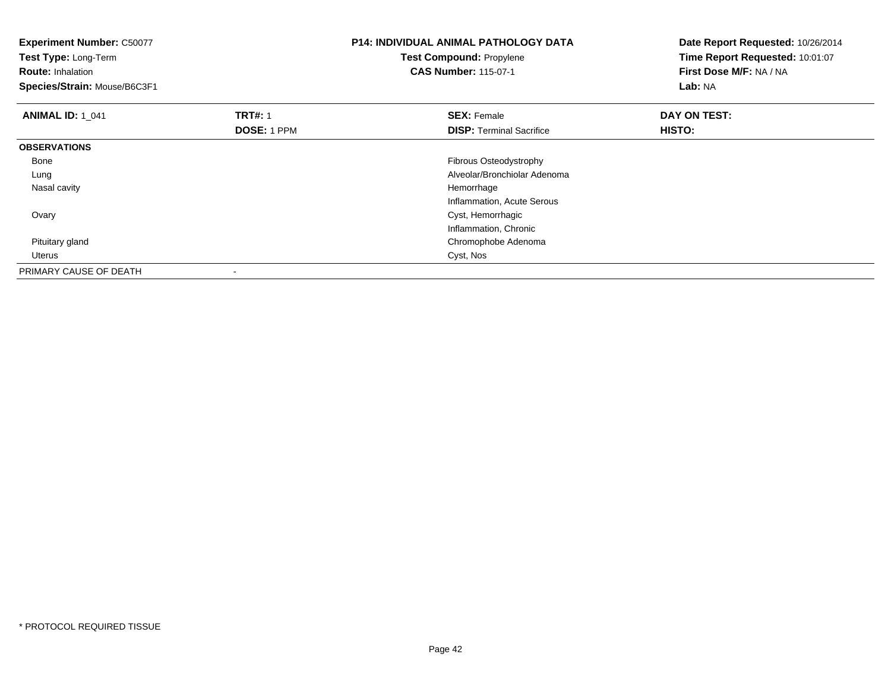| <b>Experiment Number: C50077</b><br>Test Type: Long-Term<br><b>Route: Inhalation</b><br>Species/Strain: Mouse/B6C3F1 |                | <b>P14: INDIVIDUAL ANIMAL PATHOLOGY DATA</b><br>Test Compound: Propylene<br><b>CAS Number: 115-07-1</b> | Date Report Requested: 10/26/2014<br>Time Report Requested: 10:01:07<br>First Dose M/F: NA / NA<br>Lab: NA |
|----------------------------------------------------------------------------------------------------------------------|----------------|---------------------------------------------------------------------------------------------------------|------------------------------------------------------------------------------------------------------------|
| <b>ANIMAL ID: 1 041</b>                                                                                              | <b>TRT#: 1</b> | <b>SEX: Female</b>                                                                                      | DAY ON TEST:                                                                                               |
|                                                                                                                      | DOSE: 1 PPM    | <b>DISP:</b> Terminal Sacrifice                                                                         | HISTO:                                                                                                     |
| <b>OBSERVATIONS</b>                                                                                                  |                |                                                                                                         |                                                                                                            |
| Bone                                                                                                                 |                | Fibrous Osteodystrophy                                                                                  |                                                                                                            |
| Lung                                                                                                                 |                | Alveolar/Bronchiolar Adenoma                                                                            |                                                                                                            |
| Nasal cavity                                                                                                         |                | Hemorrhage                                                                                              |                                                                                                            |
|                                                                                                                      |                | Inflammation, Acute Serous                                                                              |                                                                                                            |
| Ovary                                                                                                                |                | Cyst, Hemorrhagic                                                                                       |                                                                                                            |
|                                                                                                                      |                | Inflammation, Chronic                                                                                   |                                                                                                            |
| Pituitary gland                                                                                                      |                | Chromophobe Adenoma                                                                                     |                                                                                                            |
| Uterus                                                                                                               |                | Cyst, Nos                                                                                               |                                                                                                            |
| PRIMARY CAUSE OF DEATH                                                                                               |                |                                                                                                         |                                                                                                            |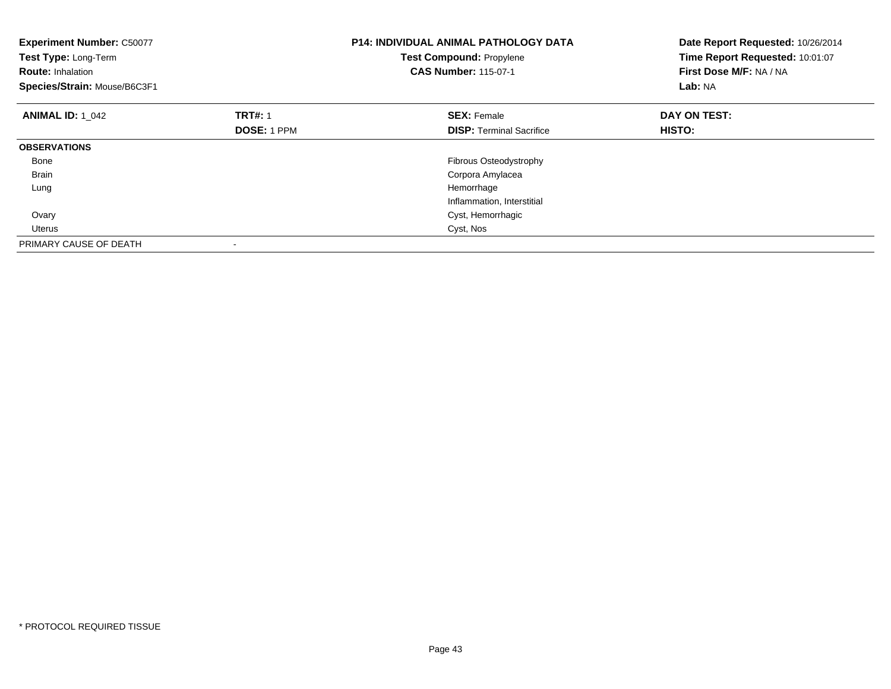| <b>Experiment Number: C50077</b><br>Test Type: Long-Term<br><b>Route: Inhalation</b><br>Species/Strain: Mouse/B6C3F1 |                    | <b>P14: INDIVIDUAL ANIMAL PATHOLOGY DATA</b><br>Test Compound: Propylene<br><b>CAS Number: 115-07-1</b> | Date Report Requested: 10/26/2014<br>Time Report Requested: 10:01:07<br>First Dose M/F: NA / NA<br>Lab: NA |
|----------------------------------------------------------------------------------------------------------------------|--------------------|---------------------------------------------------------------------------------------------------------|------------------------------------------------------------------------------------------------------------|
| <b>ANIMAL ID: 1 042</b>                                                                                              | <b>TRT#: 1</b>     | <b>SEX: Female</b>                                                                                      | DAY ON TEST:                                                                                               |
|                                                                                                                      | <b>DOSE: 1 PPM</b> | <b>DISP:</b> Terminal Sacrifice                                                                         | HISTO:                                                                                                     |
| <b>OBSERVATIONS</b>                                                                                                  |                    |                                                                                                         |                                                                                                            |
| Bone                                                                                                                 |                    | <b>Fibrous Osteodystrophy</b>                                                                           |                                                                                                            |
| <b>Brain</b>                                                                                                         |                    | Corpora Amylacea                                                                                        |                                                                                                            |
| Lung                                                                                                                 |                    | Hemorrhage                                                                                              |                                                                                                            |
|                                                                                                                      |                    | Inflammation, Interstitial                                                                              |                                                                                                            |
| Ovary                                                                                                                |                    | Cyst, Hemorrhagic                                                                                       |                                                                                                            |
| <b>Uterus</b>                                                                                                        |                    | Cyst, Nos                                                                                               |                                                                                                            |
| PRIMARY CAUSE OF DEATH                                                                                               |                    |                                                                                                         |                                                                                                            |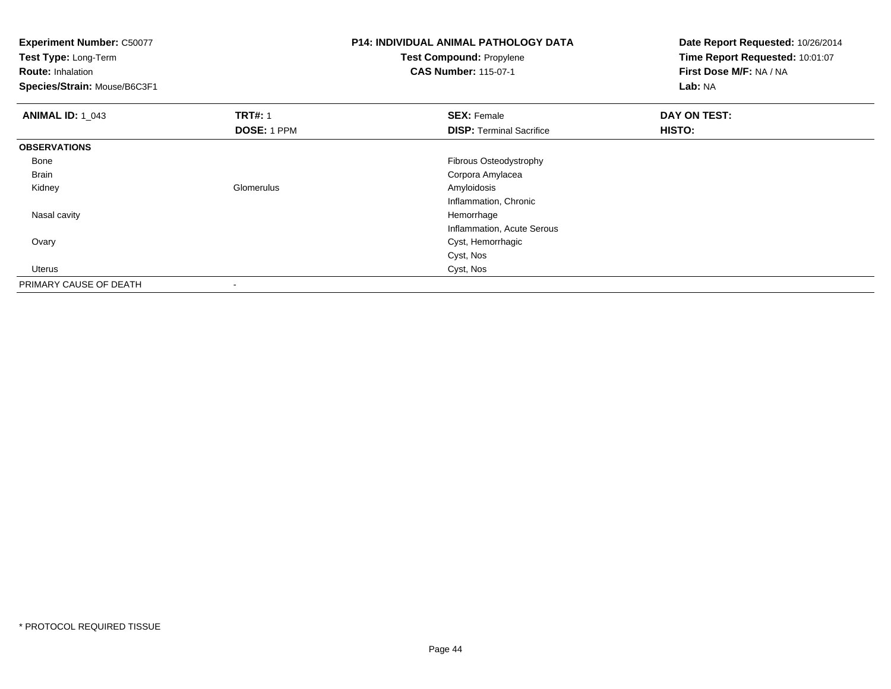| <b>Experiment Number: C50077</b><br>Test Type: Long-Term |                    | <b>P14: INDIVIDUAL ANIMAL PATHOLOGY DATA</b><br><b>Test Compound: Propylene</b> | Date Report Requested: 10/26/2014<br>Time Report Requested: 10:01:07 |
|----------------------------------------------------------|--------------------|---------------------------------------------------------------------------------|----------------------------------------------------------------------|
| <b>Route: Inhalation</b>                                 |                    | <b>CAS Number: 115-07-1</b>                                                     | First Dose M/F: NA / NA                                              |
| Species/Strain: Mouse/B6C3F1                             |                    |                                                                                 | Lab: NA                                                              |
| <b>ANIMAL ID: 1 043</b>                                  | <b>TRT#: 1</b>     | <b>SEX: Female</b>                                                              | DAY ON TEST:                                                         |
|                                                          | <b>DOSE: 1 PPM</b> | <b>DISP: Terminal Sacrifice</b>                                                 | HISTO:                                                               |
| <b>OBSERVATIONS</b>                                      |                    |                                                                                 |                                                                      |
| Bone                                                     |                    | Fibrous Osteodystrophy                                                          |                                                                      |
| <b>Brain</b>                                             |                    | Corpora Amylacea                                                                |                                                                      |
| Kidney                                                   | Glomerulus         | Amyloidosis                                                                     |                                                                      |
|                                                          |                    | Inflammation, Chronic                                                           |                                                                      |
| Nasal cavity                                             |                    | Hemorrhage                                                                      |                                                                      |
|                                                          |                    | Inflammation, Acute Serous                                                      |                                                                      |
| Ovary                                                    |                    | Cyst, Hemorrhagic                                                               |                                                                      |
|                                                          |                    | Cyst, Nos                                                                       |                                                                      |
| Uterus                                                   |                    | Cyst, Nos                                                                       |                                                                      |
| PRIMARY CAUSE OF DEATH                                   |                    |                                                                                 |                                                                      |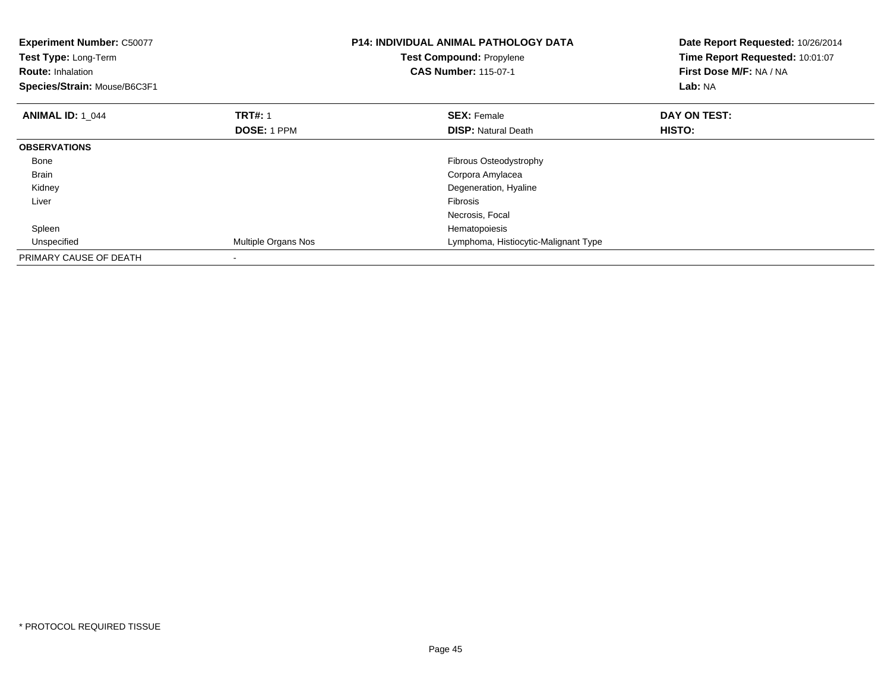| <b>Experiment Number: C50077</b><br>Test Type: Long-Term<br><b>Route: Inhalation</b><br>Species/Strain: Mouse/B6C3F1 |                          | <b>P14: INDIVIDUAL ANIMAL PATHOLOGY DATA</b><br>Test Compound: Propylene<br><b>CAS Number: 115-07-1</b> | Date Report Requested: 10/26/2014<br>Time Report Requested: 10:01:07<br>First Dose M/F: NA / NA<br>Lab: NA |
|----------------------------------------------------------------------------------------------------------------------|--------------------------|---------------------------------------------------------------------------------------------------------|------------------------------------------------------------------------------------------------------------|
| <b>ANIMAL ID: 1 044</b>                                                                                              | <b>TRT#: 1</b>           | <b>SEX: Female</b>                                                                                      | DAY ON TEST:                                                                                               |
|                                                                                                                      | <b>DOSE: 1 PPM</b>       | <b>DISP:</b> Natural Death                                                                              | HISTO:                                                                                                     |
| <b>OBSERVATIONS</b>                                                                                                  |                          |                                                                                                         |                                                                                                            |
| Bone                                                                                                                 |                          | Fibrous Osteodystrophy                                                                                  |                                                                                                            |
| <b>Brain</b>                                                                                                         |                          | Corpora Amylacea                                                                                        |                                                                                                            |
| Kidney                                                                                                               |                          | Degeneration, Hyaline                                                                                   |                                                                                                            |
| Liver                                                                                                                |                          | Fibrosis                                                                                                |                                                                                                            |
|                                                                                                                      |                          | Necrosis, Focal                                                                                         |                                                                                                            |
| Spleen                                                                                                               |                          | Hematopoiesis                                                                                           |                                                                                                            |
| Unspecified                                                                                                          | Multiple Organs Nos      | Lymphoma, Histiocytic-Malignant Type                                                                    |                                                                                                            |
| PRIMARY CAUSE OF DEATH                                                                                               | $\overline{\phantom{a}}$ |                                                                                                         |                                                                                                            |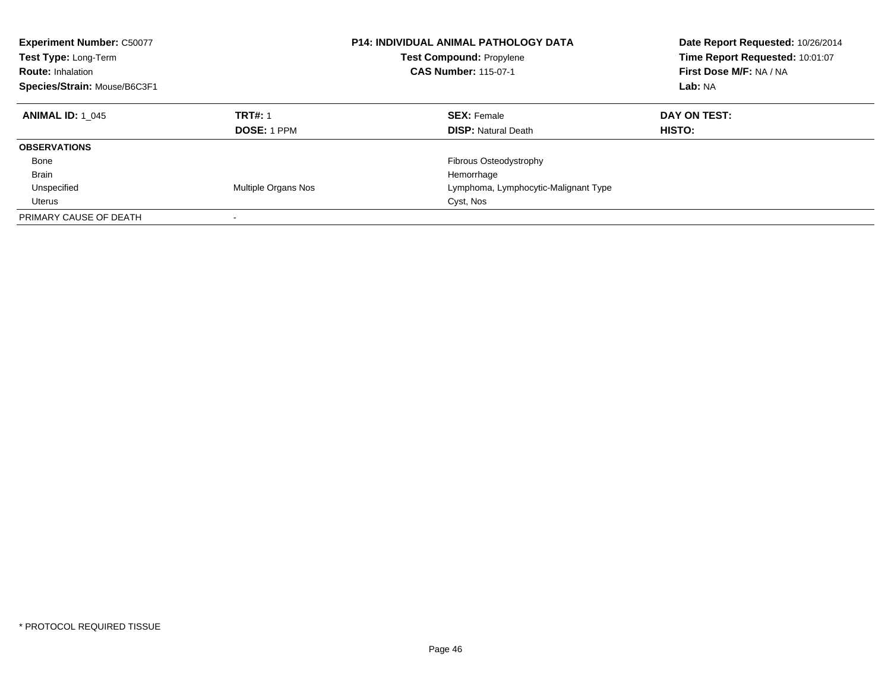| <b>Experiment Number: C50077</b><br>Test Type: Long-Term<br><b>Route: Inhalation</b><br>Species/Strain: Mouse/B6C3F1 |                                      | <b>P14: INDIVIDUAL ANIMAL PATHOLOGY DATA</b><br><b>Test Compound: Propylene</b><br><b>CAS Number: 115-07-1</b> | Date Report Requested: 10/26/2014<br>Time Report Requested: 10:01:07<br>First Dose M/F: NA / NA<br>Lab: NA |
|----------------------------------------------------------------------------------------------------------------------|--------------------------------------|----------------------------------------------------------------------------------------------------------------|------------------------------------------------------------------------------------------------------------|
| <b>ANIMAL ID: 1 045</b>                                                                                              | <b>TRT#: 1</b><br><b>DOSE: 1 PPM</b> | <b>SEX: Female</b><br><b>DISP:</b> Natural Death                                                               | DAY ON TEST:<br><b>HISTO:</b>                                                                              |
| <b>OBSERVATIONS</b>                                                                                                  |                                      |                                                                                                                |                                                                                                            |
| Bone                                                                                                                 |                                      | Fibrous Osteodystrophy                                                                                         |                                                                                                            |
| <b>Brain</b>                                                                                                         |                                      | Hemorrhage                                                                                                     |                                                                                                            |
| Unspecified                                                                                                          | Multiple Organs Nos                  | Lymphoma, Lymphocytic-Malignant Type                                                                           |                                                                                                            |
| Uterus                                                                                                               |                                      | Cyst, Nos                                                                                                      |                                                                                                            |
| PRIMARY CAUSE OF DEATH                                                                                               | -                                    |                                                                                                                |                                                                                                            |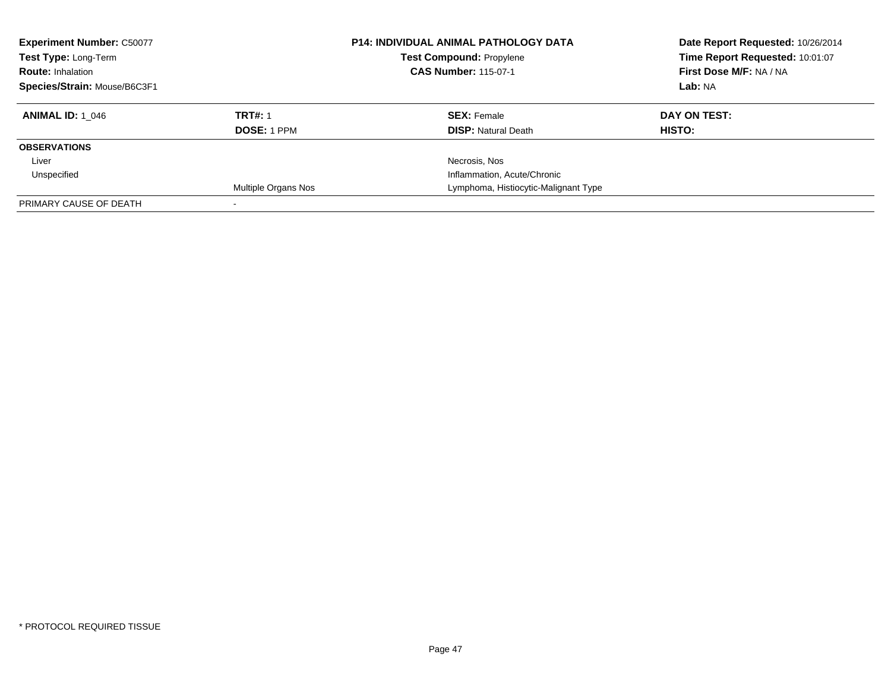| <b>Experiment Number: C50077</b><br>Test Type: Long-Term<br><b>Route: Inhalation</b><br>Species/Strain: Mouse/B6C3F1 |                                      | <b>P14: INDIVIDUAL ANIMAL PATHOLOGY DATA</b><br><b>Test Compound: Propylene</b><br><b>CAS Number: 115-07-1</b> | Date Report Requested: 10/26/2014<br>Time Report Requested: 10:01:07<br>First Dose M/F: NA / NA<br>Lab: NA |
|----------------------------------------------------------------------------------------------------------------------|--------------------------------------|----------------------------------------------------------------------------------------------------------------|------------------------------------------------------------------------------------------------------------|
| <b>ANIMAL ID: 1 046</b>                                                                                              | <b>TRT#: 1</b><br><b>DOSE: 1 PPM</b> | <b>SEX: Female</b><br><b>DISP: Natural Death</b>                                                               | DAY ON TEST:<br><b>HISTO:</b>                                                                              |
| <b>OBSERVATIONS</b>                                                                                                  |                                      |                                                                                                                |                                                                                                            |
| Liver                                                                                                                |                                      | Necrosis, Nos                                                                                                  |                                                                                                            |
| Unspecified                                                                                                          |                                      | Inflammation, Acute/Chronic                                                                                    |                                                                                                            |
|                                                                                                                      | <b>Multiple Organs Nos</b>           | Lymphoma, Histiocytic-Malignant Type                                                                           |                                                                                                            |
| PRIMARY CAUSE OF DEATH                                                                                               |                                      |                                                                                                                |                                                                                                            |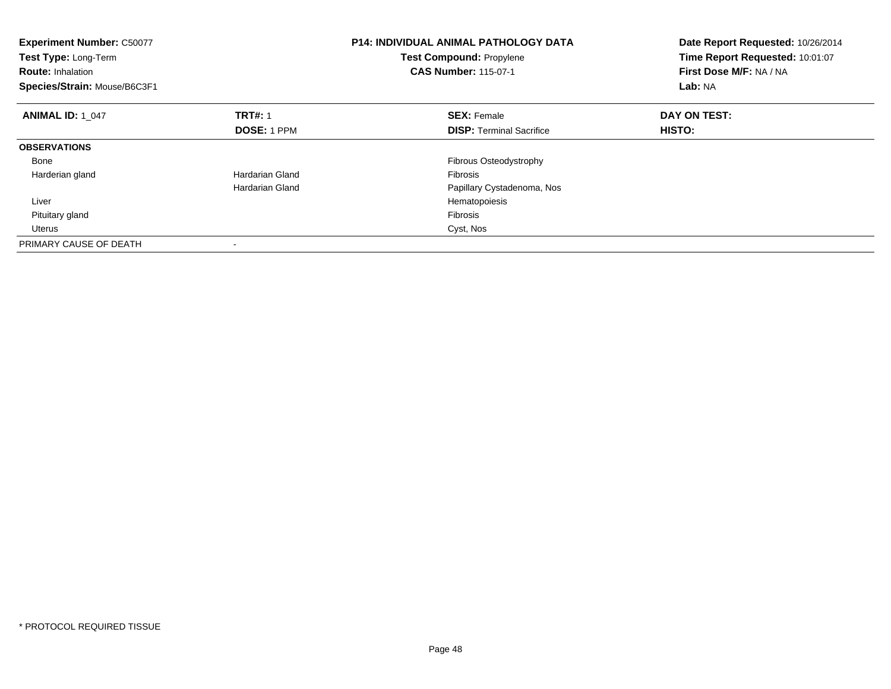| <b>Experiment Number: C50077</b><br>Test Type: Long-Term<br><b>Route: Inhalation</b><br>Species/Strain: Mouse/B6C3F1 |                    | <b>P14: INDIVIDUAL ANIMAL PATHOLOGY DATA</b><br><b>Test Compound: Propylene</b><br><b>CAS Number: 115-07-1</b> | Date Report Requested: 10/26/2014<br>Time Report Requested: 10:01:07<br>First Dose M/F: NA / NA<br>Lab: NA |
|----------------------------------------------------------------------------------------------------------------------|--------------------|----------------------------------------------------------------------------------------------------------------|------------------------------------------------------------------------------------------------------------|
| <b>ANIMAL ID: 1 047</b>                                                                                              | <b>TRT#: 1</b>     | <b>SEX: Female</b>                                                                                             | DAY ON TEST:                                                                                               |
|                                                                                                                      | <b>DOSE: 1 PPM</b> | <b>DISP:</b> Terminal Sacrifice                                                                                | <b>HISTO:</b>                                                                                              |
| <b>OBSERVATIONS</b>                                                                                                  |                    |                                                                                                                |                                                                                                            |
| Bone                                                                                                                 |                    | Fibrous Osteodystrophy                                                                                         |                                                                                                            |
| Harderian gland                                                                                                      | Hardarian Gland    | <b>Fibrosis</b>                                                                                                |                                                                                                            |
|                                                                                                                      | Hardarian Gland    | Papillary Cystadenoma, Nos                                                                                     |                                                                                                            |
| Liver                                                                                                                |                    | Hematopoiesis                                                                                                  |                                                                                                            |
| Pituitary gland                                                                                                      |                    | Fibrosis                                                                                                       |                                                                                                            |
| Uterus                                                                                                               |                    | Cyst, Nos                                                                                                      |                                                                                                            |
| PRIMARY CAUSE OF DEATH                                                                                               |                    |                                                                                                                |                                                                                                            |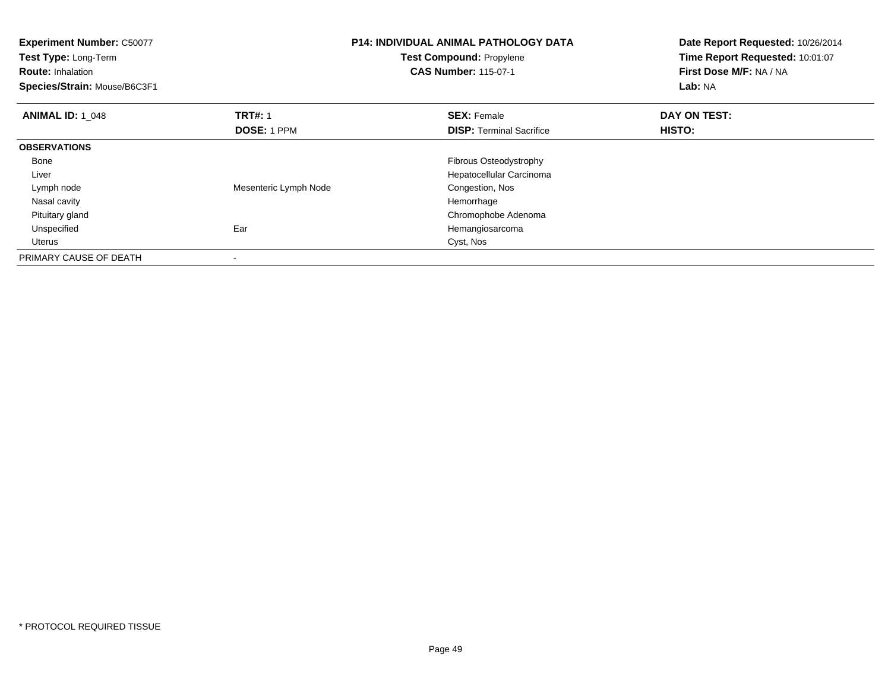| <b>Experiment Number: C50077</b><br>Test Type: Long-Term<br><b>Route: Inhalation</b><br>Species/Strain: Mouse/B6C3F1 |                       | <b>P14: INDIVIDUAL ANIMAL PATHOLOGY DATA</b><br><b>Test Compound: Propylene</b><br><b>CAS Number: 115-07-1</b> | Date Report Requested: 10/26/2014<br>Time Report Requested: 10:01:07<br>First Dose M/F: NA / NA<br>Lab: NA |
|----------------------------------------------------------------------------------------------------------------------|-----------------------|----------------------------------------------------------------------------------------------------------------|------------------------------------------------------------------------------------------------------------|
| <b>ANIMAL ID: 1 048</b>                                                                                              | <b>TRT#: 1</b>        | <b>SEX: Female</b>                                                                                             | DAY ON TEST:                                                                                               |
|                                                                                                                      | DOSE: 1 PPM           | <b>DISP:</b> Terminal Sacrifice                                                                                | HISTO:                                                                                                     |
| <b>OBSERVATIONS</b>                                                                                                  |                       |                                                                                                                |                                                                                                            |
| Bone                                                                                                                 |                       | Fibrous Osteodystrophy                                                                                         |                                                                                                            |
| Liver                                                                                                                |                       | Hepatocellular Carcinoma                                                                                       |                                                                                                            |
| Lymph node                                                                                                           | Mesenteric Lymph Node | Congestion, Nos                                                                                                |                                                                                                            |
| Nasal cavity                                                                                                         |                       | Hemorrhage                                                                                                     |                                                                                                            |
| Pituitary gland                                                                                                      |                       | Chromophobe Adenoma                                                                                            |                                                                                                            |
| Unspecified                                                                                                          | Ear                   | Hemangiosarcoma                                                                                                |                                                                                                            |
| Uterus                                                                                                               |                       | Cyst, Nos                                                                                                      |                                                                                                            |
| PRIMARY CAUSE OF DEATH                                                                                               |                       |                                                                                                                |                                                                                                            |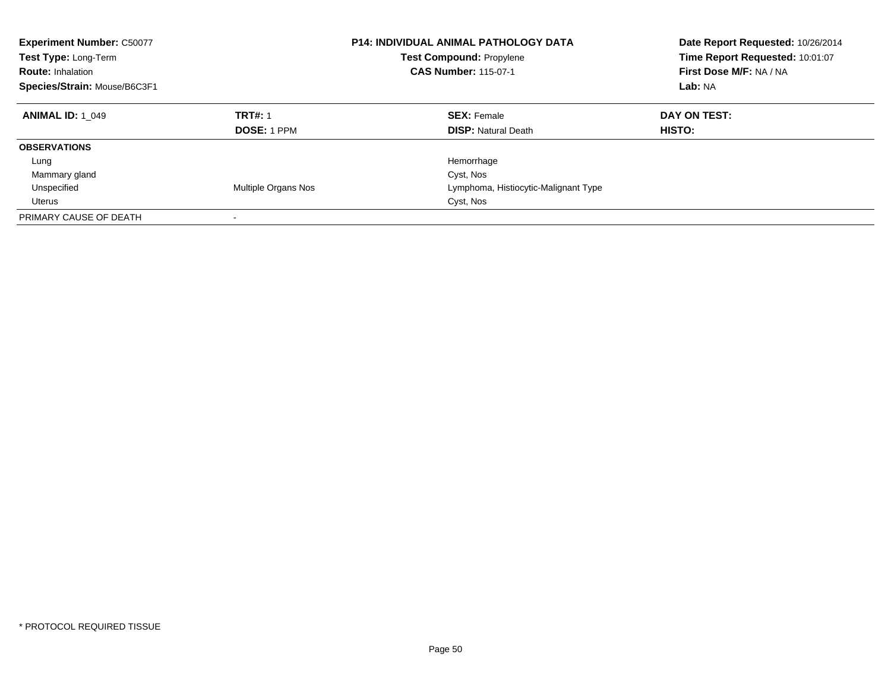| <b>Experiment Number: C50077</b><br>Test Type: Long-Term<br><b>Route: Inhalation</b><br>Species/Strain: Mouse/B6C3F1 |                                      | <b>P14: INDIVIDUAL ANIMAL PATHOLOGY DATA</b><br><b>Test Compound: Propylene</b><br><b>CAS Number: 115-07-1</b> | Date Report Requested: 10/26/2014<br>Time Report Requested: 10:01:07<br>First Dose M/F: NA / NA<br>Lab: NA |
|----------------------------------------------------------------------------------------------------------------------|--------------------------------------|----------------------------------------------------------------------------------------------------------------|------------------------------------------------------------------------------------------------------------|
| <b>ANIMAL ID: 1 049</b>                                                                                              | <b>TRT#: 1</b><br><b>DOSE: 1 PPM</b> | <b>SEX: Female</b><br><b>DISP:</b> Natural Death                                                               | DAY ON TEST:<br><b>HISTO:</b>                                                                              |
| <b>OBSERVATIONS</b>                                                                                                  |                                      |                                                                                                                |                                                                                                            |
| Lung                                                                                                                 |                                      | Hemorrhage                                                                                                     |                                                                                                            |
| Mammary gland                                                                                                        |                                      | Cyst, Nos                                                                                                      |                                                                                                            |
| Unspecified                                                                                                          | Multiple Organs Nos                  | Lymphoma, Histiocytic-Malignant Type                                                                           |                                                                                                            |
| Uterus                                                                                                               |                                      | Cyst, Nos                                                                                                      |                                                                                                            |
| PRIMARY CAUSE OF DEATH                                                                                               | -                                    |                                                                                                                |                                                                                                            |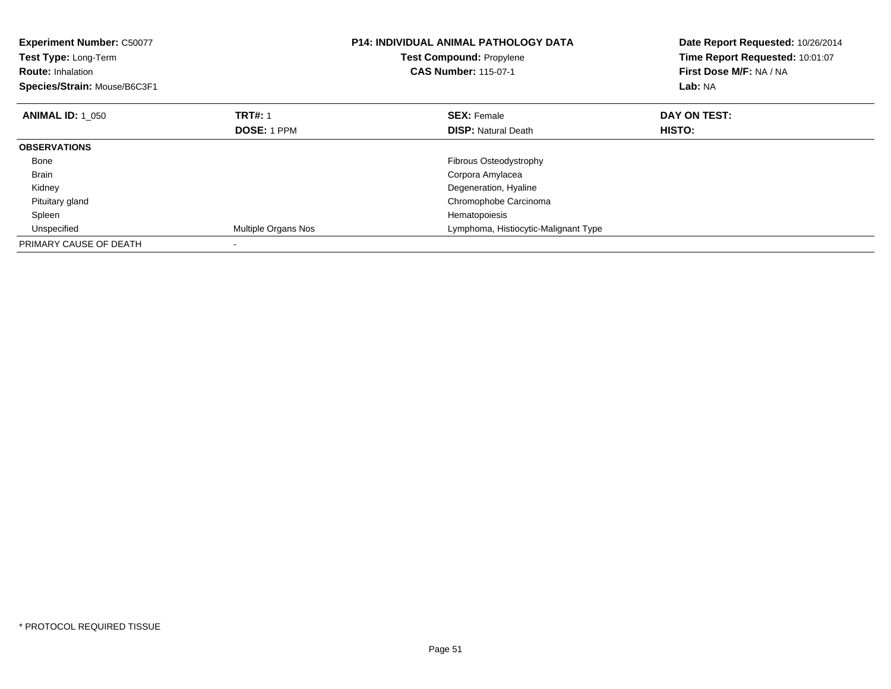| <b>Experiment Number: C50077</b><br>Test Type: Long-Term<br><b>Route: Inhalation</b><br>Species/Strain: Mouse/B6C3F1 |                     | <b>P14: INDIVIDUAL ANIMAL PATHOLOGY DATA</b><br>Test Compound: Propylene<br><b>CAS Number: 115-07-1</b> | Date Report Requested: 10/26/2014<br>Time Report Requested: 10:01:07<br>First Dose M/F: NA / NA<br>Lab: NA |
|----------------------------------------------------------------------------------------------------------------------|---------------------|---------------------------------------------------------------------------------------------------------|------------------------------------------------------------------------------------------------------------|
| <b>ANIMAL ID: 1 050</b>                                                                                              | <b>TRT#: 1</b>      | <b>SEX: Female</b>                                                                                      | DAY ON TEST:                                                                                               |
|                                                                                                                      | <b>DOSE: 1 PPM</b>  | <b>DISP:</b> Natural Death                                                                              | HISTO:                                                                                                     |
| <b>OBSERVATIONS</b>                                                                                                  |                     |                                                                                                         |                                                                                                            |
| Bone                                                                                                                 |                     | Fibrous Osteodystrophy                                                                                  |                                                                                                            |
| <b>Brain</b>                                                                                                         |                     | Corpora Amylacea                                                                                        |                                                                                                            |
| Kidney                                                                                                               |                     | Degeneration, Hyaline                                                                                   |                                                                                                            |
| Pituitary gland                                                                                                      |                     | Chromophobe Carcinoma                                                                                   |                                                                                                            |
| Spleen                                                                                                               |                     | Hematopoiesis                                                                                           |                                                                                                            |
| Unspecified                                                                                                          | Multiple Organs Nos | Lymphoma, Histiocytic-Malignant Type                                                                    |                                                                                                            |
| PRIMARY CAUSE OF DEATH                                                                                               |                     |                                                                                                         |                                                                                                            |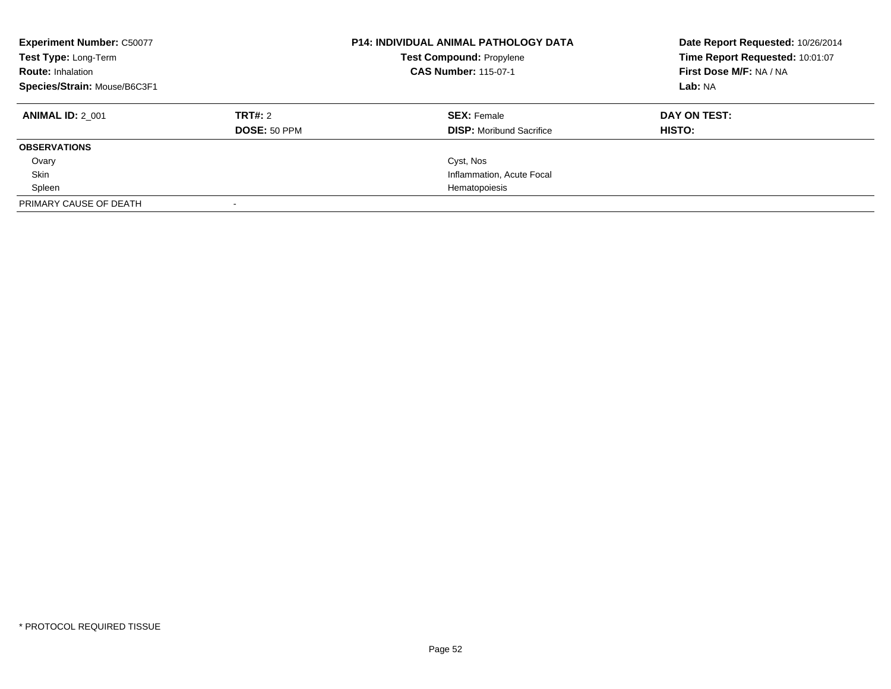| <b>Experiment Number: C50077</b><br>Test Type: Long-Term<br><b>Route: Inhalation</b><br>Species/Strain: Mouse/B6C3F1 |                         | <b>P14: INDIVIDUAL ANIMAL PATHOLOGY DATA</b><br><b>Test Compound: Propylene</b><br><b>CAS Number: 115-07-1</b> | Date Report Requested: 10/26/2014<br>Time Report Requested: 10:01:07<br>First Dose M/F: NA / NA<br>Lab: NA |
|----------------------------------------------------------------------------------------------------------------------|-------------------------|----------------------------------------------------------------------------------------------------------------|------------------------------------------------------------------------------------------------------------|
| <b>ANIMAL ID: 2 001</b>                                                                                              | TRT#: 2<br>DOSE: 50 PPM | <b>SEX:</b> Female<br><b>DISP:</b> Moribund Sacrifice                                                          | DAY ON TEST:<br><b>HISTO:</b>                                                                              |
| <b>OBSERVATIONS</b>                                                                                                  |                         |                                                                                                                |                                                                                                            |
| Ovary                                                                                                                |                         | Cyst, Nos                                                                                                      |                                                                                                            |
| Skin                                                                                                                 |                         | Inflammation, Acute Focal                                                                                      |                                                                                                            |
| Spleen                                                                                                               |                         | Hematopoiesis                                                                                                  |                                                                                                            |
| PRIMARY CAUSE OF DEATH                                                                                               |                         |                                                                                                                |                                                                                                            |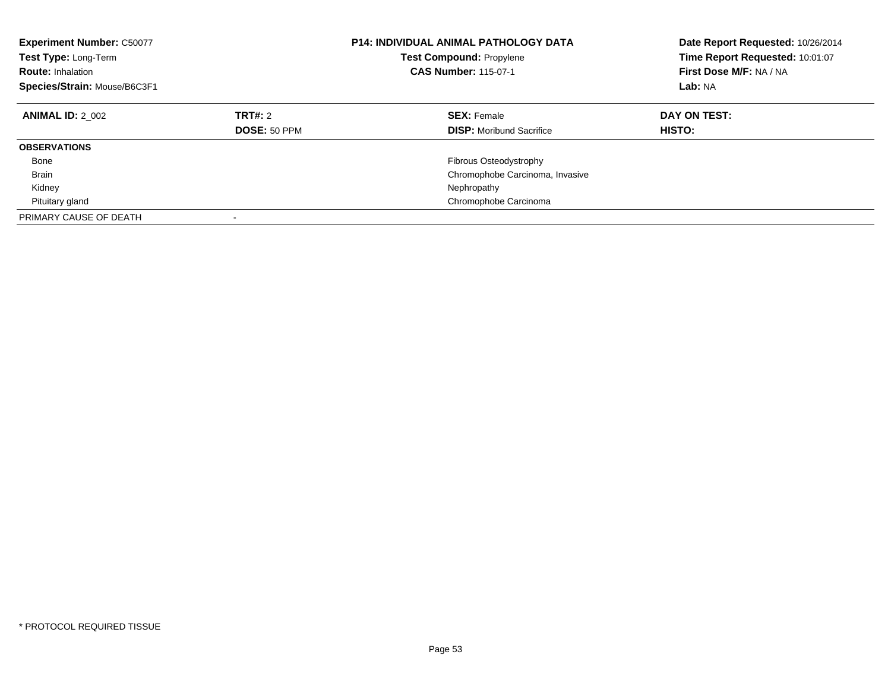| <b>Experiment Number: C50077</b><br>Test Type: Long-Term<br><b>Route: Inhalation</b><br>Species/Strain: Mouse/B6C3F1 |                                | <b>P14: INDIVIDUAL ANIMAL PATHOLOGY DATA</b><br><b>Test Compound: Propylene</b><br><b>CAS Number: 115-07-1</b> | Date Report Requested: 10/26/2014<br>Time Report Requested: 10:01:07<br>First Dose M/F: NA / NA<br>Lab: NA |
|----------------------------------------------------------------------------------------------------------------------|--------------------------------|----------------------------------------------------------------------------------------------------------------|------------------------------------------------------------------------------------------------------------|
| <b>ANIMAL ID: 2 002</b>                                                                                              | <b>TRT#: 2</b><br>DOSE: 50 PPM | <b>SEX: Female</b><br><b>DISP:</b> Moribund Sacrifice                                                          | DAY ON TEST:<br>HISTO:                                                                                     |
|                                                                                                                      |                                |                                                                                                                |                                                                                                            |
| <b>OBSERVATIONS</b>                                                                                                  |                                |                                                                                                                |                                                                                                            |
| Bone                                                                                                                 |                                | <b>Fibrous Osteodystrophy</b>                                                                                  |                                                                                                            |
| <b>Brain</b>                                                                                                         |                                | Chromophobe Carcinoma, Invasive                                                                                |                                                                                                            |
| Kidney                                                                                                               |                                | Nephropathy                                                                                                    |                                                                                                            |
| Pituitary gland                                                                                                      |                                | Chromophobe Carcinoma                                                                                          |                                                                                                            |
| PRIMARY CAUSE OF DEATH                                                                                               |                                |                                                                                                                |                                                                                                            |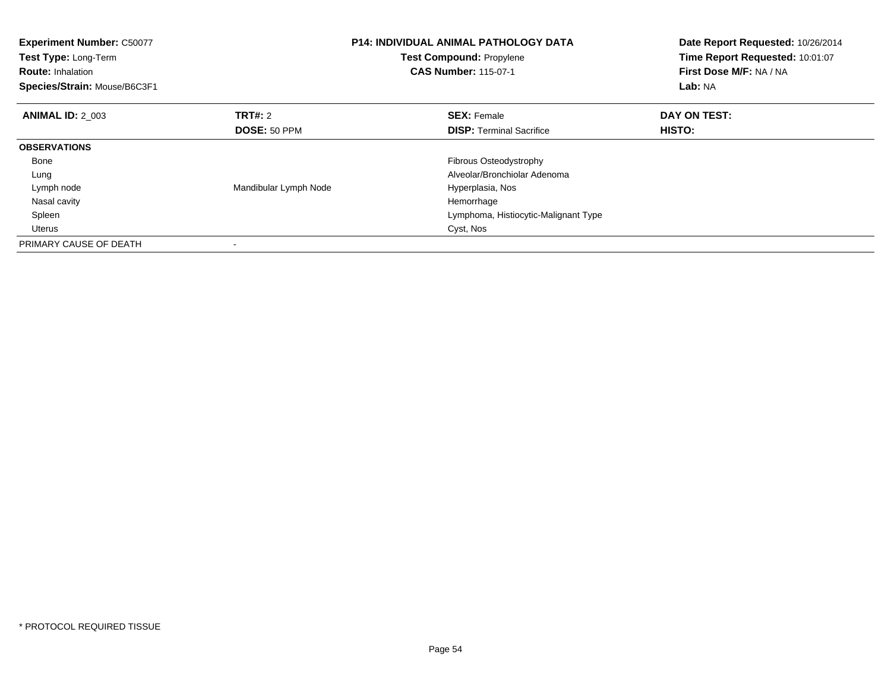| <b>Experiment Number: C50077</b><br>Test Type: Long-Term<br><b>Route: Inhalation</b><br>Species/Strain: Mouse/B6C3F1 |                       | <b>P14: INDIVIDUAL ANIMAL PATHOLOGY DATA</b><br>Test Compound: Propylene<br><b>CAS Number: 115-07-1</b> | Date Report Requested: 10/26/2014<br>Time Report Requested: 10:01:07<br>First Dose M/F: NA / NA<br>Lab: NA |
|----------------------------------------------------------------------------------------------------------------------|-----------------------|---------------------------------------------------------------------------------------------------------|------------------------------------------------------------------------------------------------------------|
| <b>ANIMAL ID: 2 003</b>                                                                                              | <b>TRT#: 2</b>        | <b>SEX: Female</b>                                                                                      | DAY ON TEST:                                                                                               |
|                                                                                                                      | <b>DOSE: 50 PPM</b>   | <b>DISP:</b> Terminal Sacrifice                                                                         | HISTO:                                                                                                     |
| <b>OBSERVATIONS</b>                                                                                                  |                       |                                                                                                         |                                                                                                            |
| Bone                                                                                                                 |                       | Fibrous Osteodystrophy                                                                                  |                                                                                                            |
| Lung                                                                                                                 |                       | Alveolar/Bronchiolar Adenoma                                                                            |                                                                                                            |
| Lymph node                                                                                                           | Mandibular Lymph Node | Hyperplasia, Nos                                                                                        |                                                                                                            |
| Nasal cavity                                                                                                         |                       | Hemorrhage                                                                                              |                                                                                                            |
| Spleen                                                                                                               |                       | Lymphoma, Histiocytic-Malignant Type                                                                    |                                                                                                            |
| <b>Uterus</b>                                                                                                        |                       | Cyst, Nos                                                                                               |                                                                                                            |
| PRIMARY CAUSE OF DEATH                                                                                               |                       |                                                                                                         |                                                                                                            |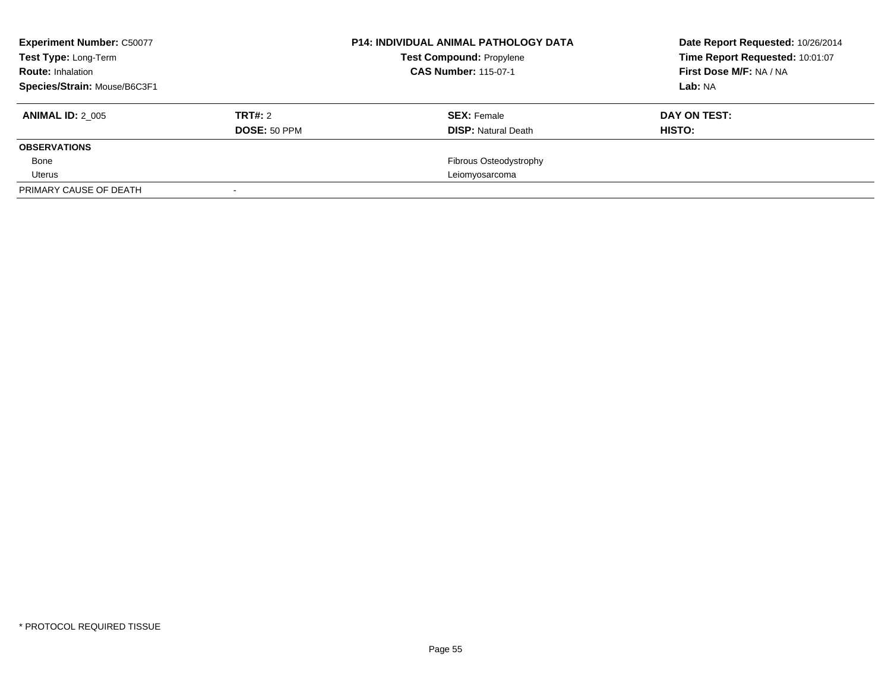| <b>Experiment Number: C50077</b><br>Test Type: Long-Term<br><b>Route: Inhalation</b><br>Species/Strain: Mouse/B6C3F1 |              | <b>P14: INDIVIDUAL ANIMAL PATHOLOGY DATA</b><br><b>Test Compound: Propylene</b><br><b>CAS Number: 115-07-1</b> | Date Report Requested: 10/26/2014<br>Time Report Requested: 10:01:07<br>First Dose M/F: NA / NA<br>Lab: NA |
|----------------------------------------------------------------------------------------------------------------------|--------------|----------------------------------------------------------------------------------------------------------------|------------------------------------------------------------------------------------------------------------|
|                                                                                                                      |              |                                                                                                                |                                                                                                            |
| <b>ANIMAL ID: 2 005</b>                                                                                              | TRT#: 2      | <b>SEX:</b> Female                                                                                             | DAY ON TEST:                                                                                               |
|                                                                                                                      | DOSE: 50 PPM | <b>DISP:</b> Natural Death                                                                                     | HISTO:                                                                                                     |
| <b>OBSERVATIONS</b>                                                                                                  |              |                                                                                                                |                                                                                                            |
| Bone                                                                                                                 |              | <b>Fibrous Osteodystrophy</b>                                                                                  |                                                                                                            |
| Uterus                                                                                                               |              | Leiomyosarcoma                                                                                                 |                                                                                                            |
| PRIMARY CAUSE OF DEATH                                                                                               |              |                                                                                                                |                                                                                                            |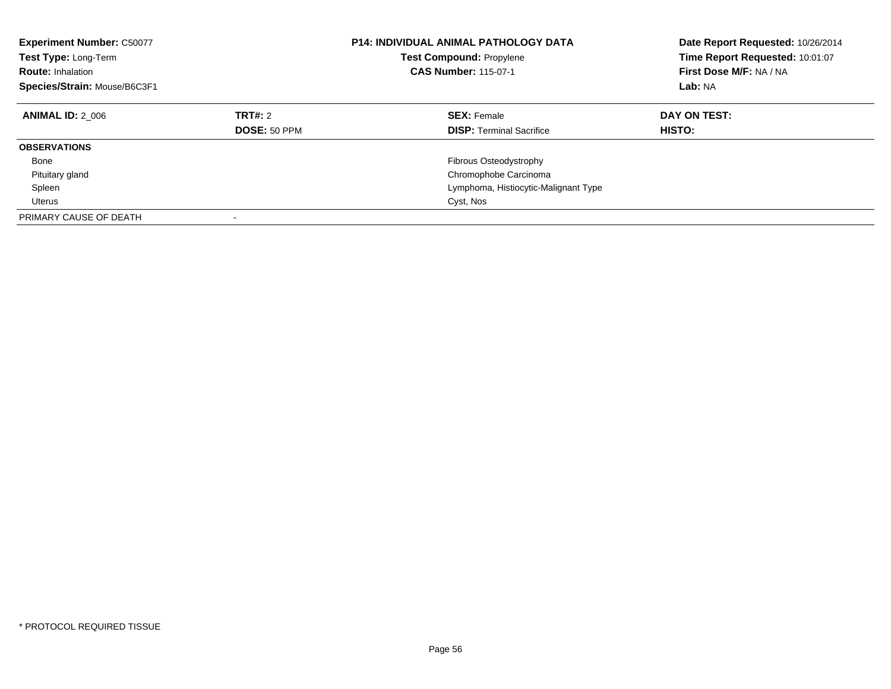| <b>Experiment Number: C50077</b><br>Test Type: Long-Term<br><b>Route: Inhalation</b><br>Species/Strain: Mouse/B6C3F1 |                                | <b>P14: INDIVIDUAL ANIMAL PATHOLOGY DATA</b><br><b>Test Compound: Propylene</b><br><b>CAS Number: 115-07-1</b> | Date Report Requested: 10/26/2014<br>Time Report Requested: 10:01:07<br>First Dose M/F: NA / NA<br>Lab: NA |
|----------------------------------------------------------------------------------------------------------------------|--------------------------------|----------------------------------------------------------------------------------------------------------------|------------------------------------------------------------------------------------------------------------|
| <b>ANIMAL ID: 2 006</b>                                                                                              | TRT#: 2<br><b>DOSE: 50 PPM</b> | <b>SEX: Female</b><br><b>DISP:</b> Terminal Sacrifice                                                          | DAY ON TEST:<br><b>HISTO:</b>                                                                              |
| <b>OBSERVATIONS</b>                                                                                                  |                                |                                                                                                                |                                                                                                            |
| Bone                                                                                                                 |                                | Fibrous Osteodystrophy                                                                                         |                                                                                                            |
|                                                                                                                      |                                |                                                                                                                |                                                                                                            |
| Pituitary gland                                                                                                      |                                | Chromophobe Carcinoma                                                                                          |                                                                                                            |
| Spleen                                                                                                               |                                | Lymphoma, Histiocytic-Malignant Type                                                                           |                                                                                                            |
| Uterus                                                                                                               |                                | Cyst, Nos                                                                                                      |                                                                                                            |
| PRIMARY CAUSE OF DEATH                                                                                               |                                |                                                                                                                |                                                                                                            |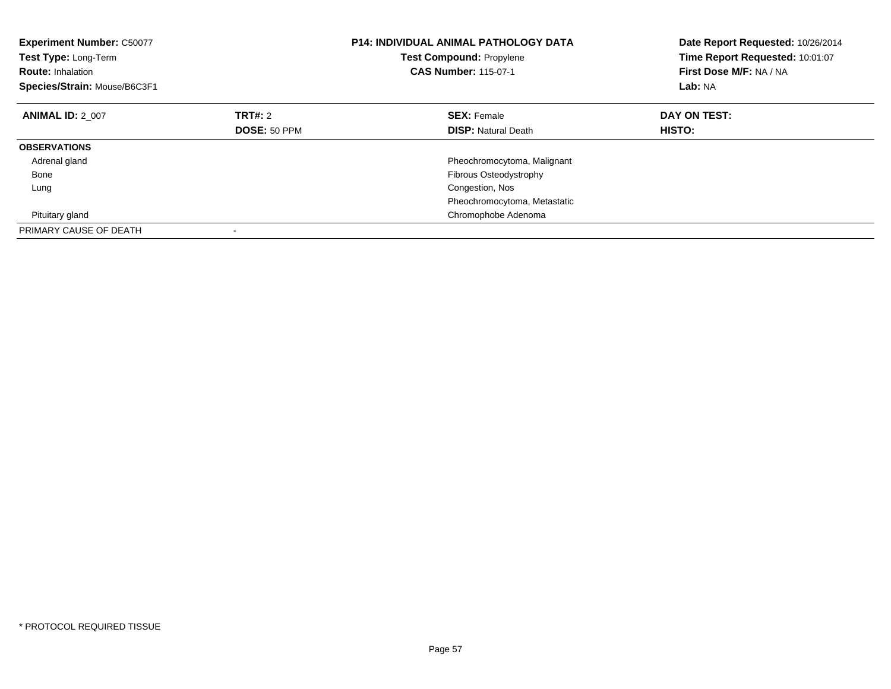| <b>Experiment Number: C50077</b><br>Test Type: Long-Term<br><b>Route: Inhalation</b><br>Species/Strain: Mouse/B6C3F1 |              | <b>P14: INDIVIDUAL ANIMAL PATHOLOGY DATA</b><br><b>Test Compound: Propylene</b><br><b>CAS Number: 115-07-1</b> | Date Report Requested: 10/26/2014<br>Time Report Requested: 10:01:07<br>First Dose M/F: NA / NA<br>Lab: NA |
|----------------------------------------------------------------------------------------------------------------------|--------------|----------------------------------------------------------------------------------------------------------------|------------------------------------------------------------------------------------------------------------|
| <b>ANIMAL ID: 2 007</b>                                                                                              | TRT#: 2      | <b>SEX: Female</b>                                                                                             | DAY ON TEST:                                                                                               |
|                                                                                                                      | DOSE: 50 PPM | <b>DISP:</b> Natural Death                                                                                     | HISTO:                                                                                                     |
| <b>OBSERVATIONS</b>                                                                                                  |              |                                                                                                                |                                                                                                            |
| Adrenal gland                                                                                                        |              | Pheochromocytoma, Malignant                                                                                    |                                                                                                            |
| Bone                                                                                                                 |              | Fibrous Osteodystrophy                                                                                         |                                                                                                            |
| Lung                                                                                                                 |              | Congestion, Nos                                                                                                |                                                                                                            |
|                                                                                                                      |              | Pheochromocytoma, Metastatic                                                                                   |                                                                                                            |
| Pituitary gland                                                                                                      |              | Chromophobe Adenoma                                                                                            |                                                                                                            |
| PRIMARY CAUSE OF DEATH                                                                                               |              |                                                                                                                |                                                                                                            |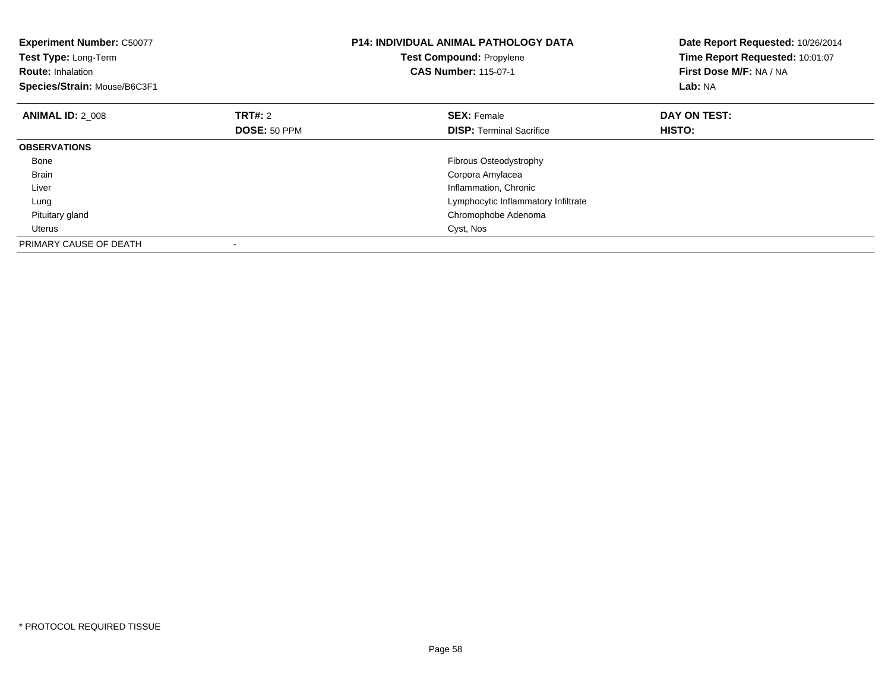| <b>Experiment Number: C50077</b><br>Test Type: Long-Term<br><b>Route: Inhalation</b><br>Species/Strain: Mouse/B6C3F1 |                     | <b>P14: INDIVIDUAL ANIMAL PATHOLOGY DATA</b><br>Test Compound: Propylene<br><b>CAS Number: 115-07-1</b> | Date Report Requested: 10/26/2014<br>Time Report Requested: 10:01:07<br>First Dose M/F: NA / NA<br>Lab: NA |
|----------------------------------------------------------------------------------------------------------------------|---------------------|---------------------------------------------------------------------------------------------------------|------------------------------------------------------------------------------------------------------------|
| <b>ANIMAL ID: 2 008</b>                                                                                              | <b>TRT#: 2</b>      | <b>SEX: Female</b>                                                                                      | DAY ON TEST:                                                                                               |
|                                                                                                                      | <b>DOSE: 50 PPM</b> | <b>DISP:</b> Terminal Sacrifice                                                                         | <b>HISTO:</b>                                                                                              |
| <b>OBSERVATIONS</b>                                                                                                  |                     |                                                                                                         |                                                                                                            |
| Bone                                                                                                                 |                     | Fibrous Osteodystrophy                                                                                  |                                                                                                            |
| Brain                                                                                                                |                     | Corpora Amylacea                                                                                        |                                                                                                            |
| Liver                                                                                                                |                     | Inflammation, Chronic                                                                                   |                                                                                                            |
| Lung                                                                                                                 |                     | Lymphocytic Inflammatory Infiltrate                                                                     |                                                                                                            |
| Pituitary gland                                                                                                      |                     | Chromophobe Adenoma                                                                                     |                                                                                                            |
| Uterus                                                                                                               |                     | Cyst, Nos                                                                                               |                                                                                                            |
| PRIMARY CAUSE OF DEATH                                                                                               |                     |                                                                                                         |                                                                                                            |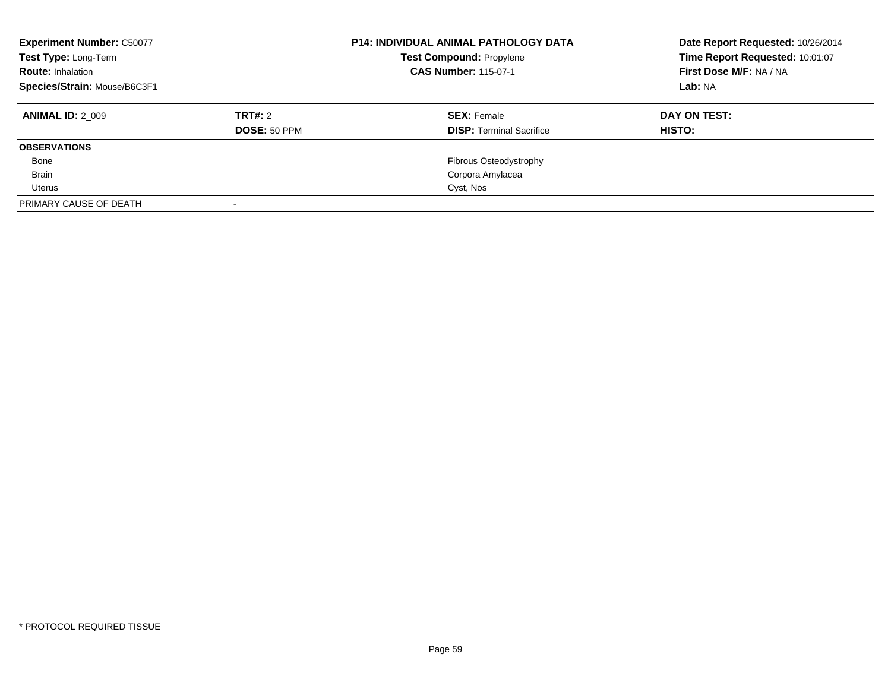| <b>Experiment Number: C50077</b><br>Test Type: Long-Term<br><b>Route: Inhalation</b><br>Species/Strain: Mouse/B6C3F1 |              | <b>P14: INDIVIDUAL ANIMAL PATHOLOGY DATA</b><br><b>Test Compound: Propylene</b><br><b>CAS Number: 115-07-1</b> | Date Report Requested: 10/26/2014<br>Time Report Requested: 10:01:07<br>First Dose M/F: NA / NA<br>Lab: NA |
|----------------------------------------------------------------------------------------------------------------------|--------------|----------------------------------------------------------------------------------------------------------------|------------------------------------------------------------------------------------------------------------|
| <b>ANIMAL ID: 2 009</b>                                                                                              | TRT#: 2      | <b>SEX: Female</b>                                                                                             | DAY ON TEST:                                                                                               |
|                                                                                                                      | DOSE: 50 PPM | <b>DISP: Terminal Sacrifice</b>                                                                                | HISTO:                                                                                                     |
| <b>OBSERVATIONS</b>                                                                                                  |              |                                                                                                                |                                                                                                            |
| Bone                                                                                                                 |              | Fibrous Osteodystrophy                                                                                         |                                                                                                            |
| <b>Brain</b>                                                                                                         |              | Corpora Amylacea                                                                                               |                                                                                                            |
| Uterus                                                                                                               |              | Cyst, Nos                                                                                                      |                                                                                                            |
| PRIMARY CAUSE OF DEATH                                                                                               |              |                                                                                                                |                                                                                                            |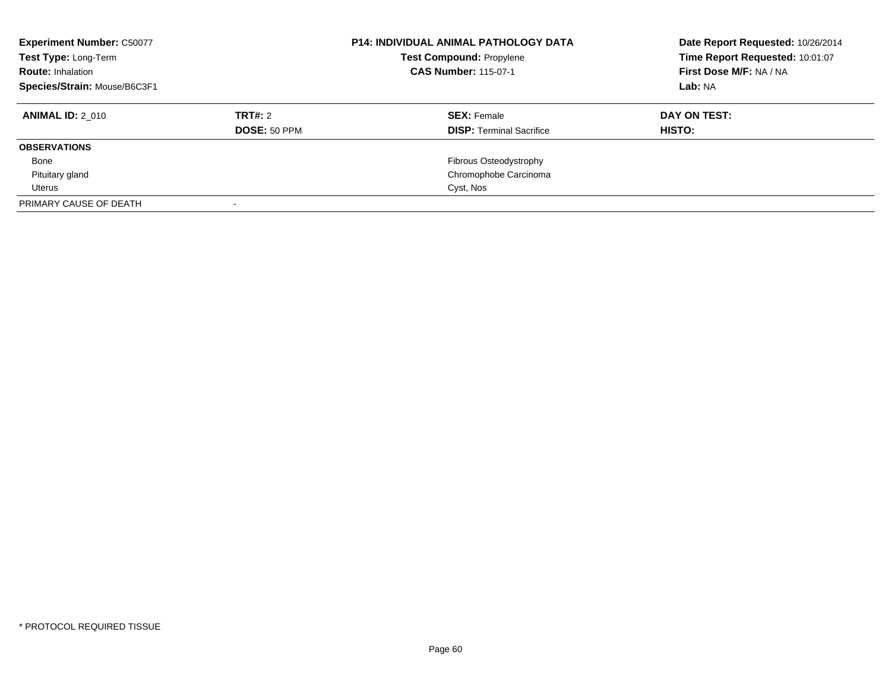| <b>Experiment Number: C50077</b><br>Test Type: Long-Term<br><b>Route: Inhalation</b><br>Species/Strain: Mouse/B6C3F1 |              | <b>P14: INDIVIDUAL ANIMAL PATHOLOGY DATA</b><br><b>Test Compound: Propylene</b><br><b>CAS Number: 115-07-1</b> | Date Report Requested: 10/26/2014<br>Time Report Requested: 10:01:07<br>First Dose M/F: NA / NA<br>Lab: NA |
|----------------------------------------------------------------------------------------------------------------------|--------------|----------------------------------------------------------------------------------------------------------------|------------------------------------------------------------------------------------------------------------|
| <b>ANIMAL ID: 2 010</b>                                                                                              | TRT#: 2      | <b>SEX:</b> Female                                                                                             | DAY ON TEST:                                                                                               |
|                                                                                                                      | DOSE: 50 PPM | <b>DISP: Terminal Sacrifice</b>                                                                                | HISTO:                                                                                                     |
| <b>OBSERVATIONS</b>                                                                                                  |              |                                                                                                                |                                                                                                            |
| Bone                                                                                                                 |              | Fibrous Osteodystrophy                                                                                         |                                                                                                            |
| Pituitary gland                                                                                                      |              | Chromophobe Carcinoma                                                                                          |                                                                                                            |
| Uterus                                                                                                               |              | Cyst, Nos                                                                                                      |                                                                                                            |
| PRIMARY CAUSE OF DEATH                                                                                               |              |                                                                                                                |                                                                                                            |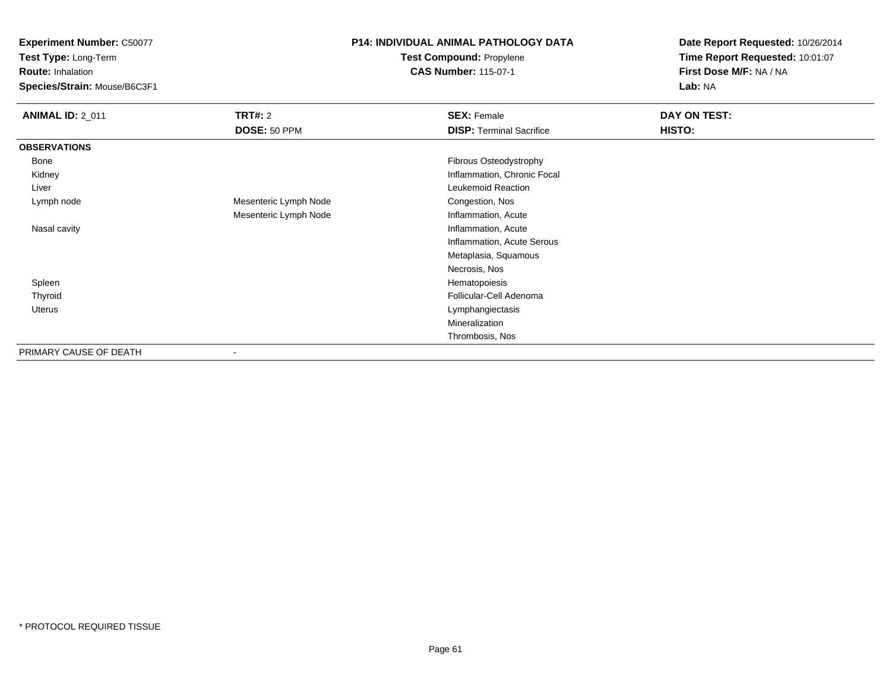**Experiment Number:** C50077

**Test Type:** Long-Term

**Route:** Inhalation

**Species/Strain:** Mouse/B6C3F1

## **P14: INDIVIDUAL ANIMAL PATHOLOGY DATATest Compound:** Propylene

**CAS Number:** 115-07-1

**Date Report Requested:** 10/26/2014**Time Report Requested:** 10:01:07**First Dose M/F:** NA / NA**Lab:** NA

| <b>ANIMAL ID: 2_011</b> | TRT#: 2                  | <b>SEX: Female</b>              | DAY ON TEST: |
|-------------------------|--------------------------|---------------------------------|--------------|
|                         | DOSE: 50 PPM             | <b>DISP: Terminal Sacrifice</b> | HISTO:       |
| <b>OBSERVATIONS</b>     |                          |                                 |              |
| Bone                    |                          | Fibrous Osteodystrophy          |              |
| Kidney                  |                          | Inflammation, Chronic Focal     |              |
| Liver                   |                          | Leukemoid Reaction              |              |
| Lymph node              | Mesenteric Lymph Node    | Congestion, Nos                 |              |
|                         | Mesenteric Lymph Node    | Inflammation, Acute             |              |
| Nasal cavity            |                          | Inflammation, Acute             |              |
|                         |                          | Inflammation, Acute Serous      |              |
|                         |                          | Metaplasia, Squamous            |              |
|                         |                          | Necrosis, Nos                   |              |
| Spleen                  |                          | Hematopoiesis                   |              |
| Thyroid                 |                          | Follicular-Cell Adenoma         |              |
| Uterus                  |                          | Lymphangiectasis                |              |
|                         |                          | Mineralization                  |              |
|                         |                          | Thrombosis, Nos                 |              |
| PRIMARY CAUSE OF DEATH  | $\overline{\phantom{a}}$ |                                 |              |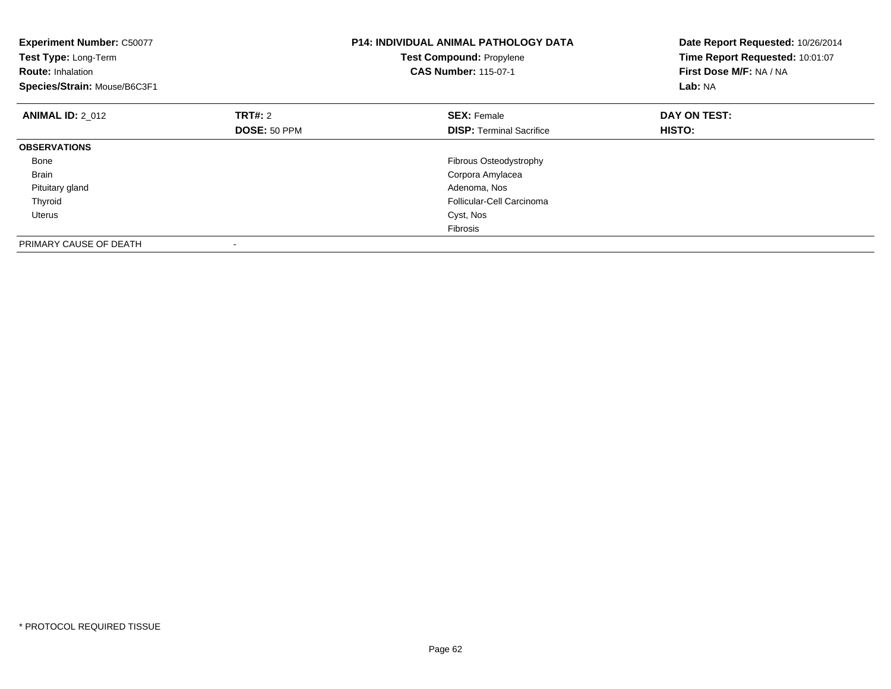| <b>Experiment Number: C50077</b><br>Test Type: Long-Term<br><b>Route: Inhalation</b><br>Species/Strain: Mouse/B6C3F1 |                     | <b>P14: INDIVIDUAL ANIMAL PATHOLOGY DATA</b><br>Test Compound: Propylene<br><b>CAS Number: 115-07-1</b> | Date Report Requested: 10/26/2014<br>Time Report Requested: 10:01:07<br>First Dose M/F: NA / NA<br>Lab: NA |
|----------------------------------------------------------------------------------------------------------------------|---------------------|---------------------------------------------------------------------------------------------------------|------------------------------------------------------------------------------------------------------------|
| <b>ANIMAL ID: 2 012</b>                                                                                              | TRT#: 2             | <b>SEX: Female</b>                                                                                      | DAY ON TEST:                                                                                               |
|                                                                                                                      | <b>DOSE: 50 PPM</b> | <b>DISP:</b> Terminal Sacrifice                                                                         | HISTO:                                                                                                     |
| <b>OBSERVATIONS</b>                                                                                                  |                     |                                                                                                         |                                                                                                            |
| Bone                                                                                                                 |                     | Fibrous Osteodystrophy                                                                                  |                                                                                                            |
| <b>Brain</b>                                                                                                         |                     | Corpora Amylacea                                                                                        |                                                                                                            |
| Pituitary gland                                                                                                      |                     | Adenoma, Nos                                                                                            |                                                                                                            |
| Thyroid                                                                                                              |                     | Follicular-Cell Carcinoma                                                                               |                                                                                                            |
| Uterus                                                                                                               |                     | Cyst, Nos                                                                                               |                                                                                                            |
|                                                                                                                      |                     | Fibrosis                                                                                                |                                                                                                            |
| PRIMARY CAUSE OF DEATH                                                                                               |                     |                                                                                                         |                                                                                                            |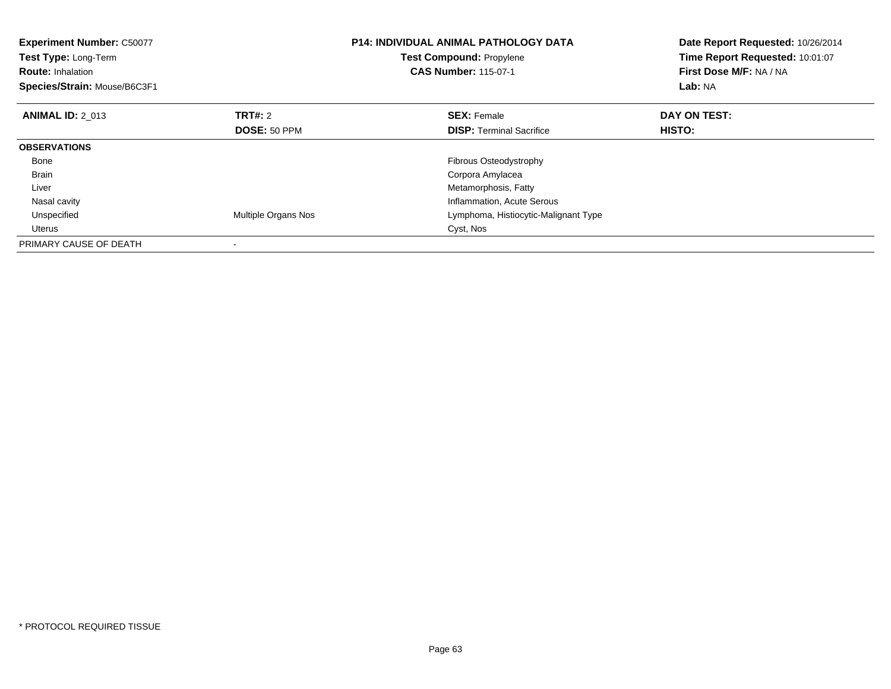| <b>Experiment Number: C50077</b><br>Test Type: Long-Term<br><b>Route: Inhalation</b><br>Species/Strain: Mouse/B6C3F1 |                     | <b>P14: INDIVIDUAL ANIMAL PATHOLOGY DATA</b><br><b>Test Compound: Propylene</b><br><b>CAS Number: 115-07-1</b> | Date Report Requested: 10/26/2014<br>Time Report Requested: 10:01:07<br>First Dose M/F: NA / NA<br>Lab: NA |
|----------------------------------------------------------------------------------------------------------------------|---------------------|----------------------------------------------------------------------------------------------------------------|------------------------------------------------------------------------------------------------------------|
| <b>ANIMAL ID: 2 013</b>                                                                                              | TRT#: 2             | <b>SEX: Female</b>                                                                                             | DAY ON TEST:                                                                                               |
|                                                                                                                      | <b>DOSE: 50 PPM</b> | <b>DISP:</b> Terminal Sacrifice                                                                                | HISTO:                                                                                                     |
| <b>OBSERVATIONS</b>                                                                                                  |                     |                                                                                                                |                                                                                                            |
| Bone                                                                                                                 |                     | <b>Fibrous Osteodystrophy</b>                                                                                  |                                                                                                            |
| <b>Brain</b>                                                                                                         |                     | Corpora Amylacea                                                                                               |                                                                                                            |
| Liver                                                                                                                |                     | Metamorphosis, Fatty                                                                                           |                                                                                                            |
| Nasal cavity                                                                                                         |                     | Inflammation, Acute Serous                                                                                     |                                                                                                            |
| Unspecified                                                                                                          | Multiple Organs Nos | Lymphoma, Histiocytic-Malignant Type                                                                           |                                                                                                            |
| Uterus                                                                                                               |                     | Cyst, Nos                                                                                                      |                                                                                                            |
| PRIMARY CAUSE OF DEATH                                                                                               |                     |                                                                                                                |                                                                                                            |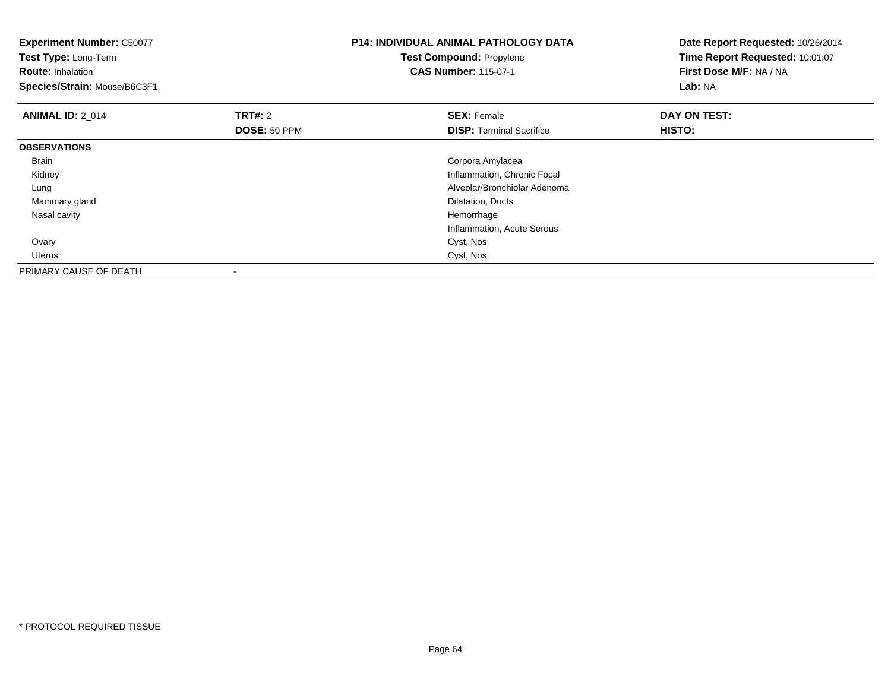| <b>Experiment Number: C50077</b><br>Test Type: Long-Term<br><b>Route: Inhalation</b><br>Species/Strain: Mouse/B6C3F1 |              | <b>P14: INDIVIDUAL ANIMAL PATHOLOGY DATA</b><br><b>Test Compound: Propylene</b><br><b>CAS Number: 115-07-1</b> | Date Report Requested: 10/26/2014<br>Time Report Requested: 10:01:07<br>First Dose M/F: NA / NA<br>Lab: NA |
|----------------------------------------------------------------------------------------------------------------------|--------------|----------------------------------------------------------------------------------------------------------------|------------------------------------------------------------------------------------------------------------|
| <b>ANIMAL ID: 2 014</b>                                                                                              | TRT#: 2      | <b>SEX: Female</b>                                                                                             | DAY ON TEST:                                                                                               |
|                                                                                                                      | DOSE: 50 PPM | <b>DISP:</b> Terminal Sacrifice                                                                                | HISTO:                                                                                                     |
| <b>OBSERVATIONS</b>                                                                                                  |              |                                                                                                                |                                                                                                            |
| <b>Brain</b>                                                                                                         |              | Corpora Amylacea                                                                                               |                                                                                                            |
| Kidney                                                                                                               |              | Inflammation, Chronic Focal                                                                                    |                                                                                                            |
| Lung                                                                                                                 |              | Alveolar/Bronchiolar Adenoma                                                                                   |                                                                                                            |
| Mammary gland                                                                                                        |              | Dilatation, Ducts                                                                                              |                                                                                                            |
| Nasal cavity                                                                                                         |              | Hemorrhage                                                                                                     |                                                                                                            |
|                                                                                                                      |              | Inflammation, Acute Serous                                                                                     |                                                                                                            |
| Ovary                                                                                                                |              | Cyst, Nos                                                                                                      |                                                                                                            |
| Uterus                                                                                                               |              | Cyst, Nos                                                                                                      |                                                                                                            |
| PRIMARY CAUSE OF DEATH                                                                                               |              |                                                                                                                |                                                                                                            |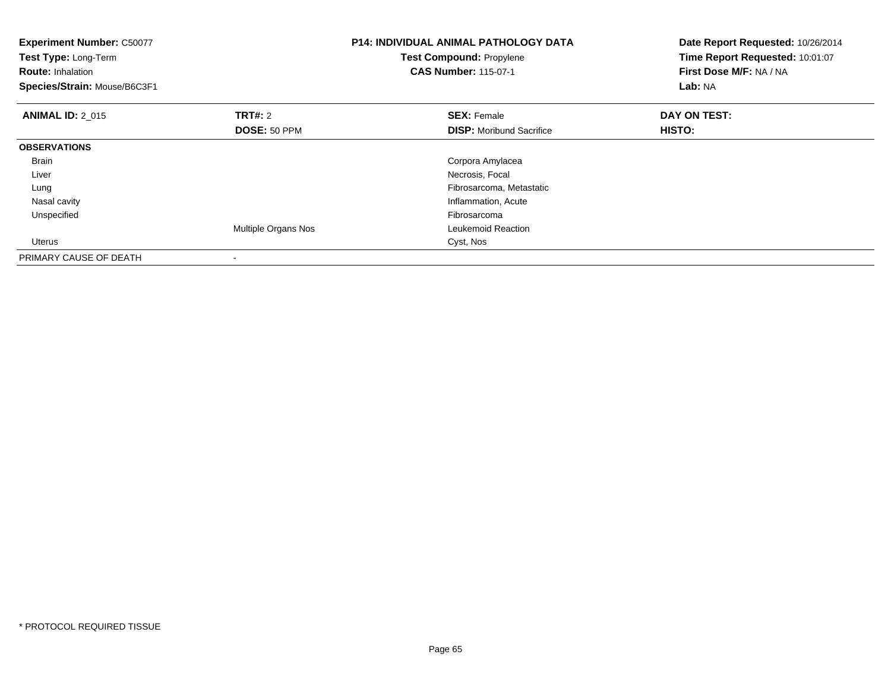| <b>Experiment Number: C50077</b><br>Test Type: Long-Term<br><b>Route: Inhalation</b><br>Species/Strain: Mouse/B6C3F1 |                     | <b>P14: INDIVIDUAL ANIMAL PATHOLOGY DATA</b><br>Test Compound: Propylene<br><b>CAS Number: 115-07-1</b> | Date Report Requested: 10/26/2014<br>Time Report Requested: 10:01:07<br>First Dose M/F: NA / NA<br>Lab: NA |
|----------------------------------------------------------------------------------------------------------------------|---------------------|---------------------------------------------------------------------------------------------------------|------------------------------------------------------------------------------------------------------------|
| <b>ANIMAL ID: 2 015</b>                                                                                              | <b>TRT#: 2</b>      | <b>SEX: Female</b>                                                                                      | DAY ON TEST:                                                                                               |
|                                                                                                                      | DOSE: 50 PPM        | <b>DISP:</b> Moribund Sacrifice                                                                         | HISTO:                                                                                                     |
| <b>OBSERVATIONS</b>                                                                                                  |                     |                                                                                                         |                                                                                                            |
| <b>Brain</b>                                                                                                         |                     | Corpora Amylacea                                                                                        |                                                                                                            |
| Liver                                                                                                                |                     | Necrosis, Focal                                                                                         |                                                                                                            |
| Lung                                                                                                                 |                     | Fibrosarcoma, Metastatic                                                                                |                                                                                                            |
| Nasal cavity                                                                                                         |                     | Inflammation, Acute                                                                                     |                                                                                                            |
| Unspecified                                                                                                          |                     | Fibrosarcoma                                                                                            |                                                                                                            |
|                                                                                                                      | Multiple Organs Nos | Leukemoid Reaction                                                                                      |                                                                                                            |
| Uterus                                                                                                               |                     | Cyst, Nos                                                                                               |                                                                                                            |
| PRIMARY CAUSE OF DEATH                                                                                               |                     |                                                                                                         |                                                                                                            |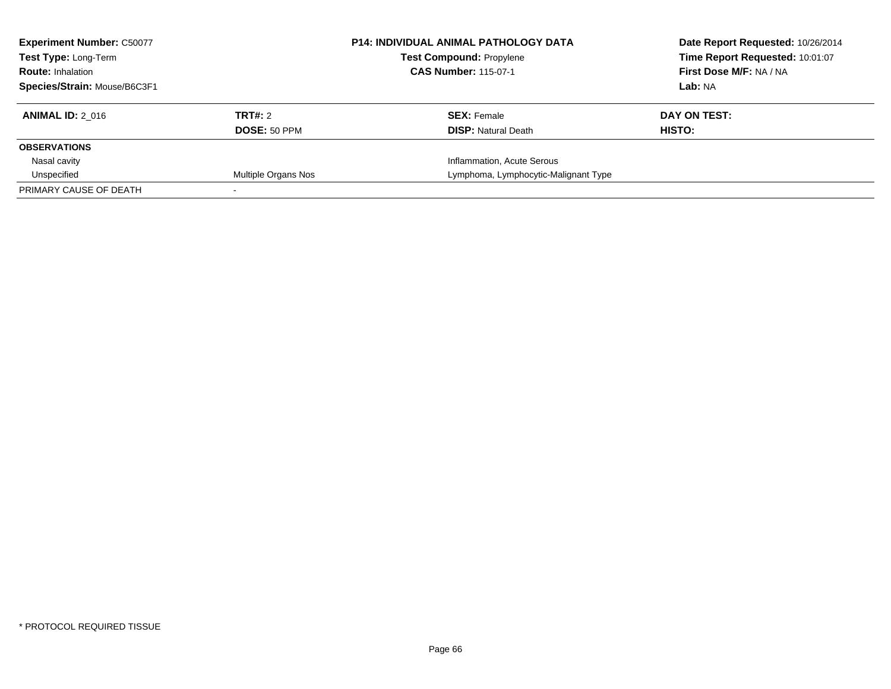| <b>Experiment Number: C50077</b><br><b>Test Type: Long-Term</b><br><b>Route: Inhalation</b> |                     | <b>P14: INDIVIDUAL ANIMAL PATHOLOGY DATA</b><br><b>Test Compound: Propylene</b><br><b>CAS Number: 115-07-1</b> | Date Report Requested: 10/26/2014<br>Time Report Requested: 10:01:07<br>First Dose M/F: NA / NA |
|---------------------------------------------------------------------------------------------|---------------------|----------------------------------------------------------------------------------------------------------------|-------------------------------------------------------------------------------------------------|
| Species/Strain: Mouse/B6C3F1                                                                |                     |                                                                                                                | Lab: NA                                                                                         |
| <b>ANIMAL ID: 2 016</b>                                                                     | TRT#: 2             | <b>SEX:</b> Female                                                                                             | DAY ON TEST:                                                                                    |
|                                                                                             | DOSE: 50 PPM        | <b>DISP:</b> Natural Death                                                                                     | HISTO:                                                                                          |
| <b>OBSERVATIONS</b>                                                                         |                     |                                                                                                                |                                                                                                 |
| Nasal cavity                                                                                |                     | Inflammation, Acute Serous                                                                                     |                                                                                                 |
| Unspecified                                                                                 | Multiple Organs Nos | Lymphoma, Lymphocytic-Malignant Type                                                                           |                                                                                                 |
| PRIMARY CAUSE OF DEATH                                                                      |                     |                                                                                                                |                                                                                                 |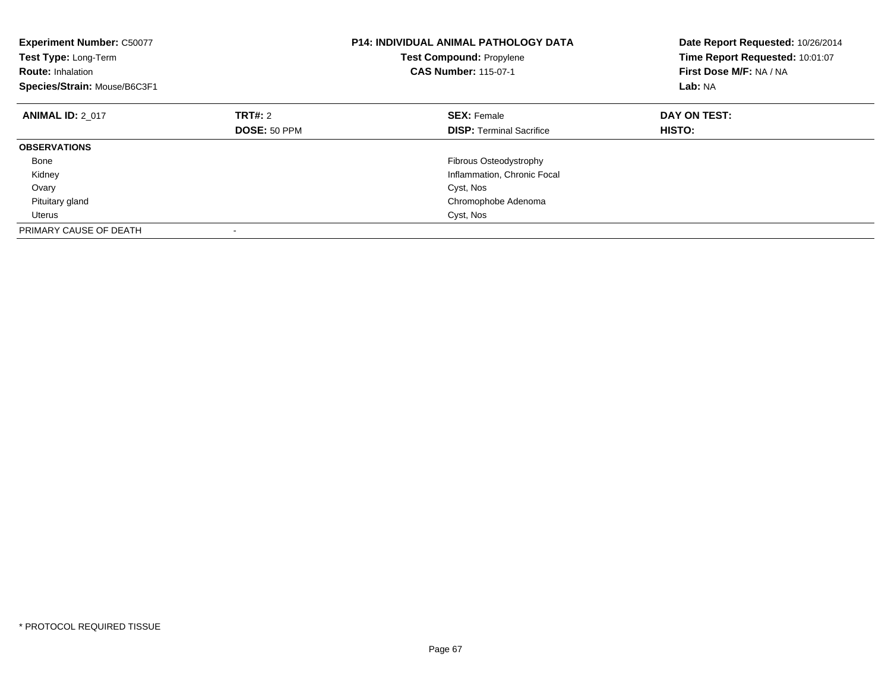| <b>Experiment Number: C50077</b><br>Test Type: Long-Term<br><b>Route: Inhalation</b><br>Species/Strain: Mouse/B6C3F1 |                | <b>P14: INDIVIDUAL ANIMAL PATHOLOGY DATA</b><br><b>Test Compound: Propylene</b><br><b>CAS Number: 115-07-1</b> | Date Report Requested: 10/26/2014<br>Time Report Requested: 10:01:07<br>First Dose M/F: NA / NA<br>Lab: NA |
|----------------------------------------------------------------------------------------------------------------------|----------------|----------------------------------------------------------------------------------------------------------------|------------------------------------------------------------------------------------------------------------|
| <b>ANIMAL ID: 2 017</b>                                                                                              | <b>TRT#: 2</b> | <b>SEX: Female</b>                                                                                             | DAY ON TEST:                                                                                               |
|                                                                                                                      | DOSE: 50 PPM   | <b>DISP:</b> Terminal Sacrifice                                                                                | HISTO:                                                                                                     |
| <b>OBSERVATIONS</b>                                                                                                  |                |                                                                                                                |                                                                                                            |
| Bone                                                                                                                 |                | Fibrous Osteodystrophy                                                                                         |                                                                                                            |
| Kidney                                                                                                               |                | Inflammation, Chronic Focal                                                                                    |                                                                                                            |
| Ovary                                                                                                                |                | Cyst, Nos                                                                                                      |                                                                                                            |
| Pituitary gland                                                                                                      |                | Chromophobe Adenoma                                                                                            |                                                                                                            |
| <b>Uterus</b>                                                                                                        |                | Cyst, Nos                                                                                                      |                                                                                                            |
| PRIMARY CAUSE OF DEATH                                                                                               |                |                                                                                                                |                                                                                                            |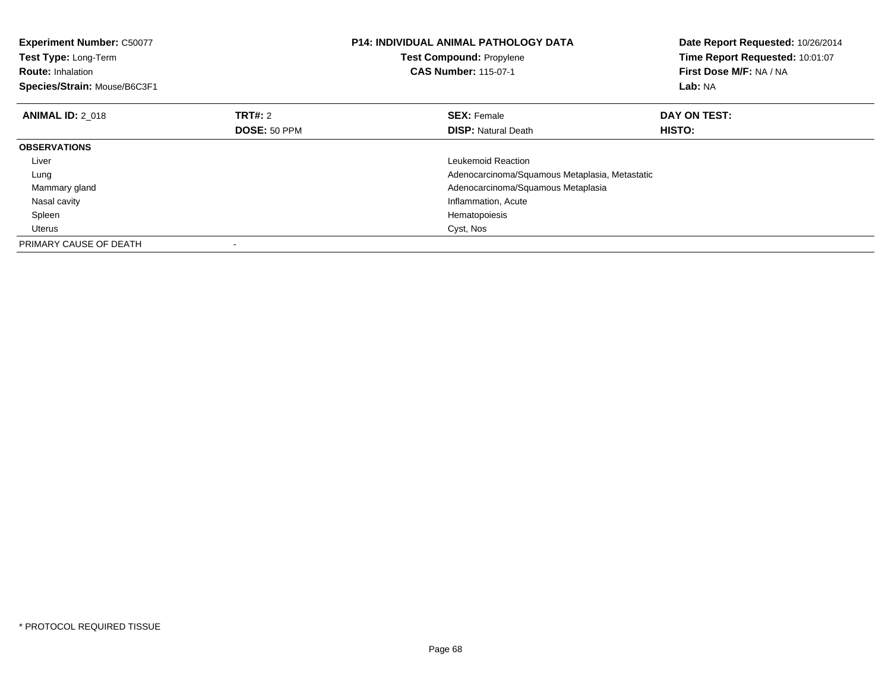| <b>Experiment Number: C50077</b><br>Test Type: Long-Term<br><b>Route: Inhalation</b><br>Species/Strain: Mouse/B6C3F1 |                | <b>P14: INDIVIDUAL ANIMAL PATHOLOGY DATA</b><br>Test Compound: Propylene<br><b>CAS Number: 115-07-1</b> | Date Report Requested: 10/26/2014<br>Time Report Requested: 10:01:07<br>First Dose M/F: NA / NA<br>Lab: NA |
|----------------------------------------------------------------------------------------------------------------------|----------------|---------------------------------------------------------------------------------------------------------|------------------------------------------------------------------------------------------------------------|
| <b>ANIMAL ID: 2 018</b>                                                                                              | <b>TRT#: 2</b> | <b>SEX: Female</b>                                                                                      | DAY ON TEST:                                                                                               |
|                                                                                                                      | DOSE: 50 PPM   | <b>DISP:</b> Natural Death                                                                              | HISTO:                                                                                                     |
| <b>OBSERVATIONS</b>                                                                                                  |                |                                                                                                         |                                                                                                            |
| Liver                                                                                                                |                | Leukemoid Reaction                                                                                      |                                                                                                            |
| Lung                                                                                                                 |                | Adenocarcinoma/Squamous Metaplasia, Metastatic                                                          |                                                                                                            |
| Mammary gland                                                                                                        |                | Adenocarcinoma/Squamous Metaplasia                                                                      |                                                                                                            |
| Nasal cavity                                                                                                         |                | Inflammation, Acute                                                                                     |                                                                                                            |
| Spleen                                                                                                               |                | Hematopoiesis                                                                                           |                                                                                                            |
| Uterus                                                                                                               |                | Cyst, Nos                                                                                               |                                                                                                            |
| PRIMARY CAUSE OF DEATH                                                                                               |                |                                                                                                         |                                                                                                            |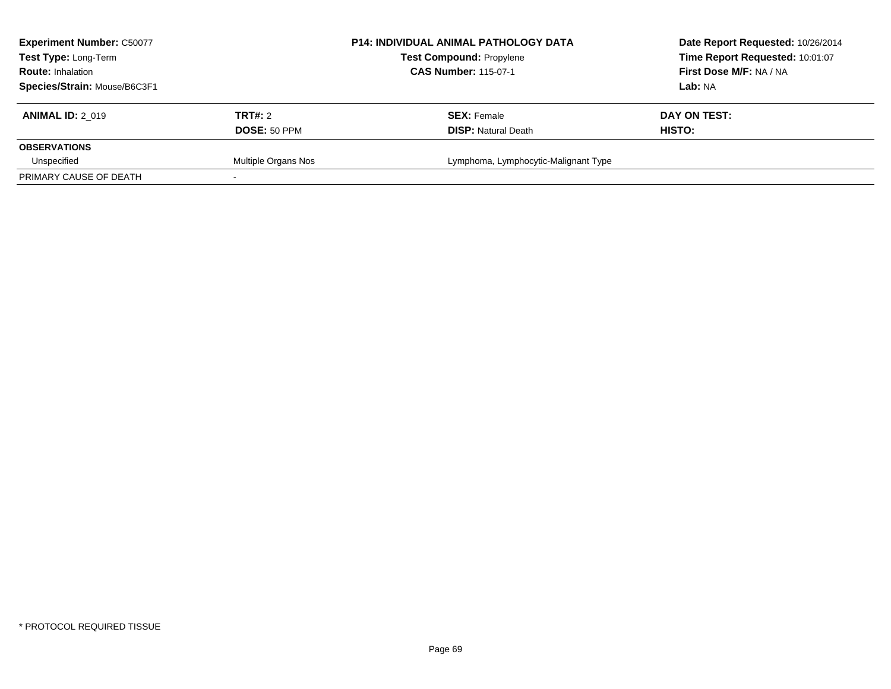| <b>Experiment Number: C50077</b><br>Test Type: Long-Term<br><b>Route: Inhalation</b> |                     | <b>P14: INDIVIDUAL ANIMAL PATHOLOGY DATA</b><br><b>Test Compound: Propylene</b><br><b>CAS Number: 115-07-1</b> | Date Report Requested: 10/26/2014<br>Time Report Requested: 10:01:07<br>First Dose M/F: NA / NA |
|--------------------------------------------------------------------------------------|---------------------|----------------------------------------------------------------------------------------------------------------|-------------------------------------------------------------------------------------------------|
| Species/Strain: Mouse/B6C3F1                                                         |                     |                                                                                                                | Lab: NA                                                                                         |
| <b>ANIMAL ID: 2 019</b>                                                              | TRT#: 2             | <b>SEX: Female</b>                                                                                             | DAY ON TEST:                                                                                    |
|                                                                                      | DOSE: 50 PPM        | <b>DISP:</b> Natural Death                                                                                     | <b>HISTO:</b>                                                                                   |
| <b>OBSERVATIONS</b>                                                                  |                     |                                                                                                                |                                                                                                 |
| Unspecified                                                                          | Multiple Organs Nos | Lymphoma, Lymphocytic-Malignant Type                                                                           |                                                                                                 |
| PRIMARY CAUSE OF DEATH                                                               |                     |                                                                                                                |                                                                                                 |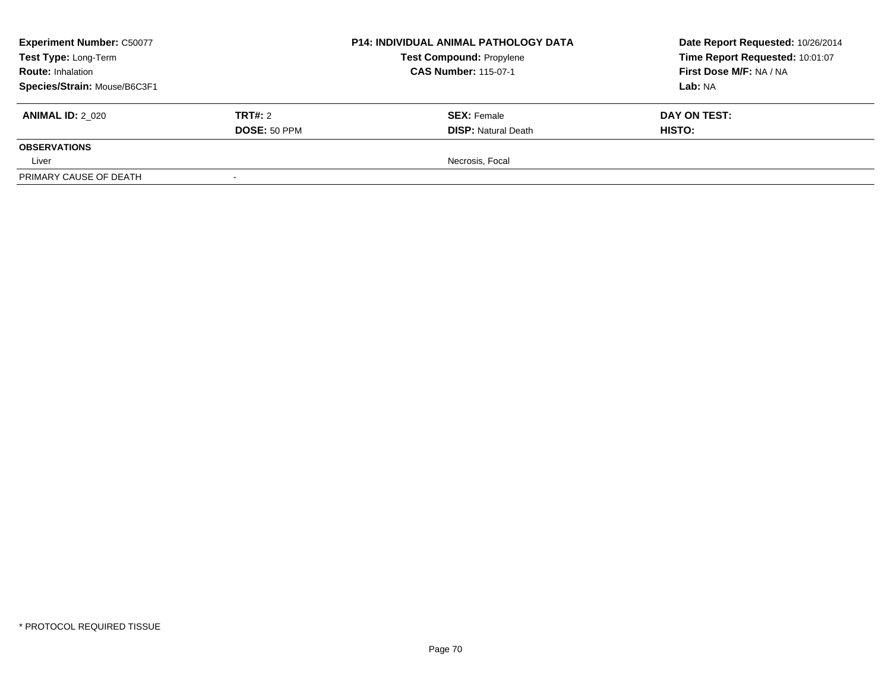| <b>Experiment Number: C50077</b><br>Test Type: Long-Term<br><b>Route: Inhalation</b><br>Species/Strain: Mouse/B6C3F1 |                         | <b>P14: INDIVIDUAL ANIMAL PATHOLOGY DATA</b><br><b>Test Compound: Propylene</b><br><b>CAS Number: 115-07-1</b> | Date Report Requested: 10/26/2014<br>Time Report Requested: 10:01:07<br><b>First Dose M/F: NA / NA</b><br>Lab: NA |
|----------------------------------------------------------------------------------------------------------------------|-------------------------|----------------------------------------------------------------------------------------------------------------|-------------------------------------------------------------------------------------------------------------------|
| <b>ANIMAL ID: 2 020</b>                                                                                              | TRT#: 2<br>DOSE: 50 PPM | <b>SEX: Female</b><br><b>DISP: Natural Death</b>                                                               | DAY ON TEST:<br><b>HISTO:</b>                                                                                     |
| <b>OBSERVATIONS</b>                                                                                                  |                         |                                                                                                                |                                                                                                                   |
| Liver                                                                                                                |                         | Necrosis, Focal                                                                                                |                                                                                                                   |
| PRIMARY CAUSE OF DEATH                                                                                               |                         |                                                                                                                |                                                                                                                   |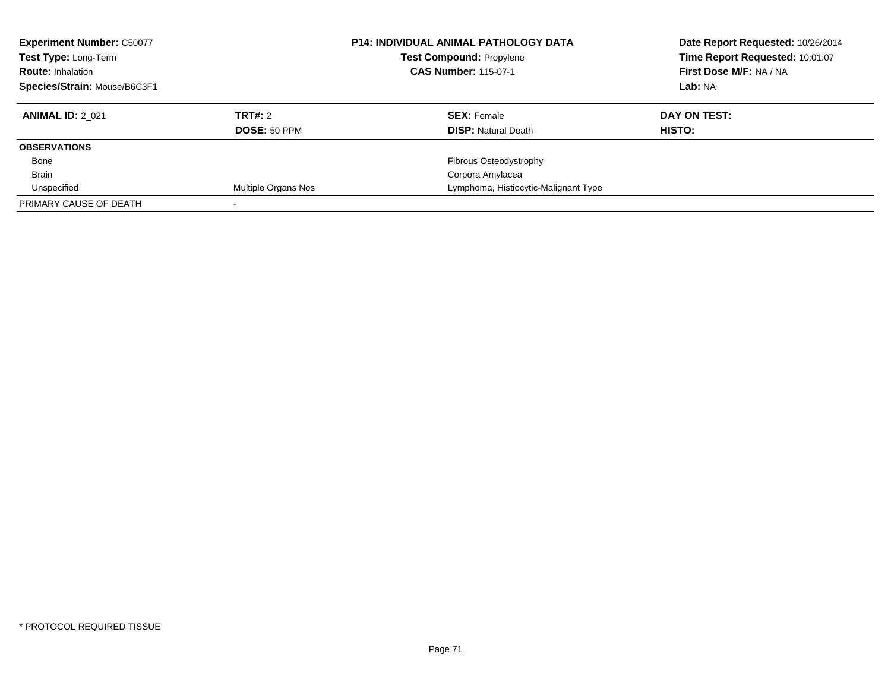| <b>Experiment Number: C50077</b><br>Test Type: Long-Term<br><b>Route: Inhalation</b><br>Species/Strain: Mouse/B6C3F1 |                     | <b>P14: INDIVIDUAL ANIMAL PATHOLOGY DATA</b><br><b>Test Compound: Propylene</b><br><b>CAS Number: 115-07-1</b> | Date Report Requested: 10/26/2014<br>Time Report Requested: 10:01:07<br>First Dose M/F: NA / NA<br>Lab: NA |
|----------------------------------------------------------------------------------------------------------------------|---------------------|----------------------------------------------------------------------------------------------------------------|------------------------------------------------------------------------------------------------------------|
| <b>ANIMAL ID: 2 021</b>                                                                                              | TRT#: 2             | <b>SEX: Female</b>                                                                                             | DAY ON TEST:                                                                                               |
|                                                                                                                      | <b>DOSE: 50 PPM</b> | <b>DISP: Natural Death</b>                                                                                     | HISTO:                                                                                                     |
| <b>OBSERVATIONS</b>                                                                                                  |                     |                                                                                                                |                                                                                                            |
| Bone                                                                                                                 |                     | Fibrous Osteodystrophy                                                                                         |                                                                                                            |
| <b>Brain</b>                                                                                                         |                     | Corpora Amylacea                                                                                               |                                                                                                            |
| Unspecified                                                                                                          | Multiple Organs Nos | Lymphoma, Histiocytic-Malignant Type                                                                           |                                                                                                            |
| PRIMARY CAUSE OF DEATH                                                                                               |                     |                                                                                                                |                                                                                                            |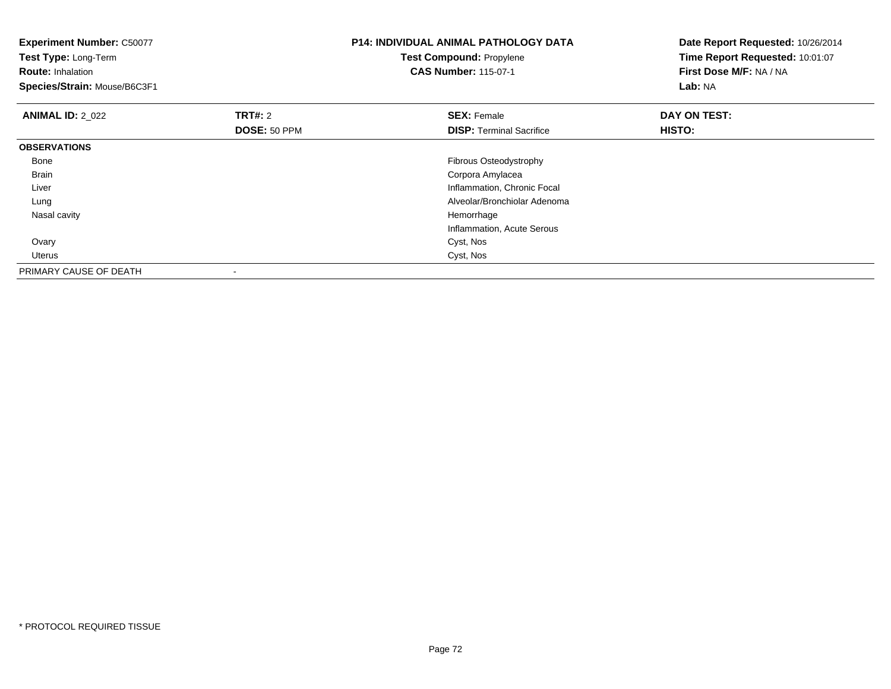| <b>Experiment Number: C50077</b><br>Test Type: Long-Term<br><b>Route: Inhalation</b><br>Species/Strain: Mouse/B6C3F1 |                         | P14: INDIVIDUAL ANIMAL PATHOLOGY DATA<br><b>Test Compound: Propylene</b><br><b>CAS Number: 115-07-1</b> | Date Report Requested: 10/26/2014<br>Time Report Requested: 10:01:07<br>First Dose M/F: NA / NA<br>Lab: NA |
|----------------------------------------------------------------------------------------------------------------------|-------------------------|---------------------------------------------------------------------------------------------------------|------------------------------------------------------------------------------------------------------------|
| <b>ANIMAL ID: 2 022</b>                                                                                              | TRT#: 2<br>DOSE: 50 PPM | <b>SEX: Female</b><br><b>DISP:</b> Terminal Sacrifice                                                   | DAY ON TEST:<br>HISTO:                                                                                     |
| <b>OBSERVATIONS</b>                                                                                                  |                         |                                                                                                         |                                                                                                            |
| Bone                                                                                                                 |                         | Fibrous Osteodystrophy                                                                                  |                                                                                                            |
| <b>Brain</b>                                                                                                         |                         | Corpora Amylacea                                                                                        |                                                                                                            |
| Liver                                                                                                                |                         | Inflammation, Chronic Focal                                                                             |                                                                                                            |
| Lung                                                                                                                 |                         | Alveolar/Bronchiolar Adenoma                                                                            |                                                                                                            |
| Nasal cavity                                                                                                         |                         | Hemorrhage                                                                                              |                                                                                                            |
|                                                                                                                      |                         | Inflammation, Acute Serous                                                                              |                                                                                                            |
| Ovary                                                                                                                |                         | Cyst, Nos                                                                                               |                                                                                                            |
| Uterus                                                                                                               |                         | Cyst, Nos                                                                                               |                                                                                                            |
| PRIMARY CAUSE OF DEATH                                                                                               |                         |                                                                                                         |                                                                                                            |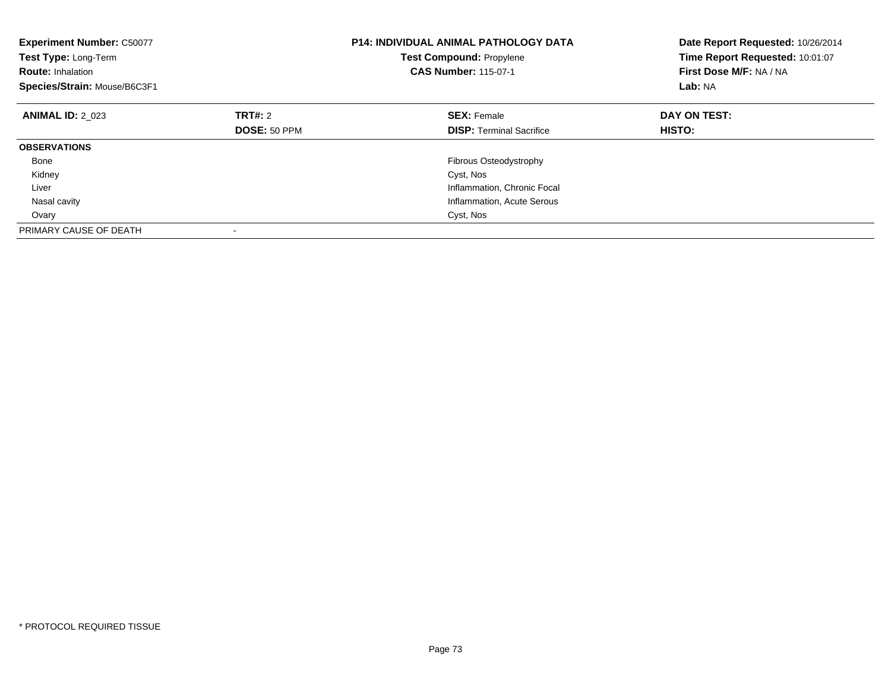| <b>Experiment Number: C50077</b><br>Test Type: Long-Term<br><b>Route: Inhalation</b><br>Species/Strain: Mouse/B6C3F1 |                | <b>P14: INDIVIDUAL ANIMAL PATHOLOGY DATA</b><br><b>Test Compound: Propylene</b><br><b>CAS Number: 115-07-1</b> | Date Report Requested: 10/26/2014<br>Time Report Requested: 10:01:07<br>First Dose M/F: NA / NA<br>Lab: NA |
|----------------------------------------------------------------------------------------------------------------------|----------------|----------------------------------------------------------------------------------------------------------------|------------------------------------------------------------------------------------------------------------|
| <b>ANIMAL ID: 2 023</b>                                                                                              | <b>TRT#: 2</b> | <b>SEX: Female</b>                                                                                             | DAY ON TEST:                                                                                               |
|                                                                                                                      | DOSE: 50 PPM   | <b>DISP:</b> Terminal Sacrifice                                                                                | HISTO:                                                                                                     |
| <b>OBSERVATIONS</b>                                                                                                  |                |                                                                                                                |                                                                                                            |
| Bone                                                                                                                 |                | Fibrous Osteodystrophy                                                                                         |                                                                                                            |
| Kidney                                                                                                               |                | Cyst, Nos                                                                                                      |                                                                                                            |
| Liver                                                                                                                |                | Inflammation, Chronic Focal                                                                                    |                                                                                                            |
| Nasal cavity                                                                                                         |                | Inflammation, Acute Serous                                                                                     |                                                                                                            |
| Ovary                                                                                                                |                | Cyst, Nos                                                                                                      |                                                                                                            |
| PRIMARY CAUSE OF DEATH                                                                                               |                |                                                                                                                |                                                                                                            |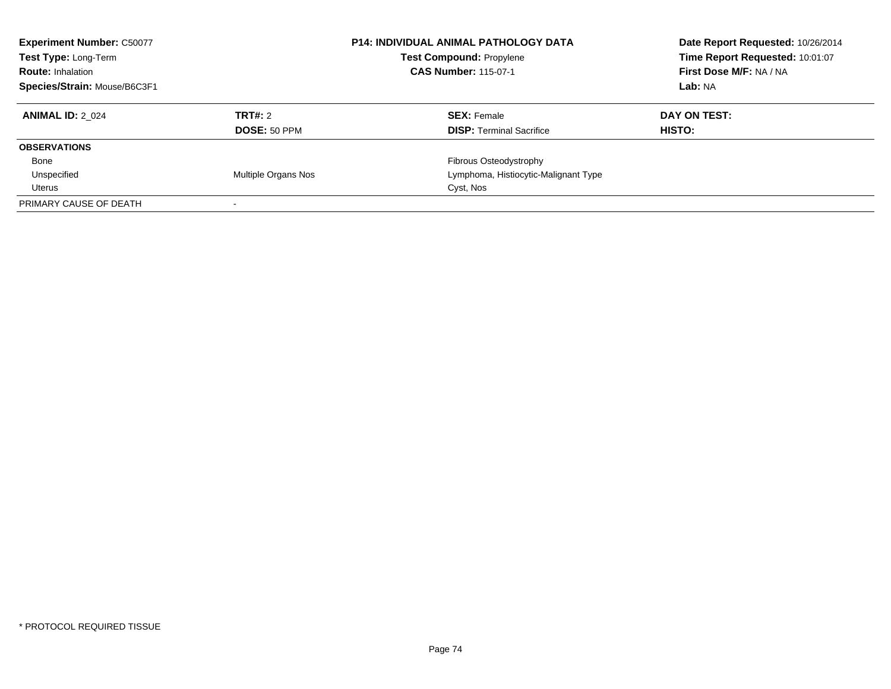| <b>Experiment Number: C50077</b><br>Test Type: Long-Term<br><b>Route: Inhalation</b><br>Species/Strain: Mouse/B6C3F1 |                                | <b>P14: INDIVIDUAL ANIMAL PATHOLOGY DATA</b><br><b>Test Compound: Propylene</b><br><b>CAS Number: 115-07-1</b> | Date Report Requested: 10/26/2014<br>Time Report Requested: 10:01:07<br>First Dose M/F: NA / NA<br>Lab: NA |
|----------------------------------------------------------------------------------------------------------------------|--------------------------------|----------------------------------------------------------------------------------------------------------------|------------------------------------------------------------------------------------------------------------|
| <b>ANIMAL ID: 2 024</b>                                                                                              | TRT#: 2<br><b>DOSE: 50 PPM</b> | <b>SEX: Female</b><br><b>DISP:</b> Terminal Sacrifice                                                          | DAY ON TEST:<br><b>HISTO:</b>                                                                              |
| <b>OBSERVATIONS</b>                                                                                                  |                                |                                                                                                                |                                                                                                            |
| Bone                                                                                                                 |                                | Fibrous Osteodystrophy                                                                                         |                                                                                                            |
| Unspecified                                                                                                          | <b>Multiple Organs Nos</b>     | Lymphoma, Histiocytic-Malignant Type                                                                           |                                                                                                            |
| Uterus                                                                                                               |                                | Cyst, Nos                                                                                                      |                                                                                                            |
| PRIMARY CAUSE OF DEATH                                                                                               |                                |                                                                                                                |                                                                                                            |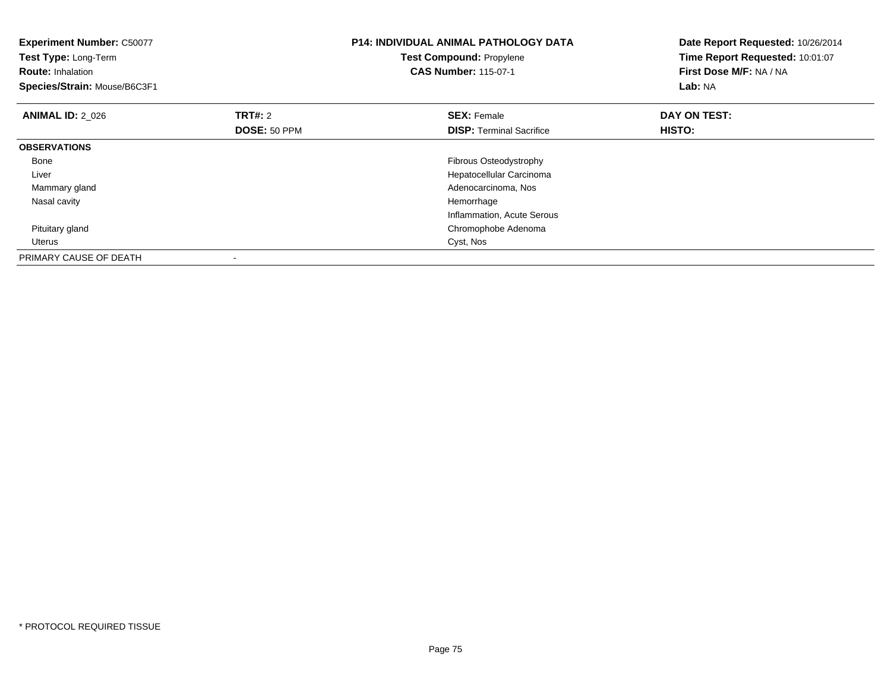| <b>Experiment Number: C50077</b><br>Test Type: Long-Term<br><b>Route: Inhalation</b><br>Species/Strain: Mouse/B6C3F1 |                                | <b>P14: INDIVIDUAL ANIMAL PATHOLOGY DATA</b><br><b>Test Compound: Propylene</b><br><b>CAS Number: 115-07-1</b> | Date Report Requested: 10/26/2014<br>Time Report Requested: 10:01:07<br>First Dose M/F: NA / NA<br>Lab: NA |
|----------------------------------------------------------------------------------------------------------------------|--------------------------------|----------------------------------------------------------------------------------------------------------------|------------------------------------------------------------------------------------------------------------|
| <b>ANIMAL ID: 2 026</b>                                                                                              | <b>TRT#: 2</b><br>DOSE: 50 PPM | <b>SEX: Female</b><br><b>DISP:</b> Terminal Sacrifice                                                          | DAY ON TEST:<br>HISTO:                                                                                     |
| <b>OBSERVATIONS</b>                                                                                                  |                                |                                                                                                                |                                                                                                            |
| Bone                                                                                                                 |                                | Fibrous Osteodystrophy                                                                                         |                                                                                                            |
| Liver                                                                                                                |                                | Hepatocellular Carcinoma                                                                                       |                                                                                                            |
| Mammary gland                                                                                                        |                                | Adenocarcinoma, Nos                                                                                            |                                                                                                            |
| Nasal cavity                                                                                                         |                                | Hemorrhage                                                                                                     |                                                                                                            |
|                                                                                                                      |                                | Inflammation, Acute Serous                                                                                     |                                                                                                            |
| Pituitary gland                                                                                                      |                                | Chromophobe Adenoma                                                                                            |                                                                                                            |
| Uterus                                                                                                               |                                | Cyst, Nos                                                                                                      |                                                                                                            |
| PRIMARY CAUSE OF DEATH                                                                                               |                                |                                                                                                                |                                                                                                            |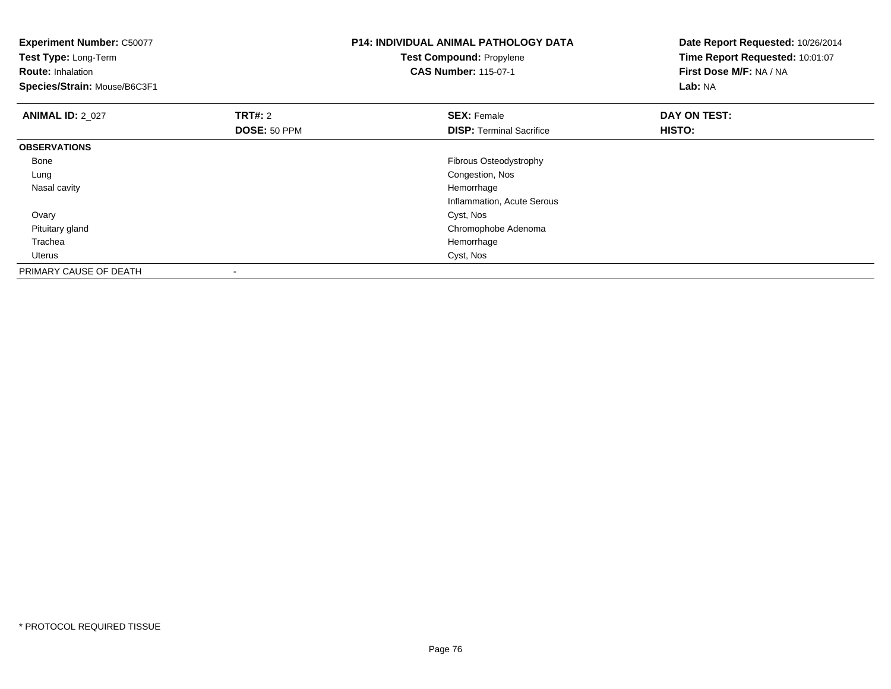| <b>Experiment Number: C50077</b><br>Test Type: Long-Term<br><b>Route: Inhalation</b><br>Species/Strain: Mouse/B6C3F1 |                | <b>P14: INDIVIDUAL ANIMAL PATHOLOGY DATA</b><br><b>Test Compound: Propylene</b><br><b>CAS Number: 115-07-1</b> | Date Report Requested: 10/26/2014<br>Time Report Requested: 10:01:07<br>First Dose M/F: NA / NA<br>Lab: NA |
|----------------------------------------------------------------------------------------------------------------------|----------------|----------------------------------------------------------------------------------------------------------------|------------------------------------------------------------------------------------------------------------|
| <b>ANIMAL ID: 2 027</b>                                                                                              | <b>TRT#: 2</b> | <b>SEX: Female</b>                                                                                             | DAY ON TEST:                                                                                               |
|                                                                                                                      | DOSE: 50 PPM   | <b>DISP:</b> Terminal Sacrifice                                                                                | HISTO:                                                                                                     |
| <b>OBSERVATIONS</b>                                                                                                  |                |                                                                                                                |                                                                                                            |
| Bone                                                                                                                 |                | Fibrous Osteodystrophy                                                                                         |                                                                                                            |
| Lung                                                                                                                 |                | Congestion, Nos                                                                                                |                                                                                                            |
| Nasal cavity                                                                                                         |                | Hemorrhage                                                                                                     |                                                                                                            |
|                                                                                                                      |                | Inflammation, Acute Serous                                                                                     |                                                                                                            |
| Ovary                                                                                                                |                | Cyst, Nos                                                                                                      |                                                                                                            |
| Pituitary gland                                                                                                      |                | Chromophobe Adenoma                                                                                            |                                                                                                            |
| Trachea                                                                                                              |                | Hemorrhage                                                                                                     |                                                                                                            |
| Uterus                                                                                                               |                | Cyst, Nos                                                                                                      |                                                                                                            |
| PRIMARY CAUSE OF DEATH                                                                                               |                |                                                                                                                |                                                                                                            |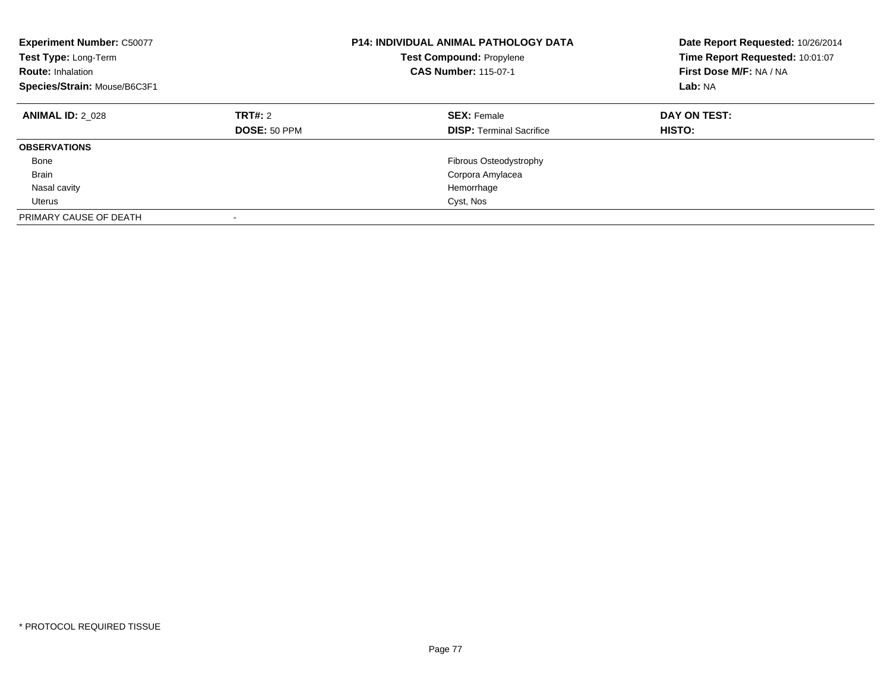| <b>Experiment Number: C50077</b><br>Test Type: Long-Term<br><b>Route: Inhalation</b><br>Species/Strain: Mouse/B6C3F1 |                                | <b>P14: INDIVIDUAL ANIMAL PATHOLOGY DATA</b><br><b>Test Compound: Propylene</b><br><b>CAS Number: 115-07-1</b> | Date Report Requested: 10/26/2014<br>Time Report Requested: 10:01:07<br>First Dose M/F: NA / NA<br>Lab: NA |
|----------------------------------------------------------------------------------------------------------------------|--------------------------------|----------------------------------------------------------------------------------------------------------------|------------------------------------------------------------------------------------------------------------|
| <b>ANIMAL ID: 2 028</b>                                                                                              | <b>TRT#: 2</b><br>DOSE: 50 PPM | <b>SEX: Female</b><br><b>DISP:</b> Terminal Sacrifice                                                          | DAY ON TEST:<br>HISTO:                                                                                     |
| <b>OBSERVATIONS</b>                                                                                                  |                                |                                                                                                                |                                                                                                            |
| Bone                                                                                                                 |                                | Fibrous Osteodystrophy                                                                                         |                                                                                                            |
| <b>Brain</b>                                                                                                         |                                | Corpora Amylacea                                                                                               |                                                                                                            |
| Nasal cavity                                                                                                         |                                | Hemorrhage                                                                                                     |                                                                                                            |
| Uterus                                                                                                               |                                | Cyst, Nos                                                                                                      |                                                                                                            |
| PRIMARY CAUSE OF DEATH                                                                                               |                                |                                                                                                                |                                                                                                            |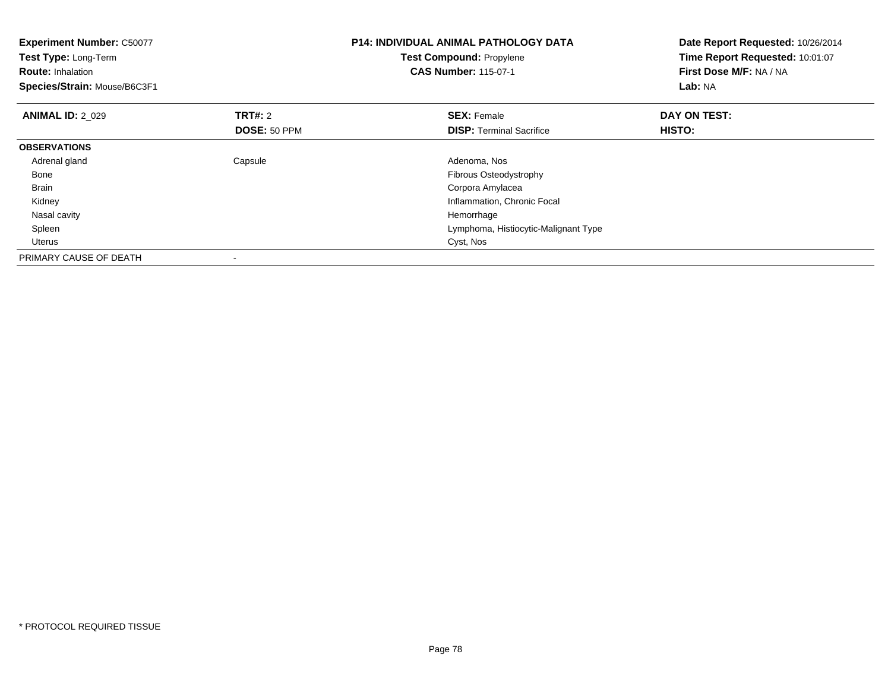| <b>Experiment Number: C50077</b><br>Test Type: Long-Term<br><b>Route: Inhalation</b><br>Species/Strain: Mouse/B6C3F1 |                         | <b>P14: INDIVIDUAL ANIMAL PATHOLOGY DATA</b><br><b>Test Compound: Propylene</b><br><b>CAS Number: 115-07-1</b> | Date Report Requested: 10/26/2014<br>Time Report Requested: 10:01:07<br>First Dose M/F: NA / NA<br>Lab: NA |
|----------------------------------------------------------------------------------------------------------------------|-------------------------|----------------------------------------------------------------------------------------------------------------|------------------------------------------------------------------------------------------------------------|
| <b>ANIMAL ID: 2 029</b>                                                                                              | TRT#: 2<br>DOSE: 50 PPM | <b>SEX: Female</b><br><b>DISP:</b> Terminal Sacrifice                                                          | DAY ON TEST:<br>HISTO:                                                                                     |
| <b>OBSERVATIONS</b>                                                                                                  |                         |                                                                                                                |                                                                                                            |
| Adrenal gland                                                                                                        | Capsule                 | Adenoma, Nos                                                                                                   |                                                                                                            |
| Bone                                                                                                                 |                         | Fibrous Osteodystrophy                                                                                         |                                                                                                            |
| Brain                                                                                                                |                         | Corpora Amylacea                                                                                               |                                                                                                            |
| Kidney                                                                                                               |                         | Inflammation, Chronic Focal                                                                                    |                                                                                                            |
| Nasal cavity                                                                                                         |                         | Hemorrhage                                                                                                     |                                                                                                            |
| Spleen                                                                                                               |                         | Lymphoma, Histiocytic-Malignant Type                                                                           |                                                                                                            |
| Uterus                                                                                                               |                         | Cyst, Nos                                                                                                      |                                                                                                            |
| PRIMARY CAUSE OF DEATH                                                                                               |                         |                                                                                                                |                                                                                                            |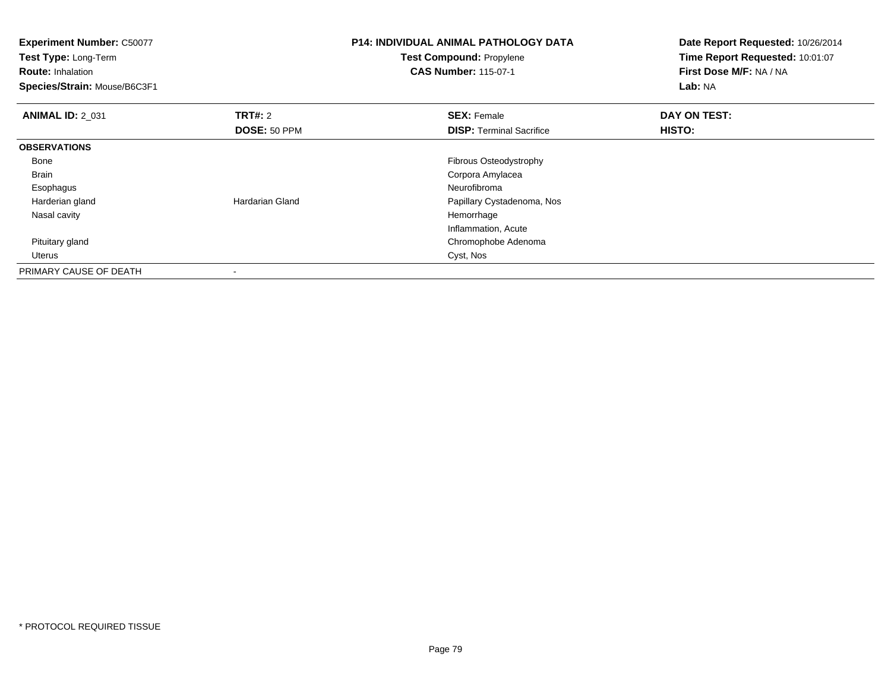**Experiment Number:** C50077**Test Type:** Long-Term**Route:** Inhalation **Species/Strain:** Mouse/B6C3F1**P14: INDIVIDUAL ANIMAL PATHOLOGY DATATest Compound:** Propylene**CAS Number:** 115-07-1**Date Report Requested:** 10/26/2014**Time Report Requested:** 10:01:07**First Dose M/F:** NA / NA**Lab:** NA**ANIMAL ID: 2 031 TRT#:** 2 **SEX:** Female **DAY ON TEST: DOSE:** 50 PPM**DISP:** Terminal Sacrifice **HISTO: OBSERVATIONS** Bone Fibrous Osteodystrophy Brain Corpora Amylacea Esophagus Neurofibromad **Example 20 Hardarian Gland Papillary Cystadenoma, Nos**  Harderian gland Nasal cavityy the control of the control of the control of the control of the control of the control of the control of the control of the control of the control of the control of the control of the control of the control of the contro Inflammation, Acuted<sub>d</sub> Chromophobe Adenoma Pituitary gland Uteruss Cyst, Nos PRIMARY CAUSE OF DEATH-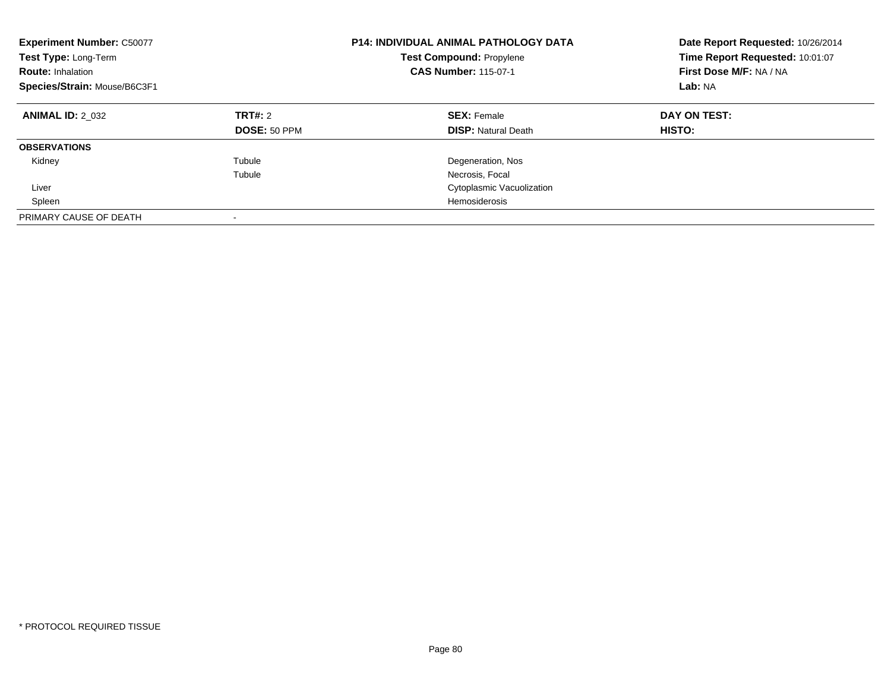| <b>Experiment Number: C50077</b><br>Test Type: Long-Term<br><b>Route: Inhalation</b><br>Species/Strain: Mouse/B6C3F1 |                         | <b>P14: INDIVIDUAL ANIMAL PATHOLOGY DATA</b><br><b>Test Compound: Propylene</b><br><b>CAS Number: 115-07-1</b> | Date Report Requested: 10/26/2014<br>Time Report Requested: 10:01:07<br>First Dose M/F: NA / NA<br>Lab: NA |
|----------------------------------------------------------------------------------------------------------------------|-------------------------|----------------------------------------------------------------------------------------------------------------|------------------------------------------------------------------------------------------------------------|
| <b>ANIMAL ID: 2 032</b>                                                                                              | TRT#: 2<br>DOSE: 50 PPM | <b>SEX: Female</b><br><b>DISP: Natural Death</b>                                                               | DAY ON TEST:<br>HISTO:                                                                                     |
| <b>OBSERVATIONS</b>                                                                                                  |                         |                                                                                                                |                                                                                                            |
| Kidney                                                                                                               | Tubule                  | Degeneration, Nos                                                                                              |                                                                                                            |
|                                                                                                                      | Tubule                  | Necrosis, Focal                                                                                                |                                                                                                            |
| Liver                                                                                                                |                         | Cytoplasmic Vacuolization                                                                                      |                                                                                                            |
| Spleen                                                                                                               |                         | Hemosiderosis                                                                                                  |                                                                                                            |
| PRIMARY CAUSE OF DEATH                                                                                               | -                       |                                                                                                                |                                                                                                            |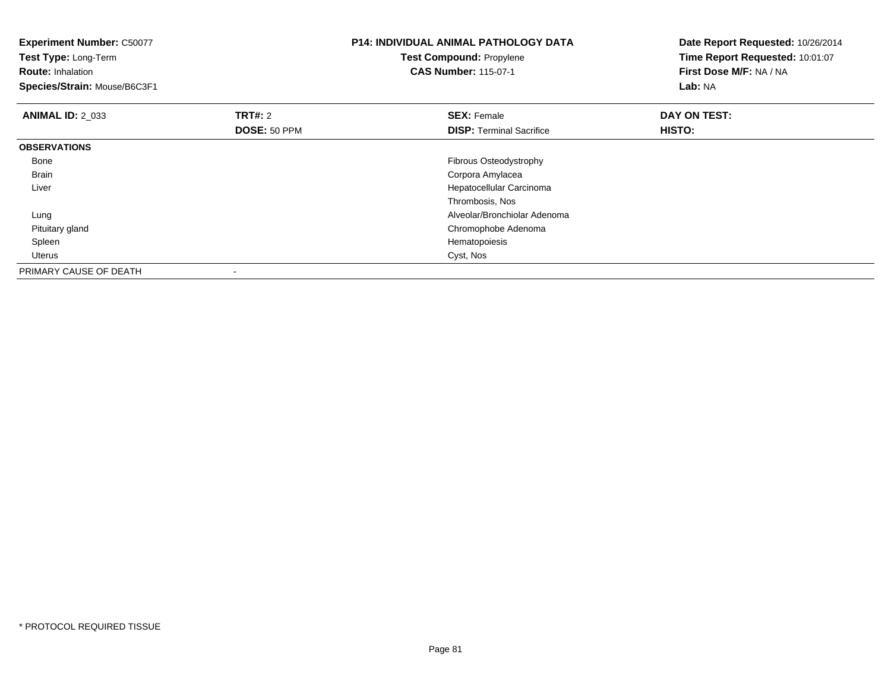| <b>Experiment Number: C50077</b><br>Test Type: Long-Term<br><b>Route: Inhalation</b><br>Species/Strain: Mouse/B6C3F1 |                | <b>P14: INDIVIDUAL ANIMAL PATHOLOGY DATA</b><br><b>Test Compound: Propylene</b><br><b>CAS Number: 115-07-1</b> | Date Report Requested: 10/26/2014<br>Time Report Requested: 10:01:07<br>First Dose M/F: NA / NA<br>Lab: NA |
|----------------------------------------------------------------------------------------------------------------------|----------------|----------------------------------------------------------------------------------------------------------------|------------------------------------------------------------------------------------------------------------|
| <b>ANIMAL ID: 2 033</b>                                                                                              | <b>TRT#: 2</b> | <b>SEX: Female</b>                                                                                             | DAY ON TEST:                                                                                               |
|                                                                                                                      | DOSE: 50 PPM   | <b>DISP:</b> Terminal Sacrifice                                                                                | HISTO:                                                                                                     |
| <b>OBSERVATIONS</b>                                                                                                  |                |                                                                                                                |                                                                                                            |
| Bone                                                                                                                 |                | Fibrous Osteodystrophy                                                                                         |                                                                                                            |
| Brain                                                                                                                |                | Corpora Amylacea                                                                                               |                                                                                                            |
| Liver                                                                                                                |                | Hepatocellular Carcinoma                                                                                       |                                                                                                            |
|                                                                                                                      |                | Thrombosis, Nos                                                                                                |                                                                                                            |
| Lung                                                                                                                 |                | Alveolar/Bronchiolar Adenoma                                                                                   |                                                                                                            |
| Pituitary gland                                                                                                      |                | Chromophobe Adenoma                                                                                            |                                                                                                            |
| Spleen                                                                                                               |                | Hematopoiesis                                                                                                  |                                                                                                            |
| Uterus                                                                                                               |                | Cyst, Nos                                                                                                      |                                                                                                            |
| PRIMARY CAUSE OF DEATH                                                                                               |                |                                                                                                                |                                                                                                            |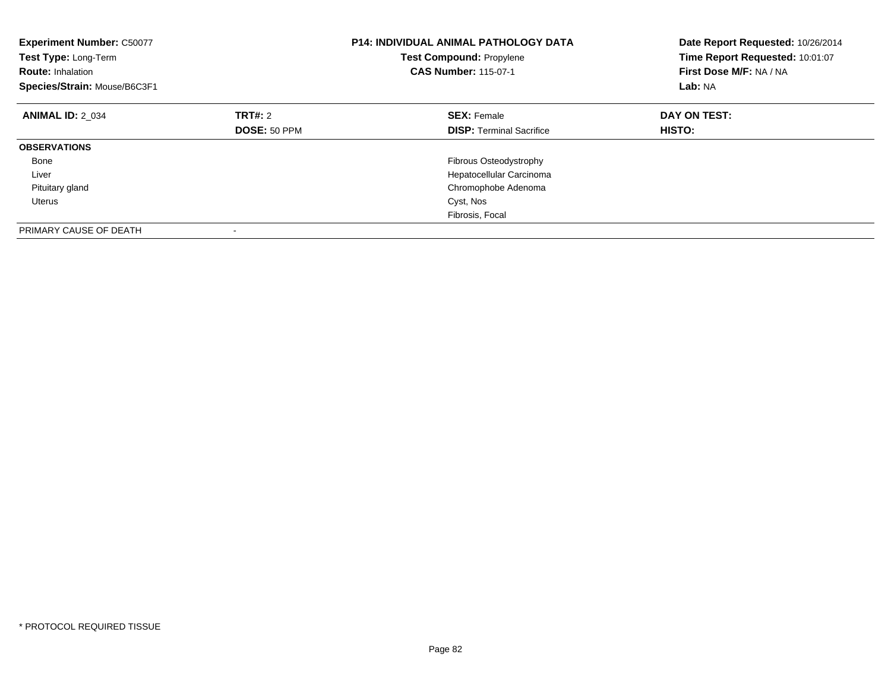| <b>Experiment Number: C50077</b><br>Test Type: Long-Term<br><b>Route: Inhalation</b><br>Species/Strain: Mouse/B6C3F1 |                         | <b>P14: INDIVIDUAL ANIMAL PATHOLOGY DATA</b><br><b>Test Compound: Propylene</b><br><b>CAS Number: 115-07-1</b> | Date Report Requested: 10/26/2014<br>Time Report Requested: 10:01:07<br>First Dose M/F: NA / NA<br>Lab: NA |
|----------------------------------------------------------------------------------------------------------------------|-------------------------|----------------------------------------------------------------------------------------------------------------|------------------------------------------------------------------------------------------------------------|
| <b>ANIMAL ID: 2 034</b>                                                                                              | TRT#: 2<br>DOSE: 50 PPM | <b>SEX: Female</b><br><b>DISP:</b> Terminal Sacrifice                                                          | DAY ON TEST:<br>HISTO:                                                                                     |
| <b>OBSERVATIONS</b>                                                                                                  |                         |                                                                                                                |                                                                                                            |
| Bone<br>Liver                                                                                                        |                         | Fibrous Osteodystrophy<br>Hepatocellular Carcinoma                                                             |                                                                                                            |
| Pituitary gland                                                                                                      |                         | Chromophobe Adenoma                                                                                            |                                                                                                            |
| <b>Uterus</b>                                                                                                        |                         | Cyst, Nos                                                                                                      |                                                                                                            |
|                                                                                                                      |                         | Fibrosis, Focal                                                                                                |                                                                                                            |
| PRIMARY CAUSE OF DEATH                                                                                               |                         |                                                                                                                |                                                                                                            |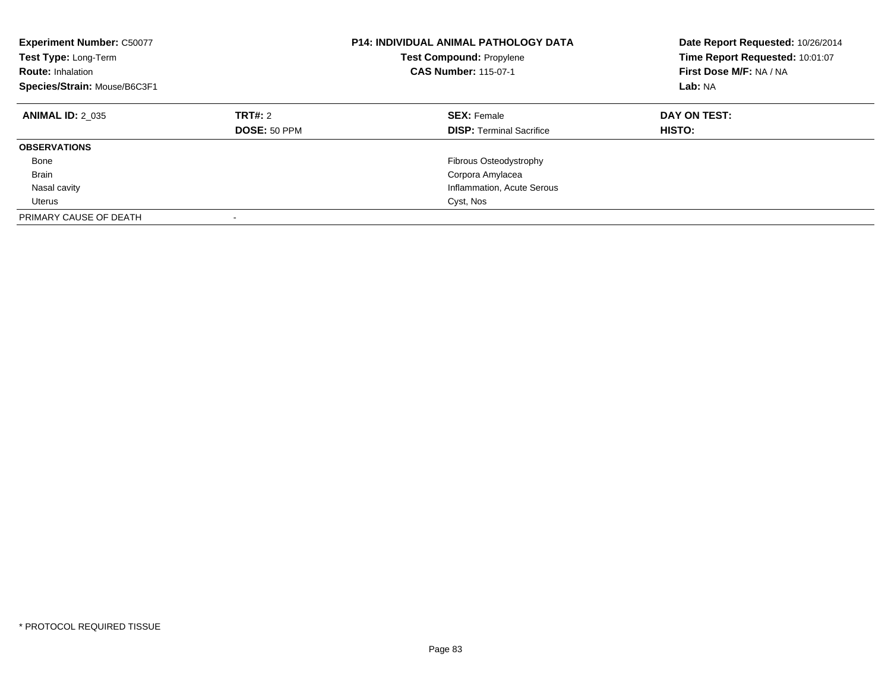| <b>Experiment Number: C50077</b><br>Test Type: Long-Term<br><b>Route: Inhalation</b><br>Species/Strain: Mouse/B6C3F1 |                         | <b>P14: INDIVIDUAL ANIMAL PATHOLOGY DATA</b><br>Test Compound: Propylene<br><b>CAS Number: 115-07-1</b> | Date Report Requested: 10/26/2014<br>Time Report Requested: 10:01:07<br>First Dose M/F: NA / NA<br>Lab: NA |
|----------------------------------------------------------------------------------------------------------------------|-------------------------|---------------------------------------------------------------------------------------------------------|------------------------------------------------------------------------------------------------------------|
| <b>ANIMAL ID: 2 035</b>                                                                                              | TRT#: 2<br>DOSE: 50 PPM | <b>SEX: Female</b><br><b>DISP:</b> Terminal Sacrifice                                                   | DAY ON TEST:<br>HISTO:                                                                                     |
| <b>OBSERVATIONS</b>                                                                                                  |                         |                                                                                                         |                                                                                                            |
|                                                                                                                      |                         |                                                                                                         |                                                                                                            |
| Bone                                                                                                                 |                         | Fibrous Osteodystrophy                                                                                  |                                                                                                            |
| <b>Brain</b>                                                                                                         |                         | Corpora Amylacea                                                                                        |                                                                                                            |
| Nasal cavity                                                                                                         |                         | Inflammation, Acute Serous                                                                              |                                                                                                            |
| Uterus                                                                                                               |                         | Cyst, Nos                                                                                               |                                                                                                            |
| PRIMARY CAUSE OF DEATH                                                                                               | ٠                       |                                                                                                         |                                                                                                            |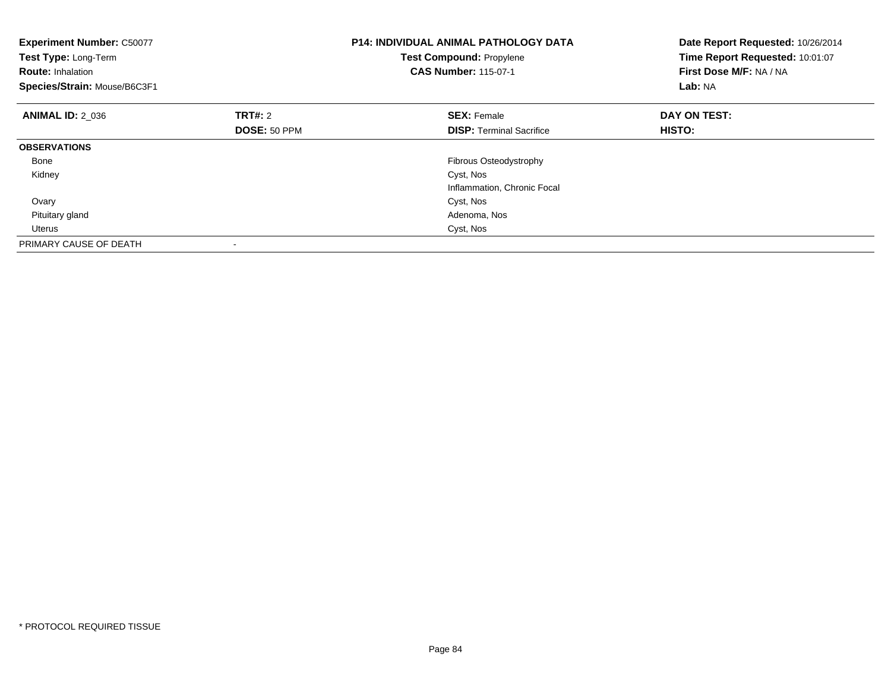| <b>Experiment Number: C50077</b><br>Test Type: Long-Term<br><b>Route: Inhalation</b><br>Species/Strain: Mouse/B6C3F1 |                     | <b>P14: INDIVIDUAL ANIMAL PATHOLOGY DATA</b><br><b>Test Compound: Propylene</b><br><b>CAS Number: 115-07-1</b> | Date Report Requested: 10/26/2014<br>Time Report Requested: 10:01:07<br>First Dose M/F: NA / NA<br>Lab: NA |
|----------------------------------------------------------------------------------------------------------------------|---------------------|----------------------------------------------------------------------------------------------------------------|------------------------------------------------------------------------------------------------------------|
| <b>ANIMAL ID: 2 036</b>                                                                                              | <b>TRT#: 2</b>      | <b>SEX: Female</b>                                                                                             | DAY ON TEST:                                                                                               |
|                                                                                                                      | <b>DOSE: 50 PPM</b> | <b>DISP:</b> Terminal Sacrifice                                                                                | <b>HISTO:</b>                                                                                              |
| <b>OBSERVATIONS</b>                                                                                                  |                     |                                                                                                                |                                                                                                            |
| Bone                                                                                                                 |                     | Fibrous Osteodystrophy                                                                                         |                                                                                                            |
| Kidney                                                                                                               |                     | Cyst, Nos                                                                                                      |                                                                                                            |
|                                                                                                                      |                     | Inflammation, Chronic Focal                                                                                    |                                                                                                            |
| Ovary                                                                                                                |                     | Cyst, Nos                                                                                                      |                                                                                                            |
| Pituitary gland                                                                                                      |                     | Adenoma, Nos                                                                                                   |                                                                                                            |
| Uterus                                                                                                               |                     | Cyst, Nos                                                                                                      |                                                                                                            |
| PRIMARY CAUSE OF DEATH                                                                                               |                     |                                                                                                                |                                                                                                            |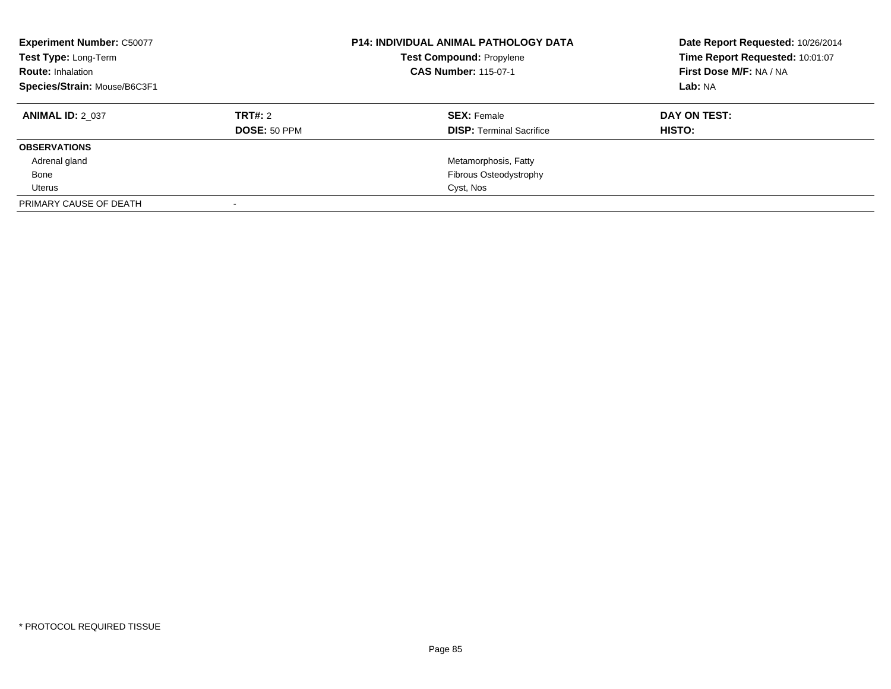| <b>Experiment Number: C50077</b><br>Test Type: Long-Term<br><b>Route: Inhalation</b><br>Species/Strain: Mouse/B6C3F1 |                     | <b>P14: INDIVIDUAL ANIMAL PATHOLOGY DATA</b><br><b>Test Compound: Propylene</b><br><b>CAS Number: 115-07-1</b> | Date Report Requested: 10/26/2014<br>Time Report Requested: 10:01:07<br>First Dose M/F: NA / NA<br>Lab: NA |
|----------------------------------------------------------------------------------------------------------------------|---------------------|----------------------------------------------------------------------------------------------------------------|------------------------------------------------------------------------------------------------------------|
| <b>ANIMAL ID: 2 037</b>                                                                                              | TRT#: 2             | <b>SEX: Female</b>                                                                                             | DAY ON TEST:                                                                                               |
|                                                                                                                      | <b>DOSE: 50 PPM</b> | <b>DISP: Terminal Sacrifice</b>                                                                                | <b>HISTO:</b>                                                                                              |
| <b>OBSERVATIONS</b>                                                                                                  |                     |                                                                                                                |                                                                                                            |
| Adrenal gland                                                                                                        |                     | Metamorphosis, Fatty                                                                                           |                                                                                                            |
| Bone                                                                                                                 |                     | Fibrous Osteodystrophy                                                                                         |                                                                                                            |
| Uterus                                                                                                               |                     | Cyst, Nos                                                                                                      |                                                                                                            |
| PRIMARY CAUSE OF DEATH                                                                                               |                     |                                                                                                                |                                                                                                            |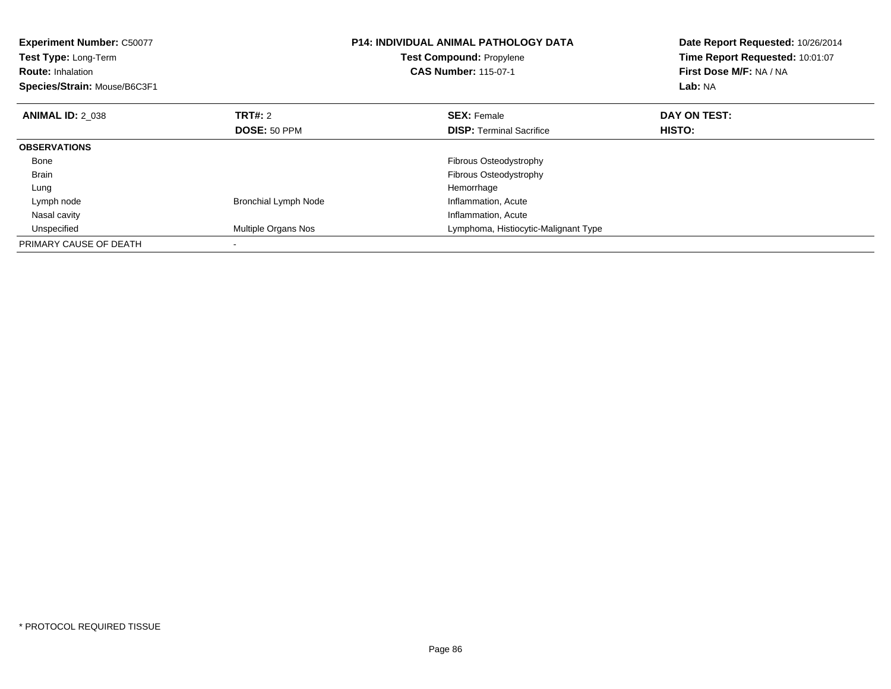| <b>Experiment Number: C50077</b><br>Test Type: Long-Term<br><b>Route: Inhalation</b><br>Species/Strain: Mouse/B6C3F1 |                             | <b>P14: INDIVIDUAL ANIMAL PATHOLOGY DATA</b><br><b>Test Compound: Propylene</b><br><b>CAS Number: 115-07-1</b> | Date Report Requested: 10/26/2014<br>Time Report Requested: 10:01:07<br>First Dose M/F: NA / NA<br>Lab: NA |
|----------------------------------------------------------------------------------------------------------------------|-----------------------------|----------------------------------------------------------------------------------------------------------------|------------------------------------------------------------------------------------------------------------|
| <b>ANIMAL ID: 2 038</b>                                                                                              | TRT#: 2                     | <b>SEX: Female</b>                                                                                             | DAY ON TEST:                                                                                               |
|                                                                                                                      | DOSE: 50 PPM                | <b>DISP:</b> Terminal Sacrifice                                                                                | HISTO:                                                                                                     |
| <b>OBSERVATIONS</b>                                                                                                  |                             |                                                                                                                |                                                                                                            |
| Bone                                                                                                                 |                             | Fibrous Osteodystrophy                                                                                         |                                                                                                            |
| <b>Brain</b>                                                                                                         |                             | Fibrous Osteodystrophy                                                                                         |                                                                                                            |
| Lung                                                                                                                 |                             | Hemorrhage                                                                                                     |                                                                                                            |
| Lymph node                                                                                                           | <b>Bronchial Lymph Node</b> | Inflammation, Acute                                                                                            |                                                                                                            |
| Nasal cavity                                                                                                         |                             | Inflammation, Acute                                                                                            |                                                                                                            |
| Unspecified                                                                                                          | Multiple Organs Nos         | Lymphoma, Histiocytic-Malignant Type                                                                           |                                                                                                            |
| PRIMARY CAUSE OF DEATH                                                                                               |                             |                                                                                                                |                                                                                                            |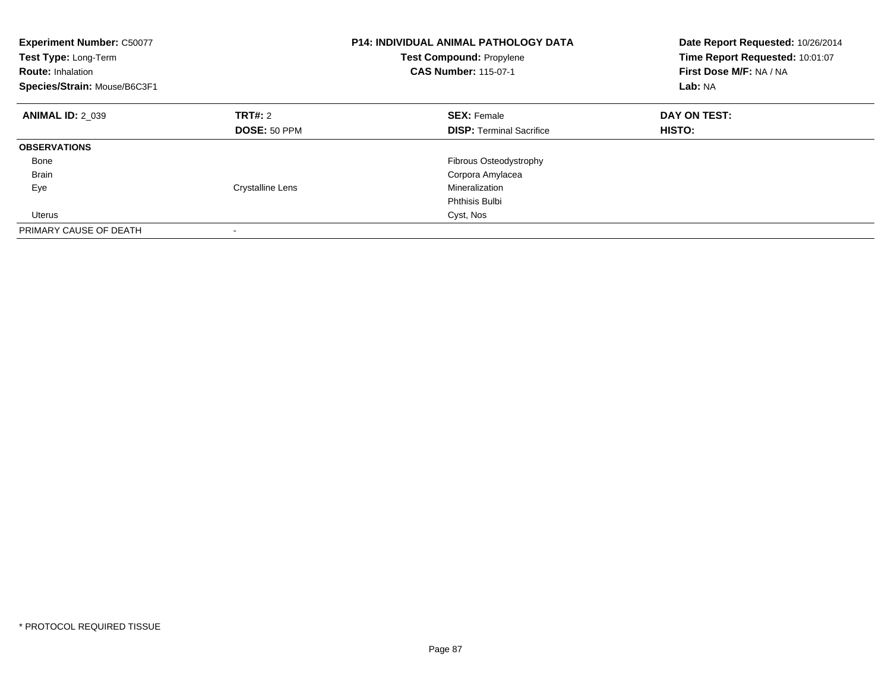| <b>Experiment Number: C50077</b><br>Test Type: Long-Term<br><b>Route: Inhalation</b><br>Species/Strain: Mouse/B6C3F1 |                         | <b>P14: INDIVIDUAL ANIMAL PATHOLOGY DATA</b><br><b>Test Compound: Propylene</b><br><b>CAS Number: 115-07-1</b> | Date Report Requested: 10/26/2014<br>Time Report Requested: 10:01:07<br>First Dose M/F: NA / NA<br>Lab: NA |
|----------------------------------------------------------------------------------------------------------------------|-------------------------|----------------------------------------------------------------------------------------------------------------|------------------------------------------------------------------------------------------------------------|
| <b>ANIMAL ID: 2 039</b>                                                                                              | TRT#: 2                 | <b>SEX: Female</b>                                                                                             | DAY ON TEST:                                                                                               |
|                                                                                                                      | DOSE: 50 PPM            | <b>DISP:</b> Terminal Sacrifice                                                                                | HISTO:                                                                                                     |
| <b>OBSERVATIONS</b>                                                                                                  |                         |                                                                                                                |                                                                                                            |
| Bone                                                                                                                 |                         | Fibrous Osteodystrophy                                                                                         |                                                                                                            |
| <b>Brain</b>                                                                                                         |                         | Corpora Amylacea                                                                                               |                                                                                                            |
| Eye                                                                                                                  | <b>Crystalline Lens</b> | Mineralization                                                                                                 |                                                                                                            |
|                                                                                                                      |                         | Phthisis Bulbi                                                                                                 |                                                                                                            |
| Uterus                                                                                                               |                         | Cyst, Nos                                                                                                      |                                                                                                            |
| PRIMARY CAUSE OF DEATH                                                                                               |                         |                                                                                                                |                                                                                                            |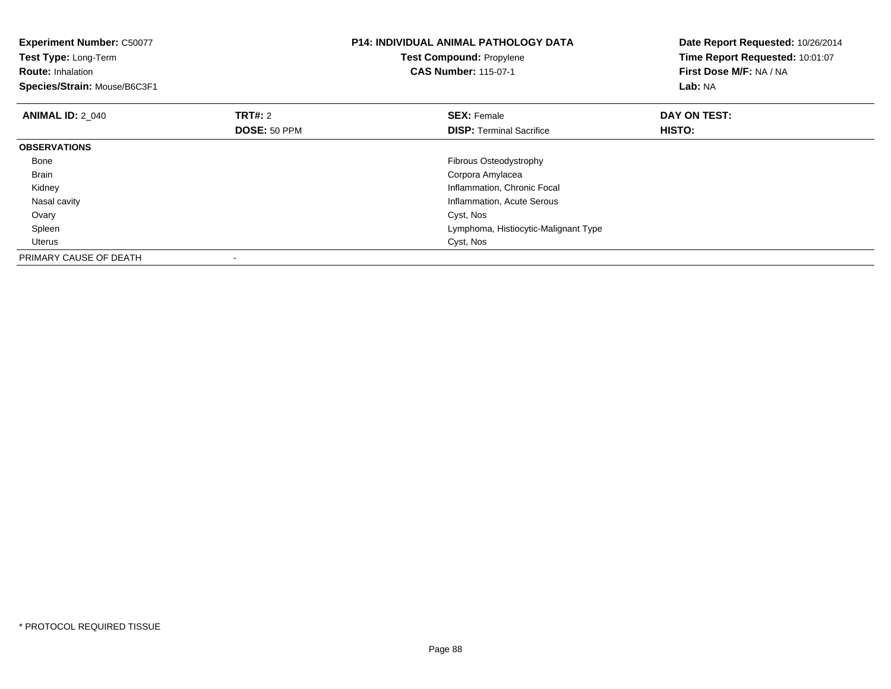| <b>Experiment Number: C50077</b><br>Test Type: Long-Term<br><b>Route: Inhalation</b><br>Species/Strain: Mouse/B6C3F1 |              | <b>P14: INDIVIDUAL ANIMAL PATHOLOGY DATA</b><br><b>Test Compound: Propylene</b><br><b>CAS Number: 115-07-1</b> | Date Report Requested: 10/26/2014<br>Time Report Requested: 10:01:07<br>First Dose M/F: NA / NA<br>Lab: NA |
|----------------------------------------------------------------------------------------------------------------------|--------------|----------------------------------------------------------------------------------------------------------------|------------------------------------------------------------------------------------------------------------|
| <b>ANIMAL ID: 2 040</b>                                                                                              | TRT#: 2      | <b>SEX: Female</b>                                                                                             | DAY ON TEST:                                                                                               |
|                                                                                                                      | DOSE: 50 PPM | <b>DISP:</b> Terminal Sacrifice                                                                                | HISTO:                                                                                                     |
| <b>OBSERVATIONS</b>                                                                                                  |              |                                                                                                                |                                                                                                            |
| Bone                                                                                                                 |              | <b>Fibrous Osteodystrophy</b>                                                                                  |                                                                                                            |
| Brain                                                                                                                |              | Corpora Amylacea                                                                                               |                                                                                                            |
| Kidney                                                                                                               |              | Inflammation, Chronic Focal                                                                                    |                                                                                                            |
| Nasal cavity                                                                                                         |              | Inflammation, Acute Serous                                                                                     |                                                                                                            |
| Ovary                                                                                                                |              | Cyst, Nos                                                                                                      |                                                                                                            |
| Spleen                                                                                                               |              | Lymphoma, Histiocytic-Malignant Type                                                                           |                                                                                                            |
| Uterus                                                                                                               |              | Cyst, Nos                                                                                                      |                                                                                                            |
| PRIMARY CAUSE OF DEATH                                                                                               |              |                                                                                                                |                                                                                                            |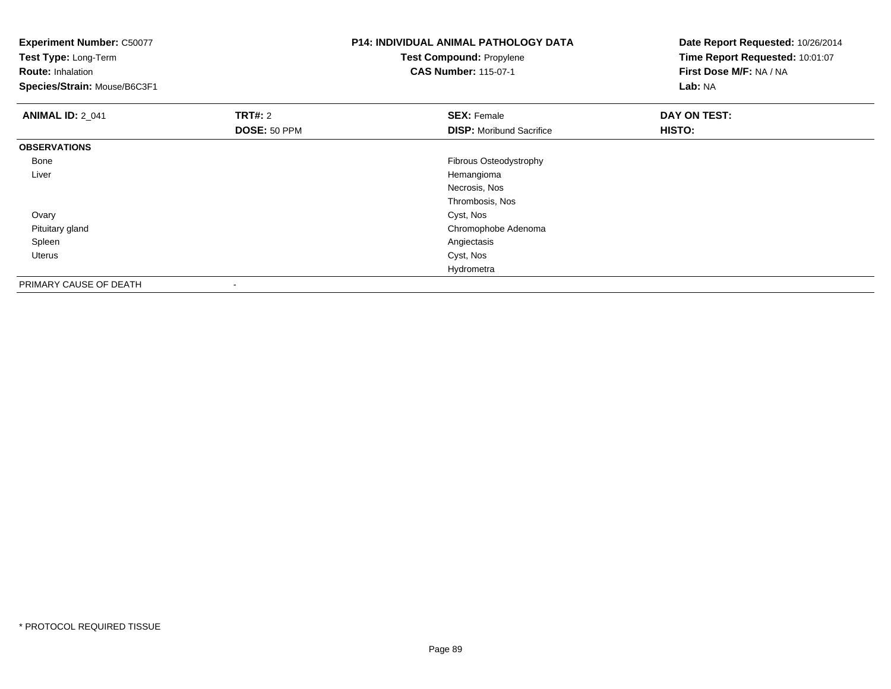| <b>Experiment Number: C50077</b><br>Test Type: Long-Term<br><b>Route: Inhalation</b><br>Species/Strain: Mouse/B6C3F1 |                | <b>P14: INDIVIDUAL ANIMAL PATHOLOGY DATA</b><br><b>Test Compound: Propylene</b><br><b>CAS Number: 115-07-1</b> | Date Report Requested: 10/26/2014<br>Time Report Requested: 10:01:07<br>First Dose M/F: NA / NA<br>Lab: NA |
|----------------------------------------------------------------------------------------------------------------------|----------------|----------------------------------------------------------------------------------------------------------------|------------------------------------------------------------------------------------------------------------|
| <b>ANIMAL ID: 2_041</b>                                                                                              | <b>TRT#: 2</b> | <b>SEX: Female</b>                                                                                             | DAY ON TEST:                                                                                               |
|                                                                                                                      | DOSE: 50 PPM   | <b>DISP:</b> Moribund Sacrifice                                                                                | HISTO:                                                                                                     |
| <b>OBSERVATIONS</b>                                                                                                  |                |                                                                                                                |                                                                                                            |
| Bone                                                                                                                 |                | Fibrous Osteodystrophy                                                                                         |                                                                                                            |
| Liver                                                                                                                |                | Hemangioma                                                                                                     |                                                                                                            |
|                                                                                                                      |                | Necrosis, Nos                                                                                                  |                                                                                                            |
|                                                                                                                      |                | Thrombosis, Nos                                                                                                |                                                                                                            |
| Ovary                                                                                                                |                | Cyst, Nos                                                                                                      |                                                                                                            |
| Pituitary gland                                                                                                      |                | Chromophobe Adenoma                                                                                            |                                                                                                            |
| Spleen                                                                                                               |                | Angiectasis                                                                                                    |                                                                                                            |
| Uterus                                                                                                               |                | Cyst, Nos                                                                                                      |                                                                                                            |
|                                                                                                                      |                | Hydrometra                                                                                                     |                                                                                                            |
| PRIMARY CAUSE OF DEATH                                                                                               | -              |                                                                                                                |                                                                                                            |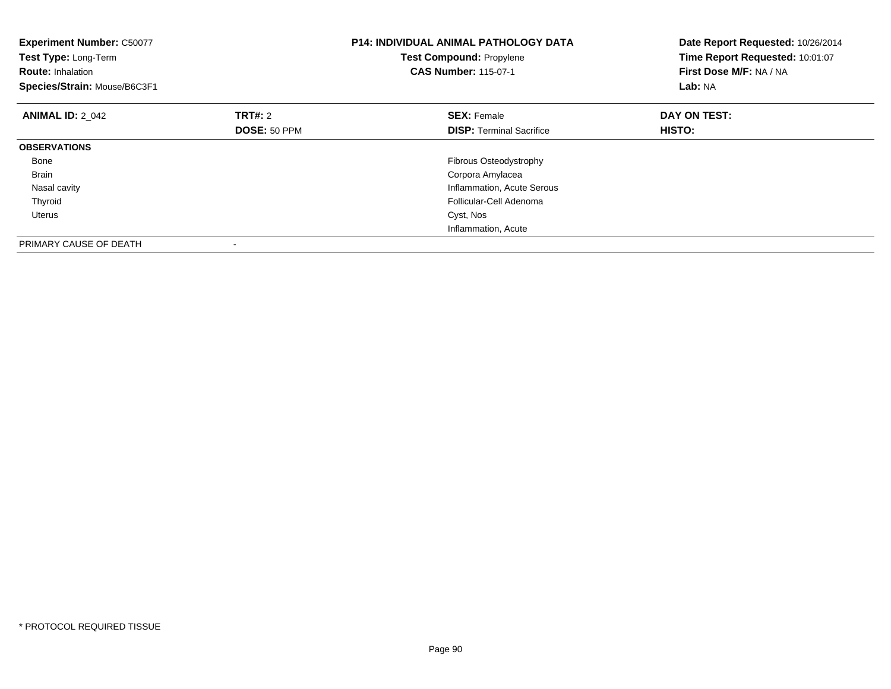| <b>Experiment Number: C50077</b><br>Test Type: Long-Term<br><b>Route: Inhalation</b><br>Species/Strain: Mouse/B6C3F1 |                     | <b>P14: INDIVIDUAL ANIMAL PATHOLOGY DATA</b><br><b>Test Compound: Propylene</b><br><b>CAS Number: 115-07-1</b> | Date Report Requested: 10/26/2014<br>Time Report Requested: 10:01:07<br>First Dose M/F: NA / NA<br>Lab: NA |
|----------------------------------------------------------------------------------------------------------------------|---------------------|----------------------------------------------------------------------------------------------------------------|------------------------------------------------------------------------------------------------------------|
| <b>ANIMAL ID: 2 042</b>                                                                                              | <b>TRT#: 2</b>      | <b>SEX: Female</b>                                                                                             | DAY ON TEST:                                                                                               |
|                                                                                                                      | <b>DOSE: 50 PPM</b> | <b>DISP:</b> Terminal Sacrifice                                                                                | <b>HISTO:</b>                                                                                              |
| <b>OBSERVATIONS</b>                                                                                                  |                     |                                                                                                                |                                                                                                            |
| Bone                                                                                                                 |                     | Fibrous Osteodystrophy                                                                                         |                                                                                                            |
| <b>Brain</b>                                                                                                         |                     | Corpora Amylacea                                                                                               |                                                                                                            |
| Nasal cavity                                                                                                         |                     | Inflammation, Acute Serous                                                                                     |                                                                                                            |
| Thyroid                                                                                                              |                     | Follicular-Cell Adenoma                                                                                        |                                                                                                            |
| Uterus                                                                                                               |                     | Cyst, Nos                                                                                                      |                                                                                                            |
|                                                                                                                      |                     | Inflammation, Acute                                                                                            |                                                                                                            |
| PRIMARY CAUSE OF DEATH                                                                                               |                     |                                                                                                                |                                                                                                            |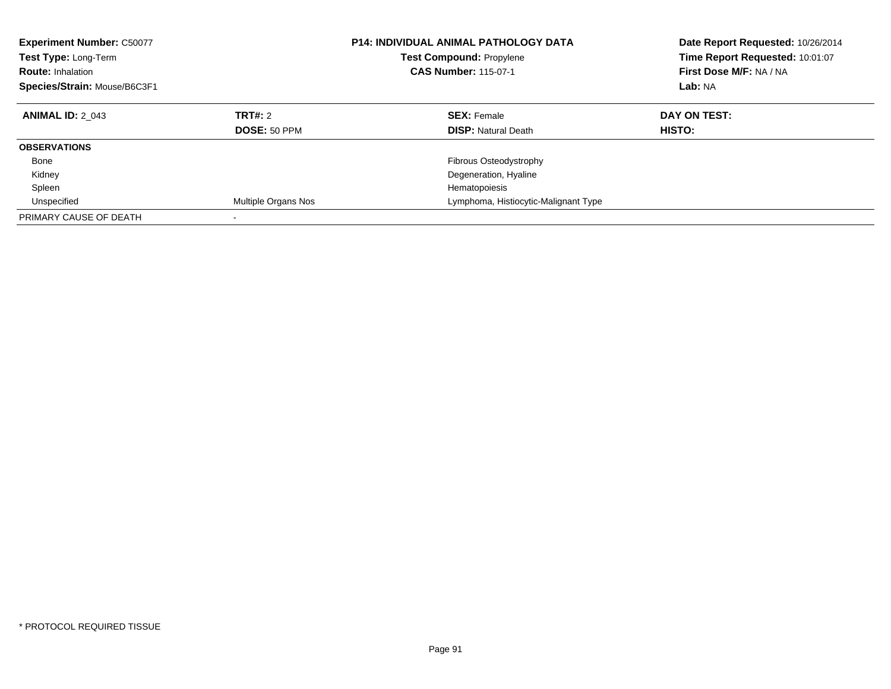| <b>Experiment Number: C50077</b><br>Test Type: Long-Term<br><b>Route: Inhalation</b><br>Species/Strain: Mouse/B6C3F1 |                         | <b>P14: INDIVIDUAL ANIMAL PATHOLOGY DATA</b><br>Test Compound: Propylene<br><b>CAS Number: 115-07-1</b> | Date Report Requested: 10/26/2014<br>Time Report Requested: 10:01:07<br>First Dose M/F: NA / NA<br>Lab: NA |
|----------------------------------------------------------------------------------------------------------------------|-------------------------|---------------------------------------------------------------------------------------------------------|------------------------------------------------------------------------------------------------------------|
| <b>ANIMAL ID: 2 043</b>                                                                                              | TRT#: 2<br>DOSE: 50 PPM | <b>SEX: Female</b><br><b>DISP: Natural Death</b>                                                        | DAY ON TEST:<br>HISTO:                                                                                     |
|                                                                                                                      |                         |                                                                                                         |                                                                                                            |
| <b>OBSERVATIONS</b>                                                                                                  |                         |                                                                                                         |                                                                                                            |
| Bone                                                                                                                 |                         | Fibrous Osteodystrophy                                                                                  |                                                                                                            |
| Kidney                                                                                                               |                         | Degeneration, Hyaline                                                                                   |                                                                                                            |
| Spleen                                                                                                               |                         | Hematopoiesis                                                                                           |                                                                                                            |
| Unspecified                                                                                                          | Multiple Organs Nos     | Lymphoma, Histiocytic-Malignant Type                                                                    |                                                                                                            |
| PRIMARY CAUSE OF DEATH                                                                                               |                         |                                                                                                         |                                                                                                            |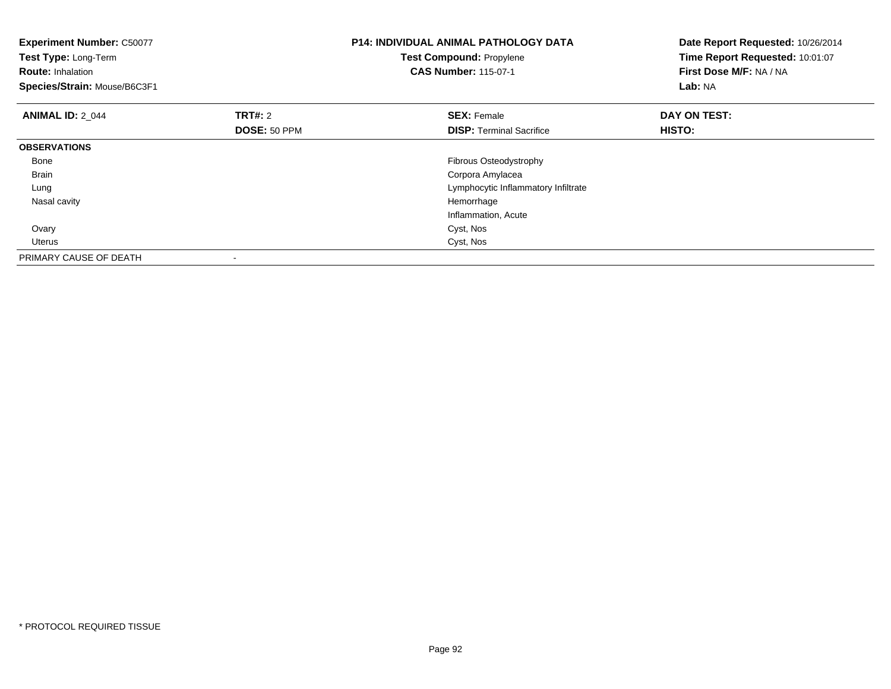| <b>Experiment Number: C50077</b><br>Test Type: Long-Term<br><b>Route: Inhalation</b><br>Species/Strain: Mouse/B6C3F1 |                                | <b>P14: INDIVIDUAL ANIMAL PATHOLOGY DATA</b><br>Test Compound: Propylene<br><b>CAS Number: 115-07-1</b> | Date Report Requested: 10/26/2014<br>Time Report Requested: 10:01:07<br>First Dose M/F: NA / NA<br>Lab: NA |
|----------------------------------------------------------------------------------------------------------------------|--------------------------------|---------------------------------------------------------------------------------------------------------|------------------------------------------------------------------------------------------------------------|
| <b>ANIMAL ID: 2 044</b>                                                                                              | <b>TRT#: 2</b><br>DOSE: 50 PPM | <b>SEX: Female</b><br><b>DISP:</b> Terminal Sacrifice                                                   | DAY ON TEST:<br>HISTO:                                                                                     |
| <b>OBSERVATIONS</b>                                                                                                  |                                |                                                                                                         |                                                                                                            |
| Bone                                                                                                                 |                                | Fibrous Osteodystrophy                                                                                  |                                                                                                            |
| <b>Brain</b>                                                                                                         |                                | Corpora Amylacea                                                                                        |                                                                                                            |
| Lung                                                                                                                 |                                | Lymphocytic Inflammatory Infiltrate                                                                     |                                                                                                            |
| Nasal cavity                                                                                                         |                                | Hemorrhage                                                                                              |                                                                                                            |
|                                                                                                                      |                                | Inflammation, Acute                                                                                     |                                                                                                            |
| Ovary                                                                                                                |                                | Cyst, Nos                                                                                               |                                                                                                            |
| Uterus                                                                                                               |                                | Cyst, Nos                                                                                               |                                                                                                            |
| PRIMARY CAUSE OF DEATH                                                                                               |                                |                                                                                                         |                                                                                                            |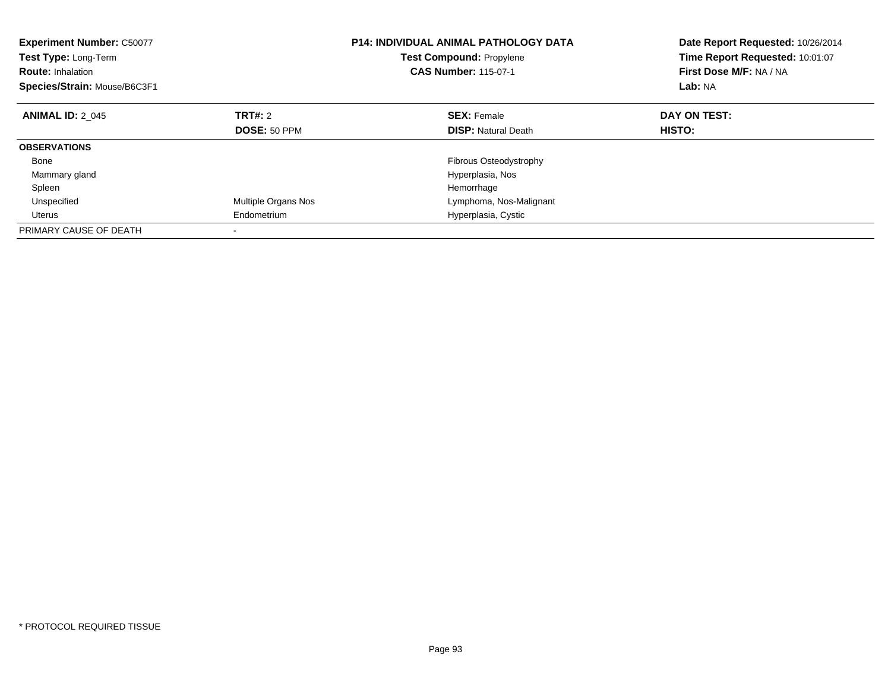| <b>Experiment Number: C50077</b><br><b>Test Type: Long-Term</b><br><b>Route: Inhalation</b><br>Species/Strain: Mouse/B6C3F1 |                            | <b>P14: INDIVIDUAL ANIMAL PATHOLOGY DATA</b><br><b>Test Compound: Propylene</b><br><b>CAS Number: 115-07-1</b> | Date Report Requested: 10/26/2014<br>Time Report Requested: 10:01:07<br>First Dose M/F: NA / NA<br>Lab: NA |
|-----------------------------------------------------------------------------------------------------------------------------|----------------------------|----------------------------------------------------------------------------------------------------------------|------------------------------------------------------------------------------------------------------------|
| <b>ANIMAL ID: 2 045</b>                                                                                                     | TRT#: 2                    | <b>SEX: Female</b>                                                                                             | DAY ON TEST:                                                                                               |
|                                                                                                                             | <b>DOSE: 50 PPM</b>        | <b>DISP: Natural Death</b>                                                                                     | HISTO:                                                                                                     |
| <b>OBSERVATIONS</b>                                                                                                         |                            |                                                                                                                |                                                                                                            |
| Bone                                                                                                                        |                            | Fibrous Osteodystrophy                                                                                         |                                                                                                            |
| Mammary gland                                                                                                               |                            | Hyperplasia, Nos                                                                                               |                                                                                                            |
| Spleen                                                                                                                      |                            | Hemorrhage                                                                                                     |                                                                                                            |
| Unspecified                                                                                                                 | <b>Multiple Organs Nos</b> | Lymphoma, Nos-Malignant                                                                                        |                                                                                                            |
| Uterus                                                                                                                      | Endometrium                | Hyperplasia, Cystic                                                                                            |                                                                                                            |
| PRIMARY CAUSE OF DEATH                                                                                                      |                            |                                                                                                                |                                                                                                            |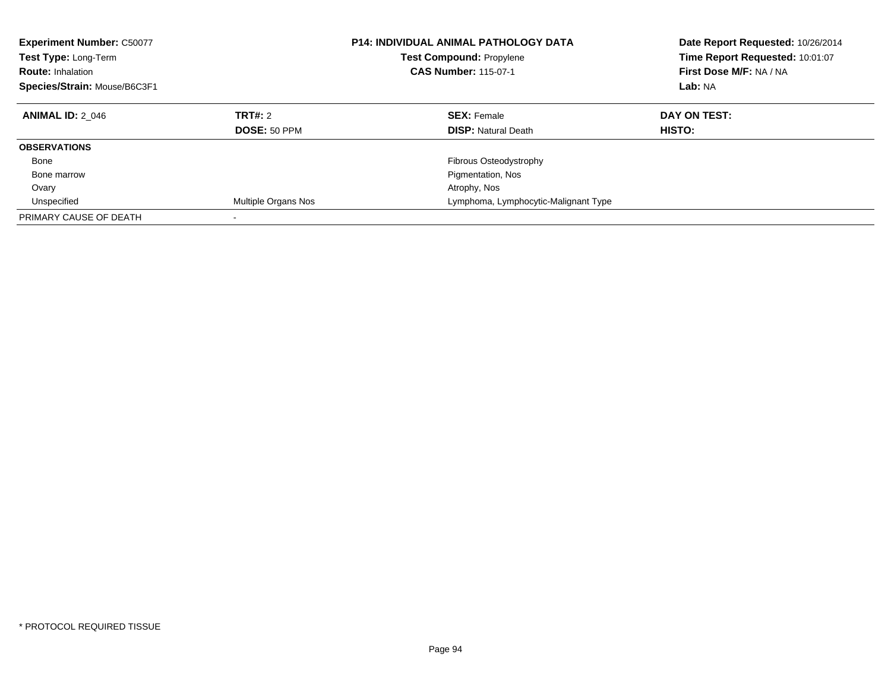| <b>Experiment Number: C50077</b><br>Test Type: Long-Term<br><b>Route: Inhalation</b><br>Species/Strain: Mouse/B6C3F1 |                                | <b>P14: INDIVIDUAL ANIMAL PATHOLOGY DATA</b><br><b>Test Compound: Propylene</b><br><b>CAS Number: 115-07-1</b> | Date Report Requested: 10/26/2014<br>Time Report Requested: 10:01:07<br>First Dose M/F: NA / NA<br>Lab: NA |
|----------------------------------------------------------------------------------------------------------------------|--------------------------------|----------------------------------------------------------------------------------------------------------------|------------------------------------------------------------------------------------------------------------|
| <b>ANIMAL ID: 2 046</b>                                                                                              | <b>TRT#: 2</b><br>DOSE: 50 PPM | <b>SEX: Female</b><br><b>DISP: Natural Death</b>                                                               | DAY ON TEST:<br>HISTO:                                                                                     |
|                                                                                                                      |                                |                                                                                                                |                                                                                                            |
| <b>OBSERVATIONS</b>                                                                                                  |                                |                                                                                                                |                                                                                                            |
| Bone                                                                                                                 |                                | Fibrous Osteodystrophy                                                                                         |                                                                                                            |
| Bone marrow                                                                                                          |                                | Pigmentation, Nos                                                                                              |                                                                                                            |
| Ovary                                                                                                                |                                | Atrophy, Nos                                                                                                   |                                                                                                            |
| Unspecified                                                                                                          | Multiple Organs Nos            | Lymphoma, Lymphocytic-Malignant Type                                                                           |                                                                                                            |
| PRIMARY CAUSE OF DEATH                                                                                               | -                              |                                                                                                                |                                                                                                            |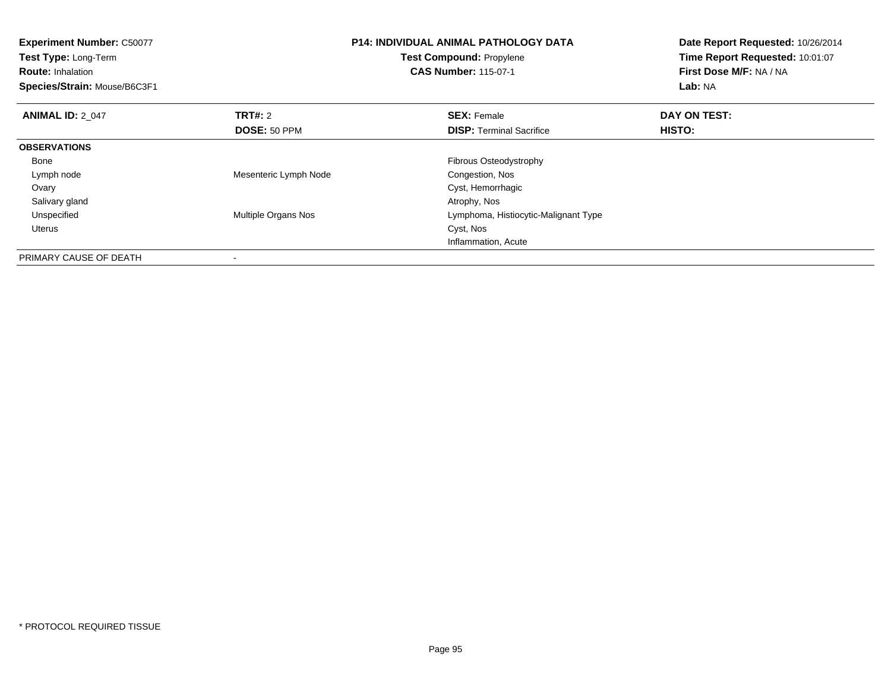| <b>Experiment Number: C50077</b><br>Test Type: Long-Term<br><b>Route: Inhalation</b><br>Species/Strain: Mouse/B6C3F1 |                            | <b>P14: INDIVIDUAL ANIMAL PATHOLOGY DATA</b><br><b>Test Compound: Propylene</b><br><b>CAS Number: 115-07-1</b> | Date Report Requested: 10/26/2014<br>Time Report Requested: 10:01:07<br>First Dose M/F: NA / NA<br>Lab: NA |
|----------------------------------------------------------------------------------------------------------------------|----------------------------|----------------------------------------------------------------------------------------------------------------|------------------------------------------------------------------------------------------------------------|
|                                                                                                                      |                            |                                                                                                                |                                                                                                            |
| <b>ANIMAL ID: 2 047</b>                                                                                              | <b>TRT#: 2</b>             | <b>SEX: Female</b>                                                                                             | DAY ON TEST:                                                                                               |
|                                                                                                                      | DOSE: 50 PPM               | <b>DISP:</b> Terminal Sacrifice                                                                                | <b>HISTO:</b>                                                                                              |
| <b>OBSERVATIONS</b>                                                                                                  |                            |                                                                                                                |                                                                                                            |
| Bone                                                                                                                 |                            | Fibrous Osteodystrophy                                                                                         |                                                                                                            |
| Lymph node                                                                                                           | Mesenteric Lymph Node      | Congestion, Nos                                                                                                |                                                                                                            |
| Ovary                                                                                                                |                            | Cyst, Hemorrhagic                                                                                              |                                                                                                            |
| Salivary gland                                                                                                       |                            | Atrophy, Nos                                                                                                   |                                                                                                            |
| Unspecified                                                                                                          | <b>Multiple Organs Nos</b> | Lymphoma, Histiocytic-Malignant Type                                                                           |                                                                                                            |
| Uterus                                                                                                               |                            | Cyst, Nos                                                                                                      |                                                                                                            |
|                                                                                                                      |                            | Inflammation, Acute                                                                                            |                                                                                                            |
| PRIMARY CAUSE OF DEATH                                                                                               |                            |                                                                                                                |                                                                                                            |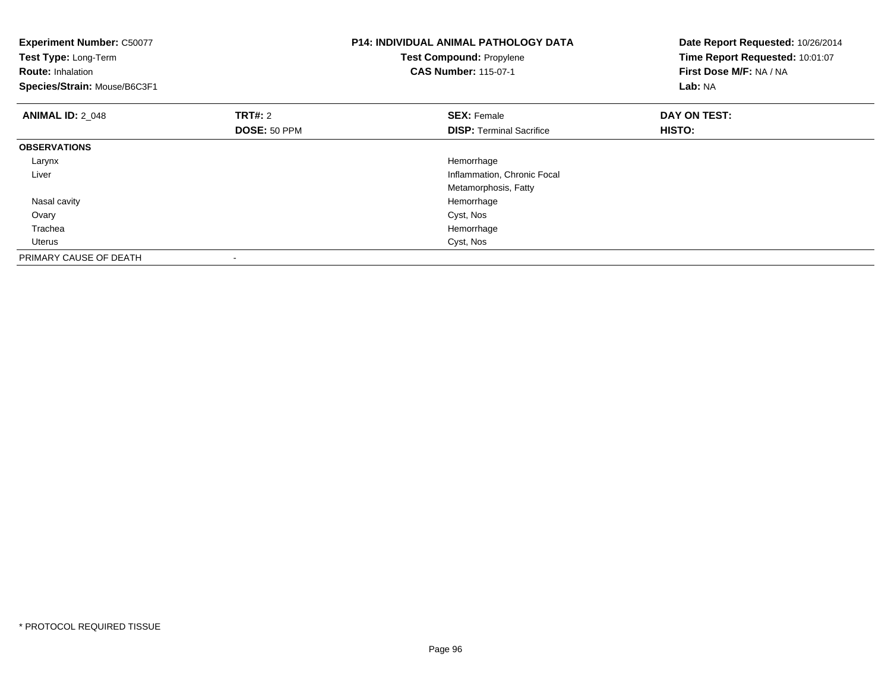| <b>Experiment Number: C50077</b><br>Test Type: Long-Term<br><b>Route: Inhalation</b><br>Species/Strain: Mouse/B6C3F1 |                                       | <b>P14: INDIVIDUAL ANIMAL PATHOLOGY DATA</b><br><b>Test Compound: Propylene</b><br><b>CAS Number: 115-07-1</b> | Date Report Requested: 10/26/2014<br>Time Report Requested: 10:01:07<br>First Dose M/F: NA / NA<br>Lab: NA |
|----------------------------------------------------------------------------------------------------------------------|---------------------------------------|----------------------------------------------------------------------------------------------------------------|------------------------------------------------------------------------------------------------------------|
| <b>ANIMAL ID: 2 048</b>                                                                                              | <b>TRT#: 2</b><br><b>DOSE: 50 PPM</b> | <b>SEX: Female</b><br><b>DISP:</b> Terminal Sacrifice                                                          | DAY ON TEST:<br>HISTO:                                                                                     |
| <b>OBSERVATIONS</b>                                                                                                  |                                       |                                                                                                                |                                                                                                            |
| Larynx                                                                                                               |                                       | Hemorrhage                                                                                                     |                                                                                                            |
| Liver                                                                                                                |                                       | Inflammation, Chronic Focal                                                                                    |                                                                                                            |
|                                                                                                                      |                                       | Metamorphosis, Fatty                                                                                           |                                                                                                            |
| Nasal cavity                                                                                                         |                                       | Hemorrhage                                                                                                     |                                                                                                            |
| Ovary                                                                                                                |                                       | Cyst, Nos                                                                                                      |                                                                                                            |
| Trachea                                                                                                              |                                       | Hemorrhage                                                                                                     |                                                                                                            |
| Uterus                                                                                                               |                                       | Cyst, Nos                                                                                                      |                                                                                                            |
| PRIMARY CAUSE OF DEATH                                                                                               |                                       |                                                                                                                |                                                                                                            |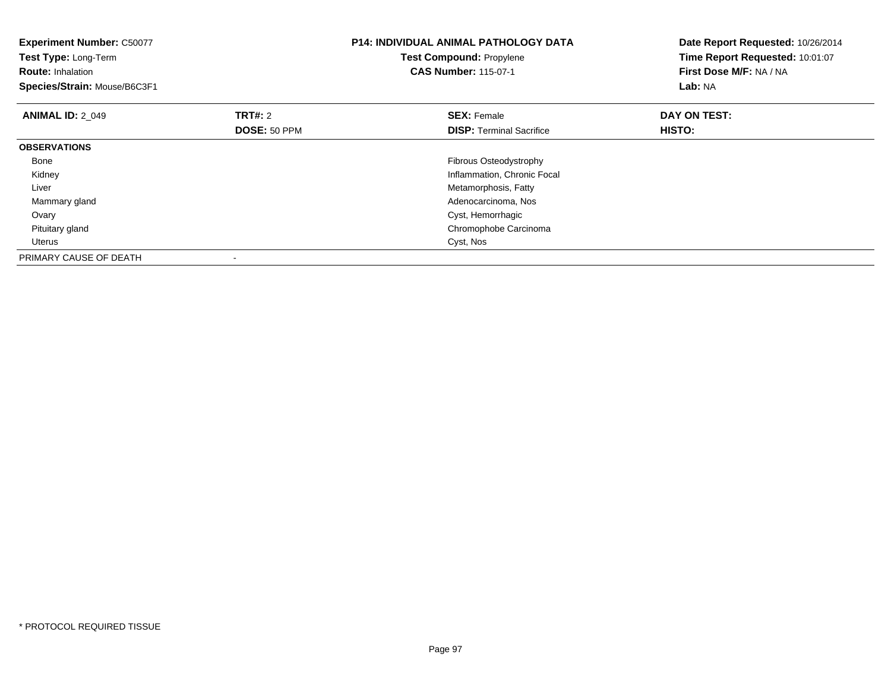| <b>Experiment Number: C50077</b><br>Test Type: Long-Term<br><b>Route: Inhalation</b><br>Species/Strain: Mouse/B6C3F1 |                         | <b>P14: INDIVIDUAL ANIMAL PATHOLOGY DATA</b><br><b>Test Compound: Propylene</b><br><b>CAS Number: 115-07-1</b> | Date Report Requested: 10/26/2014<br>Time Report Requested: 10:01:07<br>First Dose M/F: NA / NA<br>Lab: NA |
|----------------------------------------------------------------------------------------------------------------------|-------------------------|----------------------------------------------------------------------------------------------------------------|------------------------------------------------------------------------------------------------------------|
| <b>ANIMAL ID: 2 049</b>                                                                                              | TRT#: 2<br>DOSE: 50 PPM | <b>SEX: Female</b><br><b>DISP:</b> Terminal Sacrifice                                                          | DAY ON TEST:<br>HISTO:                                                                                     |
| <b>OBSERVATIONS</b>                                                                                                  |                         |                                                                                                                |                                                                                                            |
| Bone                                                                                                                 |                         | <b>Fibrous Osteodystrophy</b>                                                                                  |                                                                                                            |
| Kidney                                                                                                               |                         | Inflammation, Chronic Focal                                                                                    |                                                                                                            |
| Liver                                                                                                                |                         | Metamorphosis, Fatty                                                                                           |                                                                                                            |
| Mammary gland                                                                                                        |                         | Adenocarcinoma, Nos                                                                                            |                                                                                                            |
| Ovary                                                                                                                |                         | Cyst, Hemorrhagic                                                                                              |                                                                                                            |
| Pituitary gland                                                                                                      |                         | Chromophobe Carcinoma                                                                                          |                                                                                                            |
| <b>Uterus</b>                                                                                                        |                         | Cyst, Nos                                                                                                      |                                                                                                            |
| PRIMARY CAUSE OF DEATH                                                                                               |                         |                                                                                                                |                                                                                                            |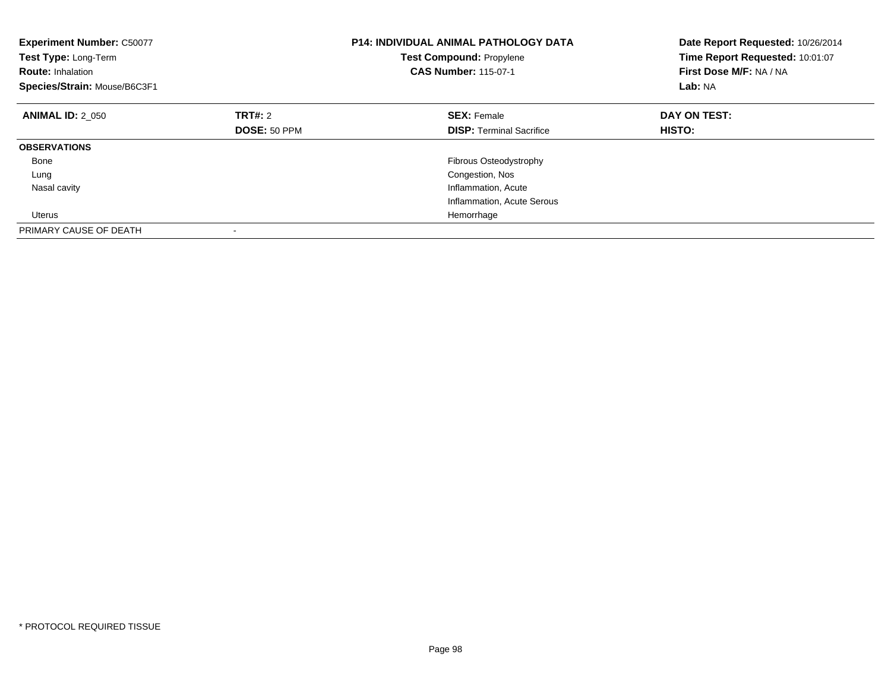| <b>Experiment Number: C50077</b><br>Test Type: Long-Term<br><b>Route: Inhalation</b><br>Species/Strain: Mouse/B6C3F1 | <b>P14: INDIVIDUAL ANIMAL PATHOLOGY DATA</b><br><b>Test Compound: Propylene</b><br><b>CAS Number: 115-07-1</b> |                                 | Date Report Requested: 10/26/2014<br>Time Report Requested: 10:01:07<br>First Dose M/F: NA / NA<br>Lab: NA |
|----------------------------------------------------------------------------------------------------------------------|----------------------------------------------------------------------------------------------------------------|---------------------------------|------------------------------------------------------------------------------------------------------------|
| <b>ANIMAL ID: 2 050</b>                                                                                              | <b>TRT#: 2</b>                                                                                                 | <b>SEX: Female</b>              | DAY ON TEST:                                                                                               |
|                                                                                                                      | DOSE: 50 PPM                                                                                                   | <b>DISP:</b> Terminal Sacrifice | <b>HISTO:</b>                                                                                              |
| <b>OBSERVATIONS</b>                                                                                                  |                                                                                                                |                                 |                                                                                                            |
| Bone                                                                                                                 |                                                                                                                | Fibrous Osteodystrophy          |                                                                                                            |
| Lung                                                                                                                 |                                                                                                                | Congestion, Nos                 |                                                                                                            |
| Nasal cavity                                                                                                         |                                                                                                                | Inflammation, Acute             |                                                                                                            |
|                                                                                                                      |                                                                                                                | Inflammation, Acute Serous      |                                                                                                            |
| Uterus                                                                                                               |                                                                                                                | Hemorrhage                      |                                                                                                            |
| PRIMARY CAUSE OF DEATH                                                                                               |                                                                                                                |                                 |                                                                                                            |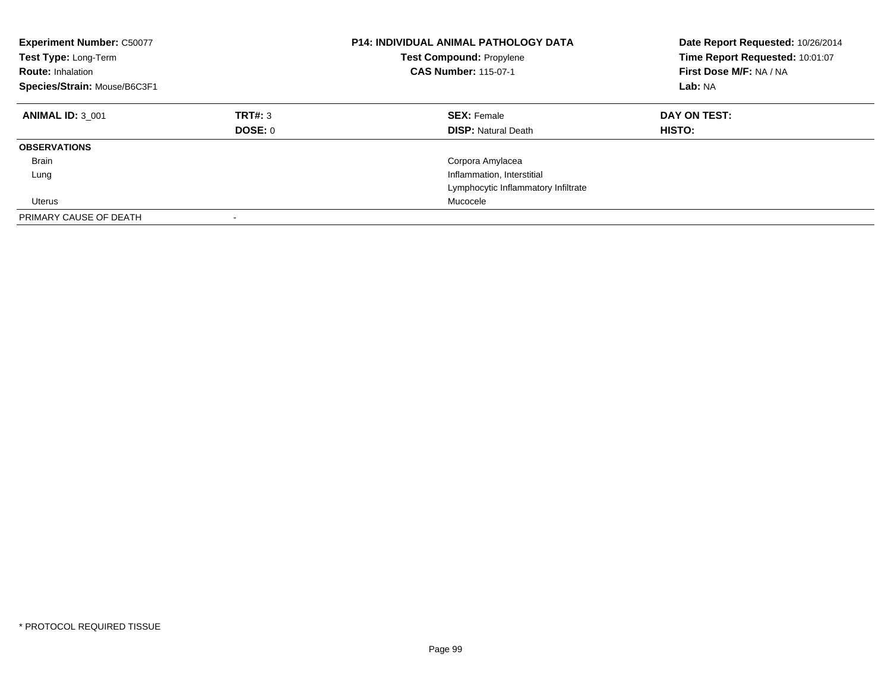| <b>Experiment Number: C50077</b><br>Test Type: Long-Term<br><b>Route: Inhalation</b><br>Species/Strain: Mouse/B6C3F1 |                           | P14: INDIVIDUAL ANIMAL PATHOLOGY DATA<br><b>Test Compound: Propylene</b><br><b>CAS Number: 115-07-1</b> | Date Report Requested: 10/26/2014<br>Time Report Requested: 10:01:07<br>First Dose M/F: NA / NA<br>Lab: NA |
|----------------------------------------------------------------------------------------------------------------------|---------------------------|---------------------------------------------------------------------------------------------------------|------------------------------------------------------------------------------------------------------------|
| <b>ANIMAL ID: 3 001</b>                                                                                              | TRT#: 3<br><b>DOSE: 0</b> | <b>SEX: Female</b><br><b>DISP:</b> Natural Death                                                        | DAY ON TEST:<br><b>HISTO:</b>                                                                              |
| <b>OBSERVATIONS</b>                                                                                                  |                           |                                                                                                         |                                                                                                            |
|                                                                                                                      |                           |                                                                                                         |                                                                                                            |
| <b>Brain</b>                                                                                                         |                           | Corpora Amylacea                                                                                        |                                                                                                            |
| Lung                                                                                                                 |                           | Inflammation, Interstitial                                                                              |                                                                                                            |
|                                                                                                                      |                           | Lymphocytic Inflammatory Infiltrate                                                                     |                                                                                                            |
| Uterus                                                                                                               |                           | Mucocele                                                                                                |                                                                                                            |
| PRIMARY CAUSE OF DEATH                                                                                               | $\overline{\phantom{a}}$  |                                                                                                         |                                                                                                            |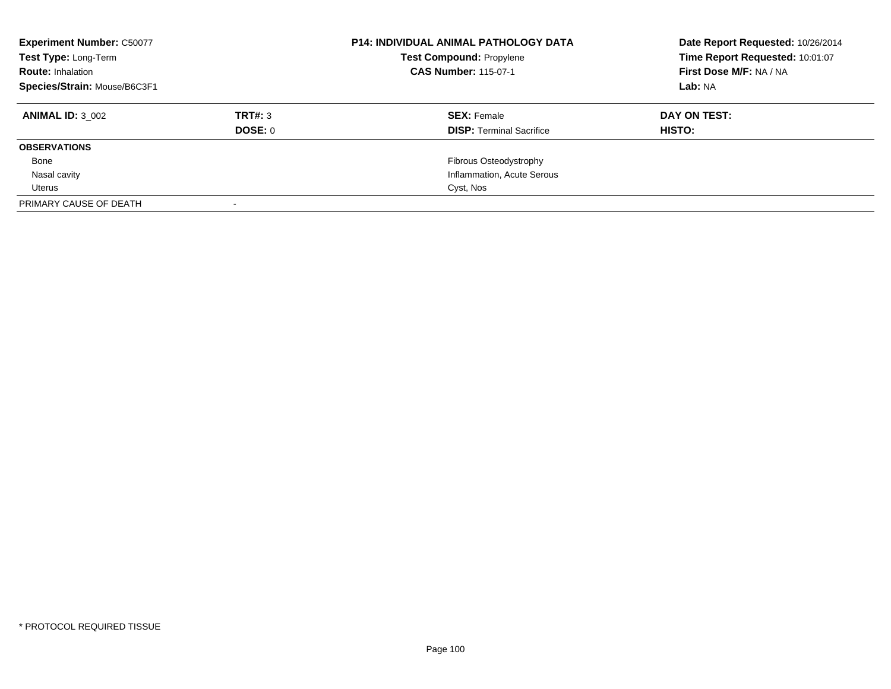| <b>Experiment Number: C50077</b><br>Test Type: Long-Term<br><b>Route: Inhalation</b><br>Species/Strain: Mouse/B6C3F1 |         | <b>P14: INDIVIDUAL ANIMAL PATHOLOGY DATA</b><br><b>Test Compound: Propylene</b><br><b>CAS Number: 115-07-1</b> | Date Report Requested: 10/26/2014<br>Time Report Requested: 10:01:07<br>First Dose M/F: NA / NA<br>Lab: NA |
|----------------------------------------------------------------------------------------------------------------------|---------|----------------------------------------------------------------------------------------------------------------|------------------------------------------------------------------------------------------------------------|
| <b>ANIMAL ID: 3 002</b>                                                                                              | TRT#: 3 | <b>SEX: Female</b>                                                                                             | <b>DAY ON TEST:</b>                                                                                        |
|                                                                                                                      | DOSE: 0 | <b>DISP:</b> Terminal Sacrifice                                                                                | <b>HISTO:</b>                                                                                              |
| <b>OBSERVATIONS</b>                                                                                                  |         |                                                                                                                |                                                                                                            |
| Bone                                                                                                                 |         | Fibrous Osteodystrophy                                                                                         |                                                                                                            |
| Nasal cavity                                                                                                         |         | Inflammation, Acute Serous                                                                                     |                                                                                                            |
| Uterus                                                                                                               |         | Cyst, Nos                                                                                                      |                                                                                                            |
| PRIMARY CAUSE OF DEATH                                                                                               |         |                                                                                                                |                                                                                                            |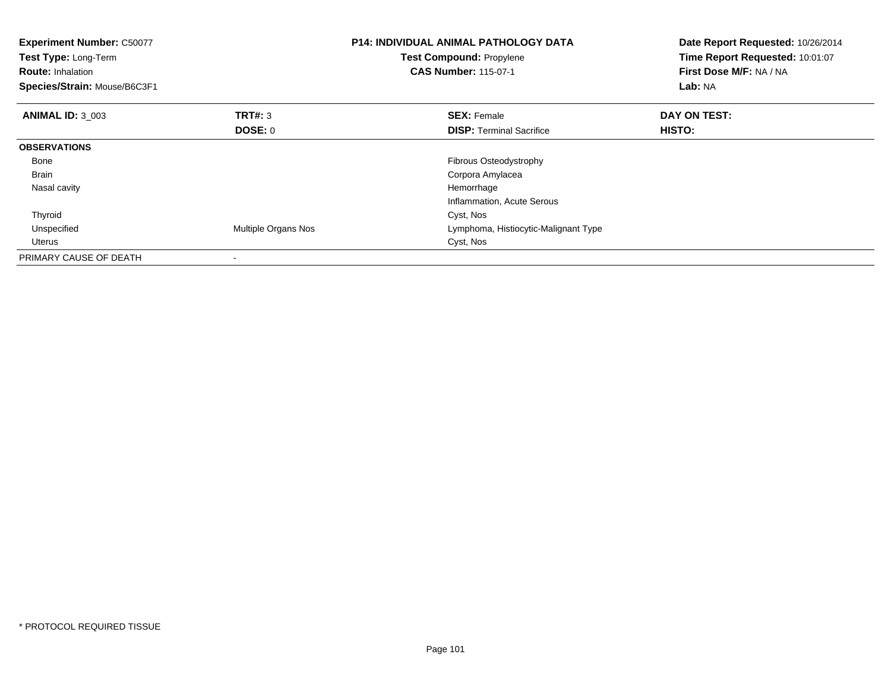| <b>Experiment Number: C50077</b><br>Test Type: Long-Term<br><b>Route: Inhalation</b><br>Species/Strain: Mouse/B6C3F1 |                          | <b>P14: INDIVIDUAL ANIMAL PATHOLOGY DATA</b><br><b>Test Compound: Propylene</b><br><b>CAS Number: 115-07-1</b> | Date Report Requested: 10/26/2014<br>Time Report Requested: 10:01:07<br>First Dose M/F: NA / NA<br>Lab: NA |
|----------------------------------------------------------------------------------------------------------------------|--------------------------|----------------------------------------------------------------------------------------------------------------|------------------------------------------------------------------------------------------------------------|
| <b>ANIMAL ID: 3 003</b>                                                                                              | TRT#: 3                  | <b>SEX: Female</b>                                                                                             | DAY ON TEST:                                                                                               |
|                                                                                                                      | DOSE: 0                  | <b>DISP:</b> Terminal Sacrifice                                                                                | <b>HISTO:</b>                                                                                              |
| <b>OBSERVATIONS</b>                                                                                                  |                          |                                                                                                                |                                                                                                            |
| Bone                                                                                                                 |                          | Fibrous Osteodystrophy                                                                                         |                                                                                                            |
| Brain                                                                                                                |                          | Corpora Amylacea                                                                                               |                                                                                                            |
| Nasal cavity                                                                                                         |                          | Hemorrhage                                                                                                     |                                                                                                            |
|                                                                                                                      |                          | Inflammation, Acute Serous                                                                                     |                                                                                                            |
| Thyroid                                                                                                              |                          | Cyst, Nos                                                                                                      |                                                                                                            |
| Unspecified                                                                                                          | Multiple Organs Nos      | Lymphoma, Histiocytic-Malignant Type                                                                           |                                                                                                            |
| Uterus                                                                                                               |                          | Cyst, Nos                                                                                                      |                                                                                                            |
| PRIMARY CAUSE OF DEATH                                                                                               | $\overline{\phantom{a}}$ |                                                                                                                |                                                                                                            |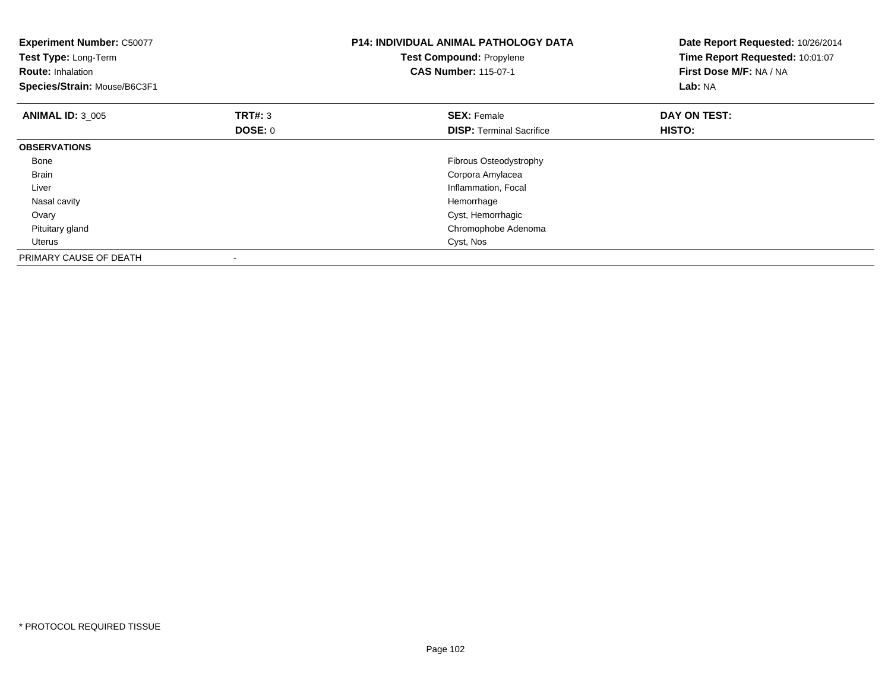| <b>Experiment Number: C50077</b><br>Test Type: Long-Term<br><b>Route: Inhalation</b><br>Species/Strain: Mouse/B6C3F1 |                    | <b>P14: INDIVIDUAL ANIMAL PATHOLOGY DATA</b><br><b>Test Compound: Propylene</b><br><b>CAS Number: 115-07-1</b> | Date Report Requested: 10/26/2014<br>Time Report Requested: 10:01:07<br>First Dose M/F: NA / NA<br>Lab: NA |
|----------------------------------------------------------------------------------------------------------------------|--------------------|----------------------------------------------------------------------------------------------------------------|------------------------------------------------------------------------------------------------------------|
| <b>ANIMAL ID: 3 005</b>                                                                                              | TRT#: 3<br>DOSE: 0 | <b>SEX: Female</b><br><b>DISP:</b> Terminal Sacrifice                                                          | DAY ON TEST:<br>HISTO:                                                                                     |
| <b>OBSERVATIONS</b>                                                                                                  |                    |                                                                                                                |                                                                                                            |
| Bone                                                                                                                 |                    | Fibrous Osteodystrophy                                                                                         |                                                                                                            |
| <b>Brain</b>                                                                                                         |                    | Corpora Amylacea                                                                                               |                                                                                                            |
| Liver                                                                                                                |                    | Inflammation, Focal                                                                                            |                                                                                                            |
| Nasal cavity                                                                                                         |                    | Hemorrhage                                                                                                     |                                                                                                            |
| Ovary                                                                                                                |                    | Cyst, Hemorrhagic                                                                                              |                                                                                                            |
| Pituitary gland                                                                                                      |                    | Chromophobe Adenoma                                                                                            |                                                                                                            |
| <b>Uterus</b>                                                                                                        |                    | Cyst, Nos                                                                                                      |                                                                                                            |
| PRIMARY CAUSE OF DEATH                                                                                               |                    |                                                                                                                |                                                                                                            |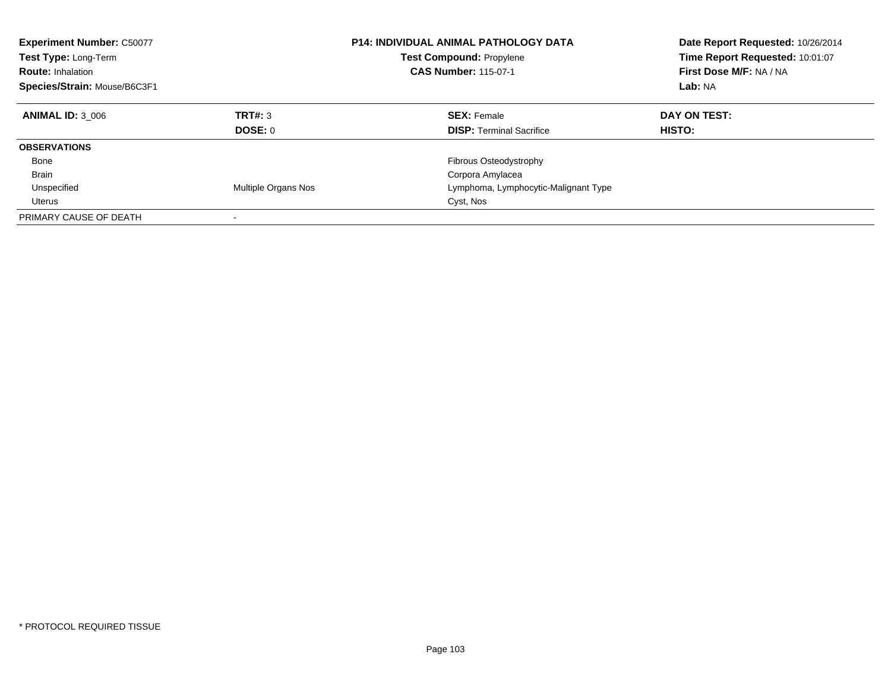| <b>Experiment Number: C50077</b><br>Test Type: Long-Term<br><b>Route: Inhalation</b><br>Species/Strain: Mouse/B6C3F1 |                            | <b>P14: INDIVIDUAL ANIMAL PATHOLOGY DATA</b><br><b>Test Compound: Propylene</b><br><b>CAS Number: 115-07-1</b> | Date Report Requested: 10/26/2014<br>Time Report Requested: 10:01:07<br>First Dose M/F: NA / NA<br>Lab: NA |  |
|----------------------------------------------------------------------------------------------------------------------|----------------------------|----------------------------------------------------------------------------------------------------------------|------------------------------------------------------------------------------------------------------------|--|
| <b>ANIMAL ID: 3 006</b>                                                                                              | TRT#: 3<br>DOSE: 0         | <b>SEX: Female</b><br><b>DISP:</b> Terminal Sacrifice                                                          | DAY ON TEST:<br><b>HISTO:</b>                                                                              |  |
| <b>OBSERVATIONS</b>                                                                                                  |                            |                                                                                                                |                                                                                                            |  |
| Bone                                                                                                                 |                            | <b>Fibrous Osteodystrophy</b>                                                                                  |                                                                                                            |  |
| <b>Brain</b>                                                                                                         |                            | Corpora Amylacea                                                                                               |                                                                                                            |  |
| Unspecified                                                                                                          | <b>Multiple Organs Nos</b> | Lymphoma, Lymphocytic-Malignant Type                                                                           |                                                                                                            |  |
| Uterus                                                                                                               |                            | Cyst, Nos                                                                                                      |                                                                                                            |  |
| PRIMARY CAUSE OF DEATH                                                                                               |                            |                                                                                                                |                                                                                                            |  |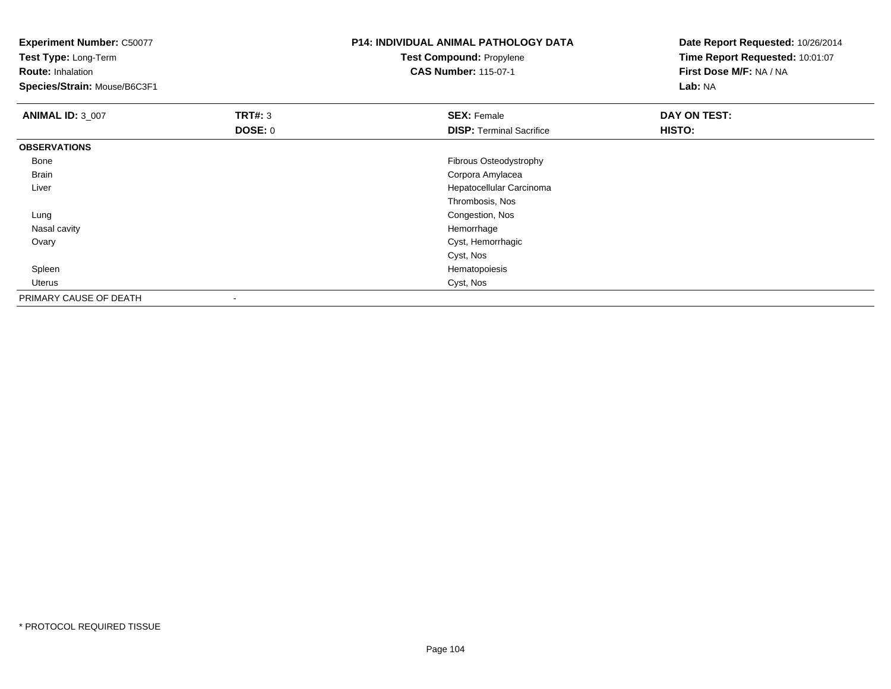**Experiment Number:** C50077**Test Type:** Long-Term**Route:** Inhalation **Species/Strain:** Mouse/B6C3F1**P14: INDIVIDUAL ANIMAL PATHOLOGY DATATest Compound:** Propylene**CAS Number:** 115-07-1**Date Report Requested:** 10/26/2014**Time Report Requested:** 10:01:07**First Dose M/F:** NA / NA**Lab:** NA**ANIMAL ID:** 3\_007 **TRT#:** <sup>3</sup> **SEX:** Female **DAY ON TEST: DOSE:** 0**DISP:** Terminal Sacrifice **HISTO: OBSERVATIONS** Bone Fibrous Osteodystrophy Brain Corpora Amylacea Liver Hepatocellular CarcinomaThrombosis, Nos Congestion, Nos Lung Nasal cavityy the control of the control of the control of the control of the control of the control of the control of the control of the control of the control of the control of the control of the control of the control of the contro Cyst, Hemorrhagic OvaryCyst, NosHematopoiesis Spleenn and the state of the state of the state of the state of the state of the state of the state of the state of the state of the state of the state of the state of the state of the state of the state of the state of the stat Uteruss Cyst, Nos PRIMARY CAUSE OF DEATH-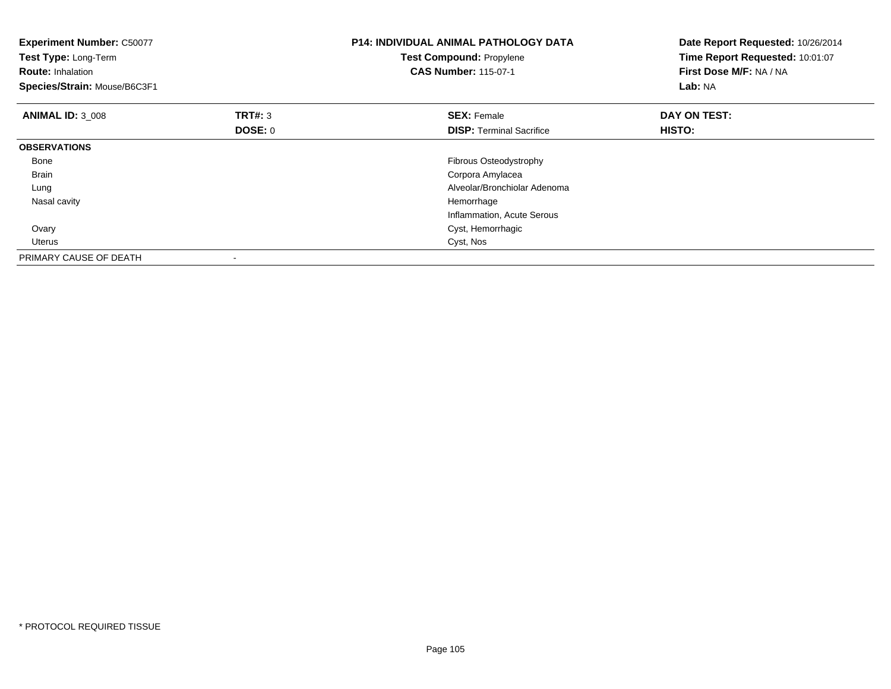| <b>Experiment Number: C50077</b><br>Test Type: Long-Term<br><b>Route: Inhalation</b><br>Species/Strain: Mouse/B6C3F1 |                    | <b>P14: INDIVIDUAL ANIMAL PATHOLOGY DATA</b><br><b>Test Compound: Propylene</b><br><b>CAS Number: 115-07-1</b> | Date Report Requested: 10/26/2014<br>Time Report Requested: 10:01:07<br>First Dose M/F: NA / NA<br>Lab: NA |
|----------------------------------------------------------------------------------------------------------------------|--------------------|----------------------------------------------------------------------------------------------------------------|------------------------------------------------------------------------------------------------------------|
| <b>ANIMAL ID: 3 008</b>                                                                                              | TRT#: 3<br>DOSE: 0 | <b>SEX: Female</b><br><b>DISP:</b> Terminal Sacrifice                                                          | DAY ON TEST:<br>HISTO:                                                                                     |
| <b>OBSERVATIONS</b>                                                                                                  |                    |                                                                                                                |                                                                                                            |
| Bone                                                                                                                 |                    | Fibrous Osteodystrophy                                                                                         |                                                                                                            |
| <b>Brain</b>                                                                                                         |                    | Corpora Amylacea                                                                                               |                                                                                                            |
| Lung                                                                                                                 |                    | Alveolar/Bronchiolar Adenoma                                                                                   |                                                                                                            |
| Nasal cavity                                                                                                         |                    | Hemorrhage                                                                                                     |                                                                                                            |
|                                                                                                                      |                    | Inflammation, Acute Serous                                                                                     |                                                                                                            |
| Ovary                                                                                                                |                    | Cyst, Hemorrhagic                                                                                              |                                                                                                            |
| <b>Uterus</b>                                                                                                        |                    | Cyst, Nos                                                                                                      |                                                                                                            |
| PRIMARY CAUSE OF DEATH                                                                                               |                    |                                                                                                                |                                                                                                            |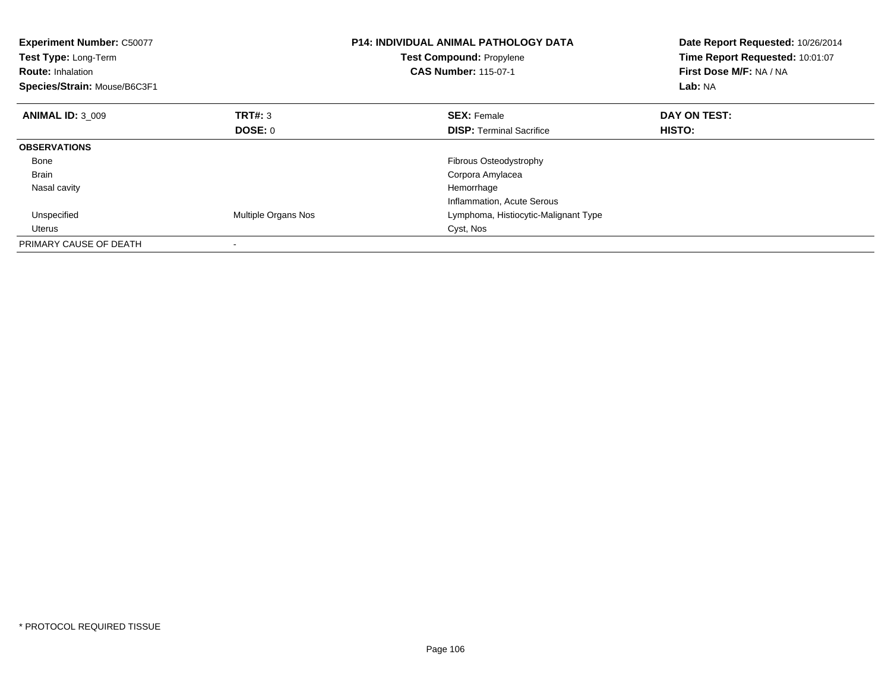| <b>Experiment Number: C50077</b><br><b>Test Type: Long-Term</b><br><b>Route: Inhalation</b><br>Species/Strain: Mouse/B6C3F1 |                            | <b>P14: INDIVIDUAL ANIMAL PATHOLOGY DATA</b><br><b>Test Compound: Propylene</b><br><b>CAS Number: 115-07-1</b> | Date Report Requested: 10/26/2014<br>Time Report Requested: 10:01:07<br>First Dose M/F: NA / NA<br>Lab: NA |
|-----------------------------------------------------------------------------------------------------------------------------|----------------------------|----------------------------------------------------------------------------------------------------------------|------------------------------------------------------------------------------------------------------------|
| <b>ANIMAL ID: 3 009</b>                                                                                                     | TRT#: 3                    | <b>SEX: Female</b>                                                                                             | DAY ON TEST:                                                                                               |
|                                                                                                                             | DOSE: 0                    | <b>DISP:</b> Terminal Sacrifice                                                                                | <b>HISTO:</b>                                                                                              |
| <b>OBSERVATIONS</b>                                                                                                         |                            |                                                                                                                |                                                                                                            |
| Bone                                                                                                                        |                            | Fibrous Osteodystrophy                                                                                         |                                                                                                            |
| <b>Brain</b>                                                                                                                |                            | Corpora Amylacea                                                                                               |                                                                                                            |
| Nasal cavity                                                                                                                |                            | Hemorrhage                                                                                                     |                                                                                                            |
|                                                                                                                             |                            | Inflammation, Acute Serous                                                                                     |                                                                                                            |
| Unspecified                                                                                                                 | <b>Multiple Organs Nos</b> | Lymphoma, Histiocytic-Malignant Type                                                                           |                                                                                                            |
| Uterus                                                                                                                      |                            | Cyst, Nos                                                                                                      |                                                                                                            |
| PRIMARY CAUSE OF DEATH                                                                                                      |                            |                                                                                                                |                                                                                                            |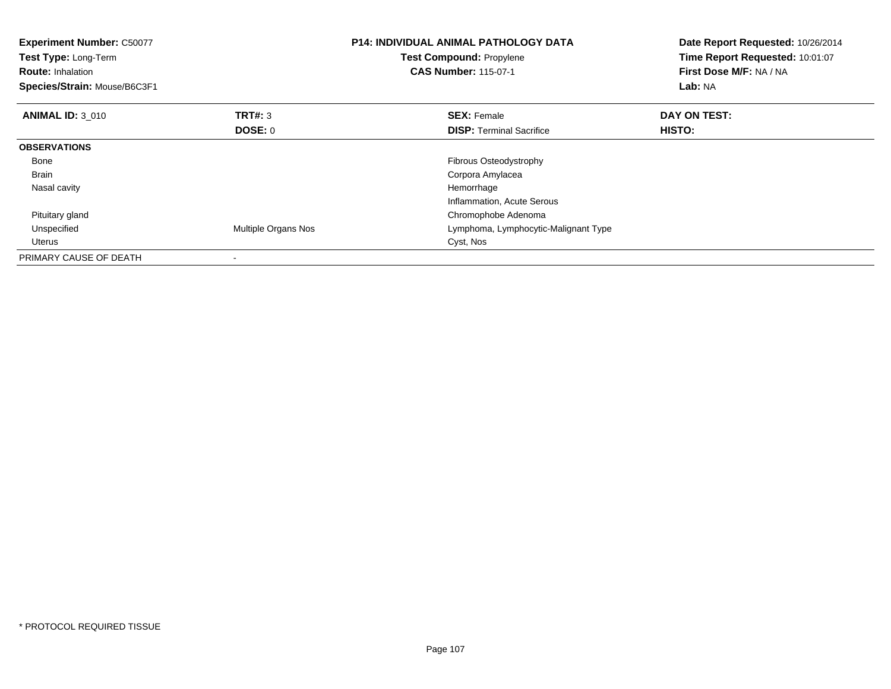| <b>Experiment Number: C50077</b><br>Test Type: Long-Term<br><b>Route: Inhalation</b><br>Species/Strain: Mouse/B6C3F1 |                          | <b>P14: INDIVIDUAL ANIMAL PATHOLOGY DATA</b><br><b>Test Compound: Propylene</b><br><b>CAS Number: 115-07-1</b> | Date Report Requested: 10/26/2014<br>Time Report Requested: 10:01:07<br>First Dose M/F: NA / NA<br>Lab: NA |
|----------------------------------------------------------------------------------------------------------------------|--------------------------|----------------------------------------------------------------------------------------------------------------|------------------------------------------------------------------------------------------------------------|
| <b>ANIMAL ID: 3 010</b>                                                                                              | <b>TRT#: 3</b>           | <b>SEX: Female</b>                                                                                             | DAY ON TEST:                                                                                               |
|                                                                                                                      | <b>DOSE: 0</b>           | <b>DISP:</b> Terminal Sacrifice                                                                                | HISTO:                                                                                                     |
| <b>OBSERVATIONS</b>                                                                                                  |                          |                                                                                                                |                                                                                                            |
| Bone                                                                                                                 |                          | Fibrous Osteodystrophy                                                                                         |                                                                                                            |
| Brain                                                                                                                |                          | Corpora Amylacea                                                                                               |                                                                                                            |
| Nasal cavity                                                                                                         |                          | Hemorrhage                                                                                                     |                                                                                                            |
|                                                                                                                      |                          | Inflammation, Acute Serous                                                                                     |                                                                                                            |
| Pituitary gland                                                                                                      |                          | Chromophobe Adenoma                                                                                            |                                                                                                            |
| Unspecified                                                                                                          | Multiple Organs Nos      | Lymphoma, Lymphocytic-Malignant Type                                                                           |                                                                                                            |
| Uterus                                                                                                               |                          | Cyst, Nos                                                                                                      |                                                                                                            |
| PRIMARY CAUSE OF DEATH                                                                                               | $\overline{\phantom{a}}$ |                                                                                                                |                                                                                                            |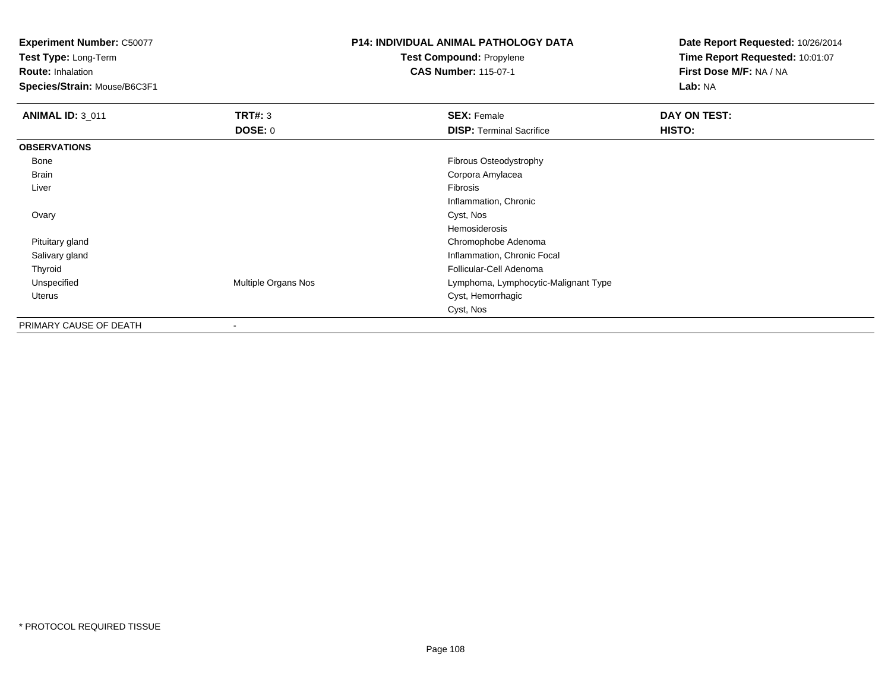**Experiment Number:** C50077

**Test Type:** Long-Term

**Route:** Inhalation

**Species/Strain:** Mouse/B6C3F1

## **P14: INDIVIDUAL ANIMAL PATHOLOGY DATATest Compound:** Propylene**CAS Number:** 115-07-1

**Date Report Requested:** 10/26/2014**Time Report Requested:** 10:01:07**First Dose M/F:** NA / NA**Lab:** NA

| <b>ANIMAL ID: 3_011</b> | TRT#: 3             | <b>SEX: Female</b>                   | DAY ON TEST: |  |
|-------------------------|---------------------|--------------------------------------|--------------|--|
|                         | <b>DOSE: 0</b>      | <b>DISP:</b> Terminal Sacrifice      | HISTO:       |  |
| <b>OBSERVATIONS</b>     |                     |                                      |              |  |
| Bone                    |                     | Fibrous Osteodystrophy               |              |  |
| <b>Brain</b>            |                     | Corpora Amylacea                     |              |  |
| Liver                   |                     | Fibrosis                             |              |  |
|                         |                     | Inflammation, Chronic                |              |  |
| Ovary                   |                     | Cyst, Nos                            |              |  |
|                         |                     | Hemosiderosis                        |              |  |
| Pituitary gland         |                     | Chromophobe Adenoma                  |              |  |
| Salivary gland          |                     | Inflammation, Chronic Focal          |              |  |
| Thyroid                 |                     | Follicular-Cell Adenoma              |              |  |
| Unspecified             | Multiple Organs Nos | Lymphoma, Lymphocytic-Malignant Type |              |  |
| Uterus                  |                     | Cyst, Hemorrhagic                    |              |  |
|                         |                     | Cyst, Nos                            |              |  |
| PRIMARY CAUSE OF DEATH  |                     |                                      |              |  |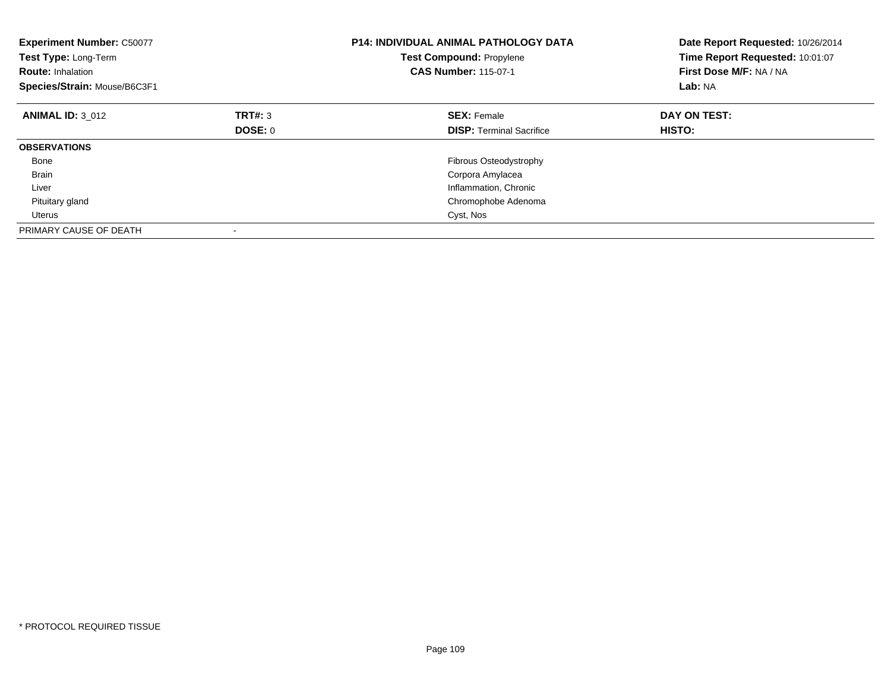| <b>Experiment Number: C50077</b><br>Test Type: Long-Term<br><b>Route: Inhalation</b><br>Species/Strain: Mouse/B6C3F1 |         | <b>P14: INDIVIDUAL ANIMAL PATHOLOGY DATA</b><br><b>Test Compound: Propylene</b><br><b>CAS Number: 115-07-1</b> | Date Report Requested: 10/26/2014<br>Time Report Requested: 10:01:07<br>First Dose M/F: NA / NA<br>Lab: NA |
|----------------------------------------------------------------------------------------------------------------------|---------|----------------------------------------------------------------------------------------------------------------|------------------------------------------------------------------------------------------------------------|
| <b>ANIMAL ID: 3 012</b>                                                                                              | TRT#: 3 | <b>SEX: Female</b>                                                                                             | DAY ON TEST:                                                                                               |
|                                                                                                                      | DOSE: 0 | <b>DISP:</b> Terminal Sacrifice                                                                                | <b>HISTO:</b>                                                                                              |
| <b>OBSERVATIONS</b>                                                                                                  |         |                                                                                                                |                                                                                                            |
| Bone                                                                                                                 |         | Fibrous Osteodystrophy                                                                                         |                                                                                                            |
| <b>Brain</b>                                                                                                         |         | Corpora Amylacea                                                                                               |                                                                                                            |
| Liver                                                                                                                |         | Inflammation, Chronic                                                                                          |                                                                                                            |
| Pituitary gland                                                                                                      |         | Chromophobe Adenoma                                                                                            |                                                                                                            |
| Uterus                                                                                                               |         | Cyst, Nos                                                                                                      |                                                                                                            |
| PRIMARY CAUSE OF DEATH                                                                                               |         |                                                                                                                |                                                                                                            |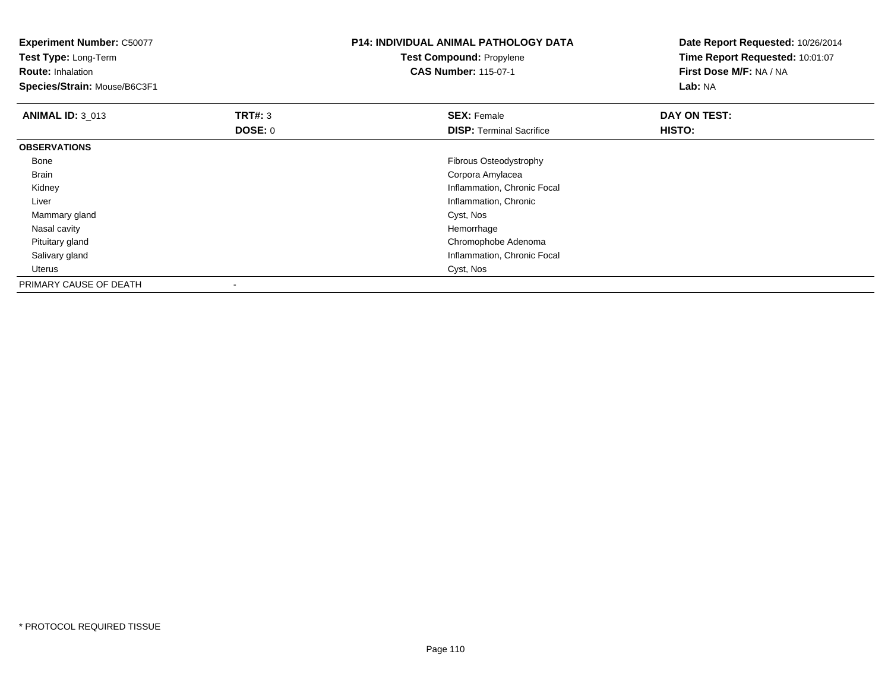| <b>Experiment Number: C50077</b><br>Test Type: Long-Term |                | <b>P14: INDIVIDUAL ANIMAL PATHOLOGY DATA</b><br><b>Test Compound: Propylene</b> | Date Report Requested: 10/26/2014<br>Time Report Requested: 10:01:07 |
|----------------------------------------------------------|----------------|---------------------------------------------------------------------------------|----------------------------------------------------------------------|
| <b>Route: Inhalation</b>                                 |                | <b>CAS Number: 115-07-1</b>                                                     | First Dose M/F: NA / NA<br>Lab: NA                                   |
| Species/Strain: Mouse/B6C3F1                             |                |                                                                                 |                                                                      |
| <b>ANIMAL ID: 3 013</b>                                  | <b>TRT#: 3</b> | <b>SEX: Female</b>                                                              | DAY ON TEST:                                                         |
|                                                          | <b>DOSE: 0</b> | <b>DISP: Terminal Sacrifice</b>                                                 | HISTO:                                                               |
| <b>OBSERVATIONS</b>                                      |                |                                                                                 |                                                                      |
| Bone                                                     |                | Fibrous Osteodystrophy                                                          |                                                                      |
| Brain                                                    |                | Corpora Amylacea                                                                |                                                                      |
| Kidney                                                   |                | Inflammation, Chronic Focal                                                     |                                                                      |
| Liver                                                    |                | Inflammation, Chronic                                                           |                                                                      |
| Mammary gland                                            |                | Cyst, Nos                                                                       |                                                                      |
| Nasal cavity                                             |                | Hemorrhage                                                                      |                                                                      |
| Pituitary gland                                          |                | Chromophobe Adenoma                                                             |                                                                      |
| Salivary gland                                           |                | Inflammation, Chronic Focal                                                     |                                                                      |
| Uterus                                                   |                | Cyst, Nos                                                                       |                                                                      |
| PRIMARY CAUSE OF DEATH                                   |                |                                                                                 |                                                                      |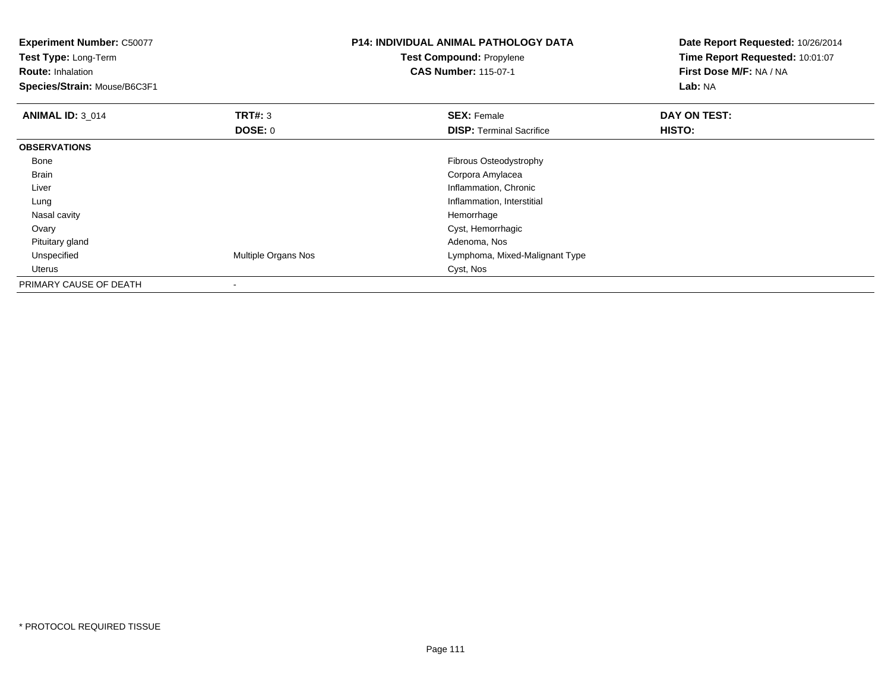| <b>Experiment Number: C50077</b><br>Test Type: Long-Term<br><b>Route: Inhalation</b><br>Species/Strain: Mouse/B6C3F1 |                     | <b>P14: INDIVIDUAL ANIMAL PATHOLOGY DATA</b><br>Test Compound: Propylene<br><b>CAS Number: 115-07-1</b> | Date Report Requested: 10/26/2014<br>Time Report Requested: 10:01:07<br>First Dose M/F: NA / NA<br>Lab: NA |
|----------------------------------------------------------------------------------------------------------------------|---------------------|---------------------------------------------------------------------------------------------------------|------------------------------------------------------------------------------------------------------------|
| <b>ANIMAL ID: 3_014</b>                                                                                              | <b>TRT#: 3</b>      | <b>SEX: Female</b>                                                                                      | DAY ON TEST:                                                                                               |
|                                                                                                                      | <b>DOSE: 0</b>      | <b>DISP:</b> Terminal Sacrifice                                                                         | HISTO:                                                                                                     |
| <b>OBSERVATIONS</b>                                                                                                  |                     |                                                                                                         |                                                                                                            |
| Bone                                                                                                                 |                     | Fibrous Osteodystrophy                                                                                  |                                                                                                            |
| Brain                                                                                                                |                     | Corpora Amylacea                                                                                        |                                                                                                            |
| Liver                                                                                                                |                     | Inflammation, Chronic                                                                                   |                                                                                                            |
| Lung                                                                                                                 |                     | Inflammation, Interstitial                                                                              |                                                                                                            |
| Nasal cavity                                                                                                         |                     | Hemorrhage                                                                                              |                                                                                                            |
| Ovary                                                                                                                |                     | Cyst, Hemorrhagic                                                                                       |                                                                                                            |
| Pituitary gland                                                                                                      |                     | Adenoma, Nos                                                                                            |                                                                                                            |
| Unspecified                                                                                                          | Multiple Organs Nos | Lymphoma, Mixed-Malignant Type                                                                          |                                                                                                            |
| Uterus                                                                                                               |                     | Cyst, Nos                                                                                               |                                                                                                            |
| PRIMARY CAUSE OF DEATH                                                                                               |                     |                                                                                                         |                                                                                                            |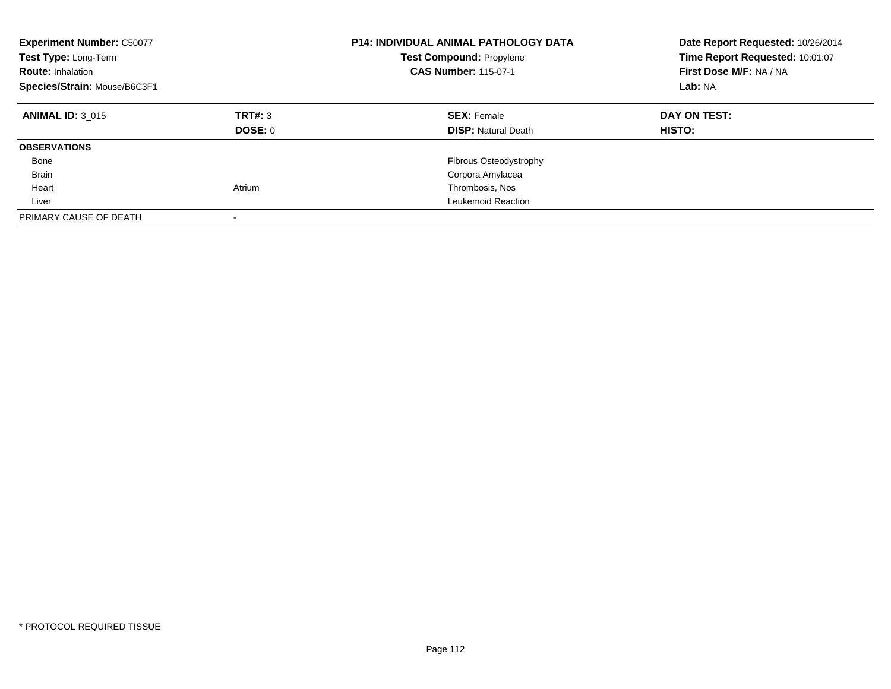| <b>Experiment Number: C50077</b><br>Test Type: Long-Term<br><b>Route: Inhalation</b><br>Species/Strain: Mouse/B6C3F1 |                          | <b>P14: INDIVIDUAL ANIMAL PATHOLOGY DATA</b><br><b>Test Compound: Propylene</b><br><b>CAS Number: 115-07-1</b> | Date Report Requested: 10/26/2014<br>Time Report Requested: 10:01:07<br>First Dose M/F: NA / NA<br>Lab: NA |
|----------------------------------------------------------------------------------------------------------------------|--------------------------|----------------------------------------------------------------------------------------------------------------|------------------------------------------------------------------------------------------------------------|
| <b>ANIMAL ID: 3 015</b>                                                                                              | TRT#: 3<br>DOSE: 0       | <b>SEX: Female</b><br><b>DISP:</b> Natural Death                                                               | DAY ON TEST:<br>HISTO:                                                                                     |
| <b>OBSERVATIONS</b>                                                                                                  |                          |                                                                                                                |                                                                                                            |
| Bone                                                                                                                 |                          | <b>Fibrous Osteodystrophy</b>                                                                                  |                                                                                                            |
| <b>Brain</b>                                                                                                         |                          | Corpora Amylacea                                                                                               |                                                                                                            |
| Heart                                                                                                                | Atrium                   | Thrombosis, Nos                                                                                                |                                                                                                            |
| Liver                                                                                                                |                          | Leukemoid Reaction                                                                                             |                                                                                                            |
| PRIMARY CAUSE OF DEATH                                                                                               | $\overline{\phantom{a}}$ |                                                                                                                |                                                                                                            |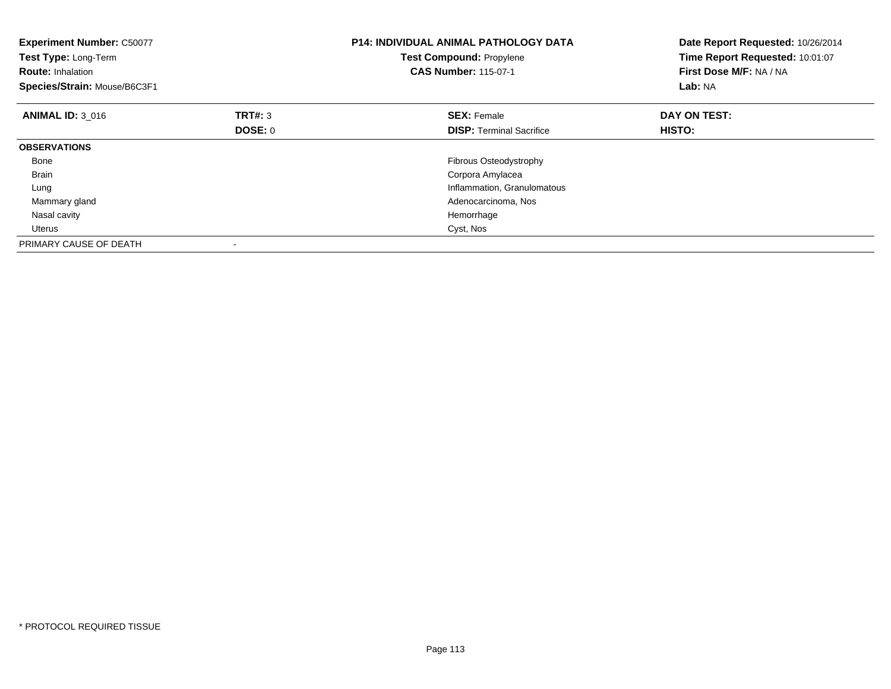| <b>Experiment Number: C50077</b><br>Test Type: Long-Term<br><b>Route: Inhalation</b><br>Species/Strain: Mouse/B6C3F1 |                | <b>P14: INDIVIDUAL ANIMAL PATHOLOGY DATA</b><br>Test Compound: Propylene<br><b>CAS Number: 115-07-1</b> | Date Report Requested: 10/26/2014<br>Time Report Requested: 10:01:07<br>First Dose M/F: NA / NA<br>Lab: NA |
|----------------------------------------------------------------------------------------------------------------------|----------------|---------------------------------------------------------------------------------------------------------|------------------------------------------------------------------------------------------------------------|
| <b>ANIMAL ID: 3 016</b>                                                                                              | TRT#: 3        | <b>SEX: Female</b>                                                                                      | DAY ON TEST:                                                                                               |
|                                                                                                                      | <b>DOSE: 0</b> | <b>DISP:</b> Terminal Sacrifice                                                                         | HISTO:                                                                                                     |
| <b>OBSERVATIONS</b>                                                                                                  |                |                                                                                                         |                                                                                                            |
| Bone                                                                                                                 |                | <b>Fibrous Osteodystrophy</b>                                                                           |                                                                                                            |
| <b>Brain</b>                                                                                                         |                | Corpora Amylacea                                                                                        |                                                                                                            |
| Lung                                                                                                                 |                | Inflammation, Granulomatous                                                                             |                                                                                                            |
| Mammary gland                                                                                                        |                | Adenocarcinoma, Nos                                                                                     |                                                                                                            |
| Nasal cavity                                                                                                         |                | Hemorrhage                                                                                              |                                                                                                            |
| Uterus                                                                                                               |                | Cyst, Nos                                                                                               |                                                                                                            |
| PRIMARY CAUSE OF DEATH                                                                                               |                |                                                                                                         |                                                                                                            |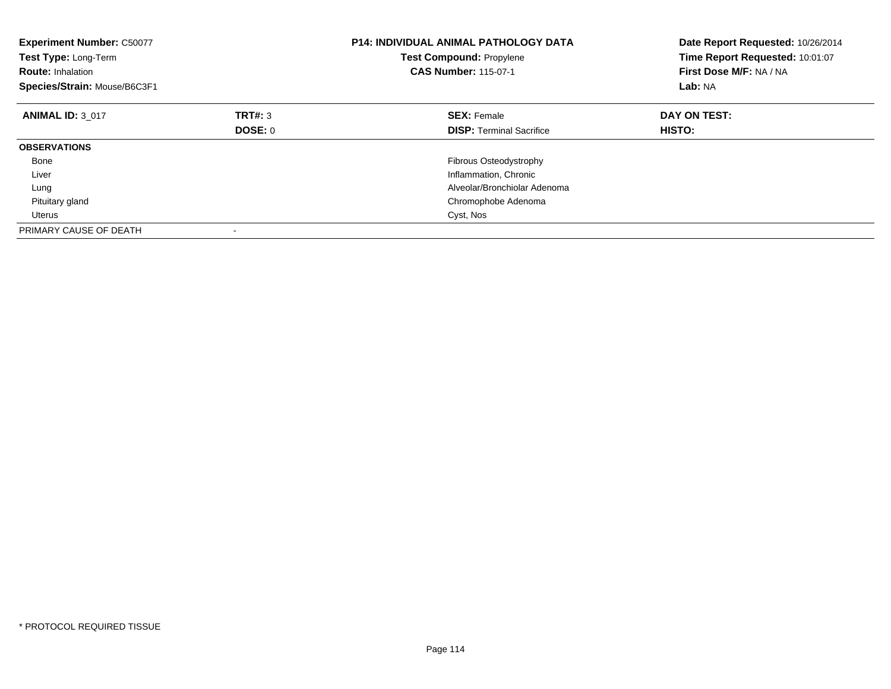| <b>Experiment Number: C50077</b><br>Test Type: Long-Term<br><b>Route: Inhalation</b><br>Species/Strain: Mouse/B6C3F1 |         | <b>P14: INDIVIDUAL ANIMAL PATHOLOGY DATA</b><br><b>Test Compound: Propylene</b><br><b>CAS Number: 115-07-1</b> | Date Report Requested: 10/26/2014<br>Time Report Requested: 10:01:07<br>First Dose M/F: NA / NA<br>Lab: NA |
|----------------------------------------------------------------------------------------------------------------------|---------|----------------------------------------------------------------------------------------------------------------|------------------------------------------------------------------------------------------------------------|
| <b>ANIMAL ID: 3 017</b>                                                                                              | TRT#: 3 | <b>SEX: Female</b>                                                                                             | DAY ON TEST:                                                                                               |
|                                                                                                                      | DOSE: 0 | <b>DISP:</b> Terminal Sacrifice                                                                                | <b>HISTO:</b>                                                                                              |
| <b>OBSERVATIONS</b>                                                                                                  |         |                                                                                                                |                                                                                                            |
| Bone                                                                                                                 |         | Fibrous Osteodystrophy                                                                                         |                                                                                                            |
| Liver                                                                                                                |         | Inflammation, Chronic                                                                                          |                                                                                                            |
| Lung                                                                                                                 |         | Alveolar/Bronchiolar Adenoma                                                                                   |                                                                                                            |
| Pituitary gland                                                                                                      |         | Chromophobe Adenoma                                                                                            |                                                                                                            |
| Uterus                                                                                                               |         | Cyst, Nos                                                                                                      |                                                                                                            |
| PRIMARY CAUSE OF DEATH                                                                                               |         |                                                                                                                |                                                                                                            |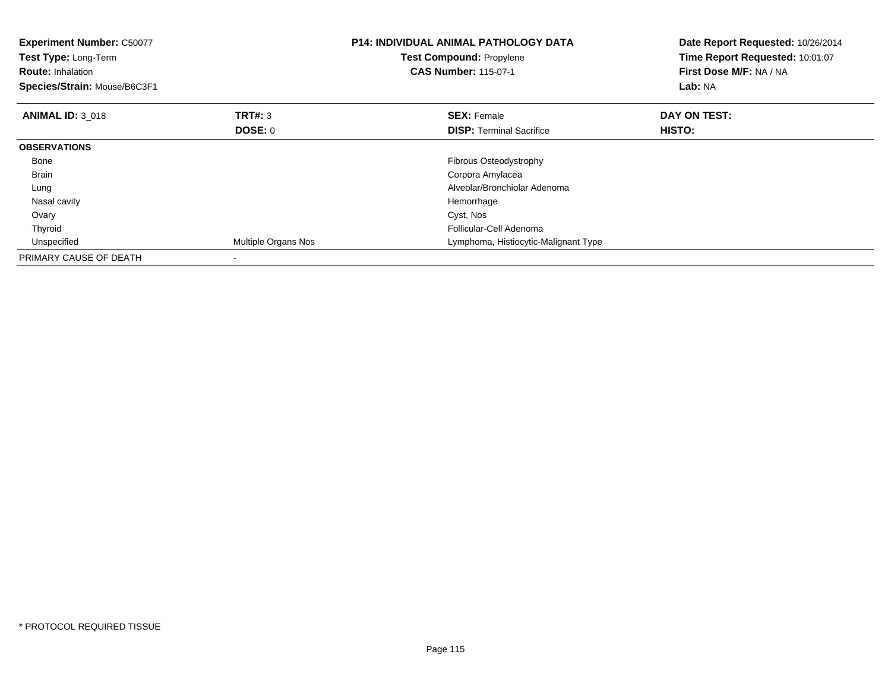| <b>Experiment Number: C50077</b><br>Test Type: Long-Term<br><b>Route: Inhalation</b><br>Species/Strain: Mouse/B6C3F1 |                     | <b>P14: INDIVIDUAL ANIMAL PATHOLOGY DATA</b><br>Test Compound: Propylene<br><b>CAS Number: 115-07-1</b> | Date Report Requested: 10/26/2014<br>Time Report Requested: 10:01:07<br>First Dose M/F: NA / NA<br>Lab: NA |
|----------------------------------------------------------------------------------------------------------------------|---------------------|---------------------------------------------------------------------------------------------------------|------------------------------------------------------------------------------------------------------------|
| <b>ANIMAL ID: 3 018</b>                                                                                              | <b>TRT#: 3</b>      | <b>SEX: Female</b>                                                                                      | DAY ON TEST:                                                                                               |
|                                                                                                                      | DOSE: 0             | <b>DISP:</b> Terminal Sacrifice                                                                         | HISTO:                                                                                                     |
| <b>OBSERVATIONS</b>                                                                                                  |                     |                                                                                                         |                                                                                                            |
| Bone                                                                                                                 |                     | <b>Fibrous Osteodystrophy</b>                                                                           |                                                                                                            |
| <b>Brain</b>                                                                                                         |                     | Corpora Amylacea                                                                                        |                                                                                                            |
| Lung                                                                                                                 |                     | Alveolar/Bronchiolar Adenoma                                                                            |                                                                                                            |
| Nasal cavity                                                                                                         |                     | Hemorrhage                                                                                              |                                                                                                            |
| Ovary                                                                                                                |                     | Cyst, Nos                                                                                               |                                                                                                            |
| Thyroid                                                                                                              |                     | Follicular-Cell Adenoma                                                                                 |                                                                                                            |
| Unspecified                                                                                                          | Multiple Organs Nos | Lymphoma, Histiocytic-Malignant Type                                                                    |                                                                                                            |
| PRIMARY CAUSE OF DEATH                                                                                               |                     |                                                                                                         |                                                                                                            |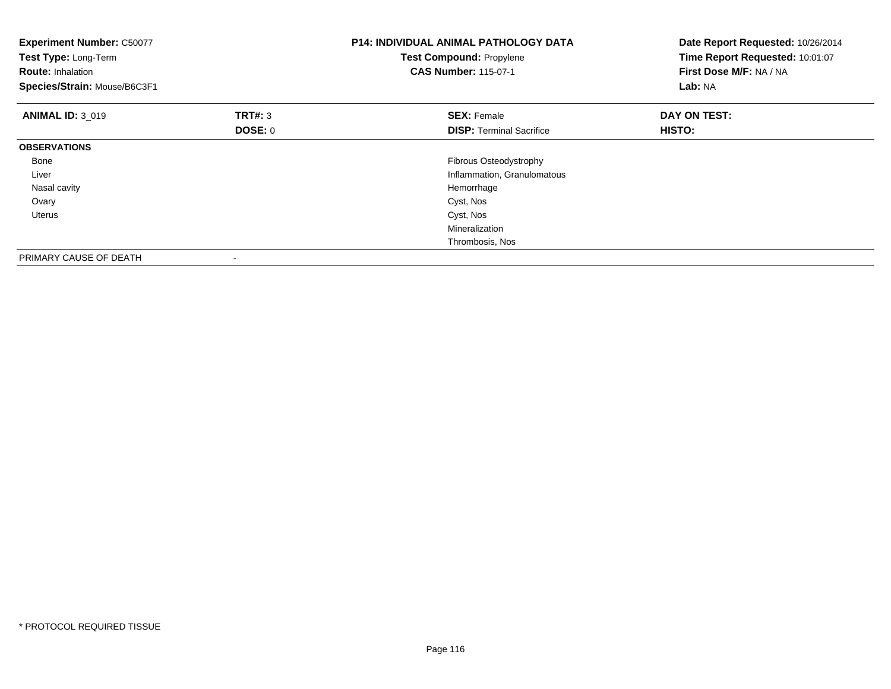| <b>Experiment Number: C50077</b><br>Test Type: Long-Term<br><b>Route: Inhalation</b><br>Species/Strain: Mouse/B6C3F1 |                | <b>P14: INDIVIDUAL ANIMAL PATHOLOGY DATA</b><br>Test Compound: Propylene<br><b>CAS Number: 115-07-1</b> | Date Report Requested: 10/26/2014<br>Time Report Requested: 10:01:07<br>First Dose M/F: NA / NA<br>Lab: NA |
|----------------------------------------------------------------------------------------------------------------------|----------------|---------------------------------------------------------------------------------------------------------|------------------------------------------------------------------------------------------------------------|
| <b>ANIMAL ID: 3 019</b>                                                                                              | <b>TRT#: 3</b> | <b>SEX: Female</b>                                                                                      | DAY ON TEST:                                                                                               |
|                                                                                                                      | <b>DOSE: 0</b> | <b>DISP:</b> Terminal Sacrifice                                                                         | <b>HISTO:</b>                                                                                              |
| <b>OBSERVATIONS</b>                                                                                                  |                |                                                                                                         |                                                                                                            |
| Bone                                                                                                                 |                | Fibrous Osteodystrophy                                                                                  |                                                                                                            |
| Liver                                                                                                                |                | Inflammation, Granulomatous                                                                             |                                                                                                            |
| Nasal cavity                                                                                                         |                | Hemorrhage                                                                                              |                                                                                                            |
| Ovary                                                                                                                |                | Cyst, Nos                                                                                               |                                                                                                            |
| Uterus                                                                                                               |                | Cyst, Nos                                                                                               |                                                                                                            |
|                                                                                                                      |                | Mineralization                                                                                          |                                                                                                            |
|                                                                                                                      |                | Thrombosis, Nos                                                                                         |                                                                                                            |
| PRIMARY CAUSE OF DEATH                                                                                               |                |                                                                                                         |                                                                                                            |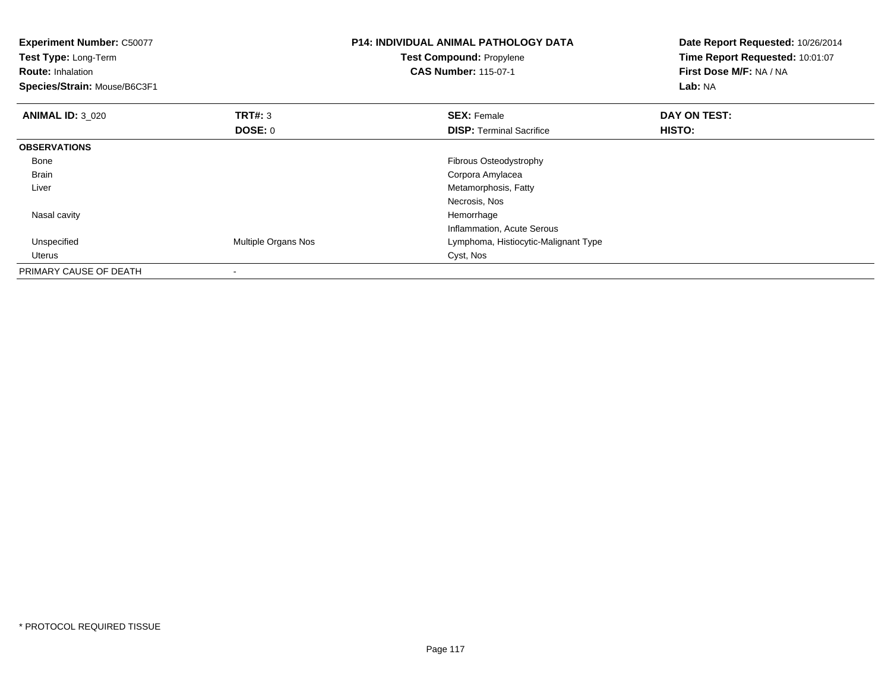| <b>Experiment Number: C50077</b><br>Test Type: Long-Term<br><b>Route: Inhalation</b><br>Species/Strain: Mouse/B6C3F1 |                     | <b>P14: INDIVIDUAL ANIMAL PATHOLOGY DATA</b><br><b>Test Compound: Propylene</b><br><b>CAS Number: 115-07-1</b> | Date Report Requested: 10/26/2014<br>Time Report Requested: 10:01:07<br>First Dose M/F: NA / NA<br><b>Lab: NA</b> |
|----------------------------------------------------------------------------------------------------------------------|---------------------|----------------------------------------------------------------------------------------------------------------|-------------------------------------------------------------------------------------------------------------------|
| <b>ANIMAL ID: 3 020</b>                                                                                              | <b>TRT#: 3</b>      | <b>SEX: Female</b>                                                                                             | DAY ON TEST:                                                                                                      |
|                                                                                                                      | <b>DOSE: 0</b>      | <b>DISP:</b> Terminal Sacrifice                                                                                | <b>HISTO:</b>                                                                                                     |
| <b>OBSERVATIONS</b>                                                                                                  |                     |                                                                                                                |                                                                                                                   |
| Bone                                                                                                                 |                     | Fibrous Osteodystrophy                                                                                         |                                                                                                                   |
| <b>Brain</b>                                                                                                         |                     | Corpora Amylacea                                                                                               |                                                                                                                   |
| Liver                                                                                                                |                     | Metamorphosis, Fatty                                                                                           |                                                                                                                   |
|                                                                                                                      |                     | Necrosis, Nos                                                                                                  |                                                                                                                   |
| Nasal cavity                                                                                                         |                     | Hemorrhage                                                                                                     |                                                                                                                   |
|                                                                                                                      |                     | Inflammation, Acute Serous                                                                                     |                                                                                                                   |
| Unspecified                                                                                                          | Multiple Organs Nos | Lymphoma, Histiocytic-Malignant Type                                                                           |                                                                                                                   |
| Uterus                                                                                                               |                     | Cyst, Nos                                                                                                      |                                                                                                                   |
| PRIMARY CAUSE OF DEATH                                                                                               |                     |                                                                                                                |                                                                                                                   |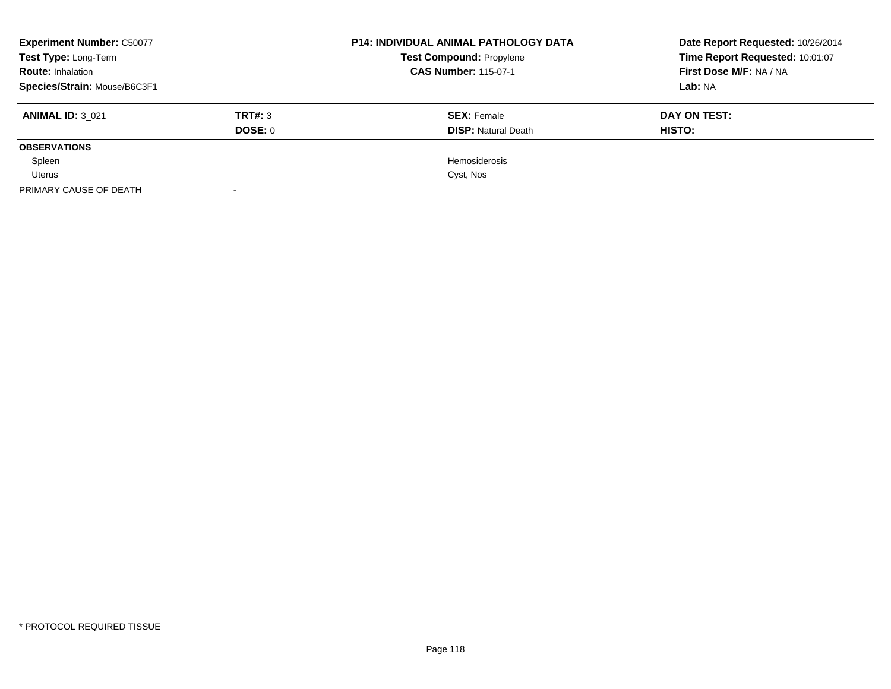| <b>Experiment Number: C50077</b> |         | <b>P14: INDIVIDUAL ANIMAL PATHOLOGY DATA</b><br><b>Test Compound: Propylene</b> | Date Report Requested: 10/26/2014 |
|----------------------------------|---------|---------------------------------------------------------------------------------|-----------------------------------|
| Test Type: Long-Term             |         |                                                                                 | Time Report Requested: 10:01:07   |
| <b>Route: Inhalation</b>         |         | <b>CAS Number: 115-07-1</b>                                                     | First Dose M/F: NA / NA           |
| Species/Strain: Mouse/B6C3F1     |         |                                                                                 | Lab: NA                           |
| <b>ANIMAL ID: 3 021</b>          | TRT#: 3 | <b>SEX: Female</b>                                                              | DAY ON TEST:                      |
|                                  | DOSE: 0 | <b>DISP:</b> Natural Death                                                      | HISTO:                            |
| <b>OBSERVATIONS</b>              |         |                                                                                 |                                   |
| Spleen                           |         | Hemosiderosis                                                                   |                                   |
| Uterus                           |         | Cyst, Nos                                                                       |                                   |
| PRIMARY CAUSE OF DEATH           |         |                                                                                 |                                   |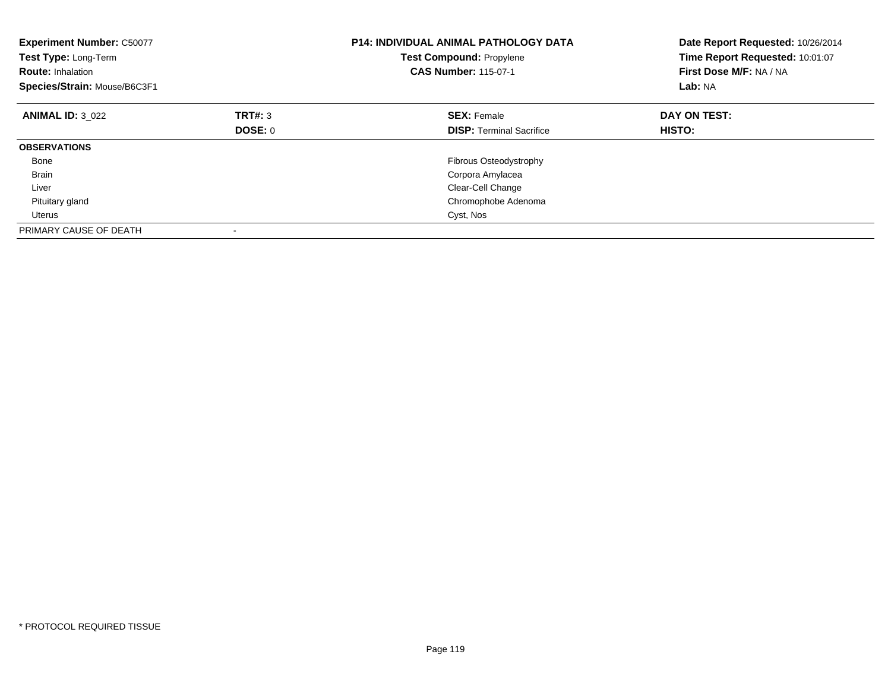| <b>Experiment Number: C50077</b><br>Test Type: Long-Term<br><b>Route: Inhalation</b><br>Species/Strain: Mouse/B6C3F1 |         | <b>P14: INDIVIDUAL ANIMAL PATHOLOGY DATA</b><br><b>Test Compound: Propylene</b><br><b>CAS Number: 115-07-1</b> | Date Report Requested: 10/26/2014<br>Time Report Requested: 10:01:07<br>First Dose M/F: NA / NA<br>Lab: NA |
|----------------------------------------------------------------------------------------------------------------------|---------|----------------------------------------------------------------------------------------------------------------|------------------------------------------------------------------------------------------------------------|
| <b>ANIMAL ID: 3 022</b>                                                                                              | TRT#: 3 | <b>SEX: Female</b>                                                                                             | DAY ON TEST:                                                                                               |
|                                                                                                                      | DOSE: 0 | <b>DISP:</b> Terminal Sacrifice                                                                                | <b>HISTO:</b>                                                                                              |
| <b>OBSERVATIONS</b>                                                                                                  |         |                                                                                                                |                                                                                                            |
| Bone                                                                                                                 |         | Fibrous Osteodystrophy                                                                                         |                                                                                                            |
| <b>Brain</b>                                                                                                         |         | Corpora Amylacea                                                                                               |                                                                                                            |
| Liver                                                                                                                |         | Clear-Cell Change                                                                                              |                                                                                                            |
| Pituitary gland                                                                                                      |         | Chromophobe Adenoma                                                                                            |                                                                                                            |
| Uterus                                                                                                               |         | Cyst, Nos                                                                                                      |                                                                                                            |
| PRIMARY CAUSE OF DEATH                                                                                               |         |                                                                                                                |                                                                                                            |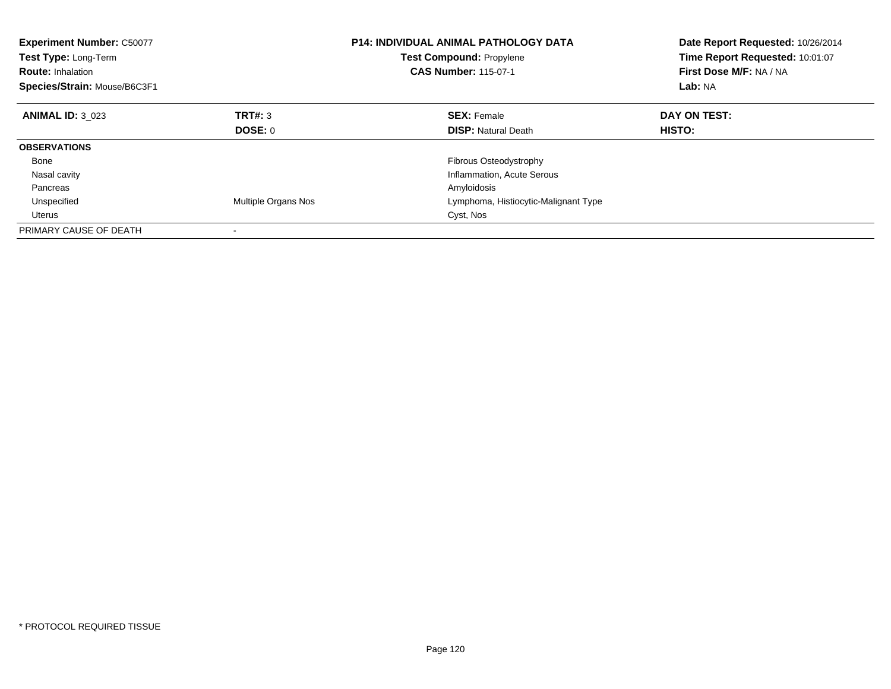| <b>Experiment Number: C50077</b><br>Test Type: Long-Term<br><b>Route: Inhalation</b><br>Species/Strain: Mouse/B6C3F1 |                     | <b>P14: INDIVIDUAL ANIMAL PATHOLOGY DATA</b><br>Test Compound: Propylene<br><b>CAS Number: 115-07-1</b> | Date Report Requested: 10/26/2014<br>Time Report Requested: 10:01:07<br>First Dose M/F: NA / NA<br>Lab: NA |
|----------------------------------------------------------------------------------------------------------------------|---------------------|---------------------------------------------------------------------------------------------------------|------------------------------------------------------------------------------------------------------------|
| <b>ANIMAL ID: 3 023</b>                                                                                              | TRT#: 3             | <b>SEX: Female</b>                                                                                      | DAY ON TEST:                                                                                               |
|                                                                                                                      | DOSE: 0             | <b>DISP:</b> Natural Death                                                                              | HISTO:                                                                                                     |
| <b>OBSERVATIONS</b>                                                                                                  |                     |                                                                                                         |                                                                                                            |
| Bone                                                                                                                 |                     | <b>Fibrous Osteodystrophy</b>                                                                           |                                                                                                            |
| Nasal cavity                                                                                                         |                     | Inflammation, Acute Serous                                                                              |                                                                                                            |
| Pancreas                                                                                                             |                     | Amyloidosis                                                                                             |                                                                                                            |
| Unspecified                                                                                                          | Multiple Organs Nos | Lymphoma, Histiocytic-Malignant Type                                                                    |                                                                                                            |
| <b>Uterus</b>                                                                                                        |                     | Cyst, Nos                                                                                               |                                                                                                            |
| PRIMARY CAUSE OF DEATH                                                                                               |                     |                                                                                                         |                                                                                                            |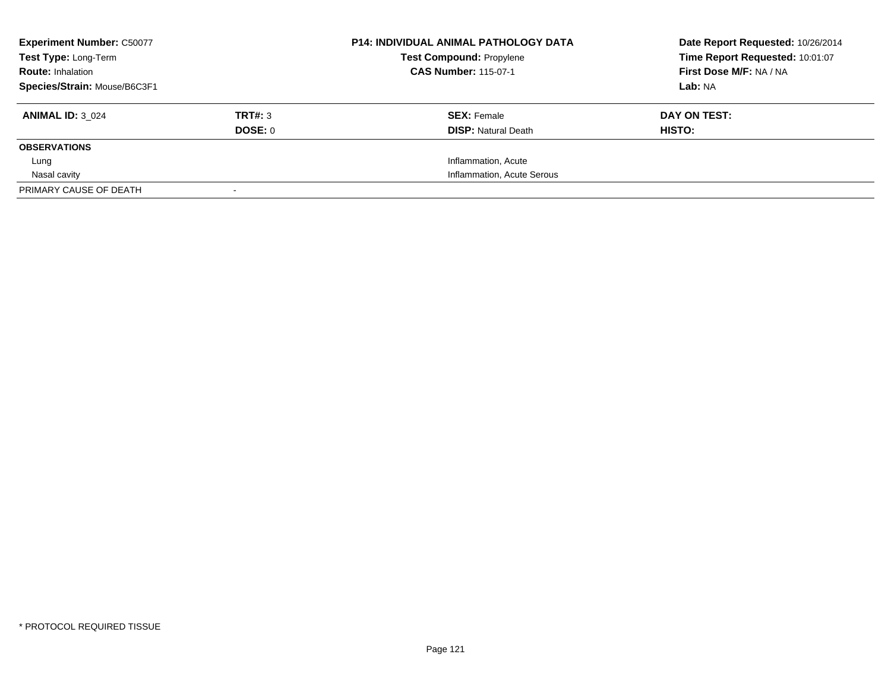| <b>Experiment Number: C50077</b> |         | <b>P14: INDIVIDUAL ANIMAL PATHOLOGY DATA</b> | Date Report Requested: 10/26/2014 |
|----------------------------------|---------|----------------------------------------------|-----------------------------------|
| Test Type: Long-Term             |         | <b>Test Compound: Propylene</b>              | Time Report Requested: 10:01:07   |
| <b>Route: Inhalation</b>         |         | <b>CAS Number: 115-07-1</b>                  | First Dose M/F: NA / NA           |
| Species/Strain: Mouse/B6C3F1     |         |                                              | Lab: NA                           |
| <b>ANIMAL ID: 3 024</b>          | TRT#: 3 | <b>SEX: Female</b>                           | DAY ON TEST:                      |
|                                  | DOSE: 0 | <b>DISP:</b> Natural Death                   | HISTO:                            |
| <b>OBSERVATIONS</b>              |         |                                              |                                   |
| Lung                             |         | Inflammation, Acute                          |                                   |
| Nasal cavity                     |         | Inflammation, Acute Serous                   |                                   |
| PRIMARY CAUSE OF DEATH           |         |                                              |                                   |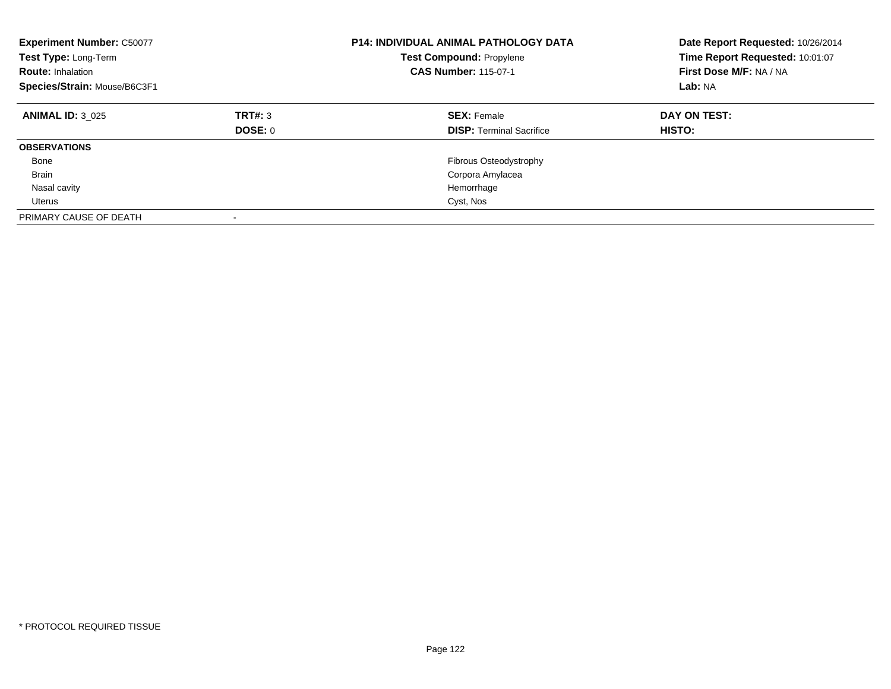| <b>Experiment Number: C50077</b><br>Test Type: Long-Term<br><b>Route: Inhalation</b><br>Species/Strain: Mouse/B6C3F1 |                           | <b>P14: INDIVIDUAL ANIMAL PATHOLOGY DATA</b><br><b>Test Compound: Propylene</b><br><b>CAS Number: 115-07-1</b> | Date Report Requested: 10/26/2014<br>Time Report Requested: 10:01:07<br>First Dose M/F: NA / NA<br>Lab: NA |
|----------------------------------------------------------------------------------------------------------------------|---------------------------|----------------------------------------------------------------------------------------------------------------|------------------------------------------------------------------------------------------------------------|
| <b>ANIMAL ID: 3 025</b>                                                                                              | TRT#: 3<br><b>DOSE: 0</b> | <b>SEX: Female</b><br><b>DISP:</b> Terminal Sacrifice                                                          | DAY ON TEST:<br><b>HISTO:</b>                                                                              |
| <b>OBSERVATIONS</b>                                                                                                  |                           |                                                                                                                |                                                                                                            |
| Bone                                                                                                                 |                           | <b>Fibrous Osteodystrophy</b>                                                                                  |                                                                                                            |
| <b>Brain</b>                                                                                                         |                           | Corpora Amylacea                                                                                               |                                                                                                            |
| Nasal cavity                                                                                                         |                           | Hemorrhage                                                                                                     |                                                                                                            |
| Uterus                                                                                                               |                           | Cyst, Nos                                                                                                      |                                                                                                            |
| PRIMARY CAUSE OF DEATH                                                                                               |                           |                                                                                                                |                                                                                                            |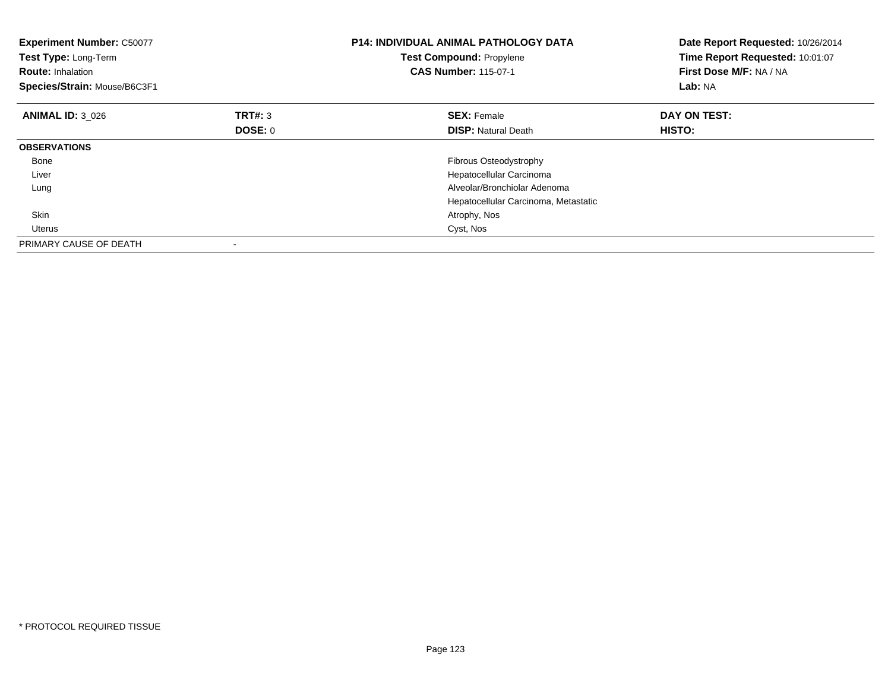| <b>Experiment Number: C50077</b><br>Test Type: Long-Term<br><b>Route: Inhalation</b><br>Species/Strain: Mouse/B6C3F1 |                | <b>P14: INDIVIDUAL ANIMAL PATHOLOGY DATA</b><br>Test Compound: Propylene<br><b>CAS Number: 115-07-1</b> | Date Report Requested: 10/26/2014<br>Time Report Requested: 10:01:07<br>First Dose M/F: NA / NA<br>Lab: NA |
|----------------------------------------------------------------------------------------------------------------------|----------------|---------------------------------------------------------------------------------------------------------|------------------------------------------------------------------------------------------------------------|
| <b>ANIMAL ID: 3 026</b>                                                                                              | <b>TRT#: 3</b> | <b>SEX: Female</b>                                                                                      | DAY ON TEST:                                                                                               |
|                                                                                                                      | DOSE: 0        | <b>DISP:</b> Natural Death                                                                              | HISTO:                                                                                                     |
| <b>OBSERVATIONS</b>                                                                                                  |                |                                                                                                         |                                                                                                            |
| Bone                                                                                                                 |                | Fibrous Osteodystrophy                                                                                  |                                                                                                            |
| Liver                                                                                                                |                | Hepatocellular Carcinoma                                                                                |                                                                                                            |
| Lung                                                                                                                 |                | Alveolar/Bronchiolar Adenoma                                                                            |                                                                                                            |
|                                                                                                                      |                | Hepatocellular Carcinoma, Metastatic                                                                    |                                                                                                            |
| <b>Skin</b>                                                                                                          |                | Atrophy, Nos                                                                                            |                                                                                                            |
| <b>Uterus</b>                                                                                                        |                | Cyst, Nos                                                                                               |                                                                                                            |
| PRIMARY CAUSE OF DEATH                                                                                               |                |                                                                                                         |                                                                                                            |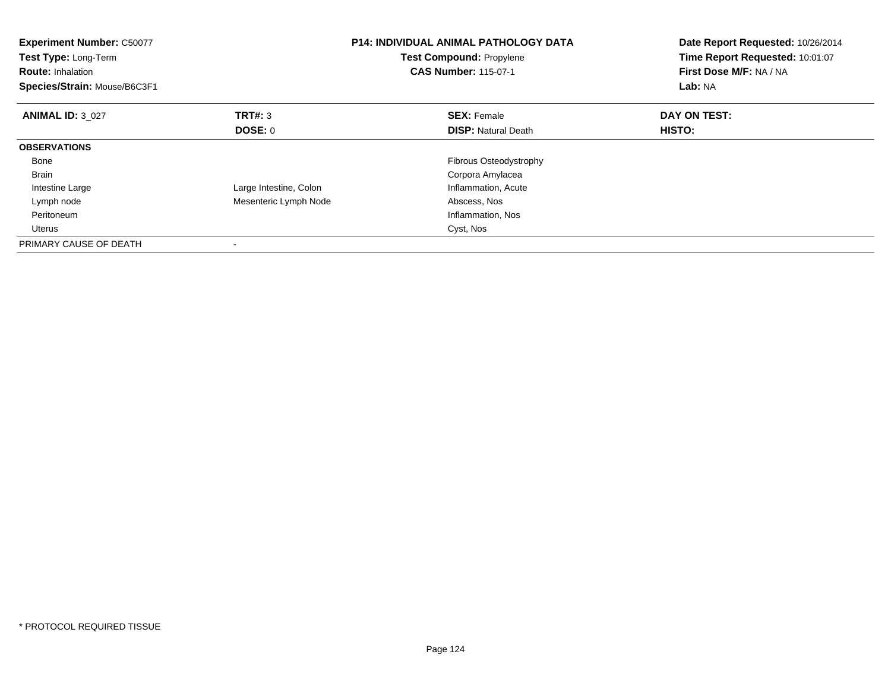| <b>Experiment Number: C50077</b><br>Test Type: Long-Term<br><b>Route: Inhalation</b><br>Species/Strain: Mouse/B6C3F1 |                        | <b>P14: INDIVIDUAL ANIMAL PATHOLOGY DATA</b><br><b>Test Compound: Propylene</b><br><b>CAS Number: 115-07-1</b> | Date Report Requested: 10/26/2014<br>Time Report Requested: 10:01:07<br>First Dose M/F: NA / NA<br>Lab: NA |
|----------------------------------------------------------------------------------------------------------------------|------------------------|----------------------------------------------------------------------------------------------------------------|------------------------------------------------------------------------------------------------------------|
| <b>ANIMAL ID: 3 027</b>                                                                                              | <b>TRT#: 3</b>         | <b>SEX: Female</b>                                                                                             | DAY ON TEST:                                                                                               |
|                                                                                                                      | DOSE: 0                | <b>DISP:</b> Natural Death                                                                                     | <b>HISTO:</b>                                                                                              |
| <b>OBSERVATIONS</b>                                                                                                  |                        |                                                                                                                |                                                                                                            |
| Bone                                                                                                                 |                        | Fibrous Osteodystrophy                                                                                         |                                                                                                            |
| <b>Brain</b>                                                                                                         |                        | Corpora Amylacea                                                                                               |                                                                                                            |
| Intestine Large                                                                                                      | Large Intestine, Colon | Inflammation, Acute                                                                                            |                                                                                                            |
| Lymph node                                                                                                           | Mesenteric Lymph Node  | Abscess, Nos                                                                                                   |                                                                                                            |
| Peritoneum                                                                                                           |                        | Inflammation, Nos                                                                                              |                                                                                                            |
| Uterus                                                                                                               |                        | Cyst, Nos                                                                                                      |                                                                                                            |
| PRIMARY CAUSE OF DEATH                                                                                               |                        |                                                                                                                |                                                                                                            |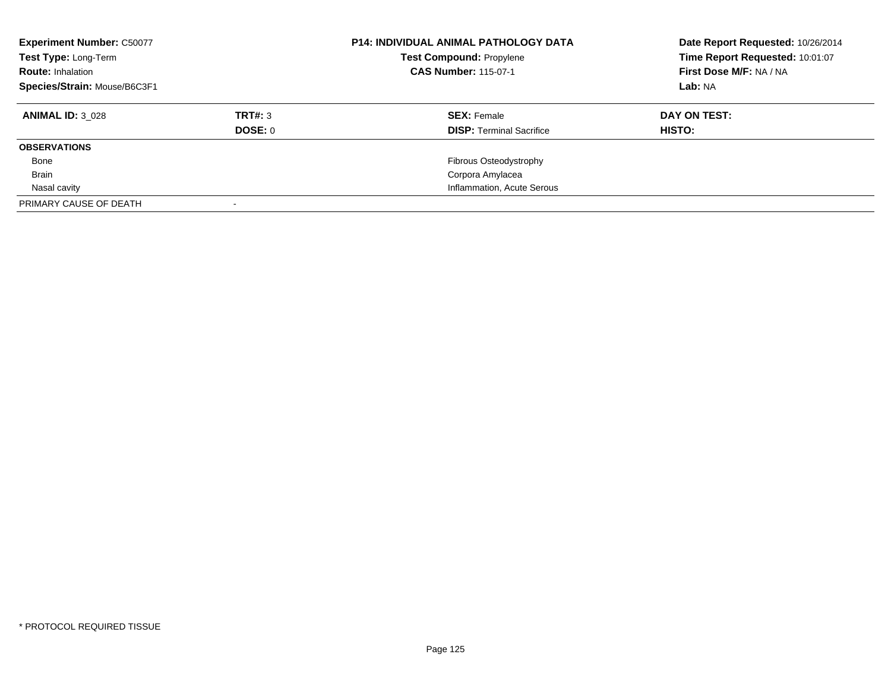| <b>Experiment Number: C50077</b><br>Test Type: Long-Term<br><b>Route: Inhalation</b><br>Species/Strain: Mouse/B6C3F1 |         | <b>P14: INDIVIDUAL ANIMAL PATHOLOGY DATA</b><br><b>Test Compound: Propylene</b><br><b>CAS Number: 115-07-1</b> | Date Report Requested: 10/26/2014<br>Time Report Requested: 10:01:07<br>First Dose M/F: NA / NA<br>Lab: NA |
|----------------------------------------------------------------------------------------------------------------------|---------|----------------------------------------------------------------------------------------------------------------|------------------------------------------------------------------------------------------------------------|
| <b>ANIMAL ID: 3 028</b>                                                                                              | TRT#: 3 | <b>SEX: Female</b>                                                                                             | DAY ON TEST:                                                                                               |
|                                                                                                                      | DOSE: 0 | <b>DISP:</b> Terminal Sacrifice                                                                                | HISTO:                                                                                                     |
| <b>OBSERVATIONS</b>                                                                                                  |         |                                                                                                                |                                                                                                            |
| Bone                                                                                                                 |         | Fibrous Osteodystrophy                                                                                         |                                                                                                            |
| Brain                                                                                                                |         | Corpora Amylacea                                                                                               |                                                                                                            |
| Nasal cavity                                                                                                         |         | Inflammation, Acute Serous                                                                                     |                                                                                                            |
| PRIMARY CAUSE OF DEATH                                                                                               |         |                                                                                                                |                                                                                                            |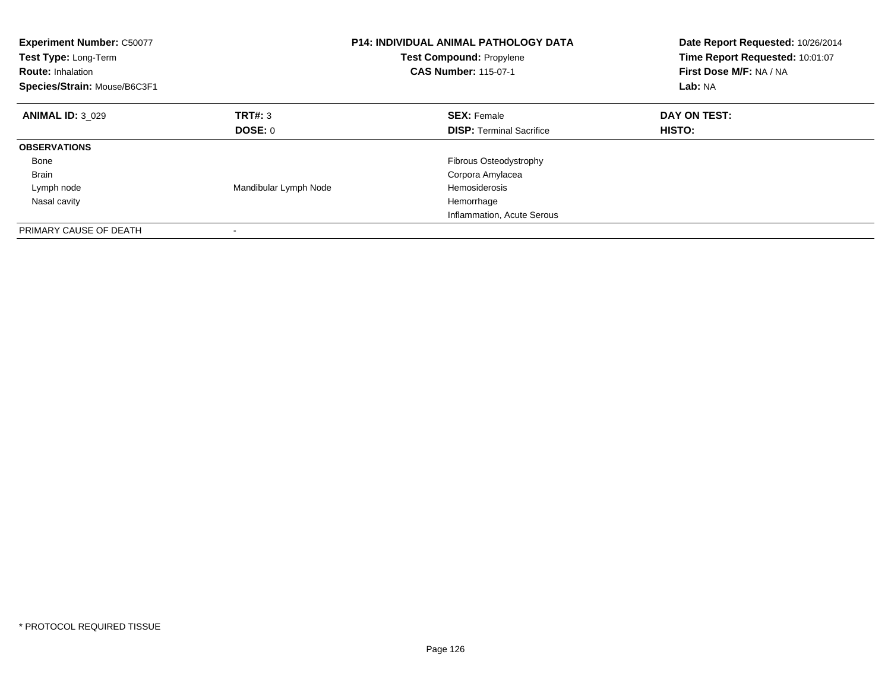| <b>Experiment Number: C50077</b><br>Test Type: Long-Term<br><b>Route: Inhalation</b><br>Species/Strain: Mouse/B6C3F1 |                       | <b>P14: INDIVIDUAL ANIMAL PATHOLOGY DATA</b><br><b>Test Compound: Propylene</b><br><b>CAS Number: 115-07-1</b> | Date Report Requested: 10/26/2014<br>Time Report Requested: 10:01:07<br>First Dose M/F: NA / NA<br>Lab: NA |
|----------------------------------------------------------------------------------------------------------------------|-----------------------|----------------------------------------------------------------------------------------------------------------|------------------------------------------------------------------------------------------------------------|
| <b>ANIMAL ID: 3 029</b>                                                                                              | TRT#: 3               | <b>SEX: Female</b>                                                                                             | DAY ON TEST:                                                                                               |
|                                                                                                                      | <b>DOSE: 0</b>        | <b>DISP:</b> Terminal Sacrifice                                                                                | <b>HISTO:</b>                                                                                              |
| <b>OBSERVATIONS</b>                                                                                                  |                       |                                                                                                                |                                                                                                            |
| Bone                                                                                                                 |                       | <b>Fibrous Osteodystrophy</b>                                                                                  |                                                                                                            |
| Brain                                                                                                                |                       | Corpora Amylacea                                                                                               |                                                                                                            |
| Lymph node                                                                                                           | Mandibular Lymph Node | Hemosiderosis                                                                                                  |                                                                                                            |
| Nasal cavity                                                                                                         |                       | Hemorrhage                                                                                                     |                                                                                                            |
|                                                                                                                      |                       | Inflammation, Acute Serous                                                                                     |                                                                                                            |
| PRIMARY CAUSE OF DEATH                                                                                               |                       |                                                                                                                |                                                                                                            |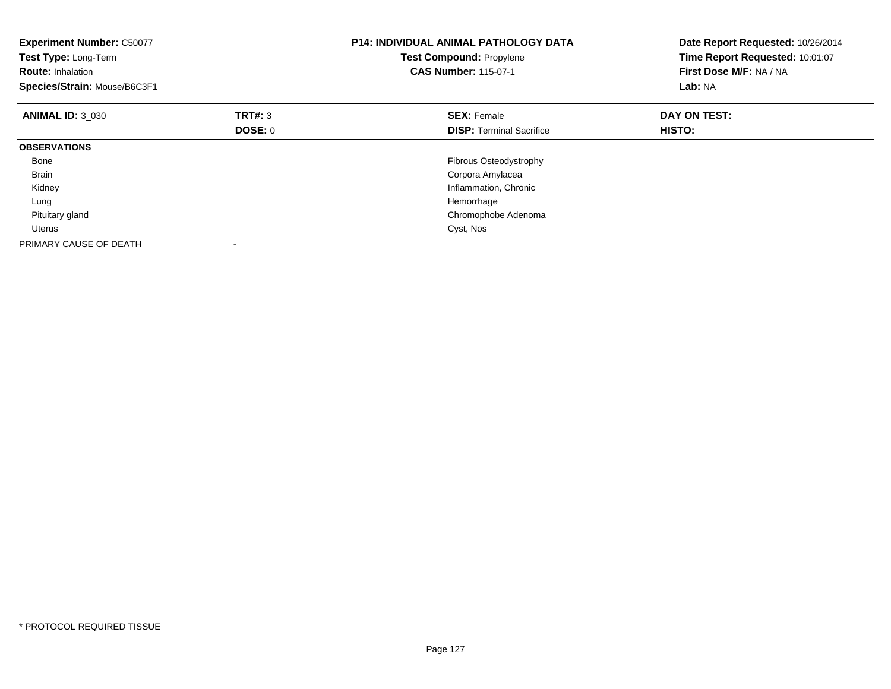| <b>Experiment Number: C50077</b><br>Test Type: Long-Term<br><b>Route: Inhalation</b><br>Species/Strain: Mouse/B6C3F1 |                | <b>P14: INDIVIDUAL ANIMAL PATHOLOGY DATA</b><br>Test Compound: Propylene<br><b>CAS Number: 115-07-1</b> | Date Report Requested: 10/26/2014<br>Time Report Requested: 10:01:07<br>First Dose M/F: NA / NA<br>Lab: NA |
|----------------------------------------------------------------------------------------------------------------------|----------------|---------------------------------------------------------------------------------------------------------|------------------------------------------------------------------------------------------------------------|
| <b>ANIMAL ID: 3 030</b>                                                                                              | <b>TRT#: 3</b> | <b>SEX: Female</b>                                                                                      | DAY ON TEST:                                                                                               |
|                                                                                                                      | DOSE: 0        | <b>DISP:</b> Terminal Sacrifice                                                                         | <b>HISTO:</b>                                                                                              |
| <b>OBSERVATIONS</b>                                                                                                  |                |                                                                                                         |                                                                                                            |
| Bone                                                                                                                 |                | Fibrous Osteodystrophy                                                                                  |                                                                                                            |
| <b>Brain</b>                                                                                                         |                | Corpora Amylacea                                                                                        |                                                                                                            |
| Kidney                                                                                                               |                | Inflammation, Chronic                                                                                   |                                                                                                            |
| Lung                                                                                                                 |                | Hemorrhage                                                                                              |                                                                                                            |
| Pituitary gland                                                                                                      |                | Chromophobe Adenoma                                                                                     |                                                                                                            |
| Uterus                                                                                                               |                | Cyst, Nos                                                                                               |                                                                                                            |
| PRIMARY CAUSE OF DEATH                                                                                               |                |                                                                                                         |                                                                                                            |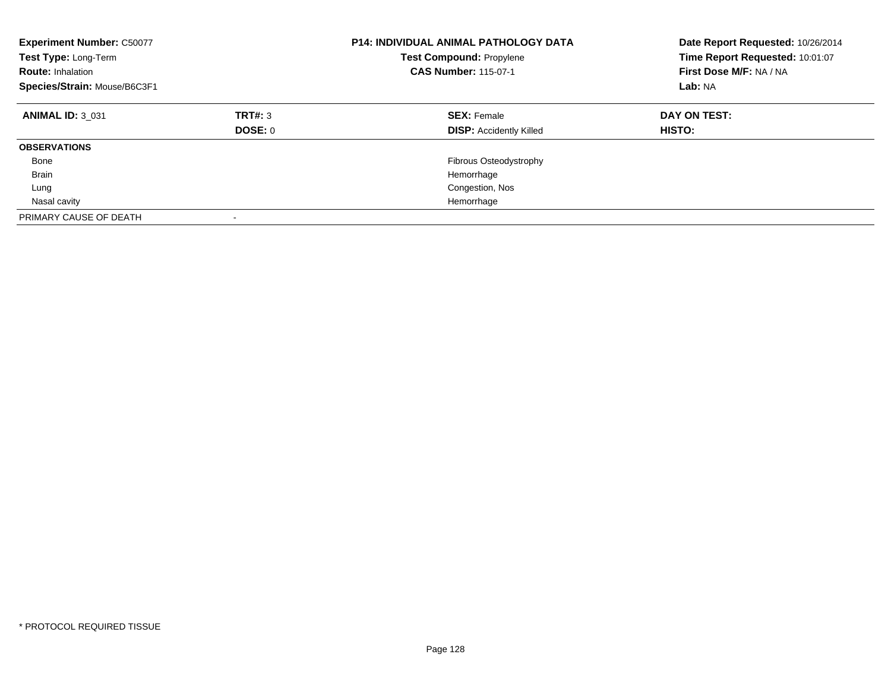| <b>Experiment Number: C50077</b><br>Test Type: Long-Term<br><b>Route: Inhalation</b><br>Species/Strain: Mouse/B6C3F1 |                           | <b>P14: INDIVIDUAL ANIMAL PATHOLOGY DATA</b><br><b>Test Compound: Propylene</b><br><b>CAS Number: 115-07-1</b> | Date Report Requested: 10/26/2014<br>Time Report Requested: 10:01:07<br>First Dose M/F: NA / NA<br>Lab: NA |
|----------------------------------------------------------------------------------------------------------------------|---------------------------|----------------------------------------------------------------------------------------------------------------|------------------------------------------------------------------------------------------------------------|
| <b>ANIMAL ID: 3 031</b>                                                                                              | TRT#: 3<br><b>DOSE: 0</b> | <b>SEX: Female</b><br><b>DISP: Accidently Killed</b>                                                           | DAY ON TEST:<br><b>HISTO:</b>                                                                              |
| <b>OBSERVATIONS</b>                                                                                                  |                           |                                                                                                                |                                                                                                            |
| Bone                                                                                                                 |                           | <b>Fibrous Osteodystrophy</b>                                                                                  |                                                                                                            |
| <b>Brain</b>                                                                                                         |                           | Hemorrhage                                                                                                     |                                                                                                            |
| Lung                                                                                                                 |                           | Congestion, Nos                                                                                                |                                                                                                            |
| Nasal cavity                                                                                                         |                           | Hemorrhage                                                                                                     |                                                                                                            |
| PRIMARY CAUSE OF DEATH                                                                                               |                           |                                                                                                                |                                                                                                            |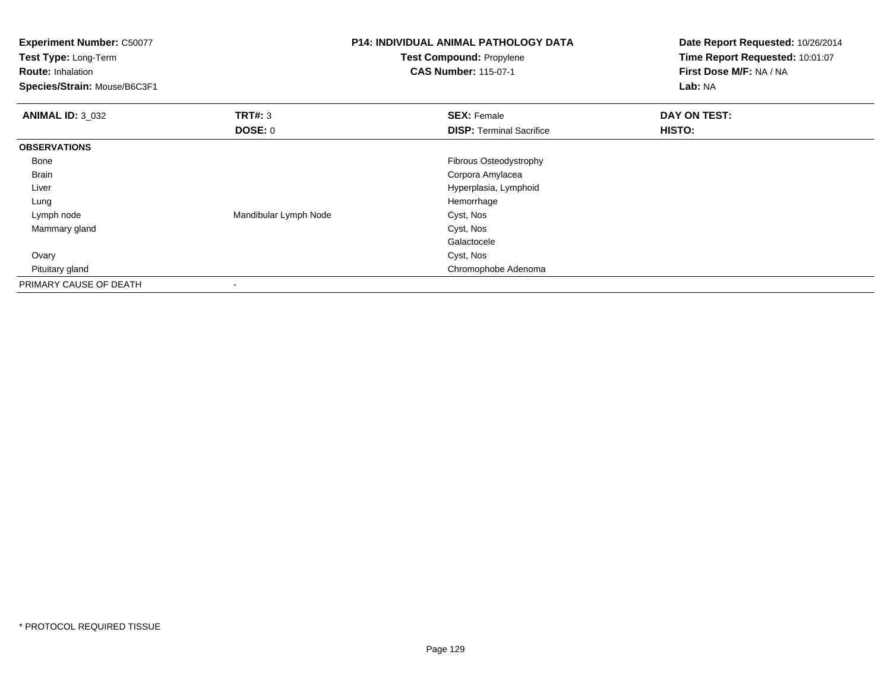| <b>Experiment Number: C50077</b><br>Test Type: Long-Term<br><b>Route: Inhalation</b><br>Species/Strain: Mouse/B6C3F1 |                       | <b>P14: INDIVIDUAL ANIMAL PATHOLOGY DATA</b><br>Test Compound: Propylene<br><b>CAS Number: 115-07-1</b> | Date Report Requested: 10/26/2014<br>Time Report Requested: 10:01:07<br>First Dose M/F: NA / NA<br>Lab: NA |
|----------------------------------------------------------------------------------------------------------------------|-----------------------|---------------------------------------------------------------------------------------------------------|------------------------------------------------------------------------------------------------------------|
| <b>ANIMAL ID: 3_032</b>                                                                                              | TRT#: 3               | <b>SEX: Female</b>                                                                                      | DAY ON TEST:                                                                                               |
|                                                                                                                      | DOSE: 0               | <b>DISP: Terminal Sacrifice</b>                                                                         | HISTO:                                                                                                     |
| <b>OBSERVATIONS</b>                                                                                                  |                       |                                                                                                         |                                                                                                            |
| Bone                                                                                                                 |                       | Fibrous Osteodystrophy                                                                                  |                                                                                                            |
| Brain                                                                                                                |                       | Corpora Amylacea                                                                                        |                                                                                                            |
| Liver                                                                                                                |                       | Hyperplasia, Lymphoid                                                                                   |                                                                                                            |
| Lung                                                                                                                 |                       | Hemorrhage                                                                                              |                                                                                                            |
| Lymph node                                                                                                           | Mandibular Lymph Node | Cyst, Nos                                                                                               |                                                                                                            |
| Mammary gland                                                                                                        |                       | Cyst, Nos                                                                                               |                                                                                                            |
|                                                                                                                      |                       | Galactocele                                                                                             |                                                                                                            |
| Ovary                                                                                                                |                       | Cyst, Nos                                                                                               |                                                                                                            |
| Pituitary gland                                                                                                      |                       | Chromophobe Adenoma                                                                                     |                                                                                                            |
| PRIMARY CAUSE OF DEATH                                                                                               |                       |                                                                                                         |                                                                                                            |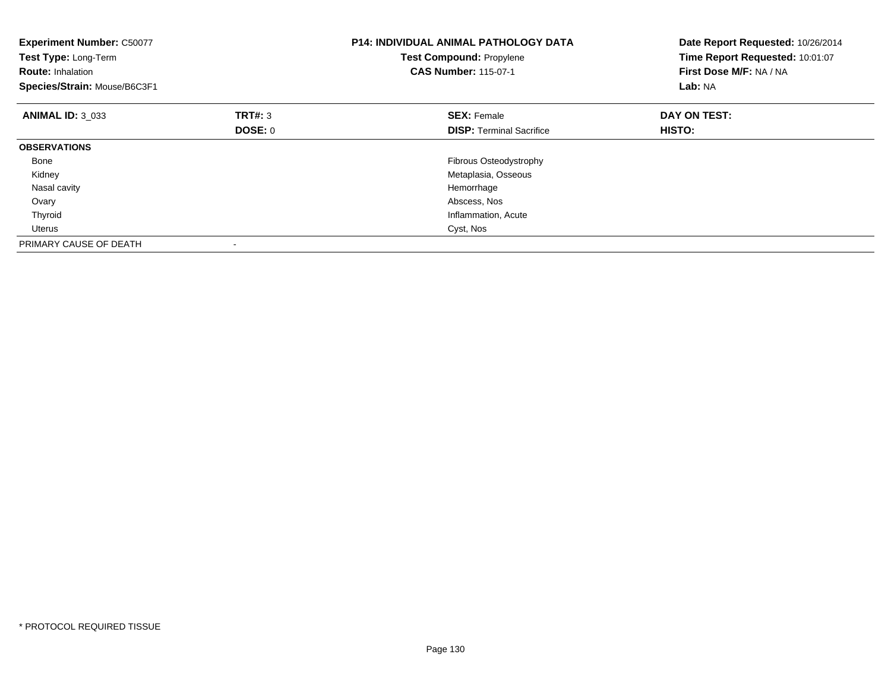| <b>Experiment Number: C50077</b><br>Test Type: Long-Term<br><b>Route: Inhalation</b><br>Species/Strain: Mouse/B6C3F1 |         | <b>P14: INDIVIDUAL ANIMAL PATHOLOGY DATA</b><br>Test Compound: Propylene<br><b>CAS Number: 115-07-1</b> | Date Report Requested: 10/26/2014<br>Time Report Requested: 10:01:07<br>First Dose M/F: NA / NA<br>Lab: NA |
|----------------------------------------------------------------------------------------------------------------------|---------|---------------------------------------------------------------------------------------------------------|------------------------------------------------------------------------------------------------------------|
| <b>ANIMAL ID: 3 033</b>                                                                                              | TRT#: 3 | <b>SEX: Female</b>                                                                                      | DAY ON TEST:                                                                                               |
|                                                                                                                      | DOSE: 0 | <b>DISP:</b> Terminal Sacrifice                                                                         | HISTO:                                                                                                     |
| <b>OBSERVATIONS</b>                                                                                                  |         |                                                                                                         |                                                                                                            |
| Bone                                                                                                                 |         | <b>Fibrous Osteodystrophy</b>                                                                           |                                                                                                            |
| Kidney                                                                                                               |         | Metaplasia, Osseous                                                                                     |                                                                                                            |
| Nasal cavity                                                                                                         |         | Hemorrhage                                                                                              |                                                                                                            |
| Ovary                                                                                                                |         | Abscess, Nos                                                                                            |                                                                                                            |
| Thyroid                                                                                                              |         | Inflammation, Acute                                                                                     |                                                                                                            |
| Uterus                                                                                                               |         | Cyst, Nos                                                                                               |                                                                                                            |
| PRIMARY CAUSE OF DEATH                                                                                               |         |                                                                                                         |                                                                                                            |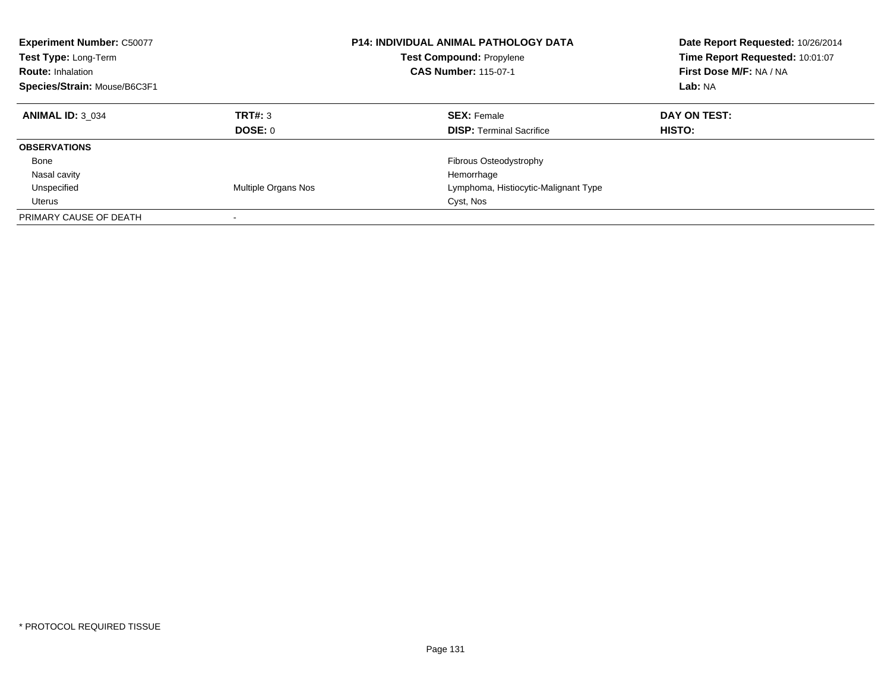| <b>Experiment Number: C50077</b><br>Test Type: Long-Term<br><b>Route: Inhalation</b><br>Species/Strain: Mouse/B6C3F1 |                     | <b>P14: INDIVIDUAL ANIMAL PATHOLOGY DATA</b><br><b>Test Compound: Propylene</b><br><b>CAS Number: 115-07-1</b> | Date Report Requested: 10/26/2014<br>Time Report Requested: 10:01:07<br>First Dose M/F: NA / NA<br>Lab: NA |
|----------------------------------------------------------------------------------------------------------------------|---------------------|----------------------------------------------------------------------------------------------------------------|------------------------------------------------------------------------------------------------------------|
| <b>ANIMAL ID: 3 034</b>                                                                                              | TRT#: 3<br>DOSE: 0  | <b>SEX: Female</b><br><b>DISP:</b> Terminal Sacrifice                                                          | DAY ON TEST:<br><b>HISTO:</b>                                                                              |
| <b>OBSERVATIONS</b>                                                                                                  |                     |                                                                                                                |                                                                                                            |
| Bone<br>Nasal cavity                                                                                                 |                     | Fibrous Osteodystrophy<br>Hemorrhage                                                                           |                                                                                                            |
| Unspecified<br>Uterus                                                                                                | Multiple Organs Nos | Lymphoma, Histiocytic-Malignant Type<br>Cyst, Nos                                                              |                                                                                                            |
| PRIMARY CAUSE OF DEATH                                                                                               |                     |                                                                                                                |                                                                                                            |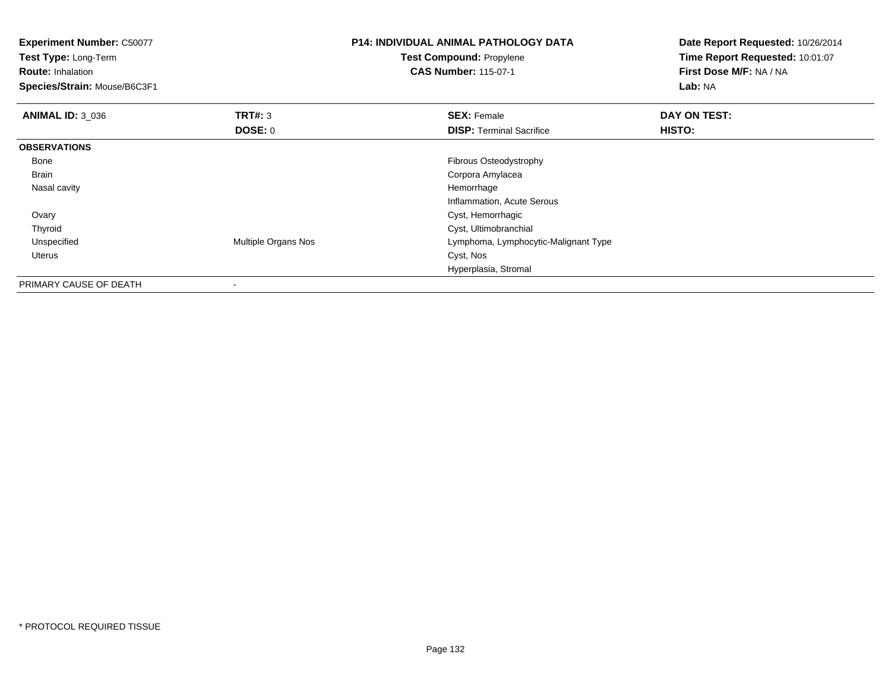| <b>Experiment Number: C50077</b><br><b>Test Type: Long-Term</b><br><b>Route: Inhalation</b><br>Species/Strain: Mouse/B6C3F1 |                     | <b>P14: INDIVIDUAL ANIMAL PATHOLOGY DATA</b><br>Test Compound: Propylene<br><b>CAS Number: 115-07-1</b> | Date Report Requested: 10/26/2014<br>Time Report Requested: 10:01:07<br>First Dose M/F: NA / NA<br>Lab: NA |
|-----------------------------------------------------------------------------------------------------------------------------|---------------------|---------------------------------------------------------------------------------------------------------|------------------------------------------------------------------------------------------------------------|
| <b>ANIMAL ID: 3 036</b>                                                                                                     | <b>TRT#: 3</b>      | <b>SEX: Female</b>                                                                                      | DAY ON TEST:                                                                                               |
|                                                                                                                             | <b>DOSE: 0</b>      | <b>DISP: Terminal Sacrifice</b>                                                                         | <b>HISTO:</b>                                                                                              |
| <b>OBSERVATIONS</b>                                                                                                         |                     |                                                                                                         |                                                                                                            |
| Bone                                                                                                                        |                     | Fibrous Osteodystrophy                                                                                  |                                                                                                            |
| <b>Brain</b>                                                                                                                |                     | Corpora Amylacea                                                                                        |                                                                                                            |
| Nasal cavity                                                                                                                |                     | Hemorrhage                                                                                              |                                                                                                            |
|                                                                                                                             |                     | Inflammation, Acute Serous                                                                              |                                                                                                            |
| Ovary                                                                                                                       |                     | Cyst, Hemorrhagic                                                                                       |                                                                                                            |
| Thyroid                                                                                                                     |                     | Cyst, Ultimobranchial                                                                                   |                                                                                                            |
| Unspecified                                                                                                                 | Multiple Organs Nos | Lymphoma, Lymphocytic-Malignant Type                                                                    |                                                                                                            |
| Uterus                                                                                                                      |                     | Cyst, Nos                                                                                               |                                                                                                            |
|                                                                                                                             |                     | Hyperplasia, Stromal                                                                                    |                                                                                                            |
| PRIMARY CAUSE OF DEATH                                                                                                      | $\,$                |                                                                                                         |                                                                                                            |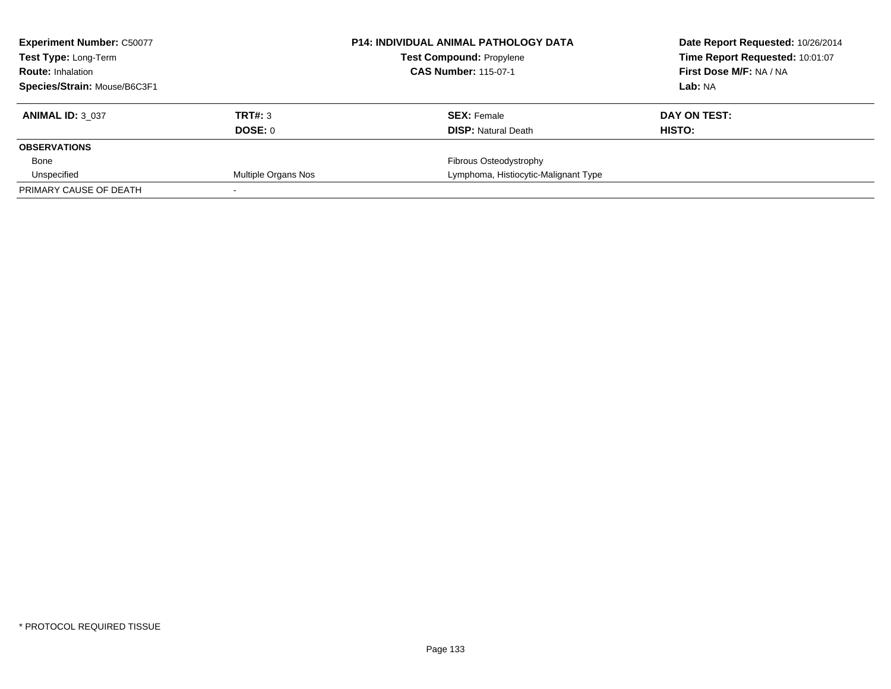| <b>Experiment Number: C50077</b><br>Test Type: Long-Term |                     | <b>P14: INDIVIDUAL ANIMAL PATHOLOGY DATA</b> | Date Report Requested: 10/26/2014 |
|----------------------------------------------------------|---------------------|----------------------------------------------|-----------------------------------|
|                                                          |                     | <b>Test Compound: Propylene</b>              | Time Report Requested: 10:01:07   |
| <b>Route: Inhalation</b>                                 |                     | <b>CAS Number: 115-07-1</b>                  | First Dose M/F: NA / NA           |
| Species/Strain: Mouse/B6C3F1                             |                     |                                              | Lab: NA                           |
| <b>ANIMAL ID: 3 037</b>                                  | TRT#: 3             | <b>SEX: Female</b>                           | DAY ON TEST:                      |
|                                                          | DOSE: 0             | <b>DISP:</b> Natural Death                   | HISTO:                            |
| <b>OBSERVATIONS</b>                                      |                     |                                              |                                   |
| Bone                                                     |                     | Fibrous Osteodystrophy                       |                                   |
| Unspecified                                              | Multiple Organs Nos | Lymphoma, Histiocytic-Malignant Type         |                                   |
| PRIMARY CAUSE OF DEATH                                   |                     |                                              |                                   |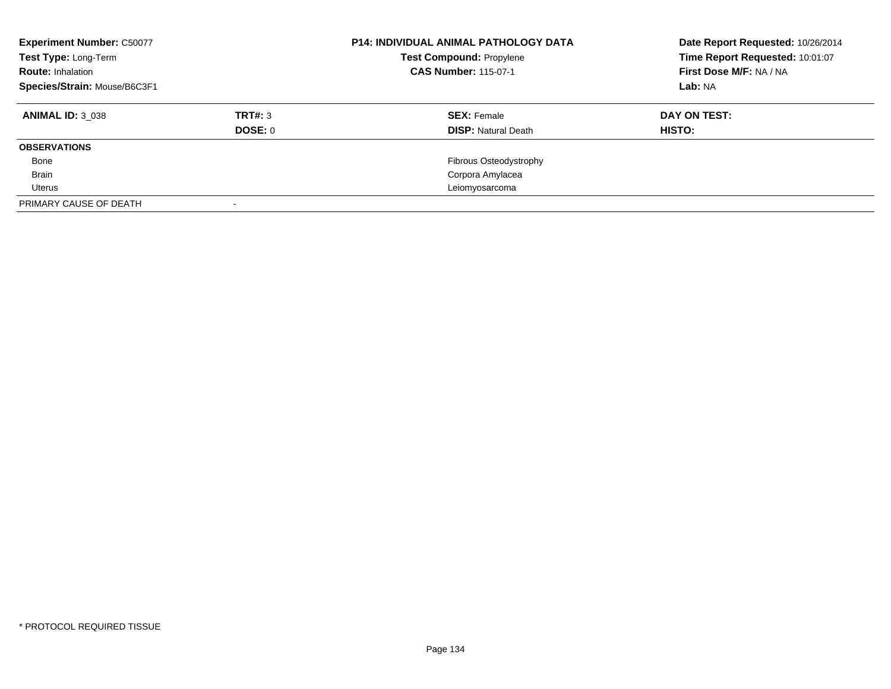| <b>Experiment Number: C50077</b><br>Test Type: Long-Term<br><b>Route: Inhalation</b><br>Species/Strain: Mouse/B6C3F1 |                | <b>P14: INDIVIDUAL ANIMAL PATHOLOGY DATA</b><br><b>Test Compound: Propylene</b><br><b>CAS Number: 115-07-1</b> | Date Report Requested: 10/26/2014<br>Time Report Requested: 10:01:07<br>First Dose M/F: NA / NA<br>Lab: NA |
|----------------------------------------------------------------------------------------------------------------------|----------------|----------------------------------------------------------------------------------------------------------------|------------------------------------------------------------------------------------------------------------|
| <b>ANIMAL ID: 3 038</b>                                                                                              | TRT#: 3        | <b>SEX: Female</b>                                                                                             | DAY ON TEST:                                                                                               |
| <b>OBSERVATIONS</b>                                                                                                  | <b>DOSE: 0</b> | <b>DISP:</b> Natural Death                                                                                     | HISTO:                                                                                                     |
|                                                                                                                      |                |                                                                                                                |                                                                                                            |
| Bone                                                                                                                 |                | Fibrous Osteodystrophy                                                                                         |                                                                                                            |
| <b>Brain</b>                                                                                                         |                | Corpora Amylacea                                                                                               |                                                                                                            |
| Uterus                                                                                                               |                | Leiomyosarcoma                                                                                                 |                                                                                                            |
| PRIMARY CAUSE OF DEATH                                                                                               |                |                                                                                                                |                                                                                                            |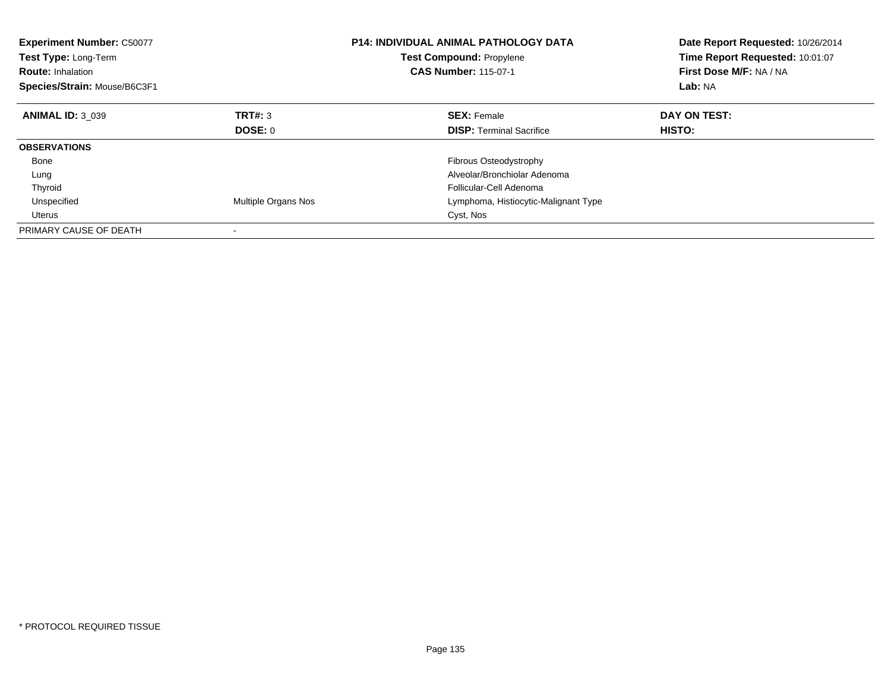| <b>Experiment Number: C50077</b><br>Test Type: Long-Term<br><b>Route: Inhalation</b><br>Species/Strain: Mouse/B6C3F1 |                     | <b>P14: INDIVIDUAL ANIMAL PATHOLOGY DATA</b><br><b>Test Compound: Propylene</b><br><b>CAS Number: 115-07-1</b> | Date Report Requested: 10/26/2014<br>Time Report Requested: 10:01:07<br>First Dose M/F: NA / NA<br>Lab: NA |
|----------------------------------------------------------------------------------------------------------------------|---------------------|----------------------------------------------------------------------------------------------------------------|------------------------------------------------------------------------------------------------------------|
| <b>ANIMAL ID: 3 039</b>                                                                                              | TRT#: 3             | <b>SEX: Female</b>                                                                                             | DAY ON TEST:                                                                                               |
|                                                                                                                      | DOSE: 0             | <b>DISP:</b> Terminal Sacrifice                                                                                | HISTO:                                                                                                     |
| <b>OBSERVATIONS</b>                                                                                                  |                     |                                                                                                                |                                                                                                            |
| Bone                                                                                                                 |                     | <b>Fibrous Osteodystrophy</b>                                                                                  |                                                                                                            |
| Lung                                                                                                                 |                     | Alveolar/Bronchiolar Adenoma                                                                                   |                                                                                                            |
| Thyroid                                                                                                              |                     | Follicular-Cell Adenoma                                                                                        |                                                                                                            |
| Unspecified                                                                                                          | Multiple Organs Nos | Lymphoma, Histiocytic-Malignant Type                                                                           |                                                                                                            |
| <b>Uterus</b>                                                                                                        |                     | Cyst, Nos                                                                                                      |                                                                                                            |
| PRIMARY CAUSE OF DEATH                                                                                               |                     |                                                                                                                |                                                                                                            |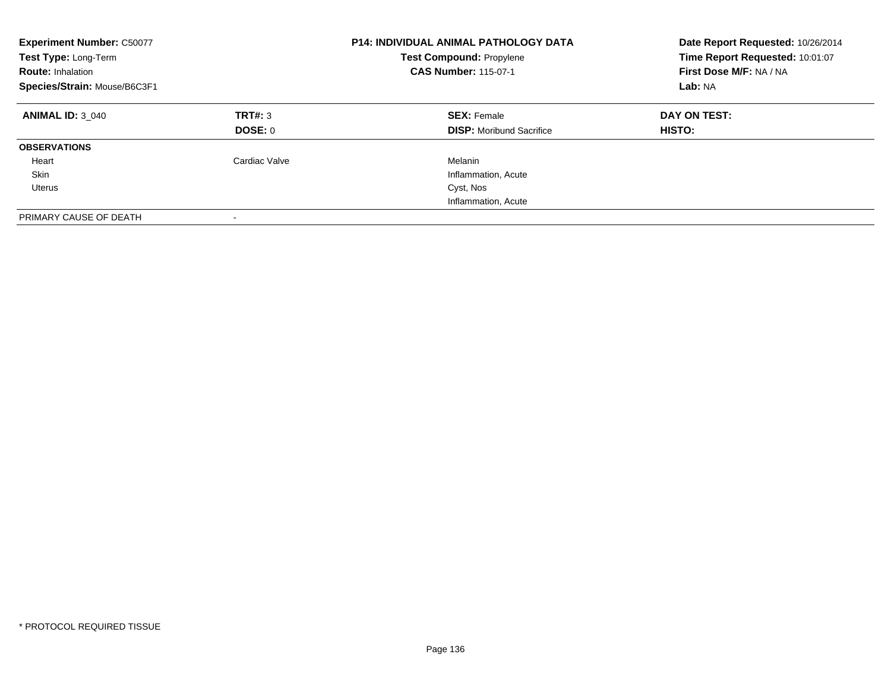| <b>Experiment Number: C50077</b><br>Test Type: Long-Term<br><b>Route: Inhalation</b><br>Species/Strain: Mouse/B6C3F1 |                    | <b>P14: INDIVIDUAL ANIMAL PATHOLOGY DATA</b><br><b>Test Compound: Propylene</b><br><b>CAS Number: 115-07-1</b> | Date Report Requested: 10/26/2014<br>Time Report Requested: 10:01:07<br>First Dose M/F: NA / NA<br>Lab: NA |
|----------------------------------------------------------------------------------------------------------------------|--------------------|----------------------------------------------------------------------------------------------------------------|------------------------------------------------------------------------------------------------------------|
| <b>ANIMAL ID: 3 040</b>                                                                                              | TRT#: 3<br>DOSE: 0 | <b>SEX: Female</b><br><b>DISP:</b> Moribund Sacrifice                                                          | DAY ON TEST:<br><b>HISTO:</b>                                                                              |
| <b>OBSERVATIONS</b>                                                                                                  |                    |                                                                                                                |                                                                                                            |
| Heart                                                                                                                | Cardiac Valve      | Melanin                                                                                                        |                                                                                                            |
| Skin                                                                                                                 |                    | Inflammation, Acute                                                                                            |                                                                                                            |
| Uterus                                                                                                               |                    | Cyst, Nos                                                                                                      |                                                                                                            |
|                                                                                                                      |                    | Inflammation, Acute                                                                                            |                                                                                                            |
| PRIMARY CAUSE OF DEATH                                                                                               |                    |                                                                                                                |                                                                                                            |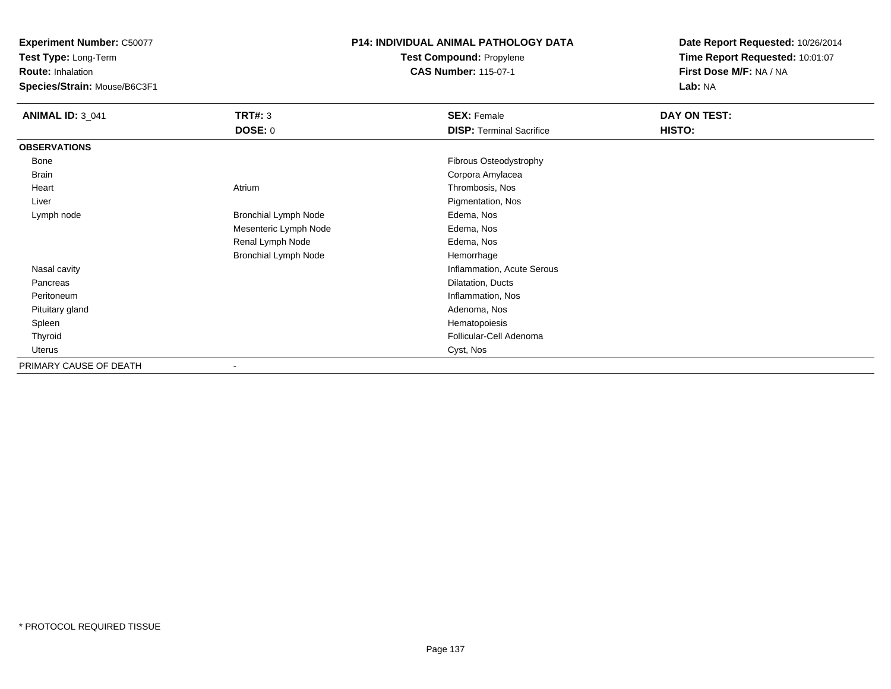**Experiment Number:** C50077

**Test Type:** Long-Term

**Route:** Inhalation

**Species/Strain:** Mouse/B6C3F1

## **P14: INDIVIDUAL ANIMAL PATHOLOGY DATATest Compound:** Propylene

**CAS Number:** 115-07-1

**Date Report Requested:** 10/26/2014**Time Report Requested:** 10:01:07**First Dose M/F:** NA / NA**Lab:** NA

| <b>ANIMAL ID: 3_041</b> | <b>TRT#: 3</b>              | <b>SEX: Female</b>              | DAY ON TEST: |
|-------------------------|-----------------------------|---------------------------------|--------------|
|                         | <b>DOSE: 0</b>              | <b>DISP: Terminal Sacrifice</b> | HISTO:       |
| <b>OBSERVATIONS</b>     |                             |                                 |              |
| Bone                    |                             | Fibrous Osteodystrophy          |              |
| Brain                   |                             | Corpora Amylacea                |              |
| Heart                   | Atrium                      | Thrombosis, Nos                 |              |
| Liver                   |                             | Pigmentation, Nos               |              |
| Lymph node              | <b>Bronchial Lymph Node</b> | Edema, Nos                      |              |
|                         | Mesenteric Lymph Node       | Edema, Nos                      |              |
|                         | Renal Lymph Node            | Edema, Nos                      |              |
|                         | <b>Bronchial Lymph Node</b> | Hemorrhage                      |              |
| Nasal cavity            |                             | Inflammation, Acute Serous      |              |
| Pancreas                |                             | Dilatation, Ducts               |              |
| Peritoneum              |                             | Inflammation, Nos               |              |
| Pituitary gland         |                             | Adenoma, Nos                    |              |
| Spleen                  |                             | Hematopoiesis                   |              |
| Thyroid                 |                             | Follicular-Cell Adenoma         |              |
| Uterus                  |                             | Cyst, Nos                       |              |
| PRIMARY CAUSE OF DEATH  |                             |                                 |              |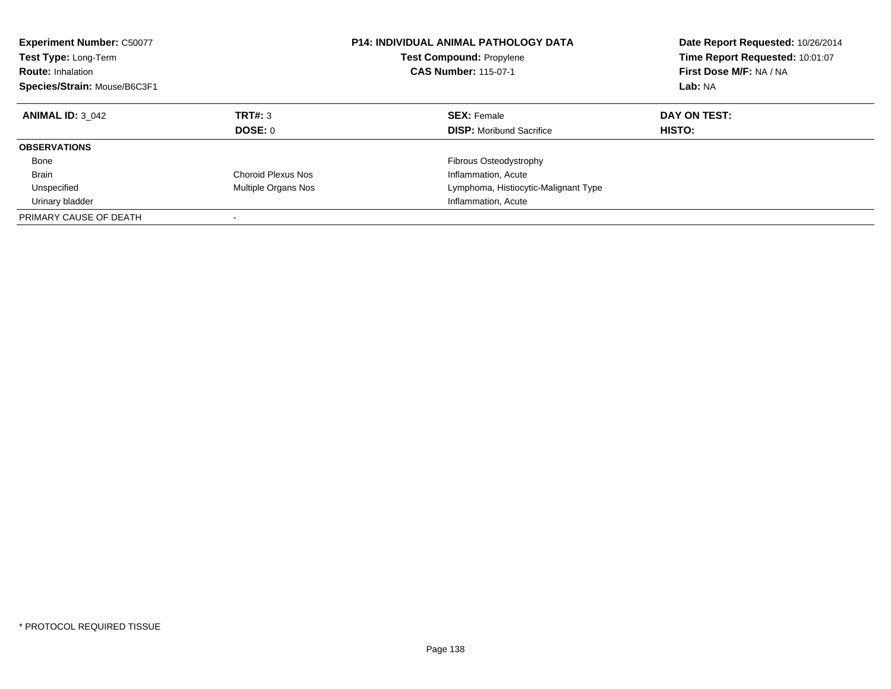| <b>Experiment Number: C50077</b><br><b>Test Type: Long-Term</b><br><b>Route: Inhalation</b><br>Species/Strain: Mouse/B6C3F1 |                     | <b>P14: INDIVIDUAL ANIMAL PATHOLOGY DATA</b><br><b>Test Compound: Propylene</b><br><b>CAS Number: 115-07-1</b> | Date Report Requested: 10/26/2014<br>Time Report Requested: 10:01:07<br>First Dose M/F: NA / NA<br>Lab: NA |
|-----------------------------------------------------------------------------------------------------------------------------|---------------------|----------------------------------------------------------------------------------------------------------------|------------------------------------------------------------------------------------------------------------|
| <b>ANIMAL ID: 3 042</b>                                                                                                     | <b>TRT#: 3</b>      | <b>SEX: Female</b>                                                                                             | DAY ON TEST:                                                                                               |
|                                                                                                                             | DOSE: 0             | <b>DISP:</b> Moribund Sacrifice                                                                                | <b>HISTO:</b>                                                                                              |
| <b>OBSERVATIONS</b>                                                                                                         |                     |                                                                                                                |                                                                                                            |
| Bone                                                                                                                        |                     | Fibrous Osteodystrophy                                                                                         |                                                                                                            |
| <b>Brain</b>                                                                                                                | Choroid Plexus Nos  | Inflammation, Acute                                                                                            |                                                                                                            |
| Unspecified                                                                                                                 | Multiple Organs Nos | Lymphoma, Histiocytic-Malignant Type                                                                           |                                                                                                            |
| Urinary bladder                                                                                                             |                     | Inflammation, Acute                                                                                            |                                                                                                            |
| PRIMARY CAUSE OF DEATH                                                                                                      | -                   |                                                                                                                |                                                                                                            |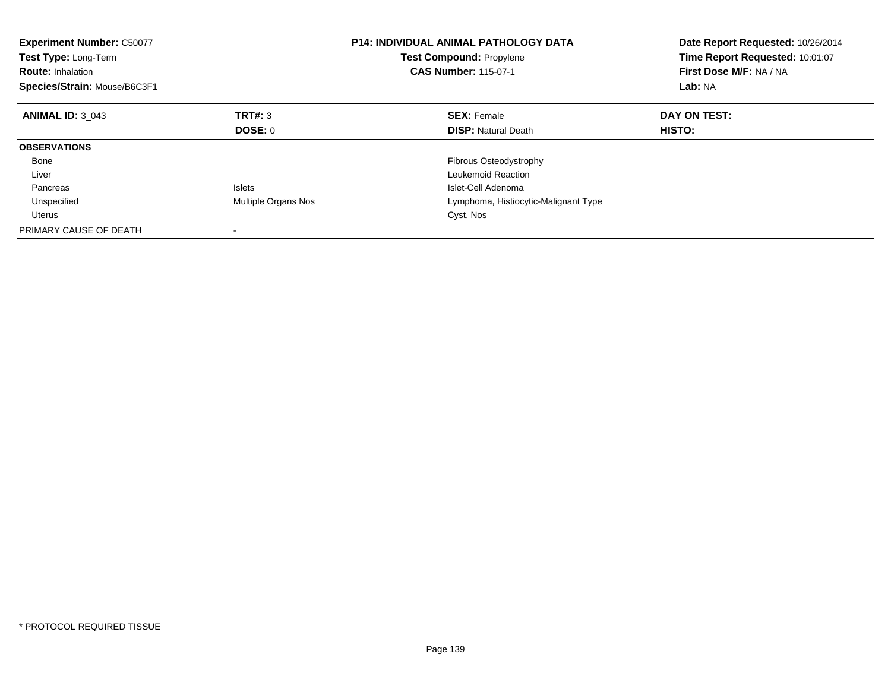| <b>Experiment Number: C50077</b><br>Test Type: Long-Term<br><b>Route: Inhalation</b><br>Species/Strain: Mouse/B6C3F1 |                     | <b>P14: INDIVIDUAL ANIMAL PATHOLOGY DATA</b><br>Test Compound: Propylene<br><b>CAS Number: 115-07-1</b> | Date Report Requested: 10/26/2014<br>Time Report Requested: 10:01:07<br>First Dose M/F: NA / NA<br>Lab: NA |
|----------------------------------------------------------------------------------------------------------------------|---------------------|---------------------------------------------------------------------------------------------------------|------------------------------------------------------------------------------------------------------------|
| <b>ANIMAL ID: 3 043</b>                                                                                              | TRT#: 3             | <b>SEX: Female</b>                                                                                      | DAY ON TEST:                                                                                               |
|                                                                                                                      | DOSE: 0             | <b>DISP:</b> Natural Death                                                                              | HISTO:                                                                                                     |
| <b>OBSERVATIONS</b>                                                                                                  |                     |                                                                                                         |                                                                                                            |
| Bone                                                                                                                 |                     | Fibrous Osteodystrophy                                                                                  |                                                                                                            |
| Liver                                                                                                                |                     | Leukemoid Reaction                                                                                      |                                                                                                            |
| Pancreas                                                                                                             | <b>Islets</b>       | Islet-Cell Adenoma                                                                                      |                                                                                                            |
| Unspecified                                                                                                          | Multiple Organs Nos | Lymphoma, Histiocytic-Malignant Type                                                                    |                                                                                                            |
| <b>Uterus</b>                                                                                                        |                     | Cyst, Nos                                                                                               |                                                                                                            |
| PRIMARY CAUSE OF DEATH                                                                                               |                     |                                                                                                         |                                                                                                            |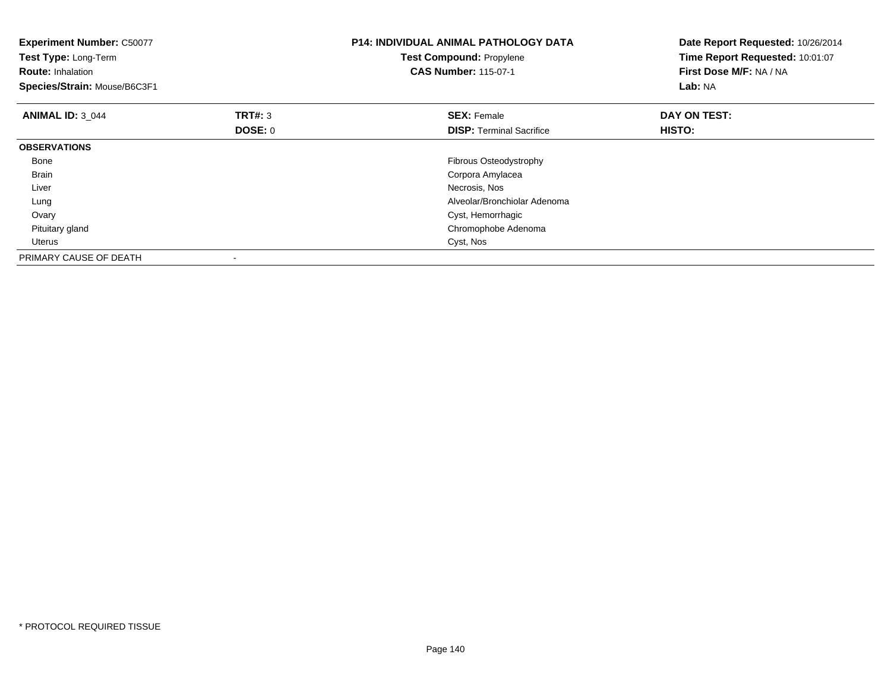| <b>Experiment Number: C50077</b><br>Test Type: Long-Term<br><b>Route: Inhalation</b><br>Species/Strain: Mouse/B6C3F1 |                | <b>P14: INDIVIDUAL ANIMAL PATHOLOGY DATA</b><br><b>Test Compound: Propylene</b><br><b>CAS Number: 115-07-1</b> | Date Report Requested: 10/26/2014<br>Time Report Requested: 10:01:07<br>First Dose M/F: NA / NA<br>Lab: NA |
|----------------------------------------------------------------------------------------------------------------------|----------------|----------------------------------------------------------------------------------------------------------------|------------------------------------------------------------------------------------------------------------|
| <b>ANIMAL ID: 3 044</b>                                                                                              | TRT#: 3        | <b>SEX: Female</b>                                                                                             | DAY ON TEST:                                                                                               |
|                                                                                                                      | <b>DOSE: 0</b> | <b>DISP:</b> Terminal Sacrifice                                                                                | HISTO:                                                                                                     |
| <b>OBSERVATIONS</b>                                                                                                  |                |                                                                                                                |                                                                                                            |
| Bone                                                                                                                 |                | Fibrous Osteodystrophy                                                                                         |                                                                                                            |
| <b>Brain</b>                                                                                                         |                | Corpora Amylacea                                                                                               |                                                                                                            |
| Liver                                                                                                                |                | Necrosis, Nos                                                                                                  |                                                                                                            |
| Lung                                                                                                                 |                | Alveolar/Bronchiolar Adenoma                                                                                   |                                                                                                            |
| Ovary                                                                                                                |                | Cyst, Hemorrhagic                                                                                              |                                                                                                            |
| Pituitary gland                                                                                                      |                | Chromophobe Adenoma                                                                                            |                                                                                                            |
| Uterus                                                                                                               |                | Cyst, Nos                                                                                                      |                                                                                                            |
| PRIMARY CAUSE OF DEATH                                                                                               |                |                                                                                                                |                                                                                                            |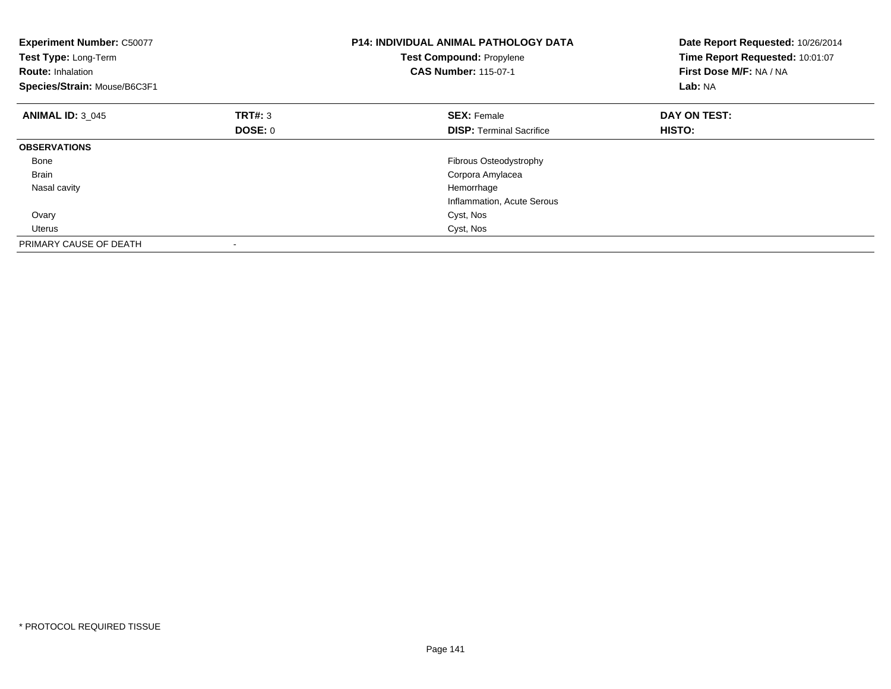| <b>Experiment Number: C50077</b><br>Test Type: Long-Term<br><b>Route: Inhalation</b><br>Species/Strain: Mouse/B6C3F1 |         | <b>P14: INDIVIDUAL ANIMAL PATHOLOGY DATA</b><br>Test Compound: Propylene<br><b>CAS Number: 115-07-1</b> | Date Report Requested: 10/26/2014<br>Time Report Requested: 10:01:07<br>First Dose M/F: NA / NA<br>Lab: NA |
|----------------------------------------------------------------------------------------------------------------------|---------|---------------------------------------------------------------------------------------------------------|------------------------------------------------------------------------------------------------------------|
| <b>ANIMAL ID: 3 045</b>                                                                                              | TRT#: 3 | <b>SEX: Female</b>                                                                                      | DAY ON TEST:                                                                                               |
|                                                                                                                      | DOSE: 0 | <b>DISP:</b> Terminal Sacrifice                                                                         | HISTO:                                                                                                     |
| <b>OBSERVATIONS</b>                                                                                                  |         |                                                                                                         |                                                                                                            |
| Bone                                                                                                                 |         | <b>Fibrous Osteodystrophy</b>                                                                           |                                                                                                            |
| <b>Brain</b>                                                                                                         |         | Corpora Amylacea                                                                                        |                                                                                                            |
| Nasal cavity                                                                                                         |         | Hemorrhage                                                                                              |                                                                                                            |
|                                                                                                                      |         | Inflammation, Acute Serous                                                                              |                                                                                                            |
| Ovary                                                                                                                |         | Cyst, Nos                                                                                               |                                                                                                            |
| Uterus                                                                                                               |         | Cyst, Nos                                                                                               |                                                                                                            |
| PRIMARY CAUSE OF DEATH                                                                                               |         |                                                                                                         |                                                                                                            |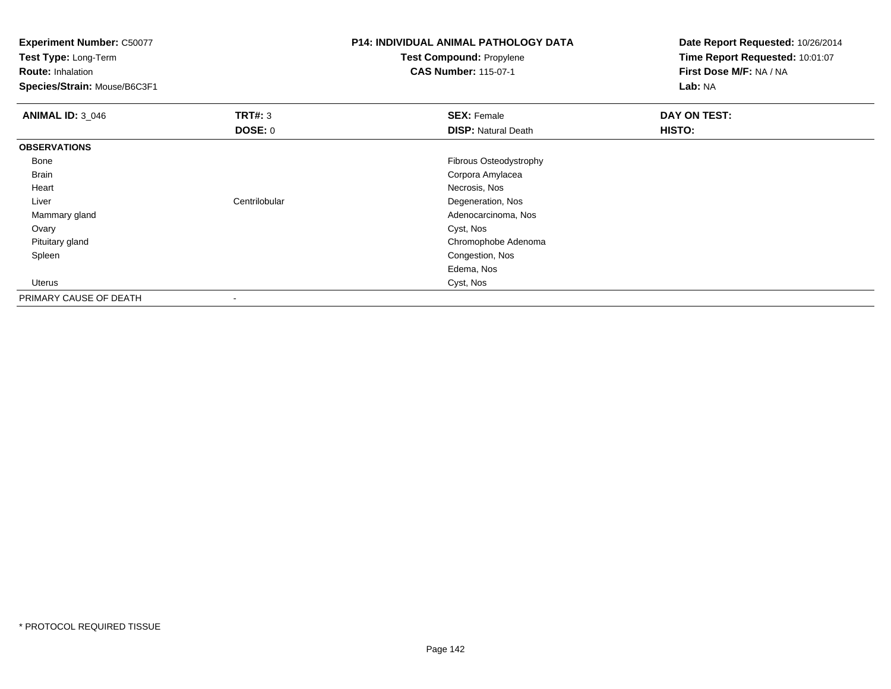**Experiment Number:** C50077

**Test Type:** Long-Term

**Route:** Inhalation

**Species/Strain:** Mouse/B6C3F1

## **P14: INDIVIDUAL ANIMAL PATHOLOGY DATATest Compound:** Propylene

**CAS Number:** 115-07-1

**Date Report Requested:** 10/26/2014**Time Report Requested:** 10:01:07**First Dose M/F:** NA / NA**Lab:** NA

| <b>ANIMAL ID: 3_046</b> | TRT#: 3                  | <b>SEX: Female</b>         | DAY ON TEST: |
|-------------------------|--------------------------|----------------------------|--------------|
|                         | <b>DOSE: 0</b>           | <b>DISP: Natural Death</b> | HISTO:       |
| <b>OBSERVATIONS</b>     |                          |                            |              |
| Bone                    |                          | Fibrous Osteodystrophy     |              |
| Brain                   |                          | Corpora Amylacea           |              |
| Heart                   |                          | Necrosis, Nos              |              |
| Liver                   | Centrilobular            | Degeneration, Nos          |              |
| Mammary gland           |                          | Adenocarcinoma, Nos        |              |
| Ovary                   |                          | Cyst, Nos                  |              |
| Pituitary gland         |                          | Chromophobe Adenoma        |              |
| Spleen                  |                          | Congestion, Nos            |              |
|                         |                          | Edema, Nos                 |              |
| Uterus                  |                          | Cyst, Nos                  |              |
| PRIMARY CAUSE OF DEATH  | $\overline{\phantom{a}}$ |                            |              |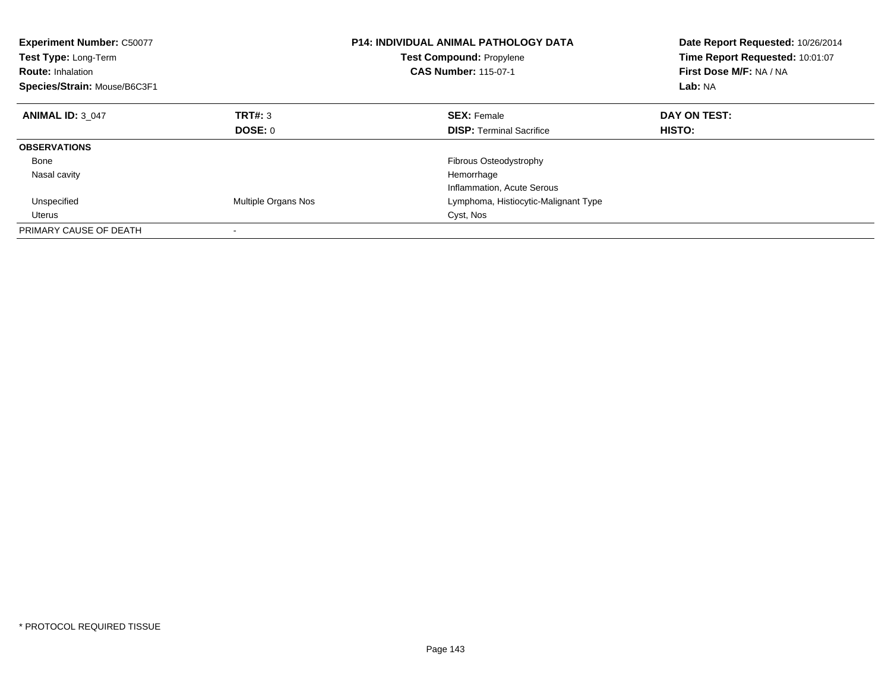| <b>Experiment Number: C50077</b><br><b>Test Type: Long-Term</b><br><b>Route: Inhalation</b><br>Species/Strain: Mouse/B6C3F1 |                     | <b>P14: INDIVIDUAL ANIMAL PATHOLOGY DATA</b><br><b>Test Compound: Propylene</b><br><b>CAS Number: 115-07-1</b> | Date Report Requested: 10/26/2014<br>Time Report Requested: 10:01:07<br>First Dose M/F: NA / NA<br>Lab: NA |
|-----------------------------------------------------------------------------------------------------------------------------|---------------------|----------------------------------------------------------------------------------------------------------------|------------------------------------------------------------------------------------------------------------|
| <b>ANIMAL ID: 3 047</b>                                                                                                     | TRT#: 3             | <b>SEX: Female</b>                                                                                             | DAY ON TEST:                                                                                               |
|                                                                                                                             | <b>DOSE: 0</b>      | <b>DISP:</b> Terminal Sacrifice                                                                                | HISTO:                                                                                                     |
| <b>OBSERVATIONS</b>                                                                                                         |                     |                                                                                                                |                                                                                                            |
| Bone                                                                                                                        |                     | <b>Fibrous Osteodystrophy</b>                                                                                  |                                                                                                            |
| Nasal cavity                                                                                                                |                     | Hemorrhage                                                                                                     |                                                                                                            |
|                                                                                                                             |                     | Inflammation, Acute Serous                                                                                     |                                                                                                            |
| Unspecified                                                                                                                 | Multiple Organs Nos | Lymphoma, Histiocytic-Malignant Type                                                                           |                                                                                                            |
| Uterus                                                                                                                      |                     | Cyst, Nos                                                                                                      |                                                                                                            |
| PRIMARY CAUSE OF DEATH                                                                                                      |                     |                                                                                                                |                                                                                                            |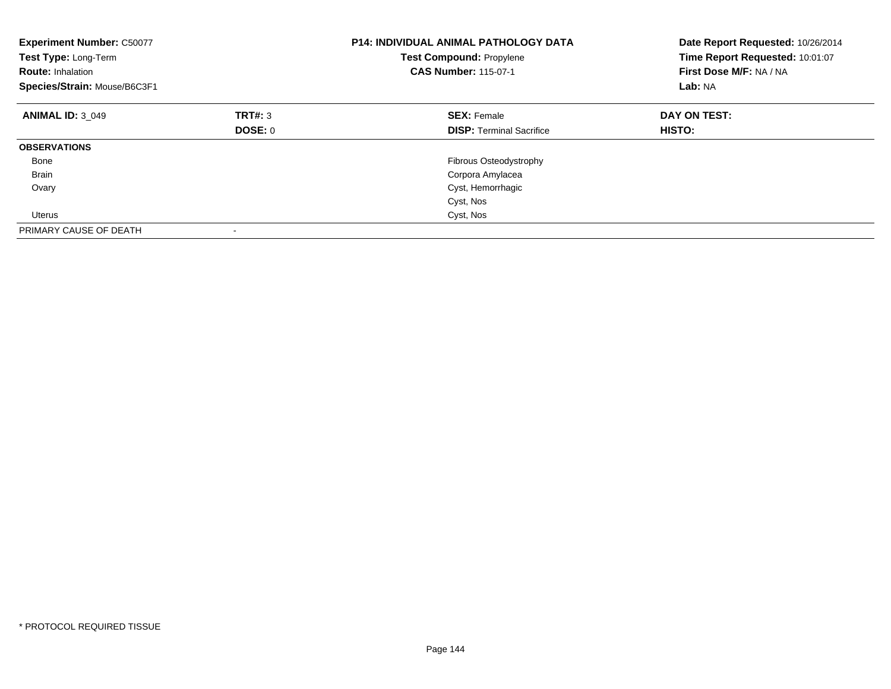| <b>Experiment Number: C50077</b><br>Test Type: Long-Term<br><b>Route: Inhalation</b><br>Species/Strain: Mouse/B6C3F1 |         | <b>P14: INDIVIDUAL ANIMAL PATHOLOGY DATA</b><br><b>Test Compound: Propylene</b><br><b>CAS Number: 115-07-1</b> | Date Report Requested: 10/26/2014<br>Time Report Requested: 10:01:07<br>First Dose M/F: NA / NA<br>Lab: NA |
|----------------------------------------------------------------------------------------------------------------------|---------|----------------------------------------------------------------------------------------------------------------|------------------------------------------------------------------------------------------------------------|
| <b>ANIMAL ID: 3 049</b>                                                                                              | TRT#: 3 | <b>SEX: Female</b>                                                                                             | DAY ON TEST:                                                                                               |
|                                                                                                                      | DOSE: 0 | <b>DISP:</b> Terminal Sacrifice                                                                                | <b>HISTO:</b>                                                                                              |
| <b>OBSERVATIONS</b>                                                                                                  |         |                                                                                                                |                                                                                                            |
| Bone                                                                                                                 |         | Fibrous Osteodystrophy                                                                                         |                                                                                                            |
| <b>Brain</b>                                                                                                         |         | Corpora Amylacea                                                                                               |                                                                                                            |
| Ovary                                                                                                                |         | Cyst, Hemorrhagic                                                                                              |                                                                                                            |
|                                                                                                                      |         | Cyst, Nos                                                                                                      |                                                                                                            |
| Uterus                                                                                                               |         | Cyst, Nos                                                                                                      |                                                                                                            |
| PRIMARY CAUSE OF DEATH                                                                                               |         |                                                                                                                |                                                                                                            |